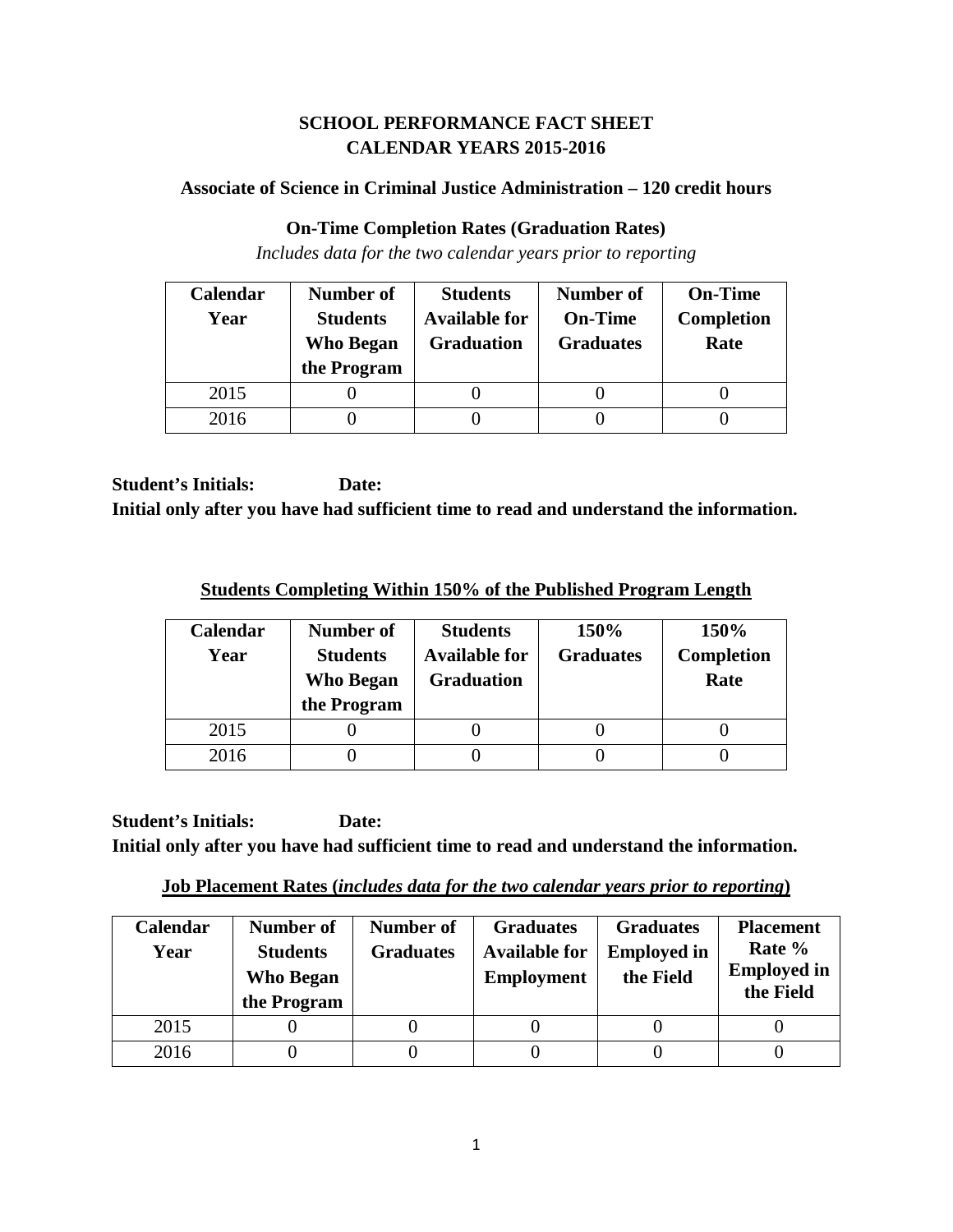## **SCHOOL PERFORMANCE FACT SHEET CALENDAR YEARS 2015-2016**

### **Associate of Science in Criminal Justice Administration – 120 credit hours**

### **On-Time Completion Rates (Graduation Rates)**

*Includes data for the two calendar years prior to reporting*

| Calendar | Number of        | <b>Students</b>      | <b>Number of</b> | <b>On-Time</b>    |
|----------|------------------|----------------------|------------------|-------------------|
| Year     | <b>Students</b>  | <b>Available for</b> | <b>On-Time</b>   | <b>Completion</b> |
|          | <b>Who Began</b> | <b>Graduation</b>    | <b>Graduates</b> | Rate              |
|          | the Program      |                      |                  |                   |
| 2015     |                  |                      |                  |                   |
| 2016     |                  |                      |                  |                   |

**Student's Initials: Date: Initial only after you have had sufficient time to read and understand the information.**

**Students Completing Within 150% of the Published Program Length**

| <b>Calendar</b><br>Year | Number of<br><b>Students</b><br>Who Began<br>the Program | <b>Students</b><br><b>Available for</b><br><b>Graduation</b> | 150%<br><b>Graduates</b> | 150%<br>Completion<br>Rate |
|-------------------------|----------------------------------------------------------|--------------------------------------------------------------|--------------------------|----------------------------|
| 2015                    |                                                          |                                                              |                          |                            |
| 2016                    |                                                          |                                                              |                          |                            |

**Job Placement Rates (***includes data for the two calendar years prior to reporting***)**

<span id="page-0-0"></span>

| <b>Calendar</b><br>Year | Number of<br><b>Students</b><br><b>Who Began</b><br>the Program | Number of<br><b>Graduates</b> | <b>Graduates</b><br><b>Available for</b><br><b>Employment</b> | <b>Graduates</b><br><b>Employed in</b><br>the Field | <b>Placement</b><br>Rate %<br><b>Employed in</b><br>the Field |
|-------------------------|-----------------------------------------------------------------|-------------------------------|---------------------------------------------------------------|-----------------------------------------------------|---------------------------------------------------------------|
| 2015                    |                                                                 |                               |                                                               |                                                     |                                                               |
| 2016                    |                                                                 |                               |                                                               |                                                     |                                                               |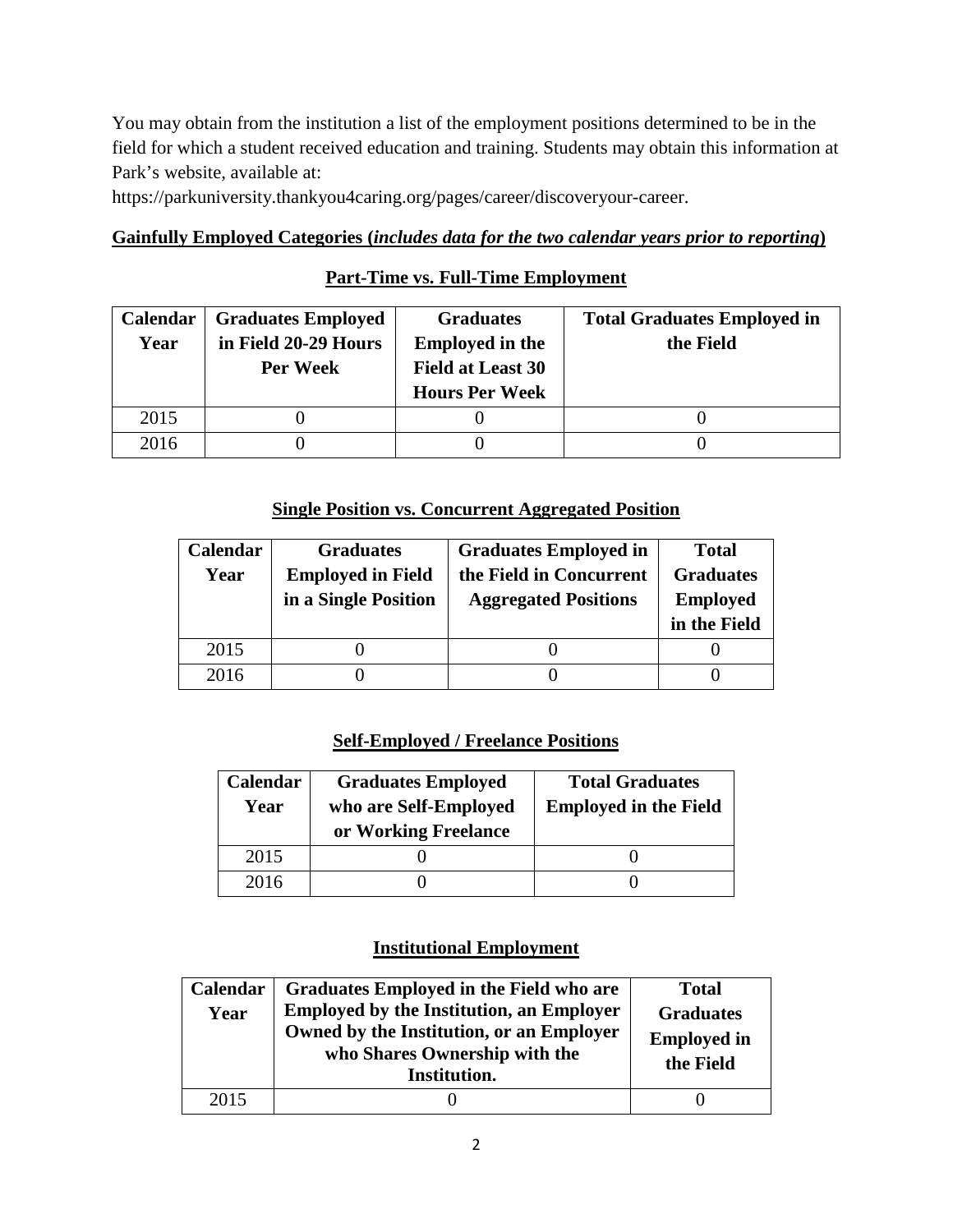You may obtain from the institution a list of the employment positions determined to be in the field for which a student received education and training. Students may obtain this information at Park's website, available at:

https://parkuniversity.thankyou4caring.org/pages/career/discoveryour-career.

## **Gainfully Employed Categories (***includes data for the two calendar years prior to reporting***)**

## **Part-Time vs. Full-Time Employment**

| <b>Calendar</b> | <b>Graduates Employed</b> | <b>Graduates</b>         | <b>Total Graduates Employed in</b> |
|-----------------|---------------------------|--------------------------|------------------------------------|
| Year            | in Field 20-29 Hours      | <b>Employed in the</b>   | the Field                          |
|                 | Per Week                  | <b>Field at Least 30</b> |                                    |
|                 |                           | <b>Hours Per Week</b>    |                                    |
| 2015            |                           |                          |                                    |
| 2016            |                           |                          |                                    |

## **Single Position vs. Concurrent Aggregated Position**

| Calendar | <b>Graduates</b>         | <b>Graduates Employed in</b> | <b>Total</b>     |
|----------|--------------------------|------------------------------|------------------|
| Year     | <b>Employed in Field</b> | the Field in Concurrent      | <b>Graduates</b> |
|          | in a Single Position     | <b>Aggregated Positions</b>  | <b>Employed</b>  |
|          |                          |                              | in the Field     |
|          |                          |                              |                  |
| 2015     |                          |                              |                  |

## **Self-Employed / Freelance Positions**

| Calendar<br>Year | <b>Graduates Employed</b><br>who are Self-Employed<br>or Working Freelance | <b>Total Graduates</b><br><b>Employed in the Field</b> |
|------------------|----------------------------------------------------------------------------|--------------------------------------------------------|
| 2015             |                                                                            |                                                        |
| 2016             |                                                                            |                                                        |

## **Institutional Employment**

| Calendar<br>Year | <b>Graduates Employed in the Field who are</b><br><b>Employed by the Institution, an Employer</b><br>Owned by the Institution, or an Employer<br>who Shares Ownership with the<br>Institution. | <b>Total</b><br><b>Graduates</b><br><b>Employed in</b><br>the Field |
|------------------|------------------------------------------------------------------------------------------------------------------------------------------------------------------------------------------------|---------------------------------------------------------------------|
| 2015             |                                                                                                                                                                                                |                                                                     |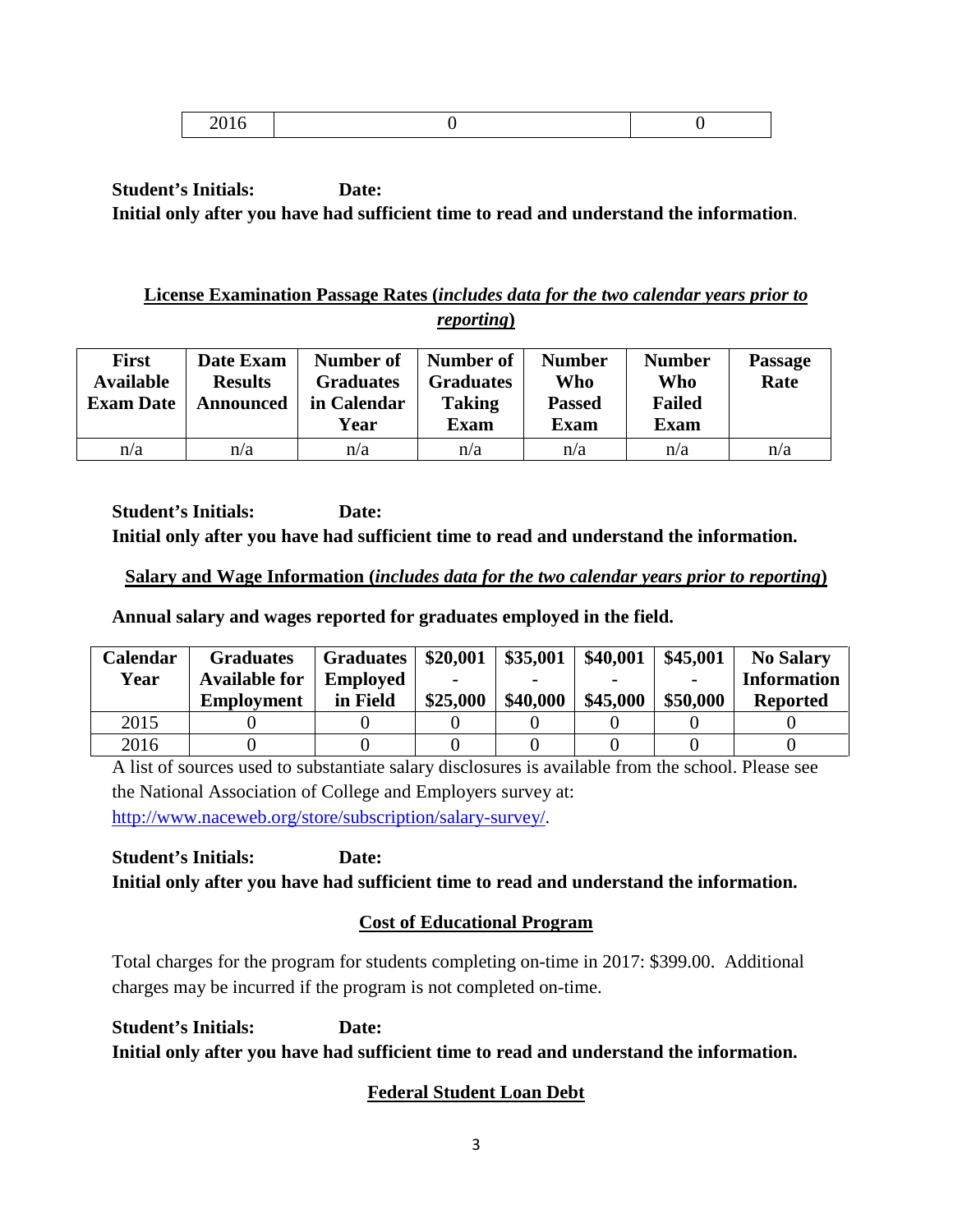|--|--|

## **License Examination Passage Rates (***includes data for the two calendar years prior to reporting***)**

| <b>First</b><br><b>Available</b><br><b>Exam Date</b> | Date Exam<br><b>Results</b><br>Announced | Number of<br><b>Graduates</b><br>in Calendar<br>Year | Number of<br><b>Graduates</b><br><b>Taking</b><br><b>Exam</b> | <b>Number</b><br>Who<br><b>Passed</b><br><b>Exam</b> | <b>Number</b><br>Who<br><b>Failed</b><br><b>Exam</b> | <b>Passage</b><br>Rate |
|------------------------------------------------------|------------------------------------------|------------------------------------------------------|---------------------------------------------------------------|------------------------------------------------------|------------------------------------------------------|------------------------|
| n/a                                                  | n/a                                      | n/a                                                  | n/a                                                           | n/a                                                  | n/a                                                  | n/a                    |

**Student's Initials: Date: Initial only after you have had sufficient time to read and understand the information.**

## **Salary and Wage Information (***includes data for the two calendar years prior to reporting***)**

**Annual salary and wages reported for graduates employed in the field.**

| Calendar | <b>Graduates</b>     | <b>Graduates</b> | \$20,001 | \$35,001 | \$40,001 | \$45,001       | <b>No Salary</b>   |
|----------|----------------------|------------------|----------|----------|----------|----------------|--------------------|
| Year     | <b>Available for</b> | <b>Employed</b>  |          |          |          | $\blacksquare$ | <b>Information</b> |
|          | <b>Employment</b>    | in Field         | \$25,000 | \$40,000 | \$45,000 | \$50,000       | <b>Reported</b>    |
| 2015     |                      |                  |          |          |          |                |                    |
| 2016     |                      |                  |          |          |          |                |                    |

A list of sources used to substantiate salary disclosures is available from the school. Please see the National Association of College and Employers survey at: [http://www.naceweb.org/store/subscription/salary-survey/.](http://www.naceweb.org/store/subscription/salary-survey/)

**Student's Initials: Date: Initial only after you have had sufficient time to read and understand the information.**

# **Cost of Educational Program**

Total charges for the program for students completing on-time in 2017: \$399.00. Additional charges may be incurred if the program is not completed on-time.

**Student's Initials: Date: Initial only after you have had sufficient time to read and understand the information.**

# **Federal Student Loan Debt**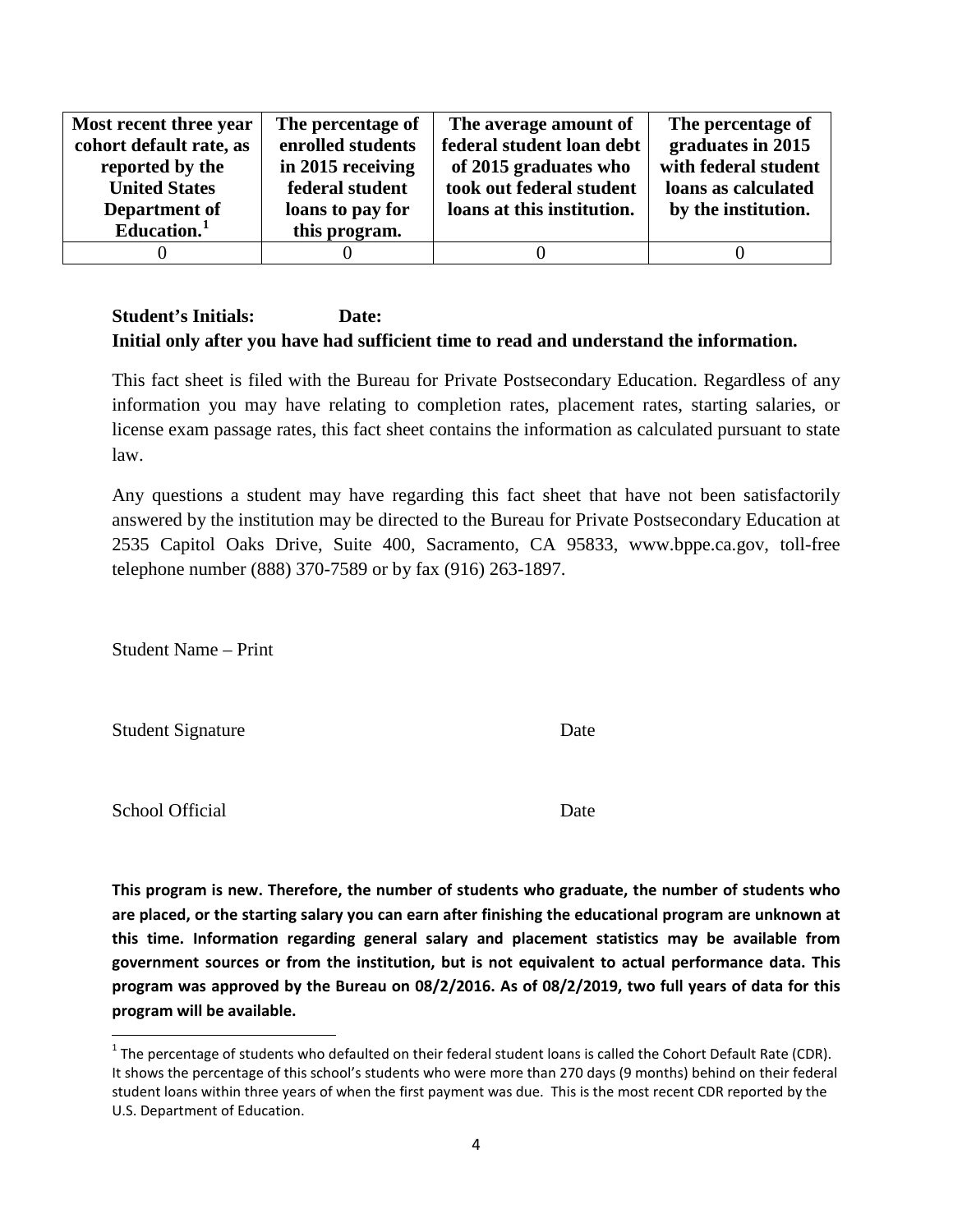| Most recent three year  | The percentage of | The average amount of      | The percentage of    |
|-------------------------|-------------------|----------------------------|----------------------|
| cohort default rate, as | enrolled students | federal student loan debt  | graduates in 2015    |
| reported by the         | in 2015 receiving | of 2015 graduates who      | with federal student |
| <b>United States</b>    | federal student   | took out federal student   | loans as calculated  |
| Department of           | loans to pay for  | loans at this institution. | by the institution.  |
| Education. <sup>1</sup> | this program.     |                            |                      |
|                         |                   |                            |                      |

This fact sheet is filed with the Bureau for Private Postsecondary Education. Regardless of any information you may have relating to completion rates, placement rates, starting salaries, or license exam passage rates, this fact sheet contains the information as calculated pursuant to state law.

Any questions a student may have regarding this fact sheet that have not been satisfactorily answered by the institution may be directed to the Bureau for Private Postsecondary Education at 2535 Capitol Oaks Drive, Suite 400, Sacramento, CA 95833, www.bppe.ca.gov, toll-free telephone number (888) 370-7589 or by fax (916) 263-1897.

Student Name – Print

Student Signature Date

School Official Date

**This program is new. Therefore, the number of students who graduate, the number of students who are placed, or the starting salary you can earn after finishing the educational program are unknown at this time. Information regarding general salary and placement statistics may be available from government sources or from the institution, but is not equivalent to actual performance data. This program was approved by the Bureau on 08/2/2016. As of 08/2/2019, two full years of data for this program will be available.**

<span id="page-3-0"></span> $1$  The percentage of students who defaulted on their federal student loans is called the Cohort Default Rate (CDR). It shows the percentage of this school's students who were more than 270 days (9 months) behind on their federal student loans within three years of when the first payment was due. This is the most recent CDR reported by the U.S. Department of Education.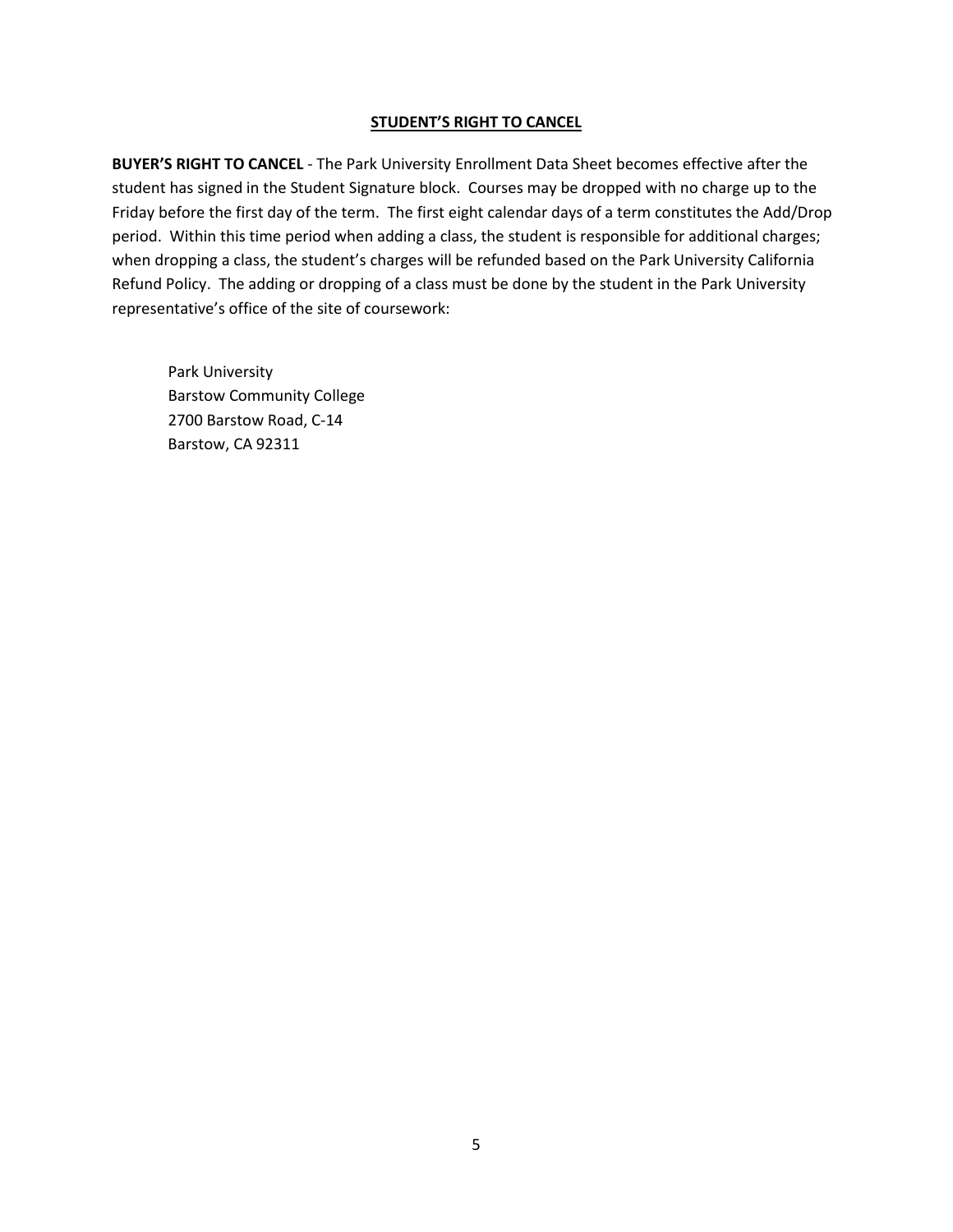#### **STUDENT'S RIGHT TO CANCEL**

**BUYER'S RIGHT TO CANCEL** - The Park University Enrollment Data Sheet becomes effective after the student has signed in the Student Signature block. Courses may be dropped with no charge up to the Friday before the first day of the term. The first eight calendar days of a term constitutes the Add/Drop period. Within this time period when adding a class, the student is responsible for additional charges; when dropping a class, the student's charges will be refunded based on the Park University California Refund Policy. The adding or dropping of a class must be done by the student in the Park University representative's office of the site of coursework:

Park University Barstow Community College 2700 Barstow Road, C-14 Barstow, CA 92311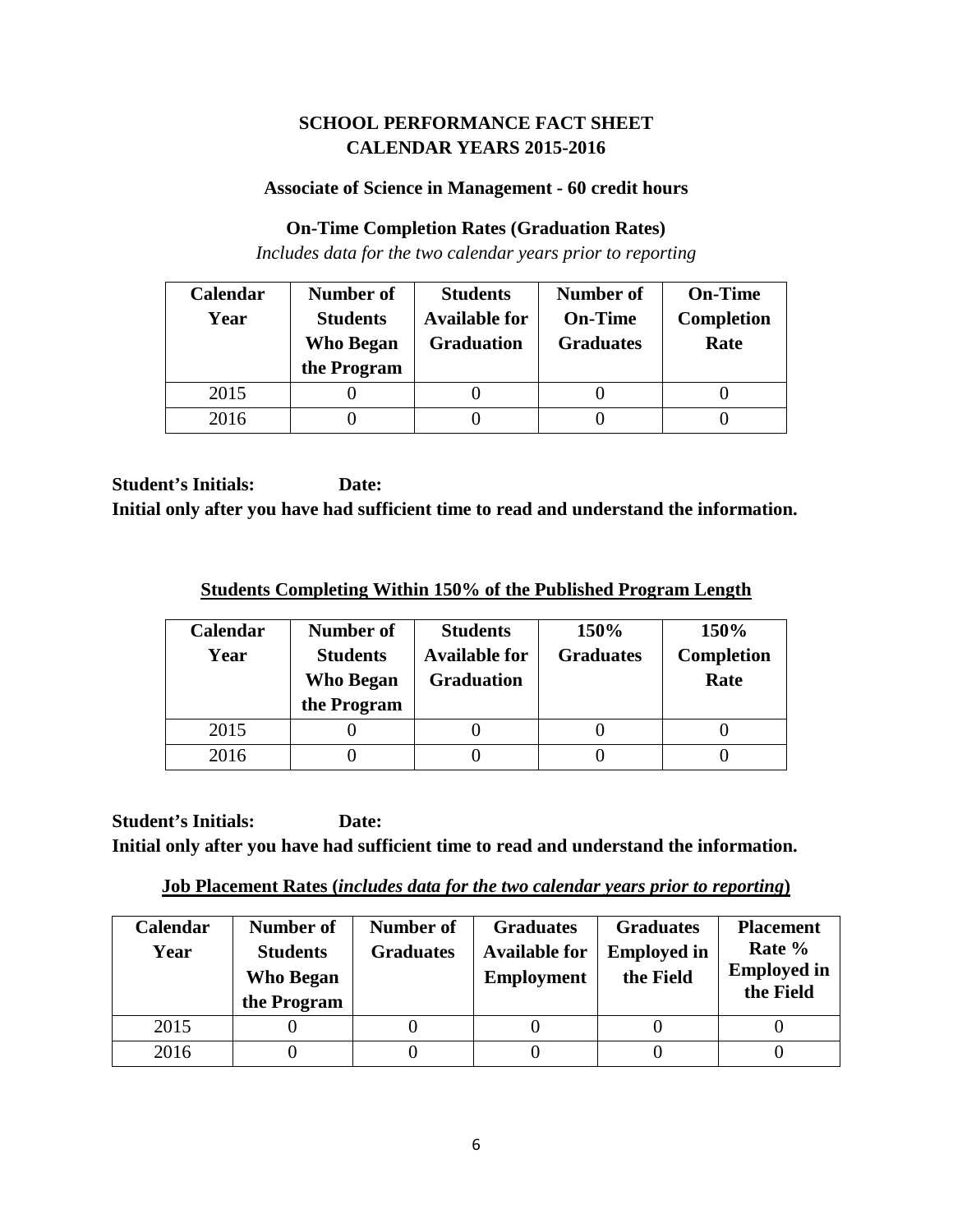## **SCHOOL PERFORMANCE FACT SHEET CALENDAR YEARS 2015-2016**

### **Associate of Science in Management - 60 credit hours**

### **On-Time Completion Rates (Graduation Rates)**

*Includes data for the two calendar years prior to reporting*

| Calendar | Number of                       | <b>Students</b>                           | <b>Number of</b>                   | <b>On-Time</b>            |
|----------|---------------------------------|-------------------------------------------|------------------------------------|---------------------------|
| Year     | <b>Students</b>                 | <b>Available for</b><br><b>Graduation</b> | <b>On-Time</b><br><b>Graduates</b> | <b>Completion</b><br>Rate |
|          | <b>Who Began</b><br>the Program |                                           |                                    |                           |
| 2015     |                                 |                                           |                                    |                           |
| 2016     |                                 |                                           |                                    |                           |

**Student's Initials: Date: Initial only after you have had sufficient time to read and understand the information.**

**Students Completing Within 150% of the Published Program Length**

| Calendar<br>Year | Number of<br><b>Students</b><br><b>Who Began</b><br>the Program | <b>Students</b><br><b>Available for</b><br><b>Graduation</b> | 150%<br><b>Graduates</b> | 150%<br><b>Completion</b><br>Rate |
|------------------|-----------------------------------------------------------------|--------------------------------------------------------------|--------------------------|-----------------------------------|
| 2015             |                                                                 |                                                              |                          |                                   |
| 2016             |                                                                 |                                                              |                          |                                   |

**Job Placement Rates (***includes data for the two calendar years prior to reporting***)**

| <b>Calendar</b><br>Year | Number of<br><b>Students</b><br><b>Who Began</b><br>the Program | Number of<br><b>Graduates</b> | <b>Graduates</b><br><b>Available for</b><br><b>Employment</b> | <b>Graduates</b><br><b>Employed in</b><br>the Field | <b>Placement</b><br>Rate %<br><b>Employed in</b><br>the Field |
|-------------------------|-----------------------------------------------------------------|-------------------------------|---------------------------------------------------------------|-----------------------------------------------------|---------------------------------------------------------------|
| 2015                    |                                                                 |                               |                                                               |                                                     |                                                               |
| 2016                    |                                                                 |                               |                                                               |                                                     |                                                               |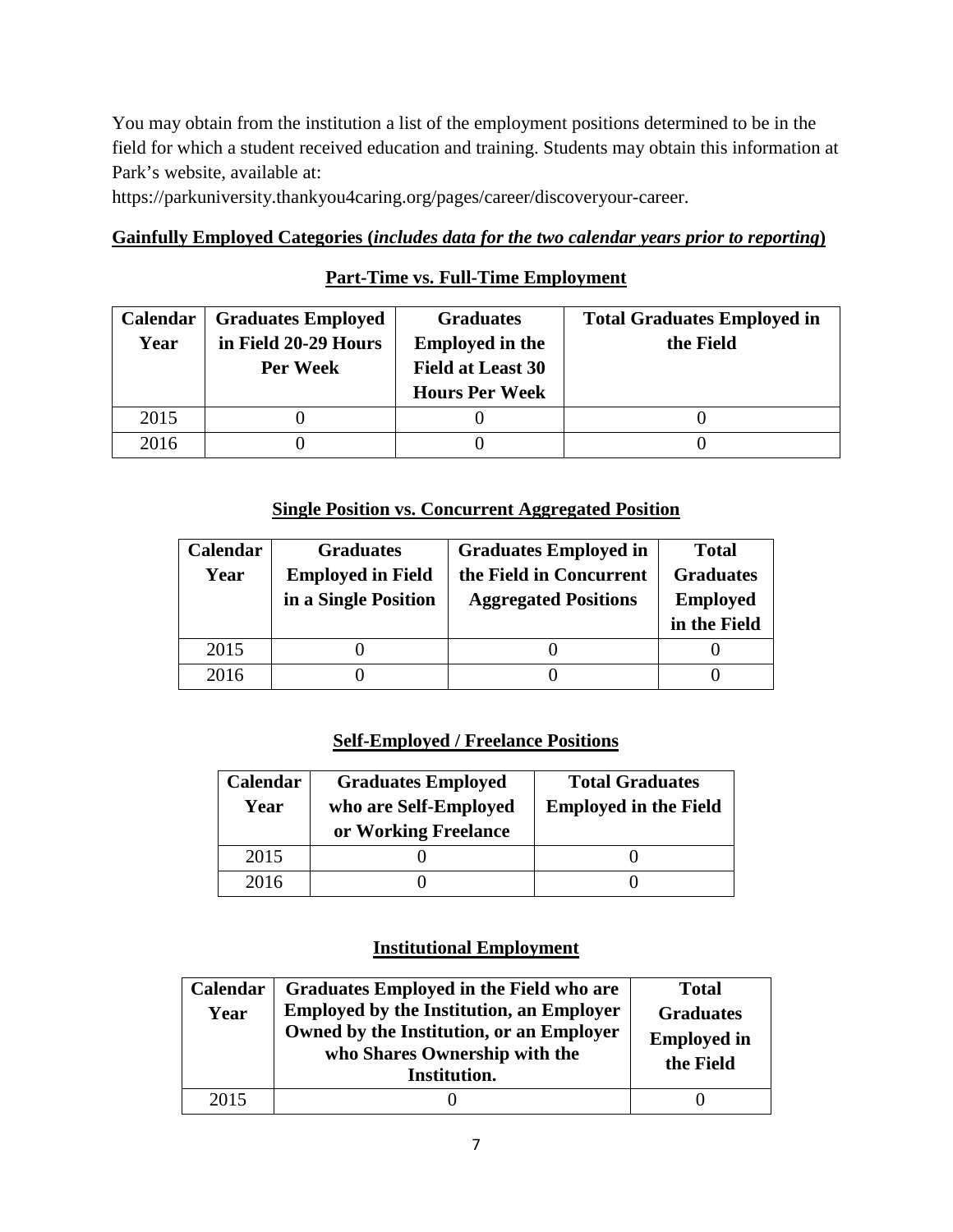You may obtain from the institution a list of the employment positions determined to be in the field for which a student received education and training. Students may obtain this information at Park's website, available at:

https://parkuniversity.thankyou4caring.org/pages/career/discoveryour-career.

## **Gainfully Employed Categories (***includes data for the two calendar years prior to reporting***)**

## **Part-Time vs. Full-Time Employment**

| <b>Calendar</b> | <b>Graduates Employed</b> | <b>Graduates</b>         | <b>Total Graduates Employed in</b> |
|-----------------|---------------------------|--------------------------|------------------------------------|
| Year            | in Field 20-29 Hours      | <b>Employed in the</b>   | the Field                          |
|                 | Per Week                  | <b>Field at Least 30</b> |                                    |
|                 |                           | <b>Hours Per Week</b>    |                                    |
| 2015            |                           |                          |                                    |
| 2016            |                           |                          |                                    |

## **Single Position vs. Concurrent Aggregated Position**

| Calendar | <b>Graduates</b>         | <b>Graduates Employed in</b> | <b>Total</b>     |
|----------|--------------------------|------------------------------|------------------|
| Year     | <b>Employed in Field</b> | the Field in Concurrent      | <b>Graduates</b> |
|          | in a Single Position     | <b>Aggregated Positions</b>  | <b>Employed</b>  |
|          |                          |                              | in the Field     |
|          |                          |                              |                  |
| 2015     |                          |                              |                  |

## **Self-Employed / Freelance Positions**

| Calendar<br>Year | <b>Graduates Employed</b><br>who are Self-Employed<br>or Working Freelance | <b>Total Graduates</b><br><b>Employed in the Field</b> |  |
|------------------|----------------------------------------------------------------------------|--------------------------------------------------------|--|
| 2015             |                                                                            |                                                        |  |
| 2016             |                                                                            |                                                        |  |

## **Institutional Employment**

| Calendar<br>Year | <b>Graduates Employed in the Field who are</b><br><b>Employed by the Institution, an Employer</b><br>Owned by the Institution, or an Employer<br>who Shares Ownership with the<br>Institution. | <b>Total</b><br><b>Graduates</b><br><b>Employed in</b><br>the Field |
|------------------|------------------------------------------------------------------------------------------------------------------------------------------------------------------------------------------------|---------------------------------------------------------------------|
| 2015             |                                                                                                                                                                                                |                                                                     |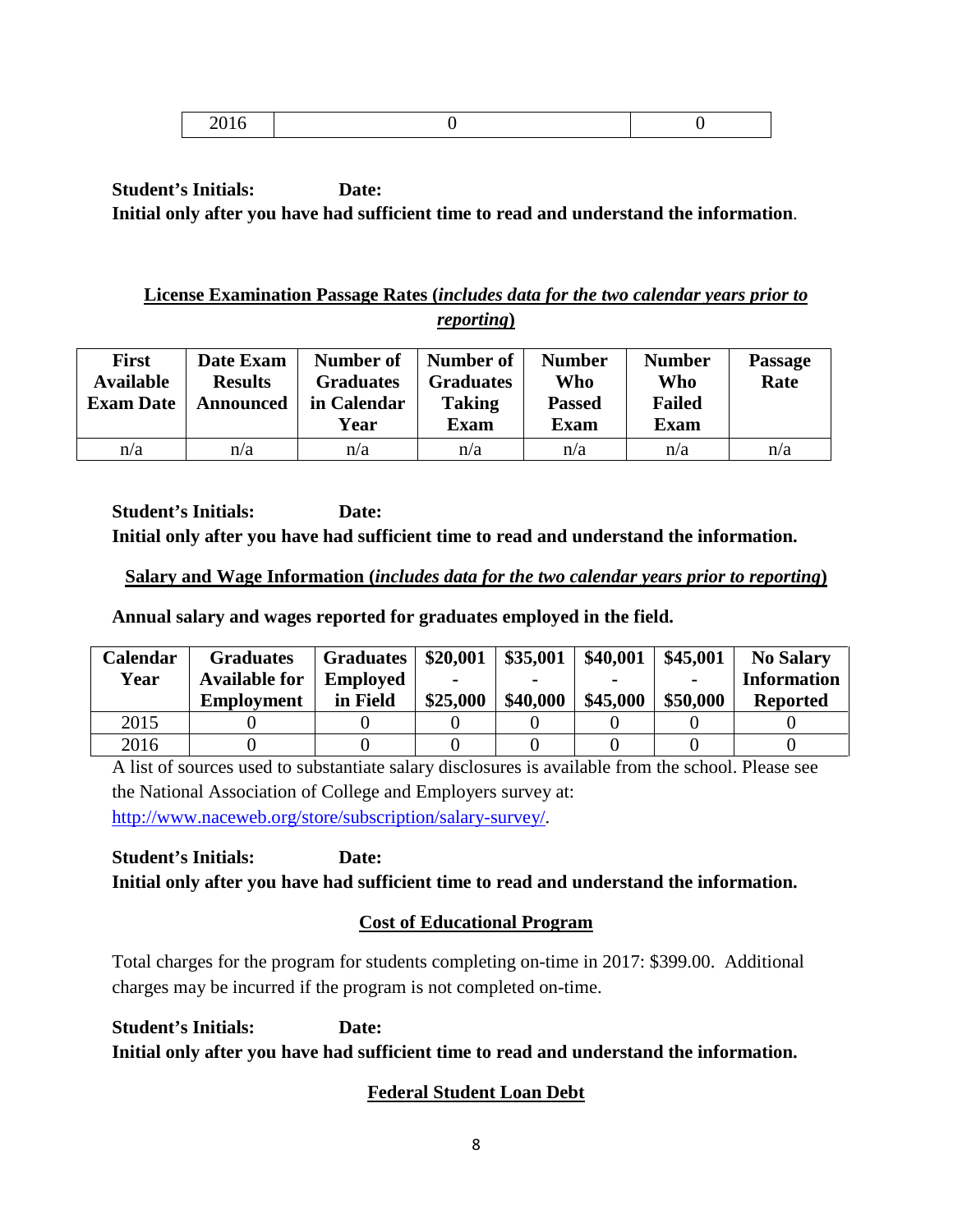|--|--|

## **License Examination Passage Rates (***includes data for the two calendar years prior to reporting***)**

| <b>First</b><br><b>Available</b><br><b>Exam Date</b> | Date Exam<br><b>Results</b><br>Announced | Number of<br><b>Graduates</b><br>in Calendar<br>Year | Number of<br><b>Graduates</b><br><b>Taking</b><br><b>Exam</b> | <b>Number</b><br>Who<br><b>Passed</b><br><b>Exam</b> | <b>Number</b><br>Who<br><b>Failed</b><br><b>Exam</b> | <b>Passage</b><br>Rate |
|------------------------------------------------------|------------------------------------------|------------------------------------------------------|---------------------------------------------------------------|------------------------------------------------------|------------------------------------------------------|------------------------|
| n/a                                                  | n/a                                      | n/a                                                  | n/a                                                           | n/a                                                  | n/a                                                  | n/a                    |

**Student's Initials: Date: Initial only after you have had sufficient time to read and understand the information.**

## **Salary and Wage Information (***includes data for the two calendar years prior to reporting***)**

**Annual salary and wages reported for graduates employed in the field.**

| Calendar | <b>Graduates</b>     | <b>Graduates</b> | \$20,001 | \$35,001 | \$40,001 | \$45,001       | <b>No Salary</b>   |
|----------|----------------------|------------------|----------|----------|----------|----------------|--------------------|
| Year     | <b>Available for</b> | <b>Employed</b>  |          |          |          | $\blacksquare$ | <b>Information</b> |
|          | <b>Employment</b>    | in Field         | \$25,000 | \$40,000 | \$45,000 | \$50,000       | <b>Reported</b>    |
| 2015     |                      |                  |          |          |          |                |                    |
| 2016     |                      |                  |          |          |          |                |                    |

A list of sources used to substantiate salary disclosures is available from the school. Please see the National Association of College and Employers survey at: [http://www.naceweb.org/store/subscription/salary-survey/.](http://www.naceweb.org/store/subscription/salary-survey/)

**Student's Initials: Date: Initial only after you have had sufficient time to read and understand the information.**

## **Cost of Educational Program**

Total charges for the program for students completing on-time in 2017: \$399.00. Additional charges may be incurred if the program is not completed on-time.

**Student's Initials: Date: Initial only after you have had sufficient time to read and understand the information.**

# **Federal Student Loan Debt**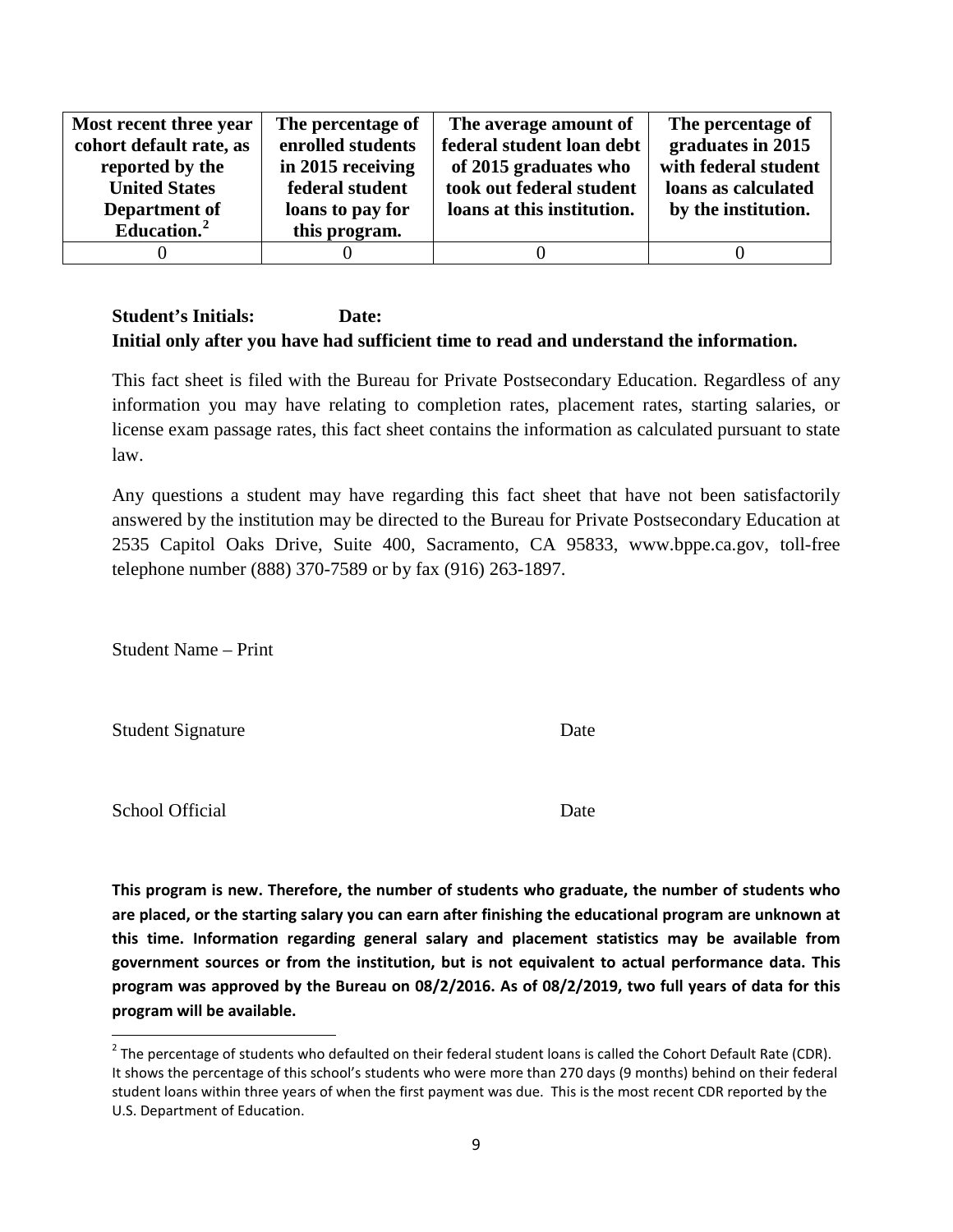| Most recent three year  | The percentage of | The average amount of      | The percentage of    |
|-------------------------|-------------------|----------------------------|----------------------|
| cohort default rate, as | enrolled students | federal student loan debt  | graduates in 2015    |
| reported by the         | in 2015 receiving | of 2015 graduates who      | with federal student |
| <b>United States</b>    | federal student   | took out federal student   | loans as calculated  |
| Department of           | loans to pay for  | loans at this institution. | by the institution.  |
| Education. <sup>2</sup> | this program.     |                            |                      |
|                         |                   |                            |                      |

This fact sheet is filed with the Bureau for Private Postsecondary Education. Regardless of any information you may have relating to completion rates, placement rates, starting salaries, or license exam passage rates, this fact sheet contains the information as calculated pursuant to state law.

Any questions a student may have regarding this fact sheet that have not been satisfactorily answered by the institution may be directed to the Bureau for Private Postsecondary Education at 2535 Capitol Oaks Drive, Suite 400, Sacramento, CA 95833, www.bppe.ca.gov, toll-free telephone number (888) 370-7589 or by fax (916) 263-1897.

Student Name – Print

Student Signature Date

School Official Date

**This program is new. Therefore, the number of students who graduate, the number of students who are placed, or the starting salary you can earn after finishing the educational program are unknown at this time. Information regarding general salary and placement statistics may be available from government sources or from the institution, but is not equivalent to actual performance data. This program was approved by the Bureau on 08/2/2016. As of 08/2/2019, two full years of data for this program will be available.**

<span id="page-8-0"></span> $2$  The percentage of students who defaulted on their federal student loans is called the Cohort Default Rate (CDR). It shows the percentage of this school's students who were more than 270 days (9 months) behind on their federal student loans within three years of when the first payment was due. This is the most recent CDR reported by the U.S. Department of Education.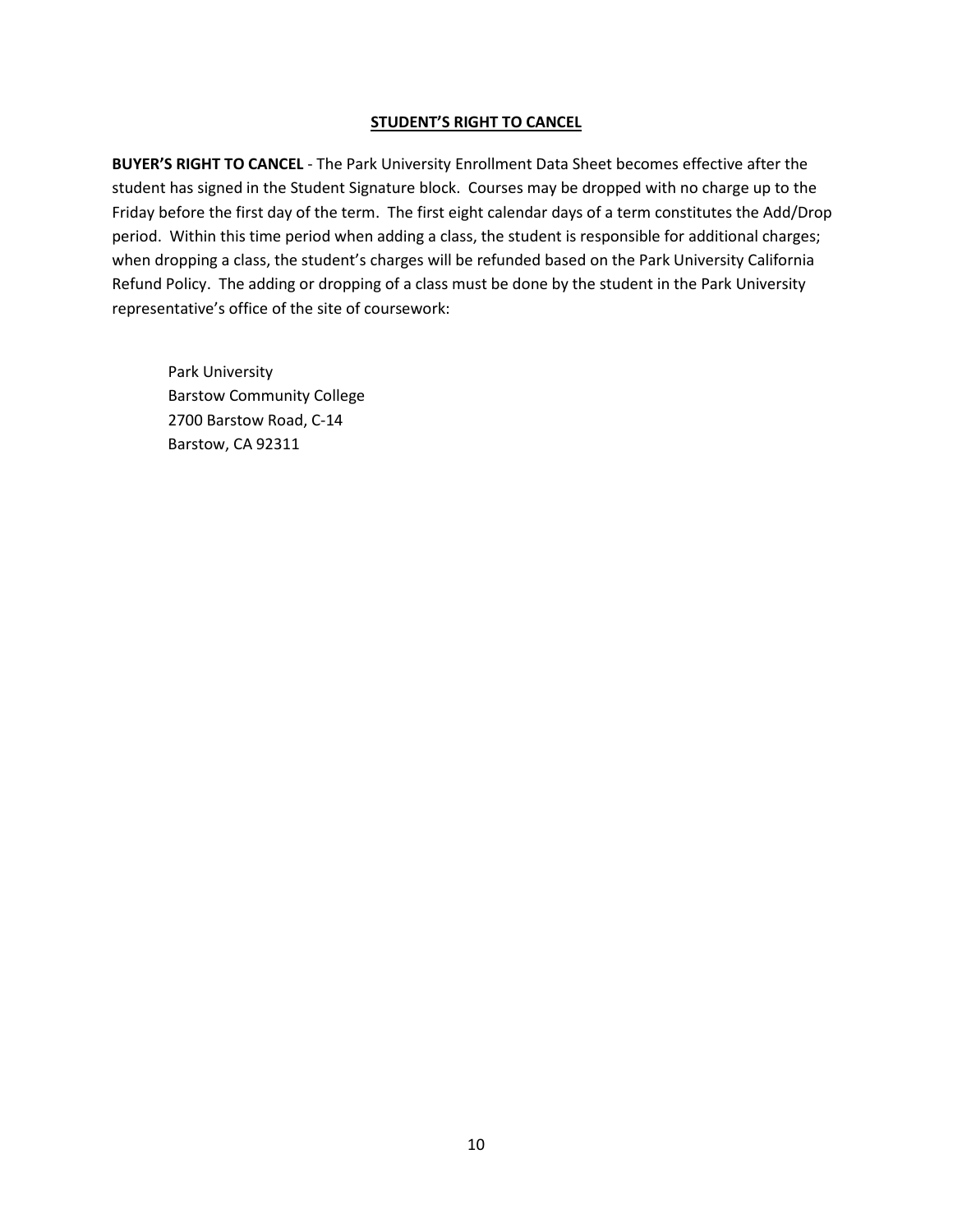#### **STUDENT'S RIGHT TO CANCEL**

**BUYER'S RIGHT TO CANCEL** - The Park University Enrollment Data Sheet becomes effective after the student has signed in the Student Signature block. Courses may be dropped with no charge up to the Friday before the first day of the term. The first eight calendar days of a term constitutes the Add/Drop period. Within this time period when adding a class, the student is responsible for additional charges; when dropping a class, the student's charges will be refunded based on the Park University California Refund Policy. The adding or dropping of a class must be done by the student in the Park University representative's office of the site of coursework:

Park University Barstow Community College 2700 Barstow Road, C-14 Barstow, CA 92311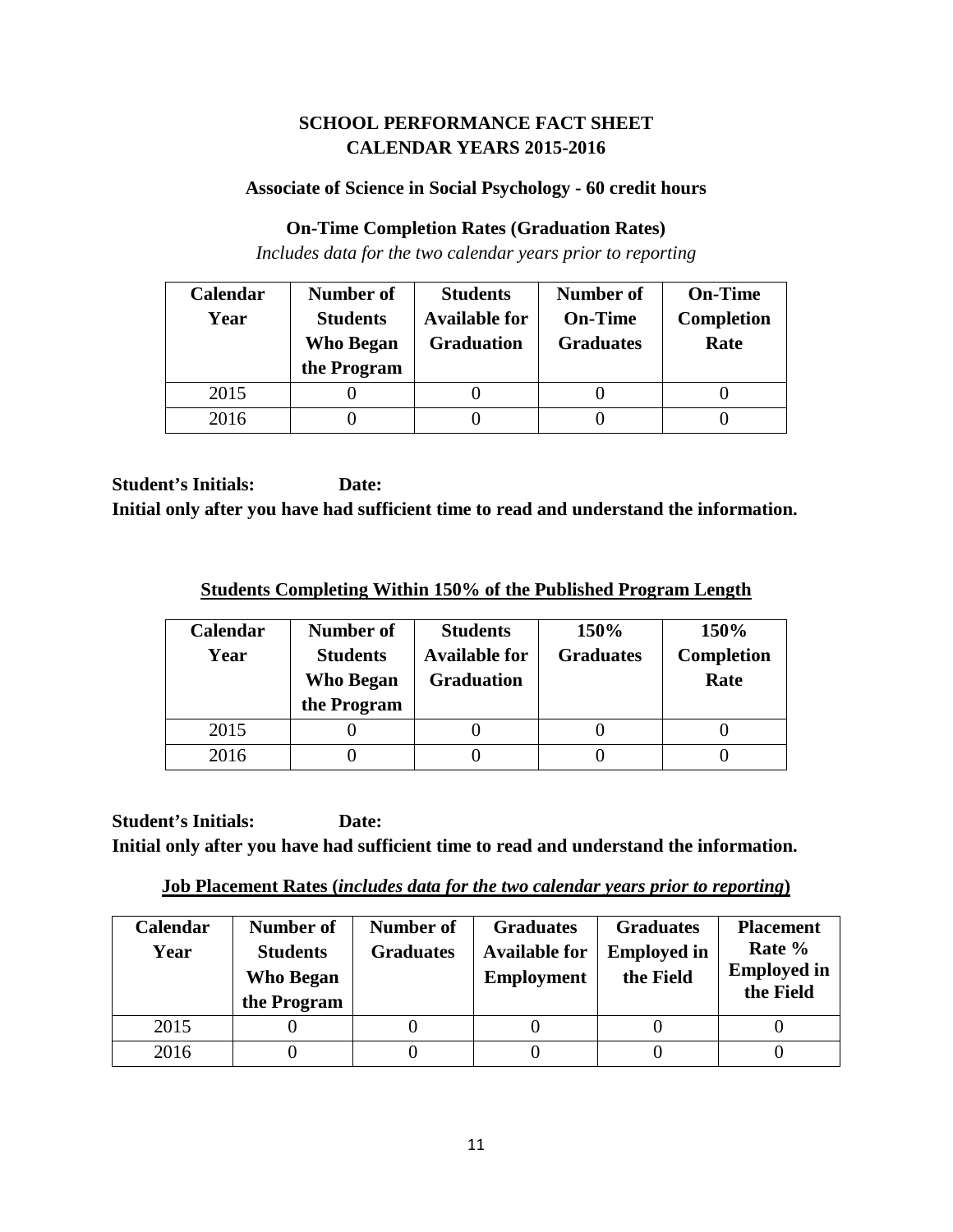## **SCHOOL PERFORMANCE FACT SHEET CALENDAR YEARS 2015-2016**

### **Associate of Science in Social Psychology - 60 credit hours**

### **On-Time Completion Rates (Graduation Rates)**

*Includes data for the two calendar years prior to reporting*

| Calendar | Number of                           | <b>Students</b>                           | <b>Number of</b>                   | <b>On-Time</b>            |
|----------|-------------------------------------|-------------------------------------------|------------------------------------|---------------------------|
| Year     | <b>Students</b><br><b>Who Began</b> | <b>Available for</b><br><b>Graduation</b> | <b>On-Time</b><br><b>Graduates</b> | <b>Completion</b><br>Rate |
|          | the Program                         |                                           |                                    |                           |
| 2015     |                                     |                                           |                                    |                           |
| 2016     |                                     |                                           |                                    |                           |

**Student's Initials: Date: Initial only after you have had sufficient time to read and understand the information.**

**Students Completing Within 150% of the Published Program Length**

| Calendar<br>Year | Number of<br><b>Students</b><br><b>Who Began</b><br>the Program | <b>Students</b><br><b>Available for</b><br><b>Graduation</b> | 150%<br><b>Graduates</b> | 150%<br><b>Completion</b><br>Rate |
|------------------|-----------------------------------------------------------------|--------------------------------------------------------------|--------------------------|-----------------------------------|
| 2015             |                                                                 |                                                              |                          |                                   |
| 2016             |                                                                 |                                                              |                          |                                   |

**Job Placement Rates (***includes data for the two calendar years prior to reporting***)**

| <b>Calendar</b><br>Year | Number of<br><b>Students</b><br><b>Who Began</b><br>the Program | Number of<br><b>Graduates</b> | <b>Graduates</b><br><b>Available for</b><br><b>Employment</b> | <b>Graduates</b><br><b>Employed in</b><br>the Field | <b>Placement</b><br>Rate %<br><b>Employed in</b><br>the Field |
|-------------------------|-----------------------------------------------------------------|-------------------------------|---------------------------------------------------------------|-----------------------------------------------------|---------------------------------------------------------------|
| 2015                    |                                                                 |                               |                                                               |                                                     |                                                               |
| 2016                    |                                                                 |                               |                                                               |                                                     |                                                               |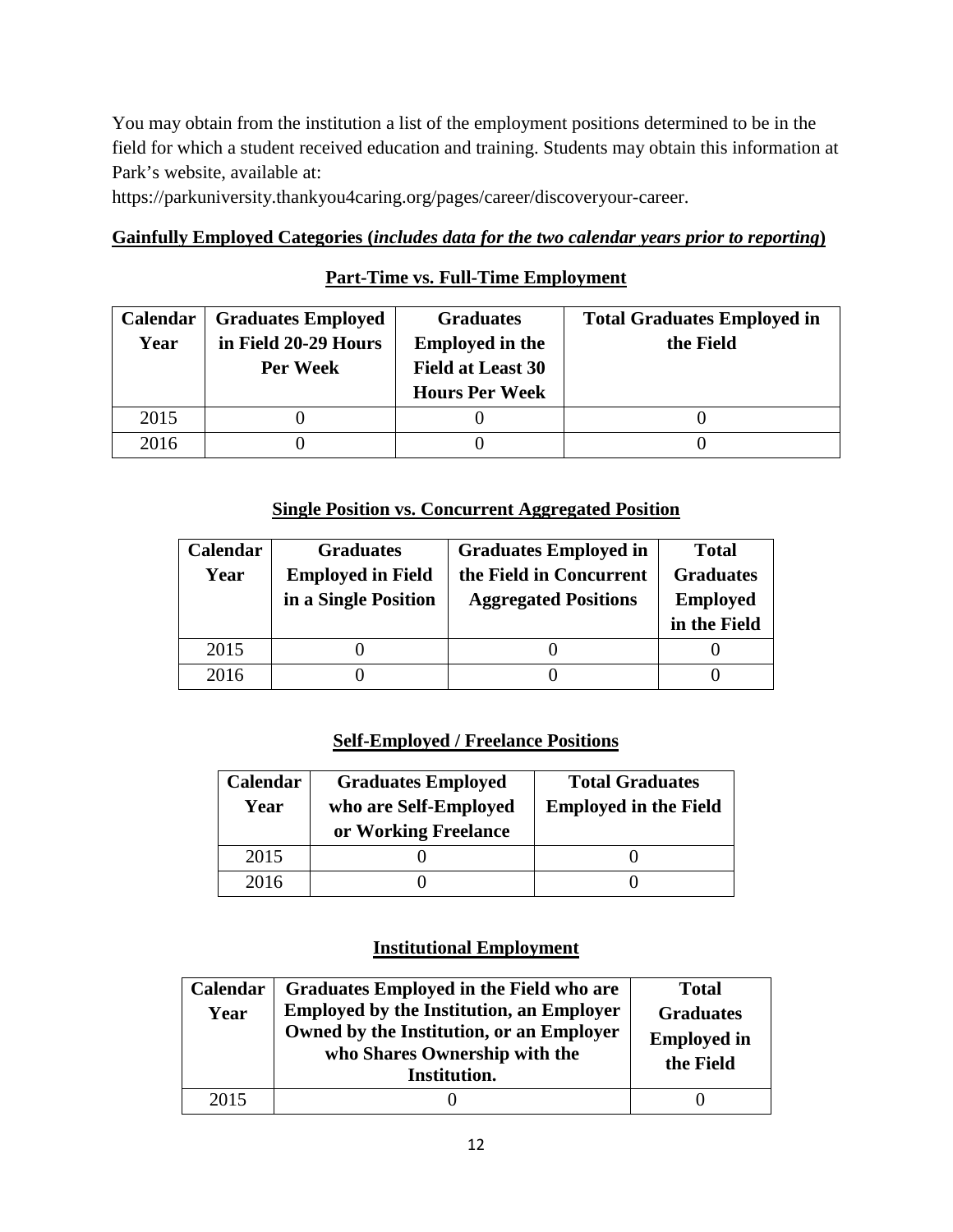You may obtain from the institution a list of the employment positions determined to be in the field for which a student received education and training. Students may obtain this information at Park's website, available at:

https://parkuniversity.thankyou4caring.org/pages/career/discoveryour-career.

### **Gainfully Employed Categories (***includes data for the two calendar years prior to reporting***)**

## **Part-Time vs. Full-Time Employment**

| <b>Calendar</b> | <b>Graduates Employed</b> | <b>Graduates</b>         | <b>Total Graduates Employed in</b> |
|-----------------|---------------------------|--------------------------|------------------------------------|
| Year            | in Field 20-29 Hours      | <b>Employed in the</b>   | the Field                          |
|                 | Per Week                  | <b>Field at Least 30</b> |                                    |
|                 |                           | <b>Hours Per Week</b>    |                                    |
| 2015            |                           |                          |                                    |
| 2016            |                           |                          |                                    |

## **Single Position vs. Concurrent Aggregated Position**

| Calendar | <b>Graduates</b>         | <b>Graduates Employed in</b> | <b>Total</b>     |
|----------|--------------------------|------------------------------|------------------|
| Year     | <b>Employed in Field</b> | the Field in Concurrent      | <b>Graduates</b> |
|          | in a Single Position     | <b>Aggregated Positions</b>  | <b>Employed</b>  |
|          |                          |                              | in the Field     |
| 2015     |                          |                              |                  |
| 2016     |                          |                              |                  |

## **Self-Employed / Freelance Positions**

| Calendar<br>Year | <b>Graduates Employed</b><br>who are Self-Employed<br>or Working Freelance | <b>Total Graduates</b><br><b>Employed in the Field</b> |  |
|------------------|----------------------------------------------------------------------------|--------------------------------------------------------|--|
| 2015             |                                                                            |                                                        |  |
| 2016             |                                                                            |                                                        |  |

### **Institutional Employment**

| Calendar<br>Year | Graduates Employed in the Field who are<br><b>Employed by the Institution, an Employer</b><br>Owned by the Institution, or an Employer<br>who Shares Ownership with the<br>Institution. | <b>Total</b><br><b>Graduates</b><br><b>Employed in</b><br>the Field |
|------------------|-----------------------------------------------------------------------------------------------------------------------------------------------------------------------------------------|---------------------------------------------------------------------|
| 2015             |                                                                                                                                                                                         |                                                                     |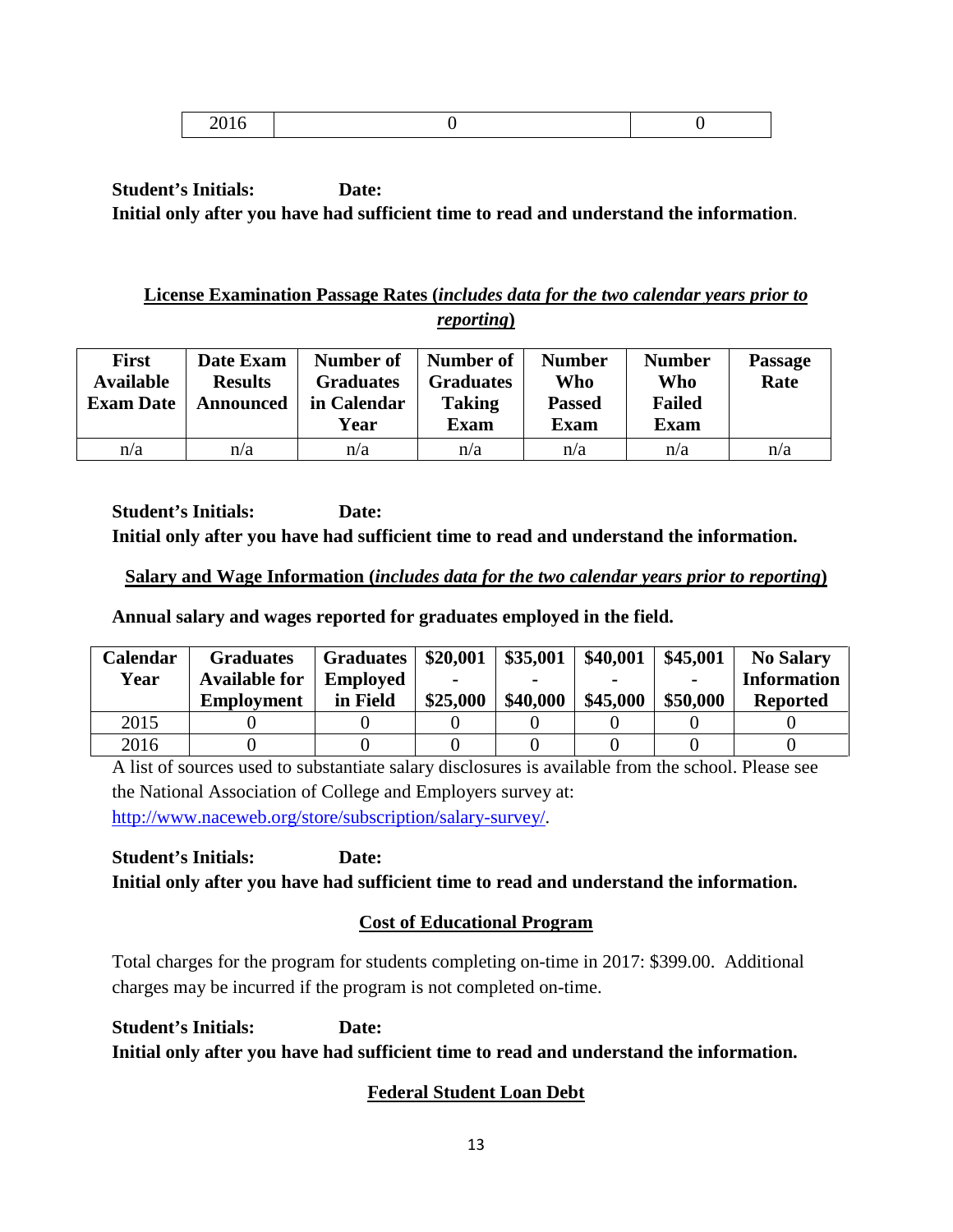|--|

## **License Examination Passage Rates (***includes data for the two calendar years prior to reporting***)**

| <b>First</b><br><b>Available</b><br><b>Exam Date</b> | Date Exam<br><b>Results</b><br>Announced | Number of<br><b>Graduates</b><br>in Calendar<br>Year | Number of<br><b>Graduates</b><br><b>Taking</b><br><b>Exam</b> | <b>Number</b><br>Who<br><b>Passed</b><br><b>Exam</b> | <b>Number</b><br>Who<br><b>Failed</b><br><b>Exam</b> | <b>Passage</b><br>Rate |
|------------------------------------------------------|------------------------------------------|------------------------------------------------------|---------------------------------------------------------------|------------------------------------------------------|------------------------------------------------------|------------------------|
| n/a                                                  | n/a                                      | n/a                                                  | n/a                                                           | n/a                                                  | n/a                                                  | n/a                    |

**Student's Initials: Date: Initial only after you have had sufficient time to read and understand the information.**

## **Salary and Wage Information (***includes data for the two calendar years prior to reporting***)**

**Annual salary and wages reported for graduates employed in the field.**

| <b>Calendar</b> | <b>Graduates</b>     | <b>Graduates</b> | \$20,001 | \$35,001 | \$40,001 | \$45,001 | <b>No Salary</b>   |
|-----------------|----------------------|------------------|----------|----------|----------|----------|--------------------|
| Year            | <b>Available for</b> | <b>Employed</b>  | -        |          |          |          | <b>Information</b> |
|                 | <b>Employment</b>    | in Field         | \$25,000 | \$40,000 | \$45,000 | \$50,000 | <b>Reported</b>    |
| 2015            |                      |                  |          |          |          |          |                    |
| 2016            |                      |                  |          |          |          |          |                    |

A list of sources used to substantiate salary disclosures is available from the school. Please see the National Association of College and Employers survey at: [http://www.naceweb.org/store/subscription/salary-survey/.](http://www.naceweb.org/store/subscription/salary-survey/)

**Student's Initials: Date: Initial only after you have had sufficient time to read and understand the information.**

# **Cost of Educational Program**

Total charges for the program for students completing on-time in 2017: \$399.00. Additional charges may be incurred if the program is not completed on-time.

**Student's Initials: Date: Initial only after you have had sufficient time to read and understand the information.**

# **Federal Student Loan Debt**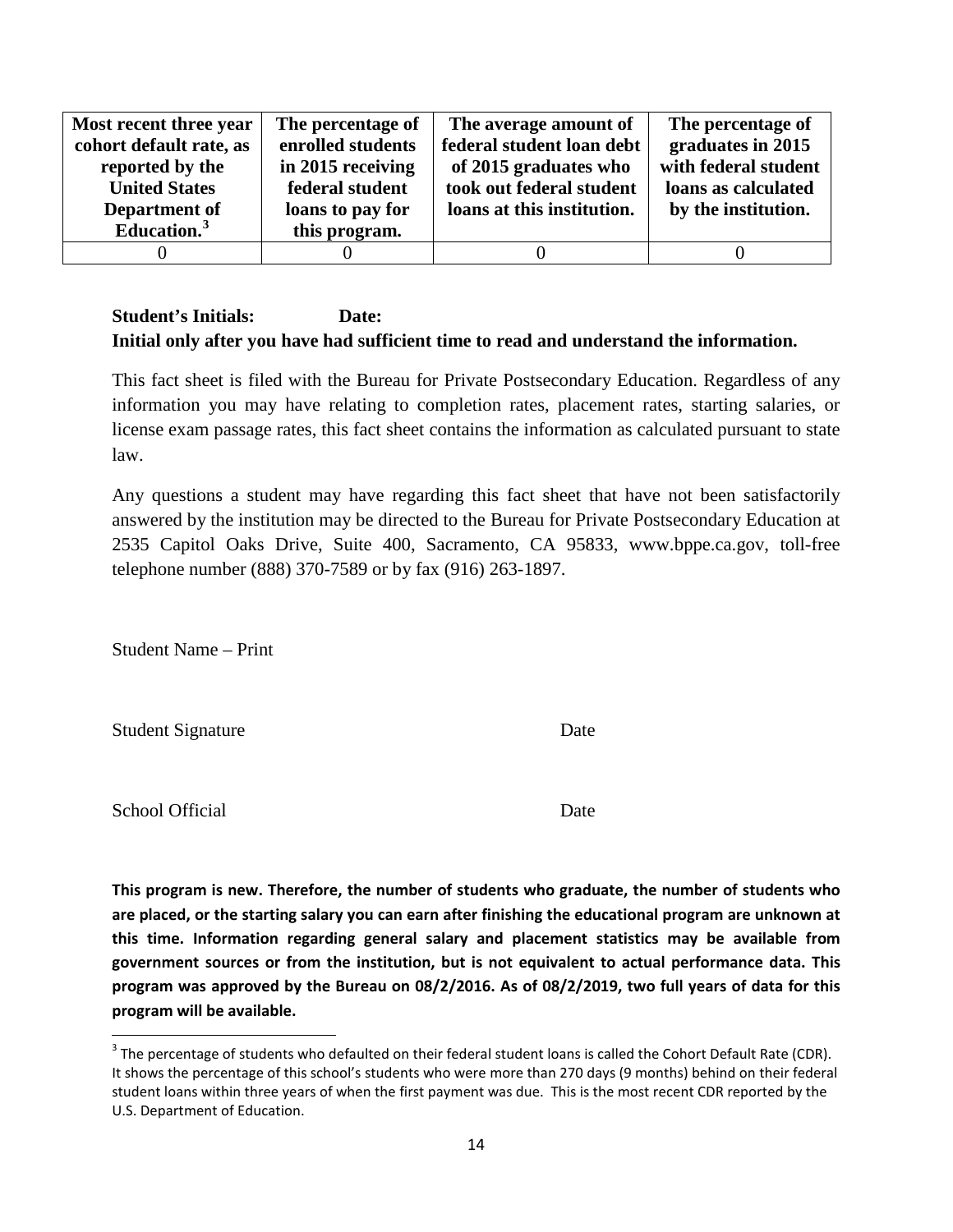| Most recent three year  | The percentage of | The average amount of      | The percentage of    |
|-------------------------|-------------------|----------------------------|----------------------|
| cohort default rate, as | enrolled students | federal student loan debt  | graduates in 2015    |
| reported by the         | in 2015 receiving | of 2015 graduates who      | with federal student |
| <b>United States</b>    | federal student   | took out federal student   | loans as calculated  |
| Department of           | loans to pay for  | loans at this institution. | by the institution.  |
| Education. <sup>3</sup> | this program.     |                            |                      |
|                         |                   |                            |                      |

This fact sheet is filed with the Bureau for Private Postsecondary Education. Regardless of any information you may have relating to completion rates, placement rates, starting salaries, or license exam passage rates, this fact sheet contains the information as calculated pursuant to state law.

Any questions a student may have regarding this fact sheet that have not been satisfactorily answered by the institution may be directed to the Bureau for Private Postsecondary Education at 2535 Capitol Oaks Drive, Suite 400, Sacramento, CA 95833, www.bppe.ca.gov, toll-free telephone number (888) 370-7589 or by fax (916) 263-1897.

Student Name – Print

Student Signature Date

School Official Date

**This program is new. Therefore, the number of students who graduate, the number of students who are placed, or the starting salary you can earn after finishing the educational program are unknown at this time. Information regarding general salary and placement statistics may be available from government sources or from the institution, but is not equivalent to actual performance data. This program was approved by the Bureau on 08/2/2016. As of 08/2/2019, two full years of data for this program will be available.**

<span id="page-13-0"></span> $3$  The percentage of students who defaulted on their federal student loans is called the Cohort Default Rate (CDR). It shows the percentage of this school's students who were more than 270 days (9 months) behind on their federal student loans within three years of when the first payment was due. This is the most recent CDR reported by the U.S. Department of Education.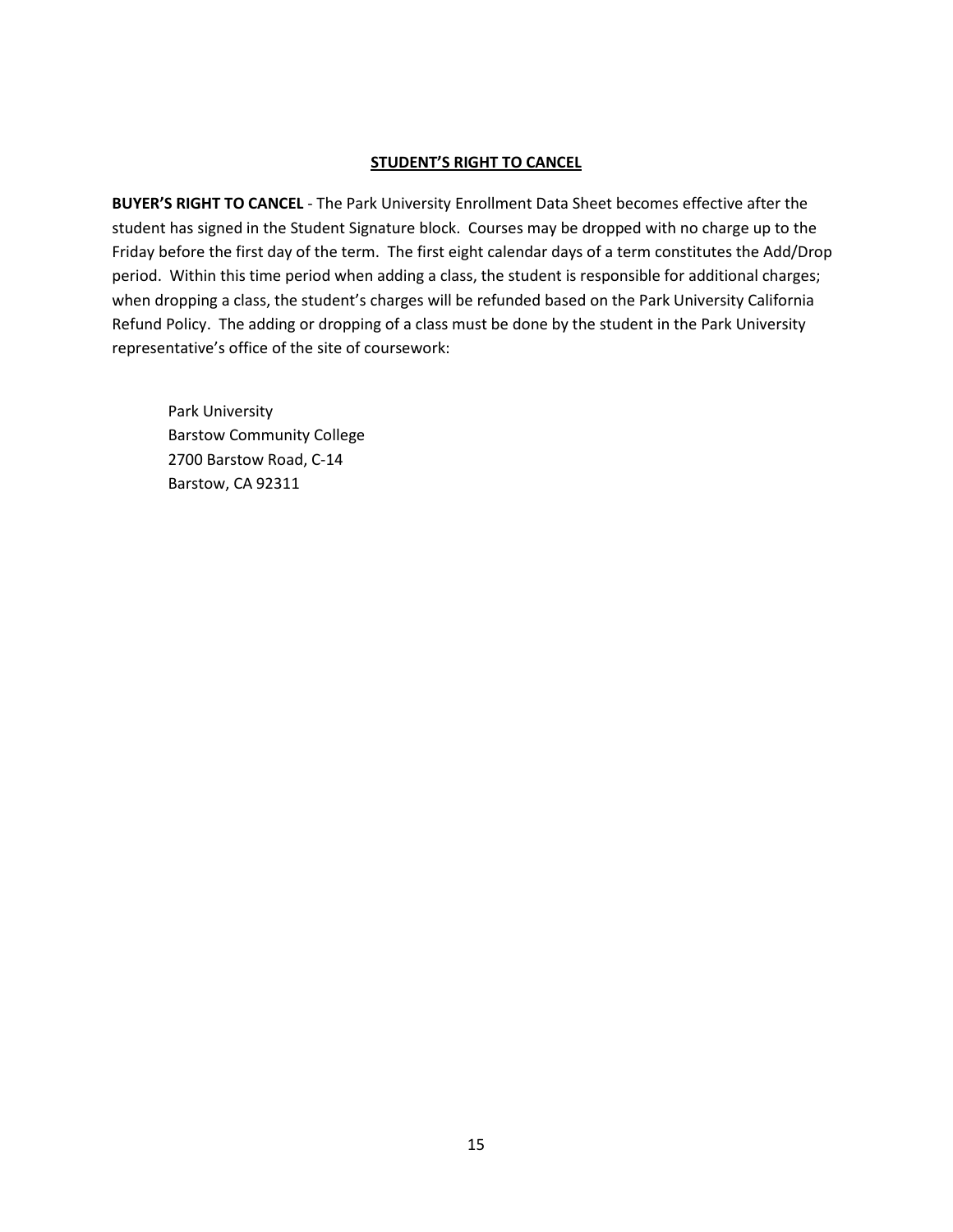#### **STUDENT'S RIGHT TO CANCEL**

**BUYER'S RIGHT TO CANCEL** - The Park University Enrollment Data Sheet becomes effective after the student has signed in the Student Signature block. Courses may be dropped with no charge up to the Friday before the first day of the term. The first eight calendar days of a term constitutes the Add/Drop period. Within this time period when adding a class, the student is responsible for additional charges; when dropping a class, the student's charges will be refunded based on the Park University California Refund Policy. The adding or dropping of a class must be done by the student in the Park University representative's office of the site of coursework:

Park University Barstow Community College 2700 Barstow Road, C-14 Barstow, CA 92311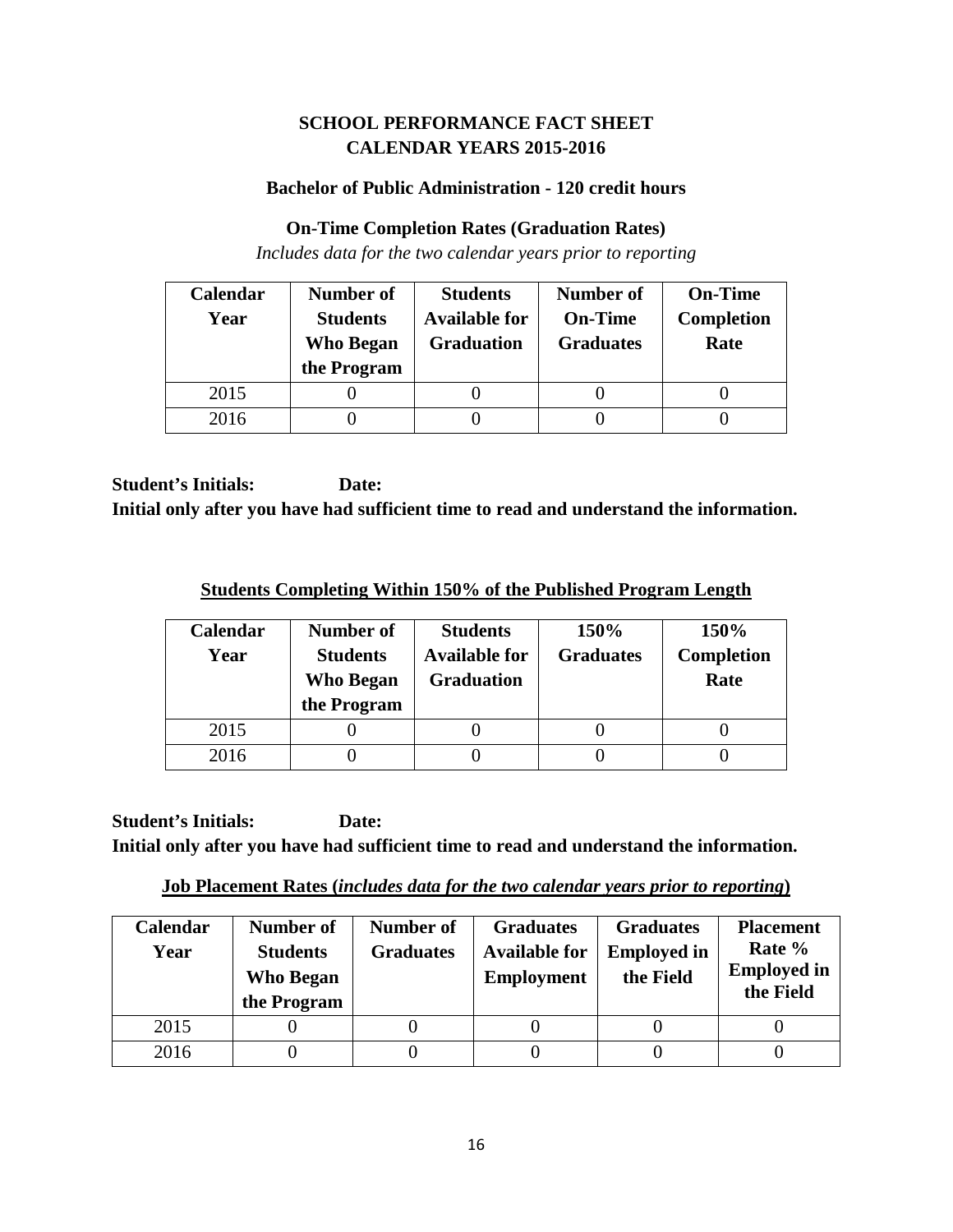## **SCHOOL PERFORMANCE FACT SHEET CALENDAR YEARS 2015-2016**

### **Bachelor of Public Administration - 120 credit hours**

### **On-Time Completion Rates (Graduation Rates)**

*Includes data for the two calendar years prior to reporting*

| Calendar | Number of                           | <b>Students</b>                           | <b>Number of</b>                   | <b>On-Time</b>            |
|----------|-------------------------------------|-------------------------------------------|------------------------------------|---------------------------|
| Year     | <b>Students</b><br><b>Who Began</b> | <b>Available for</b><br><b>Graduation</b> | <b>On-Time</b><br><b>Graduates</b> | <b>Completion</b><br>Rate |
|          | the Program                         |                                           |                                    |                           |
| 2015     |                                     |                                           |                                    |                           |
| 2016     |                                     |                                           |                                    |                           |

**Student's Initials: Date: Initial only after you have had sufficient time to read and understand the information.**

**Students Completing Within 150% of the Published Program Length**

| Calendar<br>Year | Number of<br><b>Students</b><br><b>Who Began</b><br>the Program | <b>Students</b><br><b>Available for</b><br><b>Graduation</b> | 150%<br><b>Graduates</b> | 150%<br><b>Completion</b><br>Rate |
|------------------|-----------------------------------------------------------------|--------------------------------------------------------------|--------------------------|-----------------------------------|
| 2015             |                                                                 |                                                              |                          |                                   |
| 2016             |                                                                 |                                                              |                          |                                   |

**Job Placement Rates (***includes data for the two calendar years prior to reporting***)**

| <b>Calendar</b><br>Year | Number of<br><b>Students</b><br><b>Who Began</b><br>the Program | Number of<br><b>Graduates</b> | <b>Graduates</b><br><b>Available for</b><br><b>Employment</b> | <b>Graduates</b><br><b>Employed in</b><br>the Field | <b>Placement</b><br>Rate %<br><b>Employed in</b><br>the Field |
|-------------------------|-----------------------------------------------------------------|-------------------------------|---------------------------------------------------------------|-----------------------------------------------------|---------------------------------------------------------------|
| 2015                    |                                                                 |                               |                                                               |                                                     |                                                               |
| 2016                    |                                                                 |                               |                                                               |                                                     |                                                               |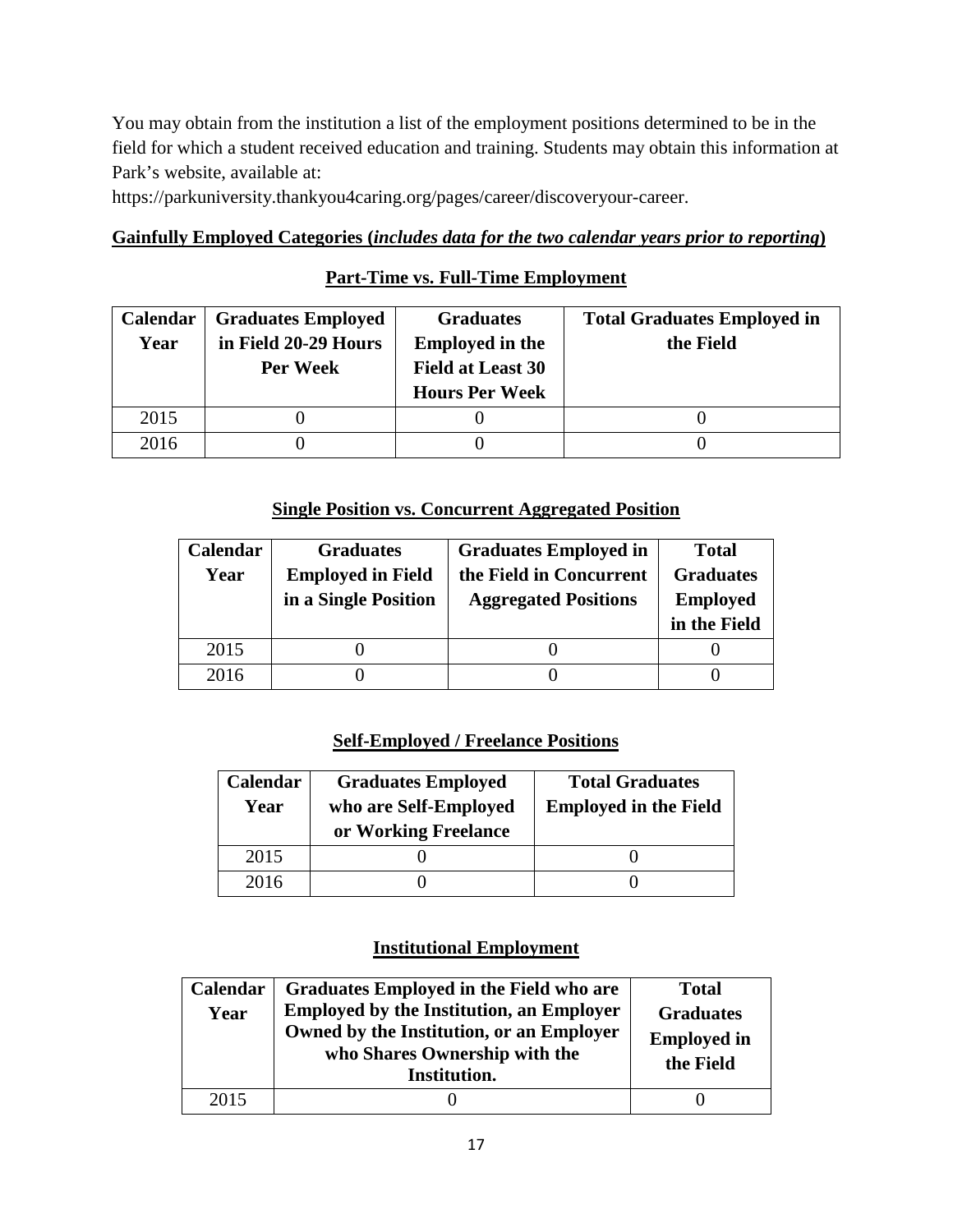You may obtain from the institution a list of the employment positions determined to be in the field for which a student received education and training. Students may obtain this information at Park's website, available at:

https://parkuniversity.thankyou4caring.org/pages/career/discoveryour-career.

## **Gainfully Employed Categories (***includes data for the two calendar years prior to reporting***)**

## **Part-Time vs. Full-Time Employment**

| <b>Calendar</b> | <b>Graduates Employed</b> | <b>Graduates</b>         | <b>Total Graduates Employed in</b> |
|-----------------|---------------------------|--------------------------|------------------------------------|
| Year            | in Field 20-29 Hours      | <b>Employed in the</b>   | the Field                          |
|                 | Per Week                  | <b>Field at Least 30</b> |                                    |
|                 |                           | <b>Hours Per Week</b>    |                                    |
| 2015            |                           |                          |                                    |
| 2016            |                           |                          |                                    |

## **Single Position vs. Concurrent Aggregated Position**

| Calendar | <b>Graduates</b>         | <b>Graduates Employed in</b> | <b>Total</b>     |
|----------|--------------------------|------------------------------|------------------|
| Year     | <b>Employed in Field</b> | the Field in Concurrent      | <b>Graduates</b> |
|          | in a Single Position     | <b>Aggregated Positions</b>  | <b>Employed</b>  |
|          |                          |                              | in the Field     |
| 2015     |                          |                              |                  |
| 2016     |                          |                              |                  |

## **Self-Employed / Freelance Positions**

| Calendar<br>Year | <b>Graduates Employed</b><br>who are Self-Employed<br>or Working Freelance | <b>Total Graduates</b><br><b>Employed in the Field</b> |
|------------------|----------------------------------------------------------------------------|--------------------------------------------------------|
| 2015             |                                                                            |                                                        |
| 2016             |                                                                            |                                                        |

## **Institutional Employment**

| Calendar<br>Year | Graduates Employed in the Field who are<br><b>Employed by the Institution, an Employer</b><br>Owned by the Institution, or an Employer<br>who Shares Ownership with the<br>Institution. | <b>Total</b><br><b>Graduates</b><br><b>Employed in</b><br>the Field |
|------------------|-----------------------------------------------------------------------------------------------------------------------------------------------------------------------------------------|---------------------------------------------------------------------|
| 2015             |                                                                                                                                                                                         |                                                                     |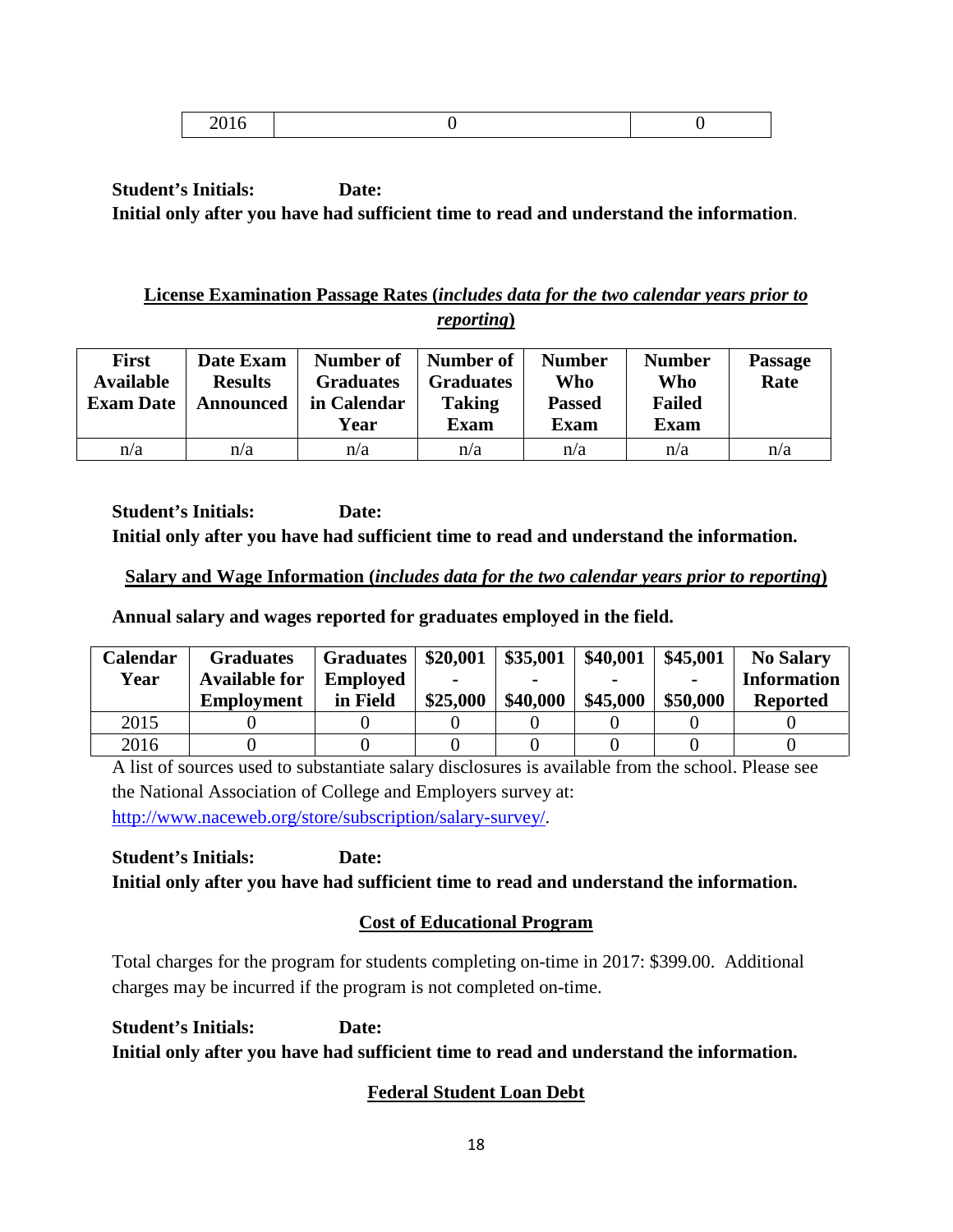|--|

## **License Examination Passage Rates (***includes data for the two calendar years prior to reporting***)**

| <b>First</b><br><b>Available</b><br><b>Exam Date</b> | Date Exam<br><b>Results</b><br>Announced | Number of<br><b>Graduates</b><br>in Calendar<br>Year | Number of<br><b>Graduates</b><br><b>Taking</b><br><b>Exam</b> | <b>Number</b><br>Who<br><b>Passed</b><br><b>Exam</b> | <b>Number</b><br>Who<br><b>Failed</b><br><b>Exam</b> | <b>Passage</b><br>Rate |
|------------------------------------------------------|------------------------------------------|------------------------------------------------------|---------------------------------------------------------------|------------------------------------------------------|------------------------------------------------------|------------------------|
| n/a                                                  | n/a                                      | n/a                                                  | n/a                                                           | n/a                                                  | n/a                                                  | n/a                    |

**Student's Initials: Date: Initial only after you have had sufficient time to read and understand the information.**

## **Salary and Wage Information (***includes data for the two calendar years prior to reporting***)**

**Annual salary and wages reported for graduates employed in the field.**

| Calendar | <b>Graduates</b>     | <b>Graduates</b> | \$20,001 | \$35,001 | \$40,001 | \$45,001       | <b>No Salary</b>   |
|----------|----------------------|------------------|----------|----------|----------|----------------|--------------------|
| Year     | <b>Available for</b> | <b>Employed</b>  |          |          |          | $\blacksquare$ | <b>Information</b> |
|          | <b>Employment</b>    | in Field         | \$25,000 | \$40,000 | \$45,000 | \$50,000       | <b>Reported</b>    |
| 2015     |                      |                  |          |          |          |                |                    |
| 2016     |                      |                  |          |          |          |                |                    |

A list of sources used to substantiate salary disclosures is available from the school. Please see the National Association of College and Employers survey at: [http://www.naceweb.org/store/subscription/salary-survey/.](http://www.naceweb.org/store/subscription/salary-survey/)

**Student's Initials: Date: Initial only after you have had sufficient time to read and understand the information.**

# **Cost of Educational Program**

Total charges for the program for students completing on-time in 2017: \$399.00. Additional charges may be incurred if the program is not completed on-time.

**Student's Initials: Date: Initial only after you have had sufficient time to read and understand the information.**

# **Federal Student Loan Debt**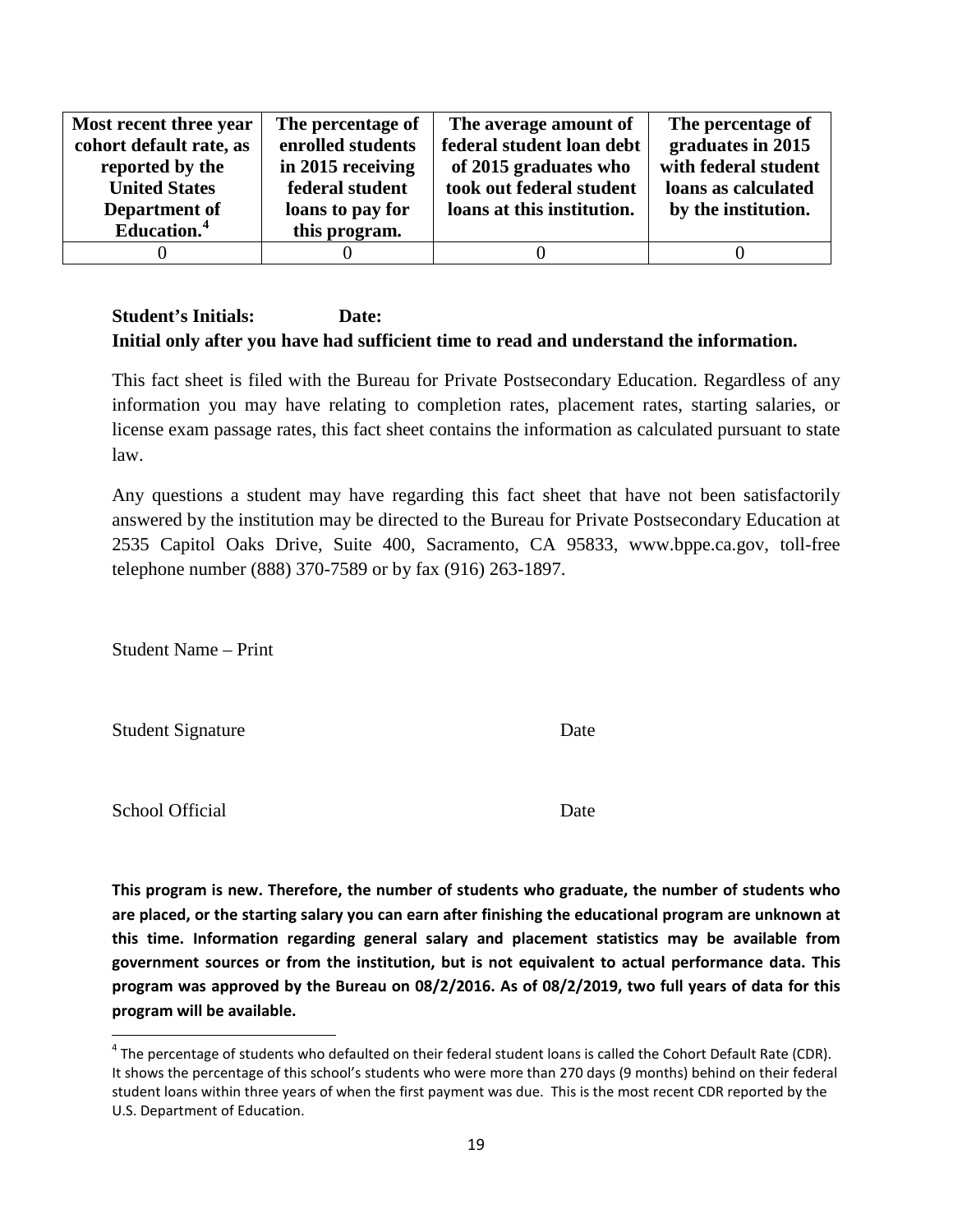| Most recent three year  | The percentage of | The average amount of      | The percentage of    |
|-------------------------|-------------------|----------------------------|----------------------|
| cohort default rate, as | enrolled students | federal student loan debt  | graduates in 2015    |
| reported by the         | in 2015 receiving | of 2015 graduates who      | with federal student |
| <b>United States</b>    | federal student   | took out federal student   | loans as calculated  |
| Department of           | loans to pay for  | loans at this institution. | by the institution.  |
| Education. <sup>4</sup> | this program.     |                            |                      |
|                         |                   |                            |                      |

This fact sheet is filed with the Bureau for Private Postsecondary Education. Regardless of any information you may have relating to completion rates, placement rates, starting salaries, or license exam passage rates, this fact sheet contains the information as calculated pursuant to state law.

Any questions a student may have regarding this fact sheet that have not been satisfactorily answered by the institution may be directed to the Bureau for Private Postsecondary Education at 2535 Capitol Oaks Drive, Suite 400, Sacramento, CA 95833, www.bppe.ca.gov, toll-free telephone number (888) 370-7589 or by fax (916) 263-1897.

Student Name – Print

Student Signature Date

School Official Date

**This program is new. Therefore, the number of students who graduate, the number of students who are placed, or the starting salary you can earn after finishing the educational program are unknown at this time. Information regarding general salary and placement statistics may be available from government sources or from the institution, but is not equivalent to actual performance data. This program was approved by the Bureau on 08/2/2016. As of 08/2/2019, two full years of data for this program will be available.**

<span id="page-18-0"></span> $4$  The percentage of students who defaulted on their federal student loans is called the Cohort Default Rate (CDR). It shows the percentage of this school's students who were more than 270 days (9 months) behind on their federal student loans within three years of when the first payment was due. This is the most recent CDR reported by the U.S. Department of Education.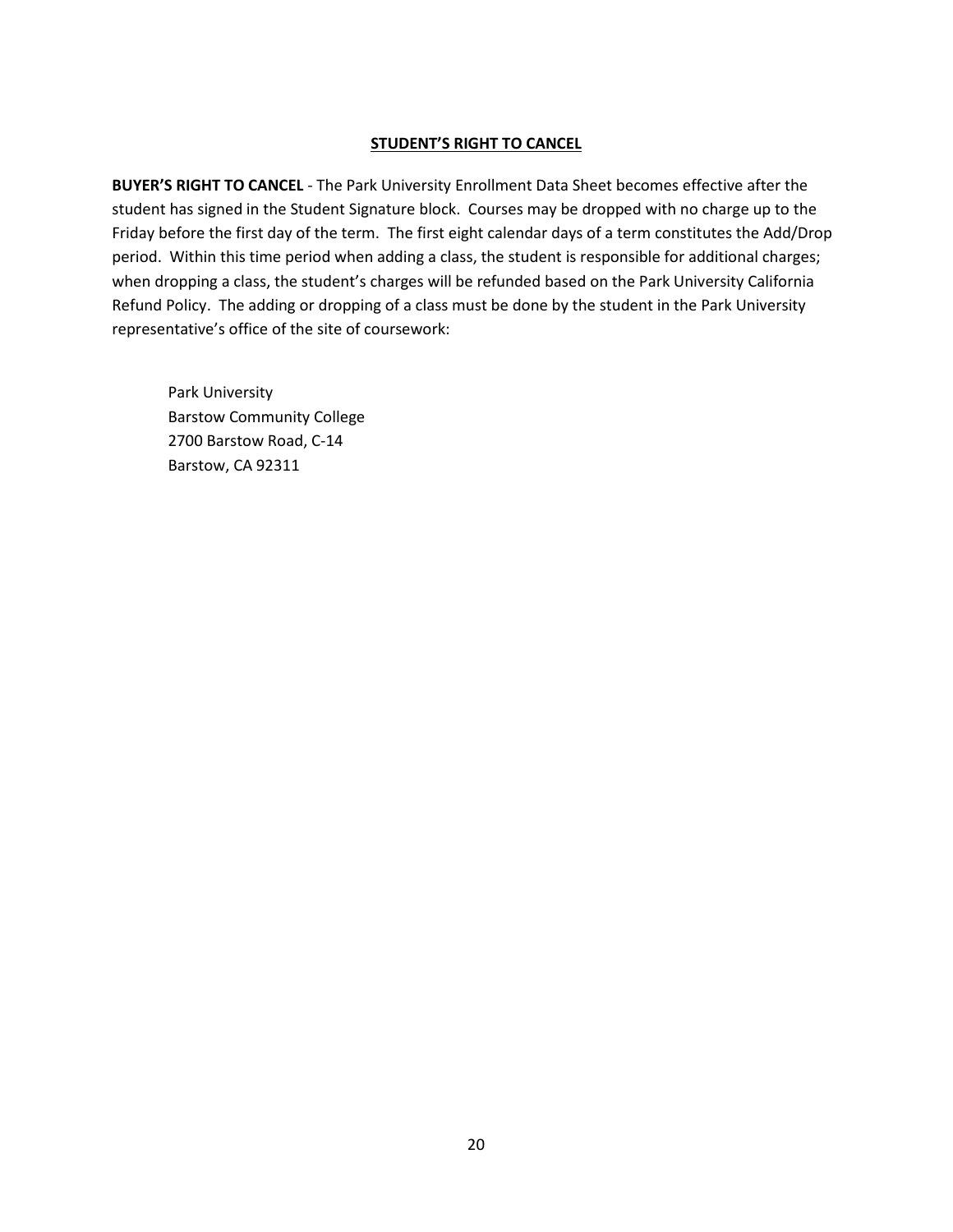#### **STUDENT'S RIGHT TO CANCEL**

**BUYER'S RIGHT TO CANCEL** - The Park University Enrollment Data Sheet becomes effective after the student has signed in the Student Signature block. Courses may be dropped with no charge up to the Friday before the first day of the term. The first eight calendar days of a term constitutes the Add/Drop period. Within this time period when adding a class, the student is responsible for additional charges; when dropping a class, the student's charges will be refunded based on the Park University California Refund Policy. The adding or dropping of a class must be done by the student in the Park University representative's office of the site of coursework:

Park University Barstow Community College 2700 Barstow Road, C-14 Barstow, CA 92311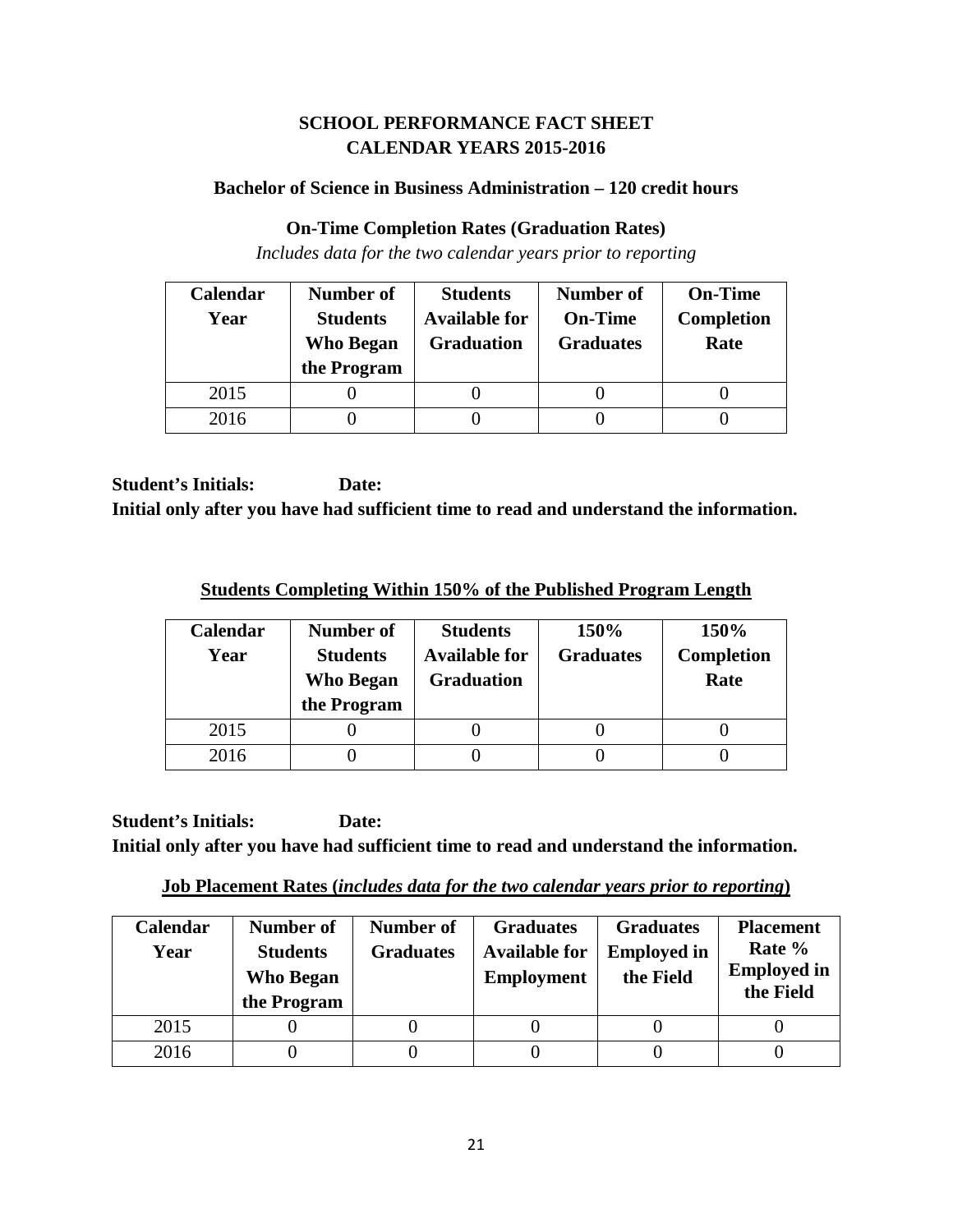## **SCHOOL PERFORMANCE FACT SHEET CALENDAR YEARS 2015-2016**

## **Bachelor of Science in Business Administration – 120 credit hours**

### **On-Time Completion Rates (Graduation Rates)**

*Includes data for the two calendar years prior to reporting*

| Calendar | Number of                           | <b>Students</b>                           | <b>Number of</b>                   | <b>On-Time</b>            |
|----------|-------------------------------------|-------------------------------------------|------------------------------------|---------------------------|
| Year     | <b>Students</b><br><b>Who Began</b> | <b>Available for</b><br><b>Graduation</b> | <b>On-Time</b><br><b>Graduates</b> | <b>Completion</b><br>Rate |
|          | the Program                         |                                           |                                    |                           |
| 2015     |                                     |                                           |                                    |                           |
| 2016     |                                     |                                           |                                    |                           |

**Student's Initials: Date: Initial only after you have had sufficient time to read and understand the information.**

**Students Completing Within 150% of the Published Program Length**

| <b>Calendar</b><br>Year | Number of<br><b>Students</b><br>Who Began<br>the Program | <b>Students</b><br><b>Available for</b><br><b>Graduation</b> | 150%<br><b>Graduates</b> | 150%<br>Completion<br>Rate |
|-------------------------|----------------------------------------------------------|--------------------------------------------------------------|--------------------------|----------------------------|
| 2015                    |                                                          |                                                              |                          |                            |
| 2016                    |                                                          |                                                              |                          |                            |

**Job Placement Rates (***includes data for the two calendar years prior to reporting***)**

| Calendar<br>Year | Number of<br><b>Students</b><br><b>Who Began</b><br>the Program | Number of<br><b>Graduates</b> | <b>Graduates</b><br><b>Available for</b><br><b>Employment</b> | <b>Graduates</b><br><b>Employed in</b><br>the Field | <b>Placement</b><br>Rate %<br><b>Employed in</b><br>the Field |
|------------------|-----------------------------------------------------------------|-------------------------------|---------------------------------------------------------------|-----------------------------------------------------|---------------------------------------------------------------|
| 2015             |                                                                 |                               |                                                               |                                                     |                                                               |
| 2016             |                                                                 |                               |                                                               |                                                     |                                                               |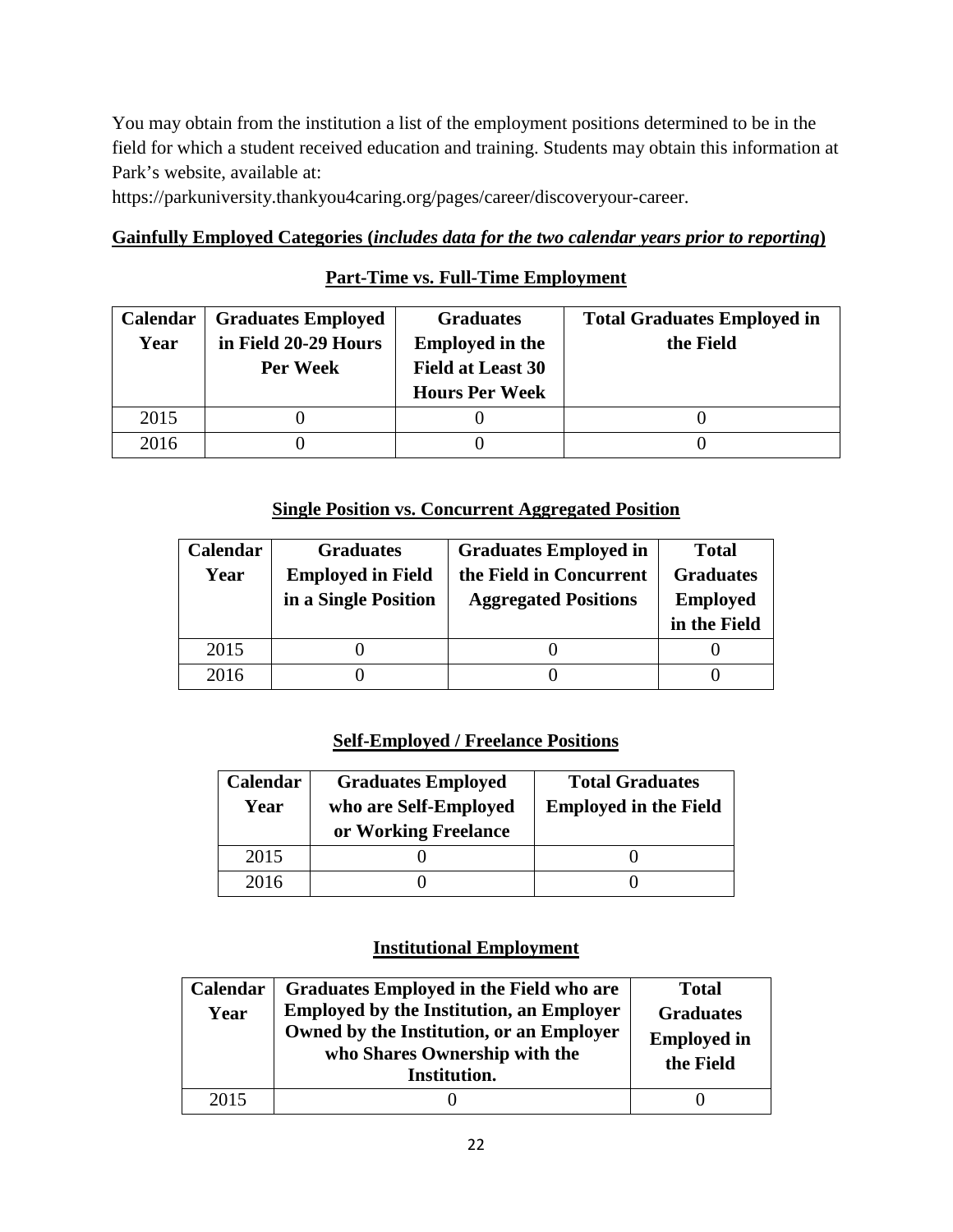You may obtain from the institution a list of the employment positions determined to be in the field for which a student received education and training. Students may obtain this information at Park's website, available at:

https://parkuniversity.thankyou4caring.org/pages/career/discoveryour-career.

### **Gainfully Employed Categories (***includes data for the two calendar years prior to reporting***)**

## **Part-Time vs. Full-Time Employment**

| <b>Calendar</b> | <b>Graduates Employed</b> | <b>Graduates</b>         | <b>Total Graduates Employed in</b> |
|-----------------|---------------------------|--------------------------|------------------------------------|
| Year            | in Field 20-29 Hours      | <b>Employed in the</b>   | the Field                          |
|                 | Per Week                  | <b>Field at Least 30</b> |                                    |
|                 |                           | <b>Hours Per Week</b>    |                                    |
| 2015            |                           |                          |                                    |
| 2016            |                           |                          |                                    |

## **Single Position vs. Concurrent Aggregated Position**

| Calendar | <b>Graduates</b>         | <b>Graduates Employed in</b> | <b>Total</b>     |
|----------|--------------------------|------------------------------|------------------|
| Year     | <b>Employed in Field</b> | the Field in Concurrent      | <b>Graduates</b> |
|          | in a Single Position     | <b>Aggregated Positions</b>  | <b>Employed</b>  |
|          |                          |                              | in the Field     |
| 2015     |                          |                              |                  |
| 2016     |                          |                              |                  |

## **Self-Employed / Freelance Positions**

| Calendar<br>Year | <b>Graduates Employed</b><br>who are Self-Employed<br>or Working Freelance | <b>Total Graduates</b><br><b>Employed in the Field</b> |
|------------------|----------------------------------------------------------------------------|--------------------------------------------------------|
| 2015             |                                                                            |                                                        |
| 2016             |                                                                            |                                                        |

### **Institutional Employment**

| Calendar<br>Year | Graduates Employed in the Field who are<br><b>Employed by the Institution, an Employer</b><br>Owned by the Institution, or an Employer<br>who Shares Ownership with the<br>Institution. | <b>Total</b><br><b>Graduates</b><br><b>Employed in</b><br>the Field |
|------------------|-----------------------------------------------------------------------------------------------------------------------------------------------------------------------------------------|---------------------------------------------------------------------|
| 2015             |                                                                                                                                                                                         |                                                                     |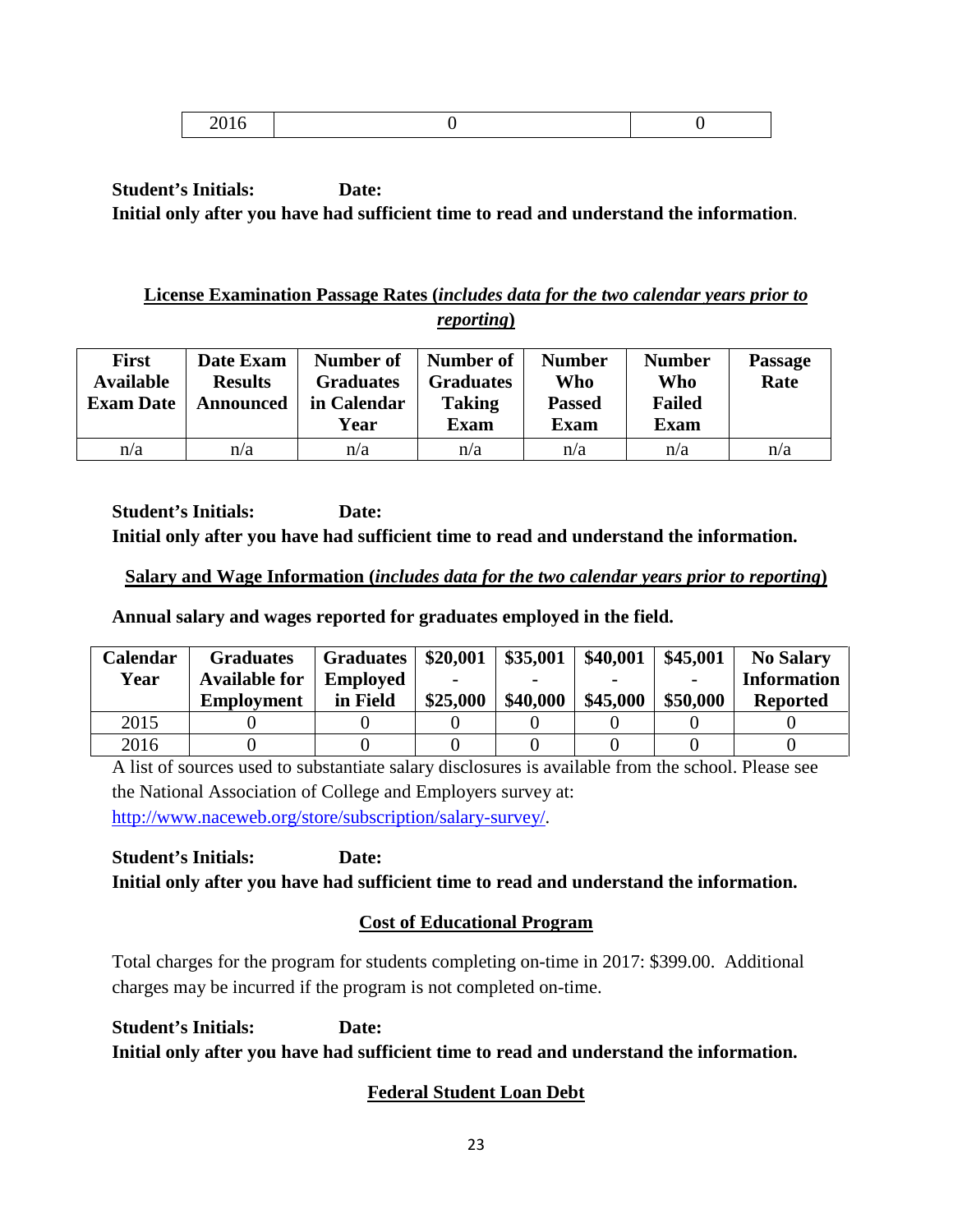|--|--|

## **License Examination Passage Rates (***includes data for the two calendar years prior to reporting***)**

| <b>First</b><br><b>Available</b><br><b>Exam Date</b> | Date Exam<br><b>Results</b><br>Announced | Number of<br><b>Graduates</b><br>in Calendar<br>Year | Number of<br><b>Graduates</b><br><b>Taking</b><br><b>Exam</b> | <b>Number</b><br>Who<br><b>Passed</b><br><b>Exam</b> | <b>Number</b><br>Who<br><b>Failed</b><br><b>Exam</b> | <b>Passage</b><br>Rate |
|------------------------------------------------------|------------------------------------------|------------------------------------------------------|---------------------------------------------------------------|------------------------------------------------------|------------------------------------------------------|------------------------|
| n/a                                                  | n/a                                      | n/a                                                  | n/a                                                           | n/a                                                  | n/a                                                  | n/a                    |

**Student's Initials: Date: Initial only after you have had sufficient time to read and understand the information.**

## **Salary and Wage Information (***includes data for the two calendar years prior to reporting***)**

**Annual salary and wages reported for graduates employed in the field.**

| Calendar | <b>Graduates</b>     | <b>Graduates</b> | \$20,001 | \$35,001 | \$40,001 | \$45,001       | <b>No Salary</b>   |
|----------|----------------------|------------------|----------|----------|----------|----------------|--------------------|
| Year     | <b>Available for</b> | <b>Employed</b>  |          |          |          | $\blacksquare$ | <b>Information</b> |
|          | <b>Employment</b>    | in Field         | \$25,000 | \$40,000 | \$45,000 | \$50,000       | <b>Reported</b>    |
| 2015     |                      |                  |          |          |          |                |                    |
| 2016     |                      |                  |          |          |          |                |                    |

A list of sources used to substantiate salary disclosures is available from the school. Please see the National Association of College and Employers survey at: [http://www.naceweb.org/store/subscription/salary-survey/.](http://www.naceweb.org/store/subscription/salary-survey/)

**Student's Initials: Date: Initial only after you have had sufficient time to read and understand the information.**

# **Cost of Educational Program**

Total charges for the program for students completing on-time in 2017: \$399.00. Additional charges may be incurred if the program is not completed on-time.

**Student's Initials: Date: Initial only after you have had sufficient time to read and understand the information.**

# **Federal Student Loan Debt**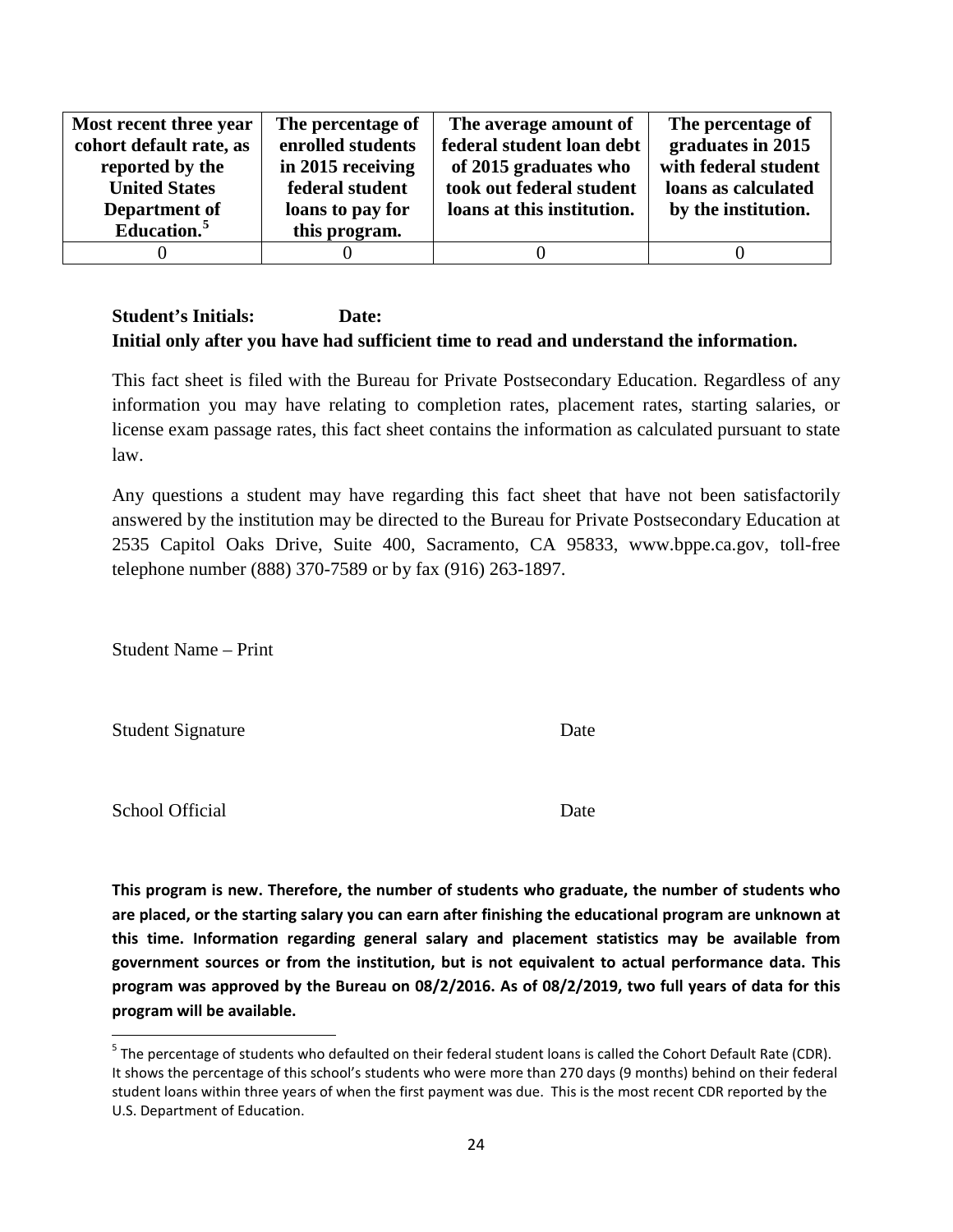| Most recent three year  | The percentage of | The average amount of      | The percentage of    |
|-------------------------|-------------------|----------------------------|----------------------|
| cohort default rate, as | enrolled students | federal student loan debt  | graduates in 2015    |
| reported by the         | in 2015 receiving | of 2015 graduates who      | with federal student |
| <b>United States</b>    | federal student   | took out federal student   | loans as calculated  |
| Department of           | loans to pay for  | loans at this institution. | by the institution.  |
| Education.              | this program.     |                            |                      |
|                         |                   |                            |                      |

This fact sheet is filed with the Bureau for Private Postsecondary Education. Regardless of any information you may have relating to completion rates, placement rates, starting salaries, or license exam passage rates, this fact sheet contains the information as calculated pursuant to state law.

Any questions a student may have regarding this fact sheet that have not been satisfactorily answered by the institution may be directed to the Bureau for Private Postsecondary Education at 2535 Capitol Oaks Drive, Suite 400, Sacramento, CA 95833, www.bppe.ca.gov, toll-free telephone number (888) 370-7589 or by fax (916) 263-1897.

Student Name – Print

Student Signature Date

School Official Date

**This program is new. Therefore, the number of students who graduate, the number of students who are placed, or the starting salary you can earn after finishing the educational program are unknown at this time. Information regarding general salary and placement statistics may be available from government sources or from the institution, but is not equivalent to actual performance data. This program was approved by the Bureau on 08/2/2016. As of 08/2/2019, two full years of data for this program will be available.**

<span id="page-23-0"></span> $<sup>5</sup>$  The percentage of students who defaulted on their federal student loans is called the Cohort Default Rate (CDR).</sup> It shows the percentage of this school's students who were more than 270 days (9 months) behind on their federal student loans within three years of when the first payment was due. This is the most recent CDR reported by the U.S. Department of Education.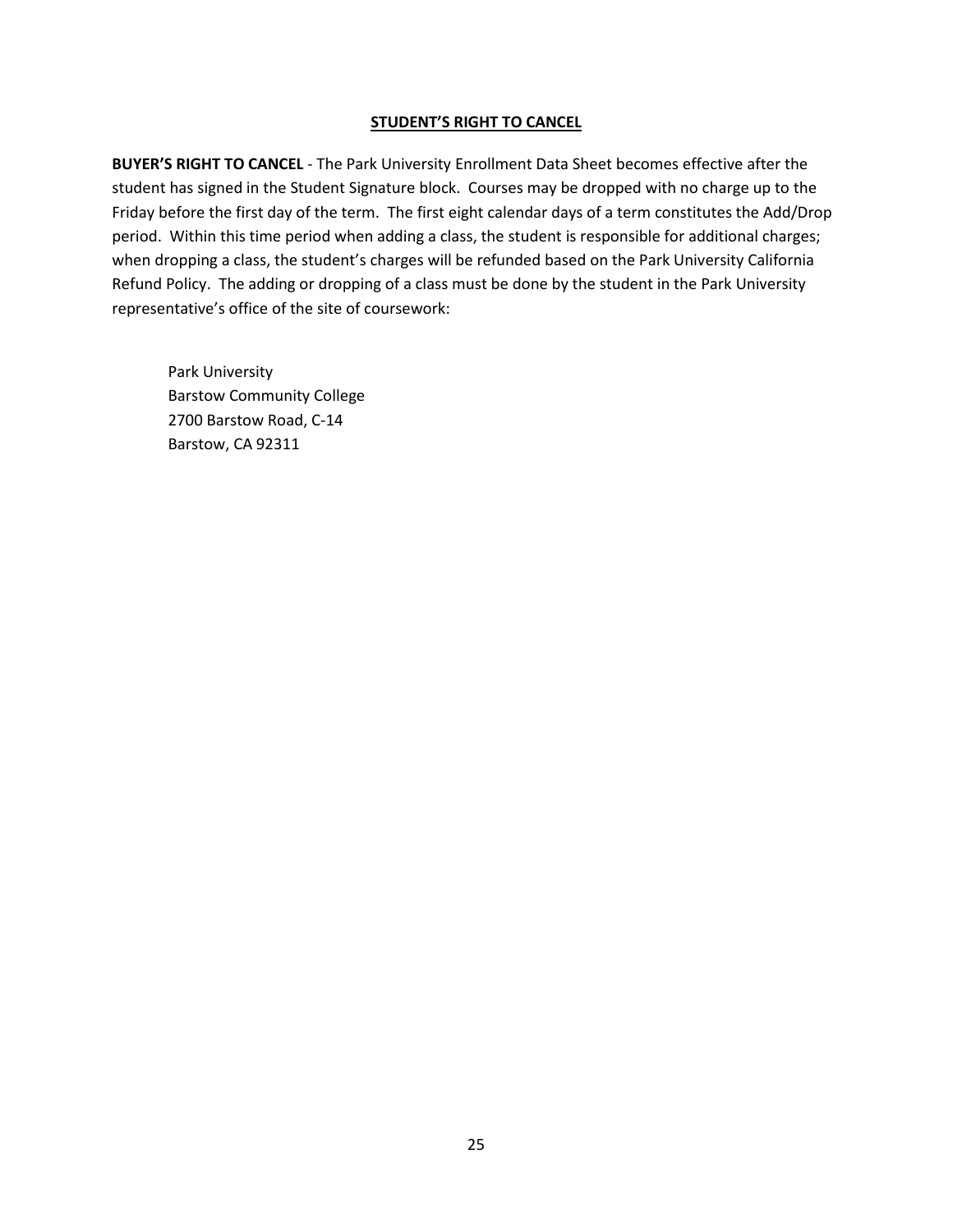#### **STUDENT'S RIGHT TO CANCEL**

**BUYER'S RIGHT TO CANCEL** - The Park University Enrollment Data Sheet becomes effective after the student has signed in the Student Signature block. Courses may be dropped with no charge up to the Friday before the first day of the term. The first eight calendar days of a term constitutes the Add/Drop period. Within this time period when adding a class, the student is responsible for additional charges; when dropping a class, the student's charges will be refunded based on the Park University California Refund Policy. The adding or dropping of a class must be done by the student in the Park University representative's office of the site of coursework:

Park University Barstow Community College 2700 Barstow Road, C-14 Barstow, CA 92311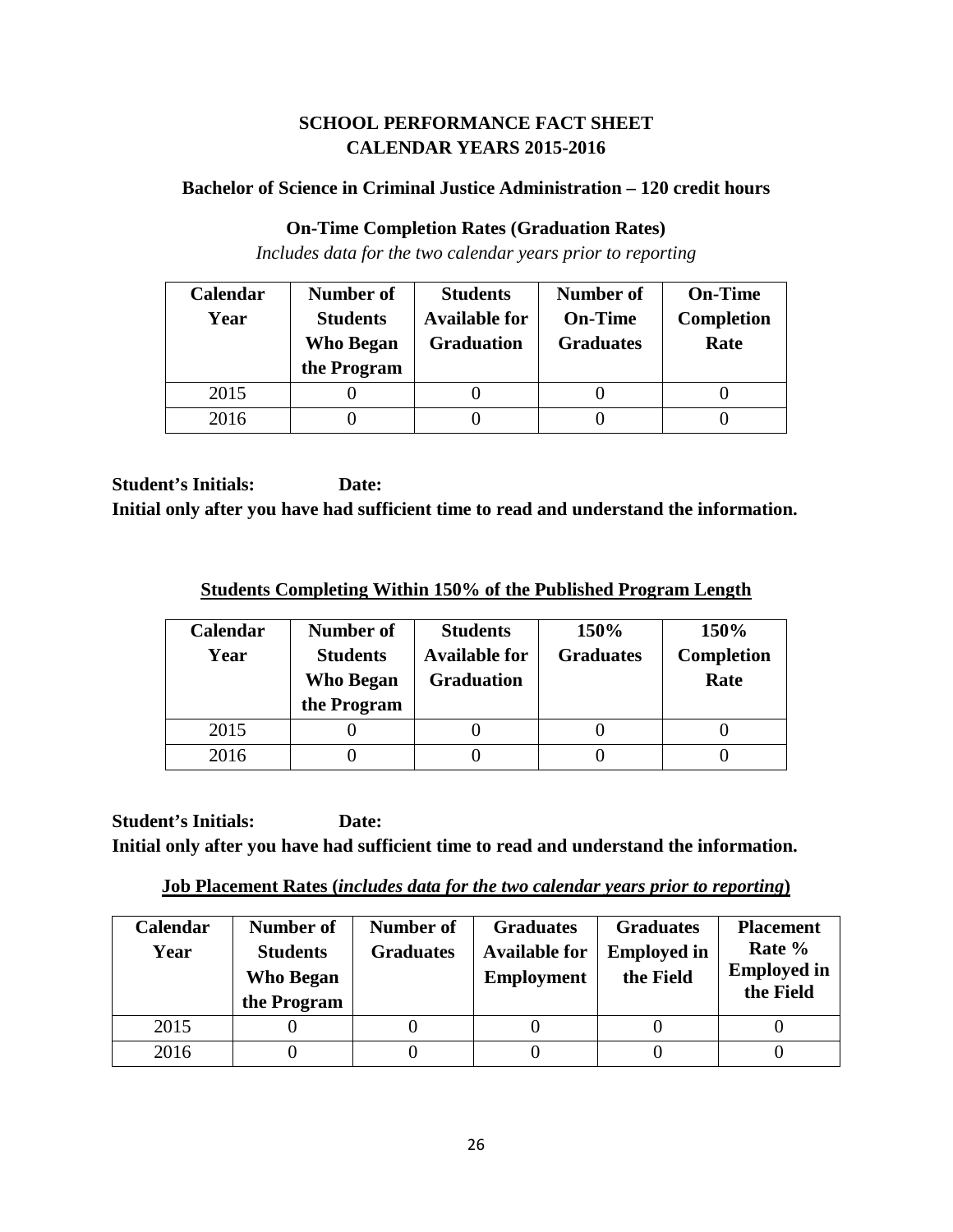## **SCHOOL PERFORMANCE FACT SHEET CALENDAR YEARS 2015-2016**

## **Bachelor of Science in Criminal Justice Administration – 120 credit hours**

## **On-Time Completion Rates (Graduation Rates)**

*Includes data for the two calendar years prior to reporting*

| Calendar | Number of                           | <b>Students</b>                           | <b>Number of</b>                   | <b>On-Time</b>            |
|----------|-------------------------------------|-------------------------------------------|------------------------------------|---------------------------|
| Year     | <b>Students</b><br><b>Who Began</b> | <b>Available for</b><br><b>Graduation</b> | <b>On-Time</b><br><b>Graduates</b> | <b>Completion</b><br>Rate |
|          | the Program                         |                                           |                                    |                           |
| 2015     |                                     |                                           |                                    |                           |
| 2016     |                                     |                                           |                                    |                           |

**Student's Initials: Date: Initial only after you have had sufficient time to read and understand the information.**

**Students Completing Within 150% of the Published Program Length**

| <b>Calendar</b><br>Year | Number of<br><b>Students</b><br>Who Began<br>the Program | <b>Students</b><br><b>Available for</b><br><b>Graduation</b> | 150%<br><b>Graduates</b> | 150%<br>Completion<br>Rate |
|-------------------------|----------------------------------------------------------|--------------------------------------------------------------|--------------------------|----------------------------|
| 2015                    |                                                          |                                                              |                          |                            |
| 2016                    |                                                          |                                                              |                          |                            |

**Job Placement Rates (***includes data for the two calendar years prior to reporting***)**

| <b>Calendar</b><br>Year | Number of<br><b>Students</b><br><b>Who Began</b><br>the Program | Number of<br><b>Graduates</b> | <b>Graduates</b><br><b>Available for</b><br><b>Employment</b> | <b>Graduates</b><br><b>Employed in</b><br>the Field | <b>Placement</b><br>Rate %<br><b>Employed in</b><br>the Field |
|-------------------------|-----------------------------------------------------------------|-------------------------------|---------------------------------------------------------------|-----------------------------------------------------|---------------------------------------------------------------|
| 2015                    |                                                                 |                               |                                                               |                                                     |                                                               |
| 2016                    |                                                                 |                               |                                                               |                                                     |                                                               |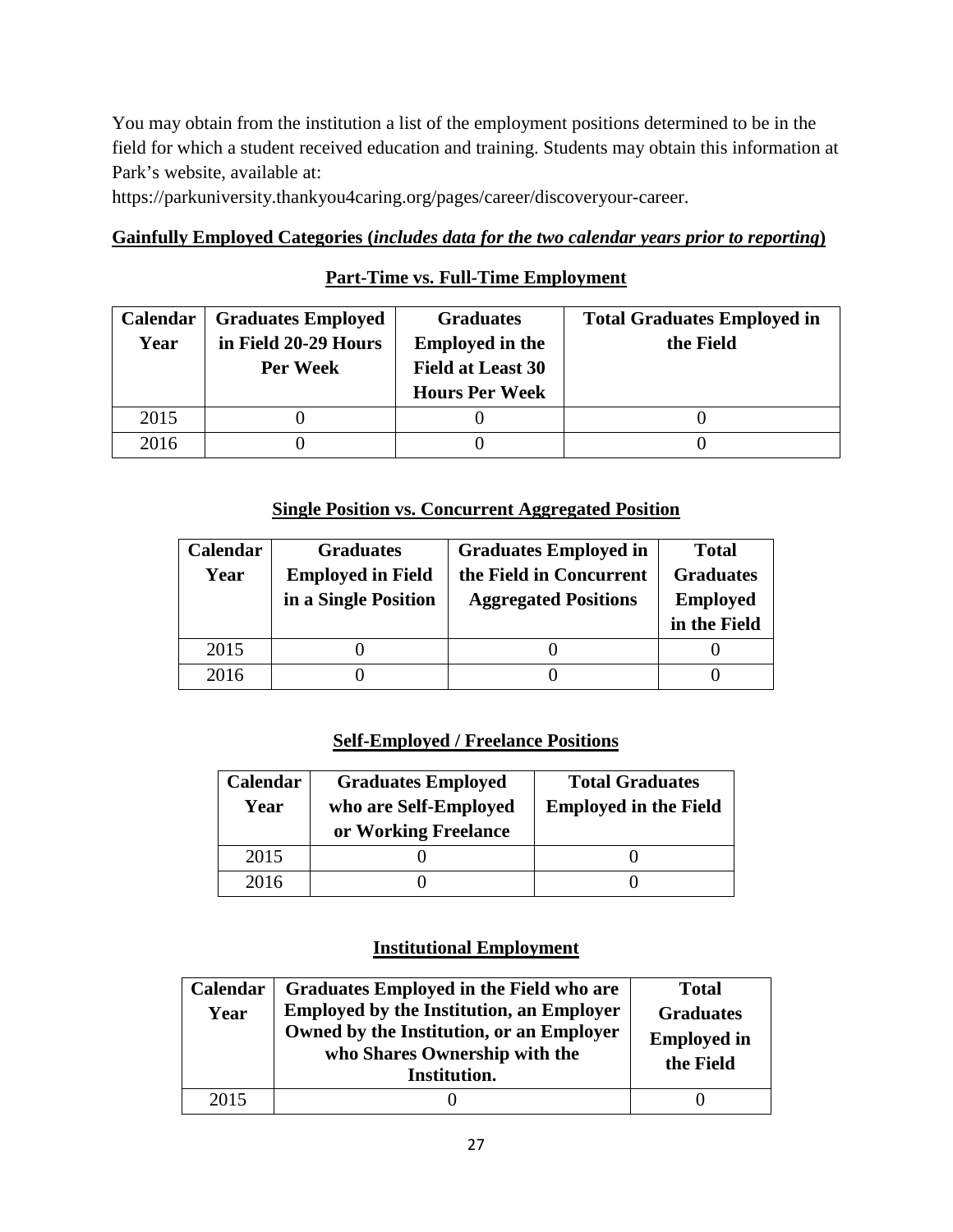You may obtain from the institution a list of the employment positions determined to be in the field for which a student received education and training. Students may obtain this information at Park's website, available at:

https://parkuniversity.thankyou4caring.org/pages/career/discoveryour-career.

### **Gainfully Employed Categories (***includes data for the two calendar years prior to reporting***)**

## **Part-Time vs. Full-Time Employment**

| <b>Calendar</b> | <b>Graduates Employed</b> | <b>Graduates</b>         | <b>Total Graduates Employed in</b> |
|-----------------|---------------------------|--------------------------|------------------------------------|
| Year            | in Field 20-29 Hours      | <b>Employed in the</b>   | the Field                          |
|                 | Per Week                  | <b>Field at Least 30</b> |                                    |
|                 |                           | <b>Hours Per Week</b>    |                                    |
| 2015            |                           |                          |                                    |
| 2016            |                           |                          |                                    |

## **Single Position vs. Concurrent Aggregated Position**

| Calendar | <b>Graduates</b>         | <b>Graduates Employed in</b> | <b>Total</b>     |
|----------|--------------------------|------------------------------|------------------|
| Year     | <b>Employed in Field</b> | the Field in Concurrent      | <b>Graduates</b> |
|          | in a Single Position     | <b>Aggregated Positions</b>  | <b>Employed</b>  |
|          |                          |                              | in the Field     |
| 2015     |                          |                              |                  |
| 2016     |                          |                              |                  |

## **Self-Employed / Freelance Positions**

| Calendar<br>Year | <b>Graduates Employed</b><br>who are Self-Employed<br>or Working Freelance | <b>Total Graduates</b><br><b>Employed in the Field</b> |
|------------------|----------------------------------------------------------------------------|--------------------------------------------------------|
| 2015             |                                                                            |                                                        |
| 2016             |                                                                            |                                                        |

### **Institutional Employment**

| Calendar<br>Year | Graduates Employed in the Field who are<br><b>Employed by the Institution, an Employer</b><br>Owned by the Institution, or an Employer<br>who Shares Ownership with the<br>Institution. | <b>Total</b><br><b>Graduates</b><br><b>Employed in</b><br>the Field |
|------------------|-----------------------------------------------------------------------------------------------------------------------------------------------------------------------------------------|---------------------------------------------------------------------|
| 2015             |                                                                                                                                                                                         |                                                                     |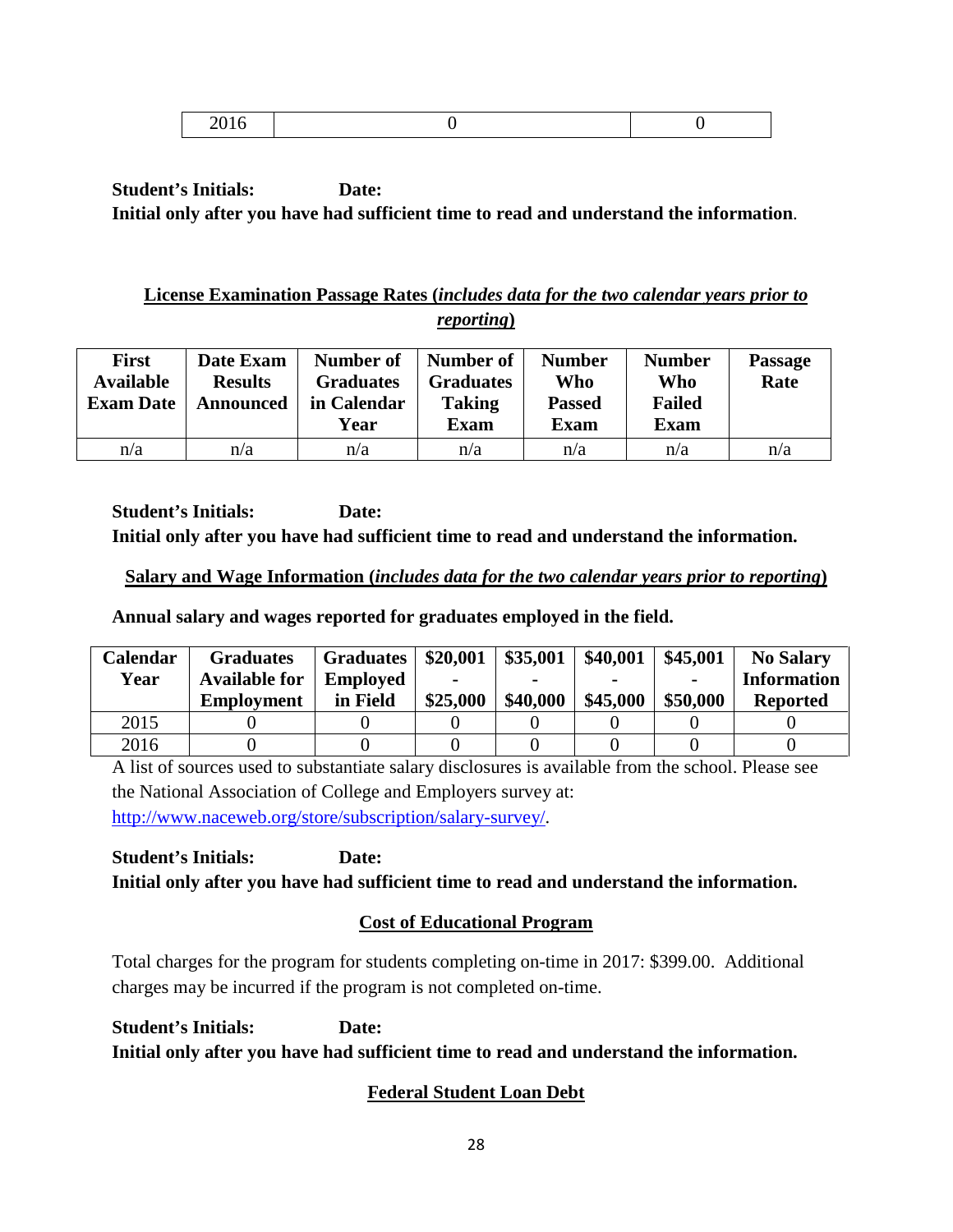|--|

## **License Examination Passage Rates (***includes data for the two calendar years prior to reporting***)**

| <b>First</b><br><b>Available</b><br><b>Exam Date</b> | Date Exam<br><b>Results</b><br><b>Announced</b> | Number of<br><b>Graduates</b><br>in Calendar<br>Year | Number of<br><b>Graduates</b><br><b>Taking</b><br><b>Exam</b> | <b>Number</b><br>Who<br><b>Passed</b><br>Exam | <b>Number</b><br>Who<br><b>Failed</b><br><b>Exam</b> | <b>Passage</b><br>Rate |
|------------------------------------------------------|-------------------------------------------------|------------------------------------------------------|---------------------------------------------------------------|-----------------------------------------------|------------------------------------------------------|------------------------|
| n/a                                                  | n/a                                             | n/a                                                  | n/a                                                           | n/a                                           | n/a                                                  | n/a                    |

**Student's Initials: Date: Initial only after you have had sufficient time to read and understand the information.**

## **Salary and Wage Information (***includes data for the two calendar years prior to reporting***)**

**Annual salary and wages reported for graduates employed in the field.**

| Calendar | <b>Graduates</b>     | <b>Graduates</b> | \$20,001 | \$35,001 | \$40,001 | \$45,001       | <b>No Salary</b>   |
|----------|----------------------|------------------|----------|----------|----------|----------------|--------------------|
| Year     | <b>Available for</b> | <b>Employed</b>  |          |          |          | $\blacksquare$ | <b>Information</b> |
|          | <b>Employment</b>    | in Field         | \$25,000 | \$40,000 | \$45,000 | \$50,000       | <b>Reported</b>    |
| 2015     |                      |                  |          |          |          |                |                    |
| 2016     |                      |                  |          |          |          |                |                    |

A list of sources used to substantiate salary disclosures is available from the school. Please see the National Association of College and Employers survey at: [http://www.naceweb.org/store/subscription/salary-survey/.](http://www.naceweb.org/store/subscription/salary-survey/)

**Student's Initials: Date: Initial only after you have had sufficient time to read and understand the information.**

# **Cost of Educational Program**

Total charges for the program for students completing on-time in 2017: \$399.00. Additional charges may be incurred if the program is not completed on-time.

**Student's Initials: Date: Initial only after you have had sufficient time to read and understand the information.**

# **Federal Student Loan Debt**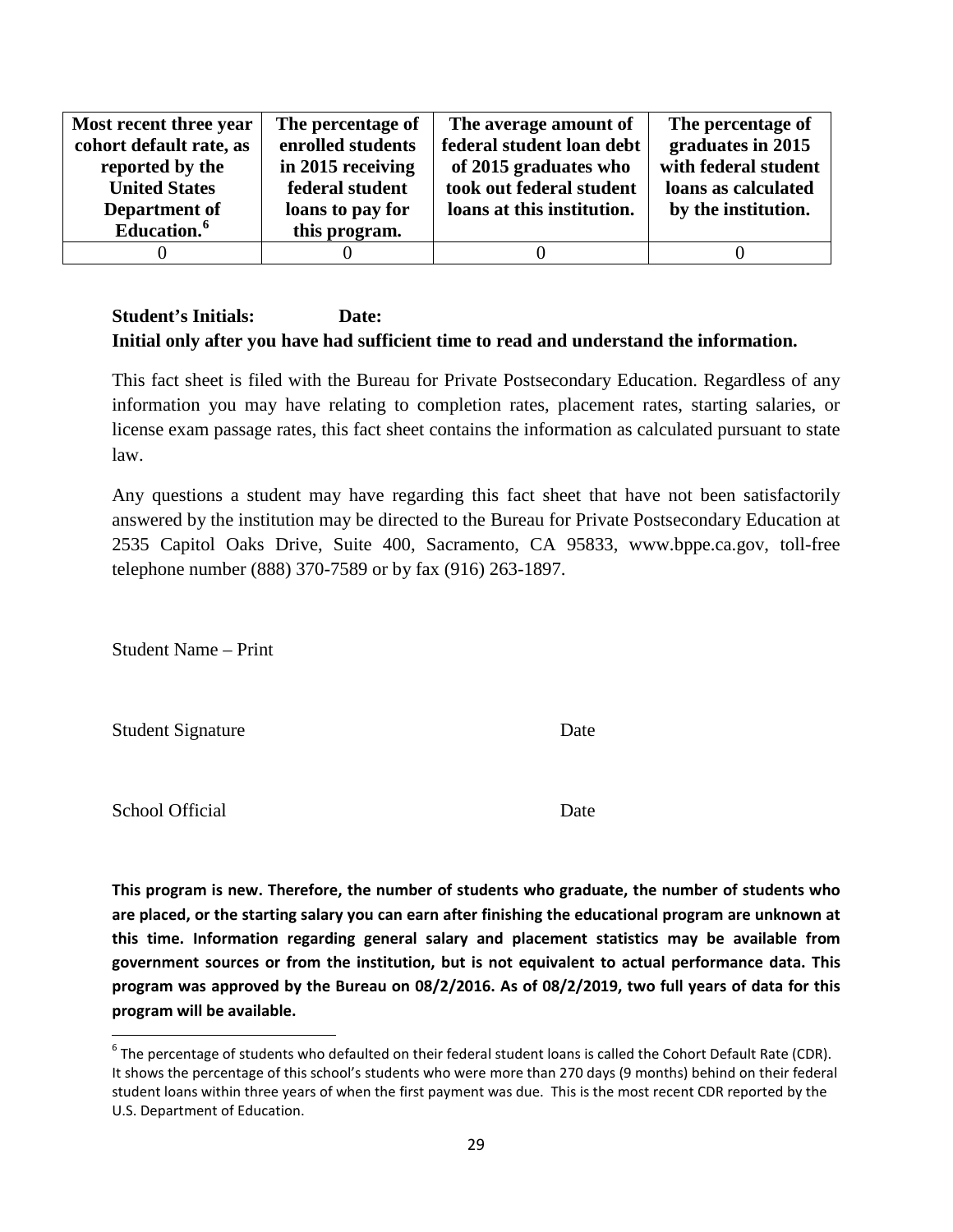| Most recent three year  | The percentage of | The average amount of      | The percentage of    |
|-------------------------|-------------------|----------------------------|----------------------|
| cohort default rate, as | enrolled students | federal student loan debt  | graduates in 2015    |
| reported by the         | in 2015 receiving | of 2015 graduates who      | with federal student |
| <b>United States</b>    | federal student   | took out federal student   | loans as calculated  |
| Department of           | loans to pay for  | loans at this institution. | by the institution.  |
| Education. <sup>6</sup> | this program.     |                            |                      |
|                         |                   |                            |                      |

This fact sheet is filed with the Bureau for Private Postsecondary Education. Regardless of any information you may have relating to completion rates, placement rates, starting salaries, or license exam passage rates, this fact sheet contains the information as calculated pursuant to state law.

Any questions a student may have regarding this fact sheet that have not been satisfactorily answered by the institution may be directed to the Bureau for Private Postsecondary Education at 2535 Capitol Oaks Drive, Suite 400, Sacramento, CA 95833, www.bppe.ca.gov, toll-free telephone number (888) 370-7589 or by fax (916) 263-1897.

Student Name – Print

Student Signature Date

School Official Date

**This program is new. Therefore, the number of students who graduate, the number of students who are placed, or the starting salary you can earn after finishing the educational program are unknown at this time. Information regarding general salary and placement statistics may be available from government sources or from the institution, but is not equivalent to actual performance data. This program was approved by the Bureau on 08/2/2016. As of 08/2/2019, two full years of data for this program will be available.**

<span id="page-28-0"></span> $6$  The percentage of students who defaulted on their federal student loans is called the Cohort Default Rate (CDR). It shows the percentage of this school's students who were more than 270 days (9 months) behind on their federal student loans within three years of when the first payment was due. This is the most recent CDR reported by the U.S. Department of Education.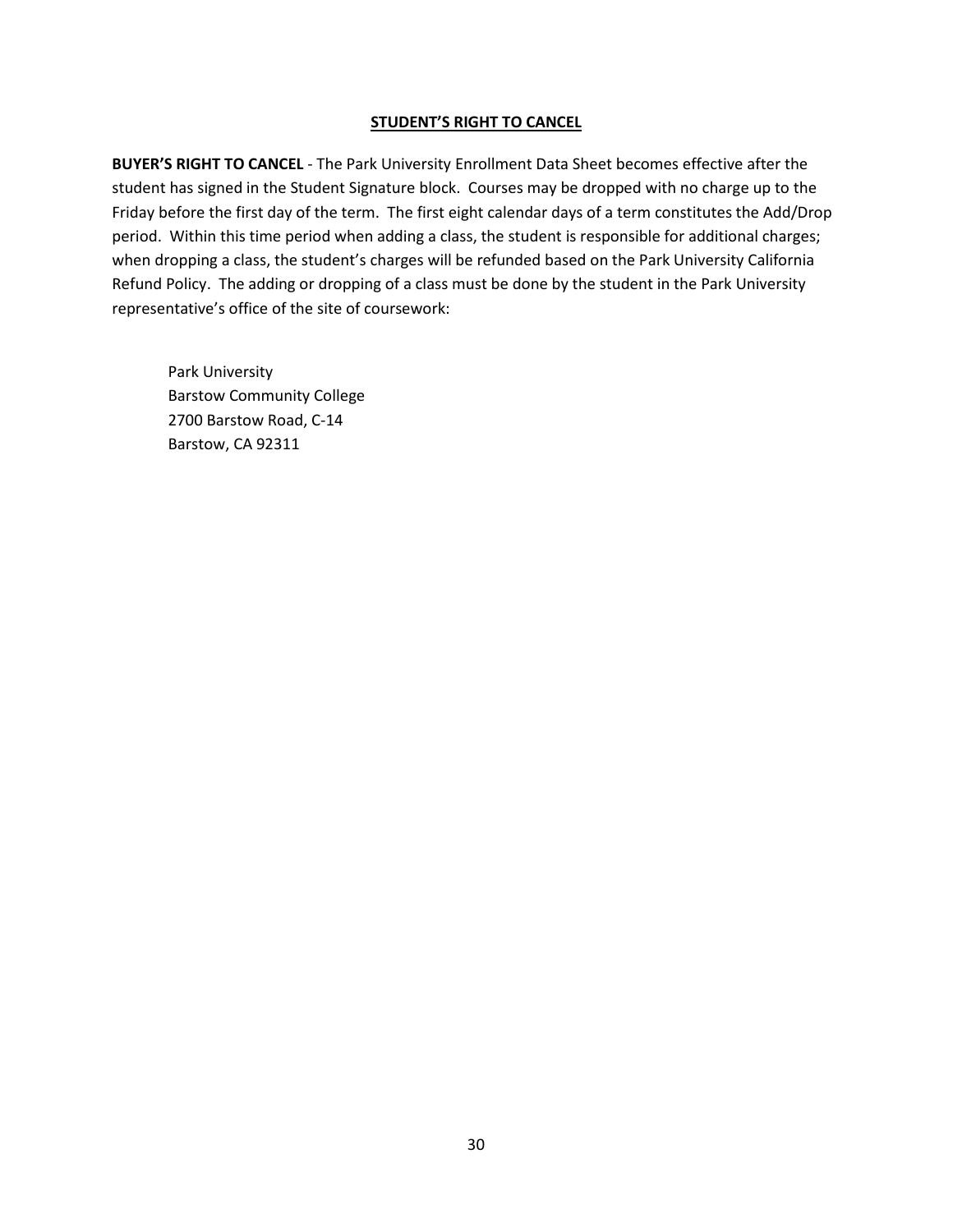#### **STUDENT'S RIGHT TO CANCEL**

**BUYER'S RIGHT TO CANCEL** - The Park University Enrollment Data Sheet becomes effective after the student has signed in the Student Signature block. Courses may be dropped with no charge up to the Friday before the first day of the term. The first eight calendar days of a term constitutes the Add/Drop period. Within this time period when adding a class, the student is responsible for additional charges; when dropping a class, the student's charges will be refunded based on the Park University California Refund Policy. The adding or dropping of a class must be done by the student in the Park University representative's office of the site of coursework:

Park University Barstow Community College 2700 Barstow Road, C-14 Barstow, CA 92311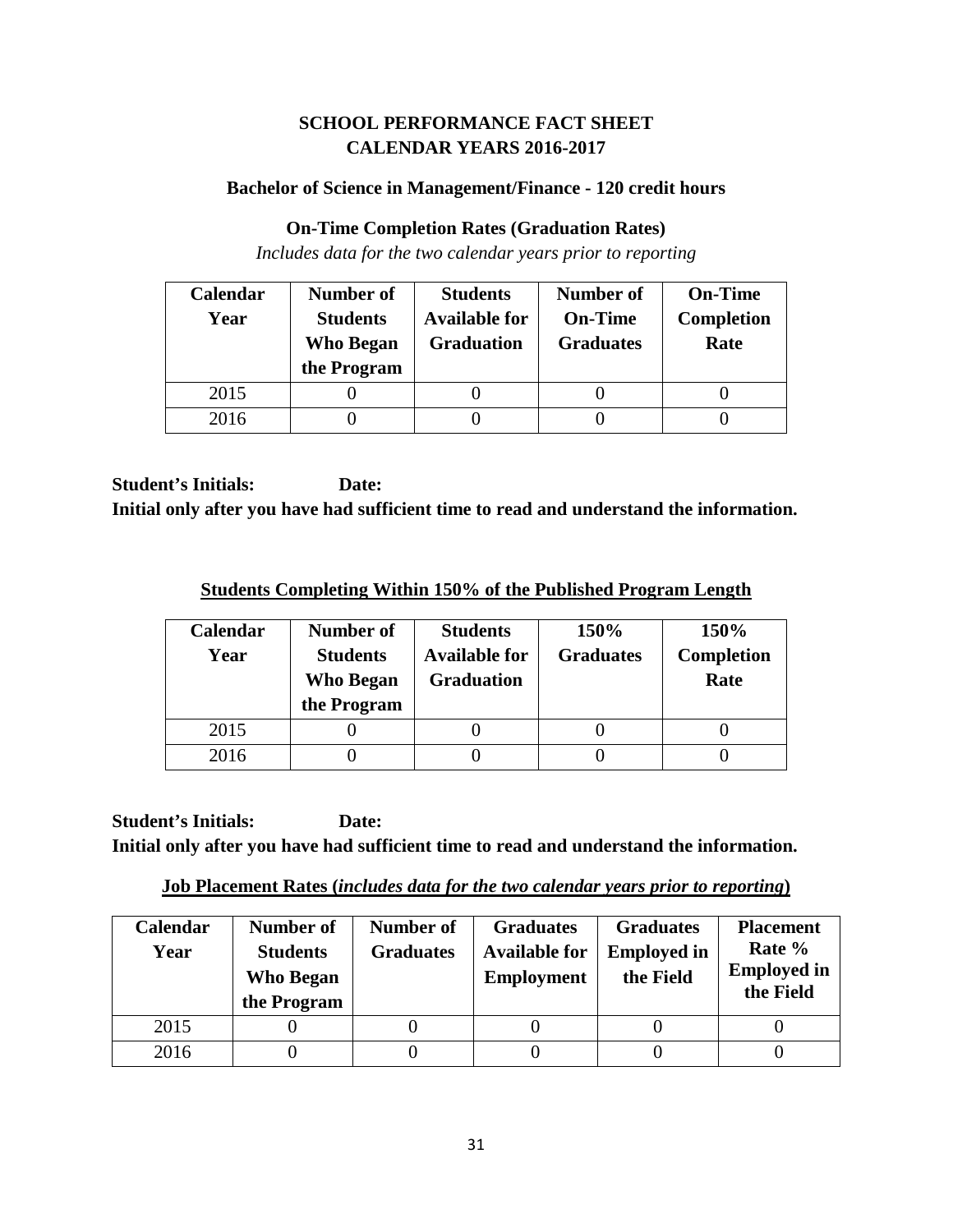## **SCHOOL PERFORMANCE FACT SHEET CALENDAR YEARS 2016-2017**

## **Bachelor of Science in Management/Finance - 120 credit hours**

## **On-Time Completion Rates (Graduation Rates)**

*Includes data for the two calendar years prior to reporting*

| Calendar | Number of                           | <b>Students</b>                           | <b>Number of</b>                   | <b>On-Time</b>            |
|----------|-------------------------------------|-------------------------------------------|------------------------------------|---------------------------|
| Year     | <b>Students</b><br><b>Who Began</b> | <b>Available for</b><br><b>Graduation</b> | <b>On-Time</b><br><b>Graduates</b> | <b>Completion</b><br>Rate |
|          | the Program                         |                                           |                                    |                           |
| 2015     |                                     |                                           |                                    |                           |
| 2016     |                                     |                                           |                                    |                           |

**Student's Initials: Date: Initial only after you have had sufficient time to read and understand the information.**

**Students Completing Within 150% of the Published Program Length**

| <b>Calendar</b><br>Year | Number of<br><b>Students</b><br>Who Began<br>the Program | <b>Students</b><br><b>Available for</b><br><b>Graduation</b> | 150%<br><b>Graduates</b> | 150%<br>Completion<br>Rate |
|-------------------------|----------------------------------------------------------|--------------------------------------------------------------|--------------------------|----------------------------|
| 2015                    |                                                          |                                                              |                          |                            |
| 2016                    |                                                          |                                                              |                          |                            |

**Job Placement Rates (***includes data for the two calendar years prior to reporting***)**

| Calendar<br>Year | Number of<br><b>Students</b><br><b>Who Began</b><br>the Program | Number of<br><b>Graduates</b> | <b>Graduates</b><br><b>Available for</b><br><b>Employment</b> | <b>Graduates</b><br><b>Employed in</b><br>the Field | <b>Placement</b><br>Rate %<br><b>Employed</b> in<br>the Field |
|------------------|-----------------------------------------------------------------|-------------------------------|---------------------------------------------------------------|-----------------------------------------------------|---------------------------------------------------------------|
| 2015             |                                                                 |                               |                                                               |                                                     |                                                               |
| 2016             |                                                                 |                               |                                                               |                                                     |                                                               |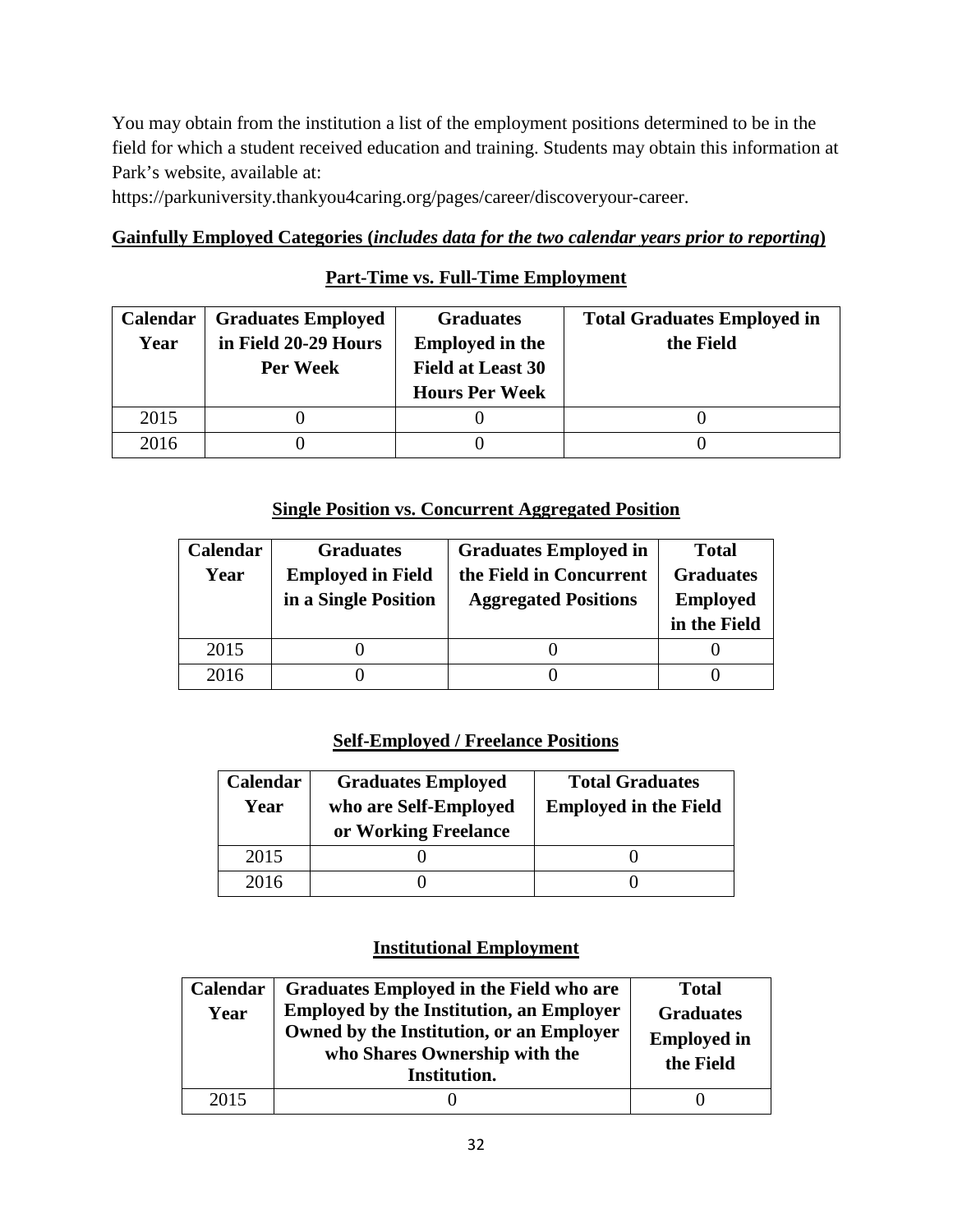You may obtain from the institution a list of the employment positions determined to be in the field for which a student received education and training. Students may obtain this information at Park's website, available at:

https://parkuniversity.thankyou4caring.org/pages/career/discoveryour-career.

## **Gainfully Employed Categories (***includes data for the two calendar years prior to reporting***)**

## **Part-Time vs. Full-Time Employment**

| <b>Calendar</b> | <b>Graduates Employed</b> | <b>Graduates</b>         | <b>Total Graduates Employed in</b> |
|-----------------|---------------------------|--------------------------|------------------------------------|
| Year            | in Field 20-29 Hours      | <b>Employed in the</b>   | the Field                          |
|                 | Per Week                  | <b>Field at Least 30</b> |                                    |
|                 |                           | <b>Hours Per Week</b>    |                                    |
| 2015            |                           |                          |                                    |
| 2016            |                           |                          |                                    |

## **Single Position vs. Concurrent Aggregated Position**

| Calendar | <b>Graduates</b>         | <b>Graduates Employed in</b> | <b>Total</b>     |
|----------|--------------------------|------------------------------|------------------|
| Year     | <b>Employed in Field</b> | the Field in Concurrent      | <b>Graduates</b> |
|          | in a Single Position     | <b>Aggregated Positions</b>  | <b>Employed</b>  |
|          |                          |                              | in the Field     |
| 2015     |                          |                              |                  |
| 2016     |                          |                              |                  |

## **Self-Employed / Freelance Positions**

| Calendar<br>Year | <b>Graduates Employed</b><br>who are Self-Employed<br>or Working Freelance | <b>Total Graduates</b><br><b>Employed in the Field</b> |
|------------------|----------------------------------------------------------------------------|--------------------------------------------------------|
| 2015             |                                                                            |                                                        |
| 2016             |                                                                            |                                                        |

## **Institutional Employment**

| Calendar<br>Year | Graduates Employed in the Field who are<br><b>Employed by the Institution, an Employer</b><br>Owned by the Institution, or an Employer<br>who Shares Ownership with the<br>Institution. | <b>Total</b><br><b>Graduates</b><br><b>Employed in</b><br>the Field |
|------------------|-----------------------------------------------------------------------------------------------------------------------------------------------------------------------------------------|---------------------------------------------------------------------|
| 2015             |                                                                                                                                                                                         |                                                                     |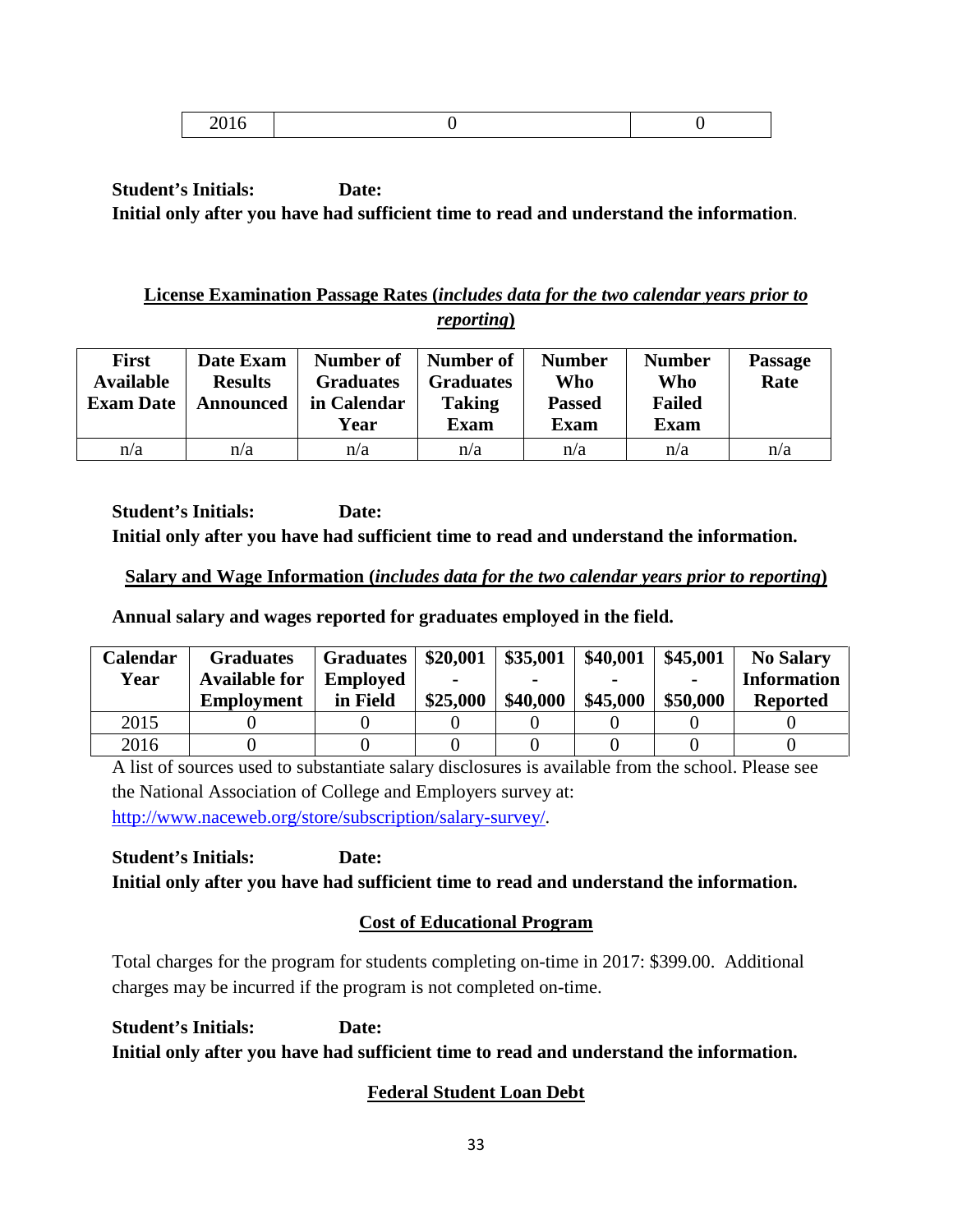|--|

## **License Examination Passage Rates (***includes data for the two calendar years prior to reporting***)**

| <b>First</b><br><b>Available</b><br><b>Exam Date</b> | Date Exam<br><b>Results</b><br><b>Announced</b> | Number of<br><b>Graduates</b><br>in Calendar<br>Year | Number of<br><b>Graduates</b><br><b>Taking</b><br><b>Exam</b> | <b>Number</b><br>Who<br><b>Passed</b><br>Exam | <b>Number</b><br>Who<br><b>Failed</b><br><b>Exam</b> | <b>Passage</b><br>Rate |
|------------------------------------------------------|-------------------------------------------------|------------------------------------------------------|---------------------------------------------------------------|-----------------------------------------------|------------------------------------------------------|------------------------|
| n/a                                                  | n/a                                             | n/a                                                  | n/a                                                           | n/a                                           | n/a                                                  | n/a                    |

**Student's Initials: Date: Initial only after you have had sufficient time to read and understand the information.**

## **Salary and Wage Information (***includes data for the two calendar years prior to reporting***)**

**Annual salary and wages reported for graduates employed in the field.**

| <b>Calendar</b> | <b>Graduates</b>     | <b>Graduates</b> | \$20,001 | \$35,001 | \$40,001 | \$45,001 | <b>No Salary</b>   |
|-----------------|----------------------|------------------|----------|----------|----------|----------|--------------------|
| Year            | <b>Available for</b> | <b>Employed</b>  | -        |          |          |          | <b>Information</b> |
|                 | <b>Employment</b>    | in Field         | \$25,000 | \$40,000 | \$45,000 | \$50,000 | <b>Reported</b>    |
| 2015            |                      |                  |          |          |          |          |                    |
| 2016            |                      |                  |          |          |          |          |                    |

A list of sources used to substantiate salary disclosures is available from the school. Please see the National Association of College and Employers survey at: [http://www.naceweb.org/store/subscription/salary-survey/.](http://www.naceweb.org/store/subscription/salary-survey/)

**Student's Initials: Date: Initial only after you have had sufficient time to read and understand the information.**

# **Cost of Educational Program**

Total charges for the program for students completing on-time in 2017: \$399.00. Additional charges may be incurred if the program is not completed on-time.

**Student's Initials: Date: Initial only after you have had sufficient time to read and understand the information.**

# **Federal Student Loan Debt**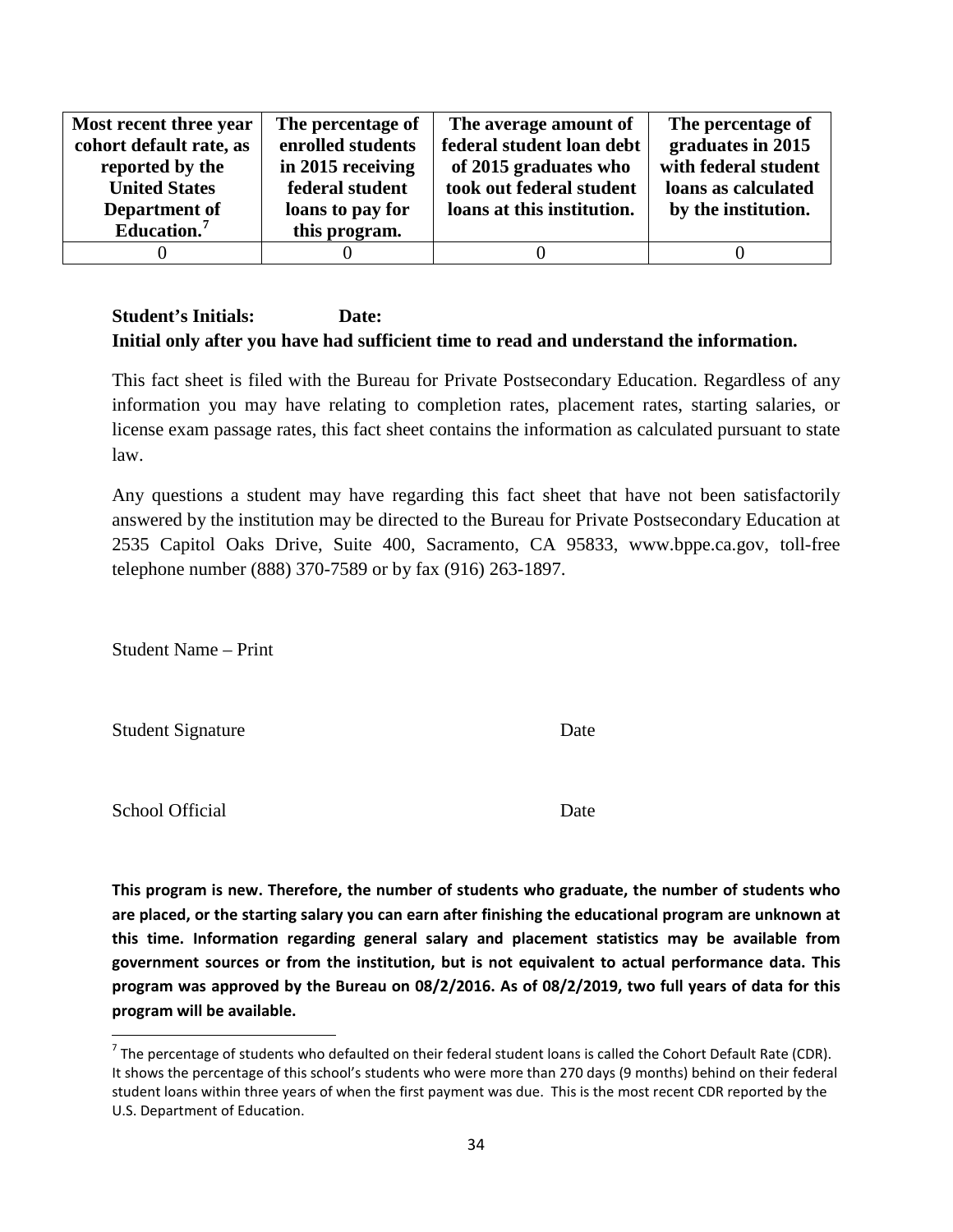| Most recent three year  | The percentage of | The average amount of      | The percentage of    |
|-------------------------|-------------------|----------------------------|----------------------|
| cohort default rate, as | enrolled students | federal student loan debt  | graduates in 2015    |
| reported by the         | in 2015 receiving | of 2015 graduates who      | with federal student |
| <b>United States</b>    | federal student   | took out federal student   | loans as calculated  |
| Department of           | loans to pay for  | loans at this institution. | by the institution.  |
| Education. $7$          | this program.     |                            |                      |
|                         |                   |                            |                      |

This fact sheet is filed with the Bureau for Private Postsecondary Education. Regardless of any information you may have relating to completion rates, placement rates, starting salaries, or license exam passage rates, this fact sheet contains the information as calculated pursuant to state law.

Any questions a student may have regarding this fact sheet that have not been satisfactorily answered by the institution may be directed to the Bureau for Private Postsecondary Education at 2535 Capitol Oaks Drive, Suite 400, Sacramento, CA 95833, www.bppe.ca.gov, toll-free telephone number (888) 370-7589 or by fax (916) 263-1897.

Student Name – Print

Student Signature Date

School Official Date

**This program is new. Therefore, the number of students who graduate, the number of students who are placed, or the starting salary you can earn after finishing the educational program are unknown at this time. Information regarding general salary and placement statistics may be available from government sources or from the institution, but is not equivalent to actual performance data. This program was approved by the Bureau on 08/2/2016. As of 08/2/2019, two full years of data for this program will be available.**

 $^7$  The percentage of students who defaulted on their federal student loans is called the Cohort Default Rate (CDR). It shows the percentage of this school's students who were more than 270 days (9 months) behind on their federal student loans within three years of when the first payment was due. This is the most recent CDR reported by the U.S. Department of Education.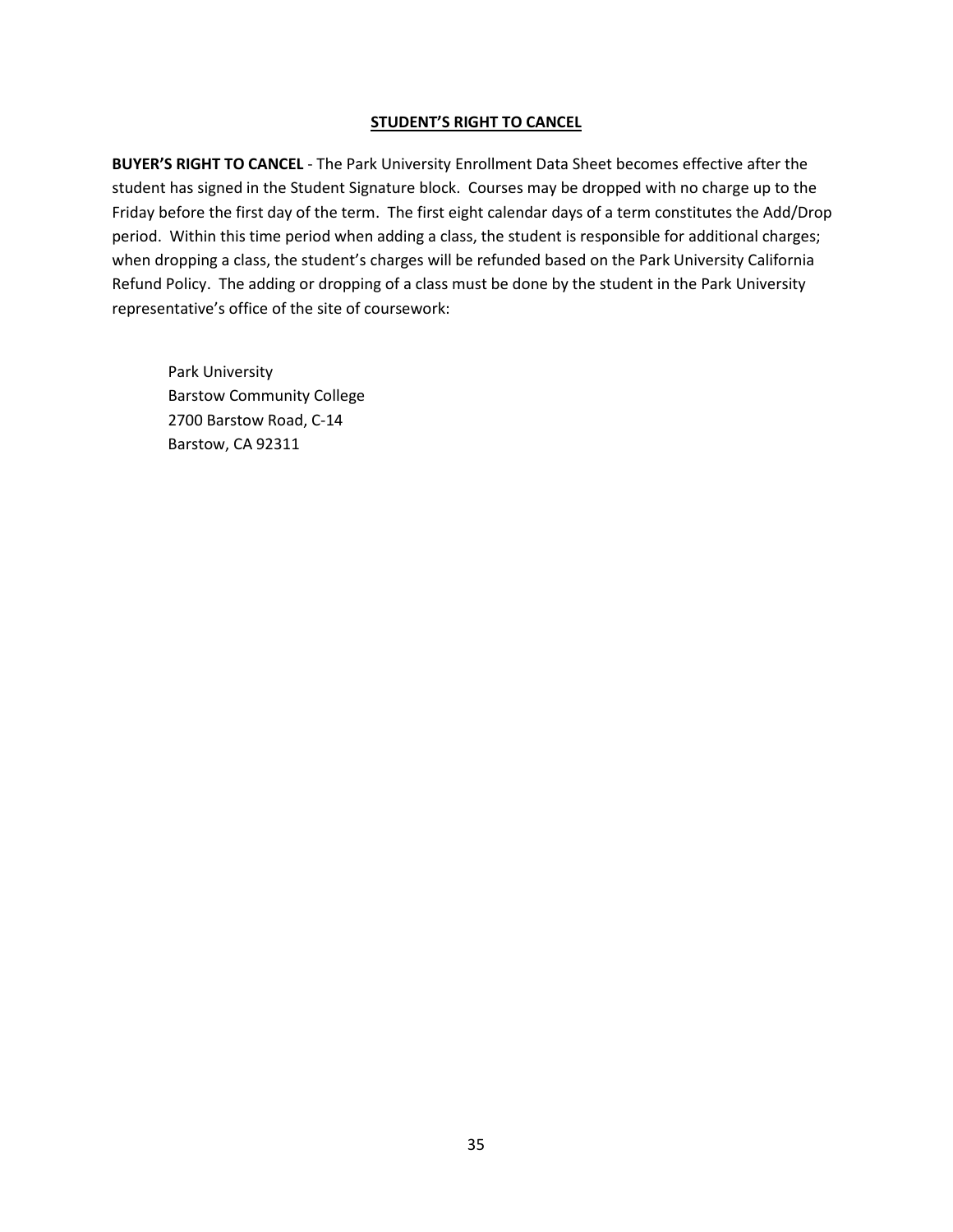#### **STUDENT'S RIGHT TO CANCEL**

**BUYER'S RIGHT TO CANCEL** - The Park University Enrollment Data Sheet becomes effective after the student has signed in the Student Signature block. Courses may be dropped with no charge up to the Friday before the first day of the term. The first eight calendar days of a term constitutes the Add/Drop period. Within this time period when adding a class, the student is responsible for additional charges; when dropping a class, the student's charges will be refunded based on the Park University California Refund Policy. The adding or dropping of a class must be done by the student in the Park University representative's office of the site of coursework:

Park University Barstow Community College 2700 Barstow Road, C-14 Barstow, CA 92311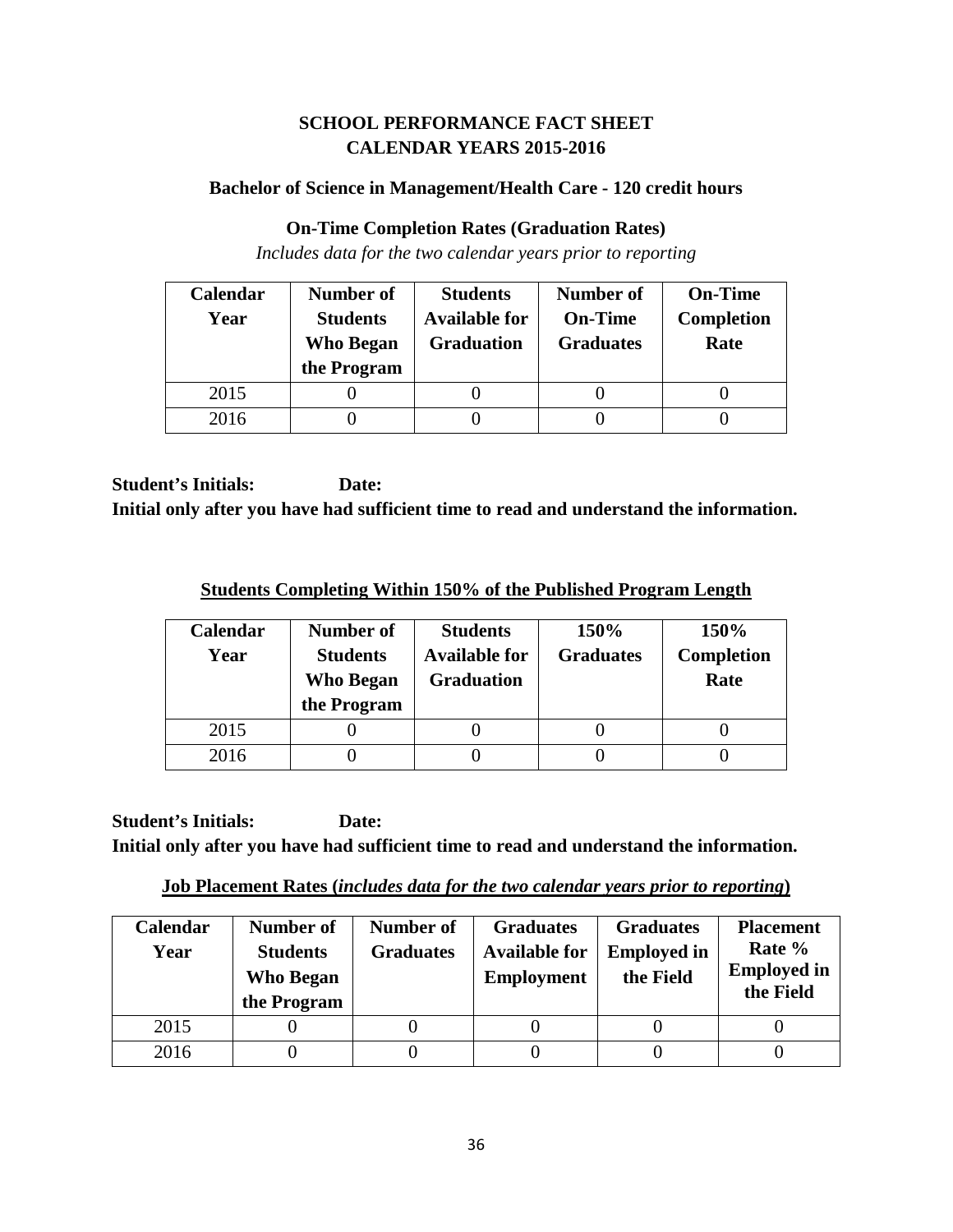## **SCHOOL PERFORMANCE FACT SHEET CALENDAR YEARS 2015-2016**

### **Bachelor of Science in Management/Health Care - 120 credit hours**

### **On-Time Completion Rates (Graduation Rates)**

*Includes data for the two calendar years prior to reporting*

| Calendar | Number of                           | <b>Students</b>                           | <b>Number of</b>                   | <b>On-Time</b>            |
|----------|-------------------------------------|-------------------------------------------|------------------------------------|---------------------------|
| Year     | <b>Students</b><br><b>Who Began</b> | <b>Available for</b><br><b>Graduation</b> | <b>On-Time</b><br><b>Graduates</b> | <b>Completion</b><br>Rate |
|          | the Program                         |                                           |                                    |                           |
| 2015     |                                     |                                           |                                    |                           |
| 2016     |                                     |                                           |                                    |                           |

**Student's Initials: Date: Initial only after you have had sufficient time to read and understand the information.**

**Students Completing Within 150% of the Published Program Length**

| Calendar<br>Year | Number of<br><b>Students</b><br><b>Who Began</b><br>the Program | <b>Students</b><br><b>Available for</b><br><b>Graduation</b> | 150%<br><b>Graduates</b> | 150%<br><b>Completion</b><br>Rate |
|------------------|-----------------------------------------------------------------|--------------------------------------------------------------|--------------------------|-----------------------------------|
| 2015             |                                                                 |                                                              |                          |                                   |
| 2016             |                                                                 |                                                              |                          |                                   |

**Job Placement Rates (***includes data for the two calendar years prior to reporting***)**

| Calendar<br>Year | Number of<br><b>Students</b><br><b>Who Began</b><br>the Program | Number of<br><b>Graduates</b> | <b>Graduates</b><br><b>Available for</b><br><b>Employment</b> | <b>Graduates</b><br><b>Employed in</b><br>the Field | <b>Placement</b><br>Rate %<br><b>Employed</b> in<br>the Field |
|------------------|-----------------------------------------------------------------|-------------------------------|---------------------------------------------------------------|-----------------------------------------------------|---------------------------------------------------------------|
| 2015             |                                                                 |                               |                                                               |                                                     |                                                               |
| 2016             |                                                                 |                               |                                                               |                                                     |                                                               |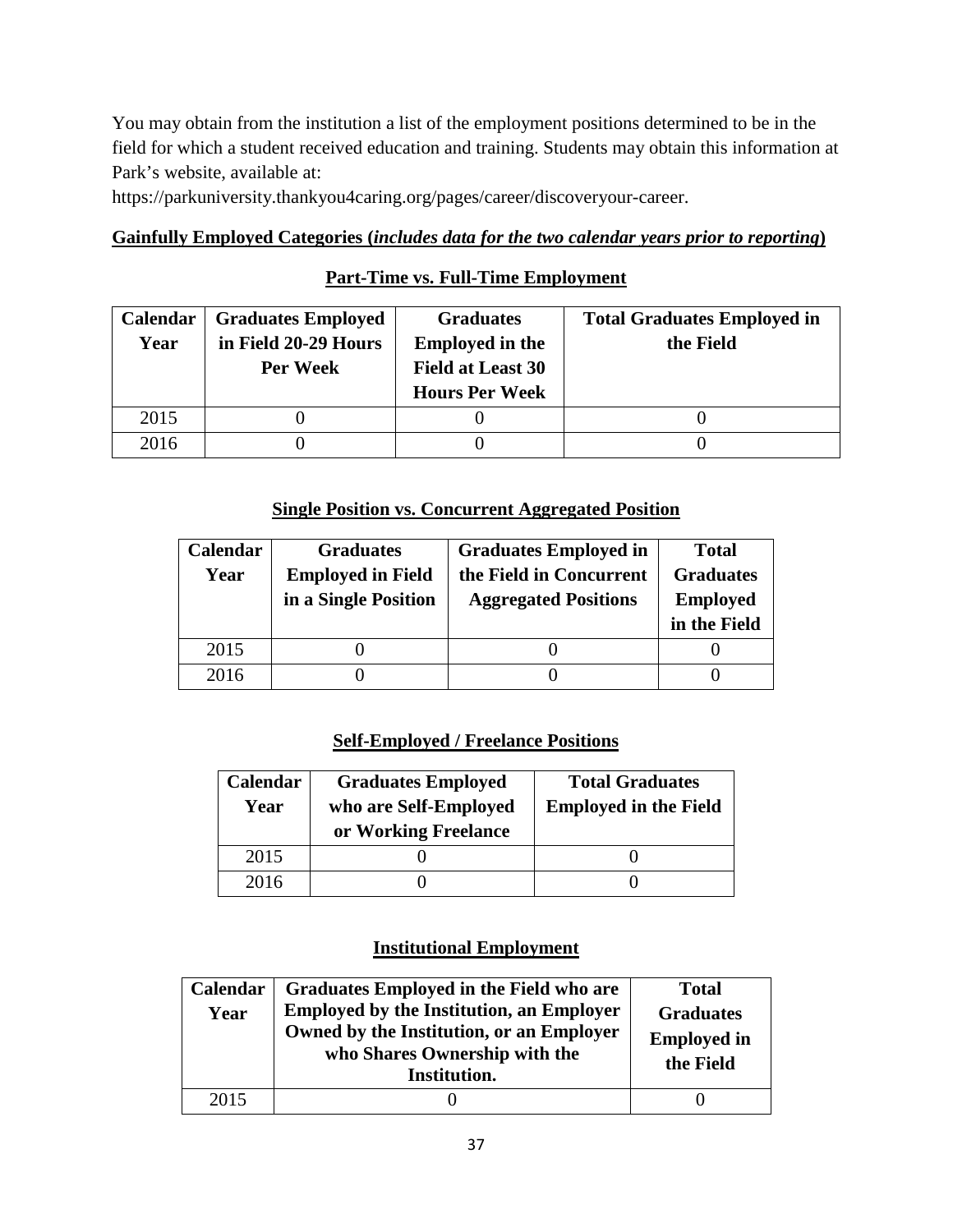You may obtain from the institution a list of the employment positions determined to be in the field for which a student received education and training. Students may obtain this information at Park's website, available at:

https://parkuniversity.thankyou4caring.org/pages/career/discoveryour-career.

# **Gainfully Employed Categories (***includes data for the two calendar years prior to reporting***)**

# **Part-Time vs. Full-Time Employment**

| <b>Calendar</b> | <b>Graduates Employed</b> | <b>Graduates</b>         | <b>Total Graduates Employed in</b> |
|-----------------|---------------------------|--------------------------|------------------------------------|
| Year            | in Field 20-29 Hours      | <b>Employed in the</b>   | the Field                          |
|                 | Per Week                  | <b>Field at Least 30</b> |                                    |
|                 |                           | <b>Hours Per Week</b>    |                                    |
| 2015            |                           |                          |                                    |
| 2016            |                           |                          |                                    |

## **Single Position vs. Concurrent Aggregated Position**

| Calendar | <b>Graduates</b>         | <b>Graduates Employed in</b> | <b>Total</b>     |
|----------|--------------------------|------------------------------|------------------|
| Year     | <b>Employed in Field</b> | the Field in Concurrent      | <b>Graduates</b> |
|          | in a Single Position     | <b>Aggregated Positions</b>  | <b>Employed</b>  |
|          |                          |                              | in the Field     |
| 2015     |                          |                              |                  |
| 2016     |                          |                              |                  |

# **Self-Employed / Freelance Positions**

| Calendar<br>Year | <b>Graduates Employed</b><br>who are Self-Employed<br>or Working Freelance | <b>Total Graduates</b><br><b>Employed in the Field</b> |
|------------------|----------------------------------------------------------------------------|--------------------------------------------------------|
| 2015             |                                                                            |                                                        |
| 2016             |                                                                            |                                                        |

| Calendar<br>Year | Graduates Employed in the Field who are<br><b>Employed by the Institution, an Employer</b><br>Owned by the Institution, or an Employer<br>who Shares Ownership with the<br>Institution. | <b>Total</b><br><b>Graduates</b><br><b>Employed in</b><br>the Field |
|------------------|-----------------------------------------------------------------------------------------------------------------------------------------------------------------------------------------|---------------------------------------------------------------------|
| 2015             |                                                                                                                                                                                         |                                                                     |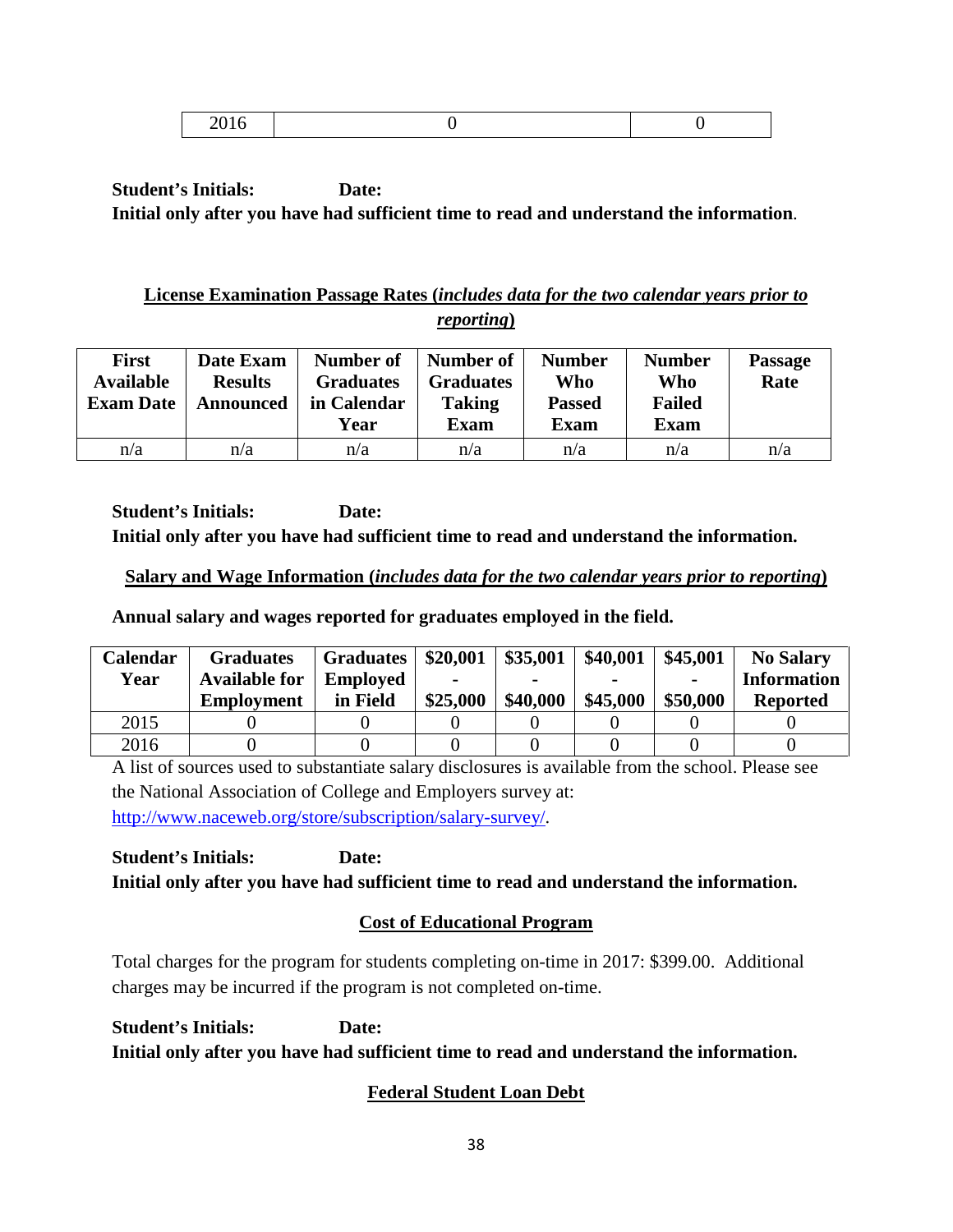|--|

# **License Examination Passage Rates (***includes data for the two calendar years prior to reporting***)**

| <b>First</b><br><b>Available</b><br><b>Exam Date</b> | Date Exam<br><b>Results</b><br>Announced | Number of<br><b>Graduates</b><br>in Calendar<br>Year | Number of<br><b>Graduates</b><br><b>Taking</b><br><b>Exam</b> | <b>Number</b><br>Who<br><b>Passed</b><br><b>Exam</b> | <b>Number</b><br>Who<br><b>Failed</b><br><b>Exam</b> | <b>Passage</b><br>Rate |
|------------------------------------------------------|------------------------------------------|------------------------------------------------------|---------------------------------------------------------------|------------------------------------------------------|------------------------------------------------------|------------------------|
| n/a                                                  | n/a                                      | n/a                                                  | n/a                                                           | n/a                                                  | n/a                                                  | n/a                    |

**Student's Initials: Date: Initial only after you have had sufficient time to read and understand the information.**

# **Salary and Wage Information (***includes data for the two calendar years prior to reporting***)**

**Annual salary and wages reported for graduates employed in the field.**

| <b>Calendar</b> | <b>Graduates</b>     | <b>Graduates</b> | \$20,001 | \$35,001 | \$40,001 | \$45,001 | <b>No Salary</b>   |
|-----------------|----------------------|------------------|----------|----------|----------|----------|--------------------|
| Year            | <b>Available for</b> | <b>Employed</b>  | -        |          |          |          | <b>Information</b> |
|                 | <b>Employment</b>    | in Field         | \$25,000 | \$40,000 | \$45,000 | \$50,000 | <b>Reported</b>    |
| 2015            |                      |                  |          |          |          |          |                    |
| 2016            |                      |                  |          |          |          |          |                    |

A list of sources used to substantiate salary disclosures is available from the school. Please see the National Association of College and Employers survey at: [http://www.naceweb.org/store/subscription/salary-survey/.](http://www.naceweb.org/store/subscription/salary-survey/)

**Student's Initials: Date: Initial only after you have had sufficient time to read and understand the information.**

# **Cost of Educational Program**

Total charges for the program for students completing on-time in 2017: \$399.00. Additional charges may be incurred if the program is not completed on-time.

**Student's Initials: Date: Initial only after you have had sufficient time to read and understand the information.**

# **Federal Student Loan Debt**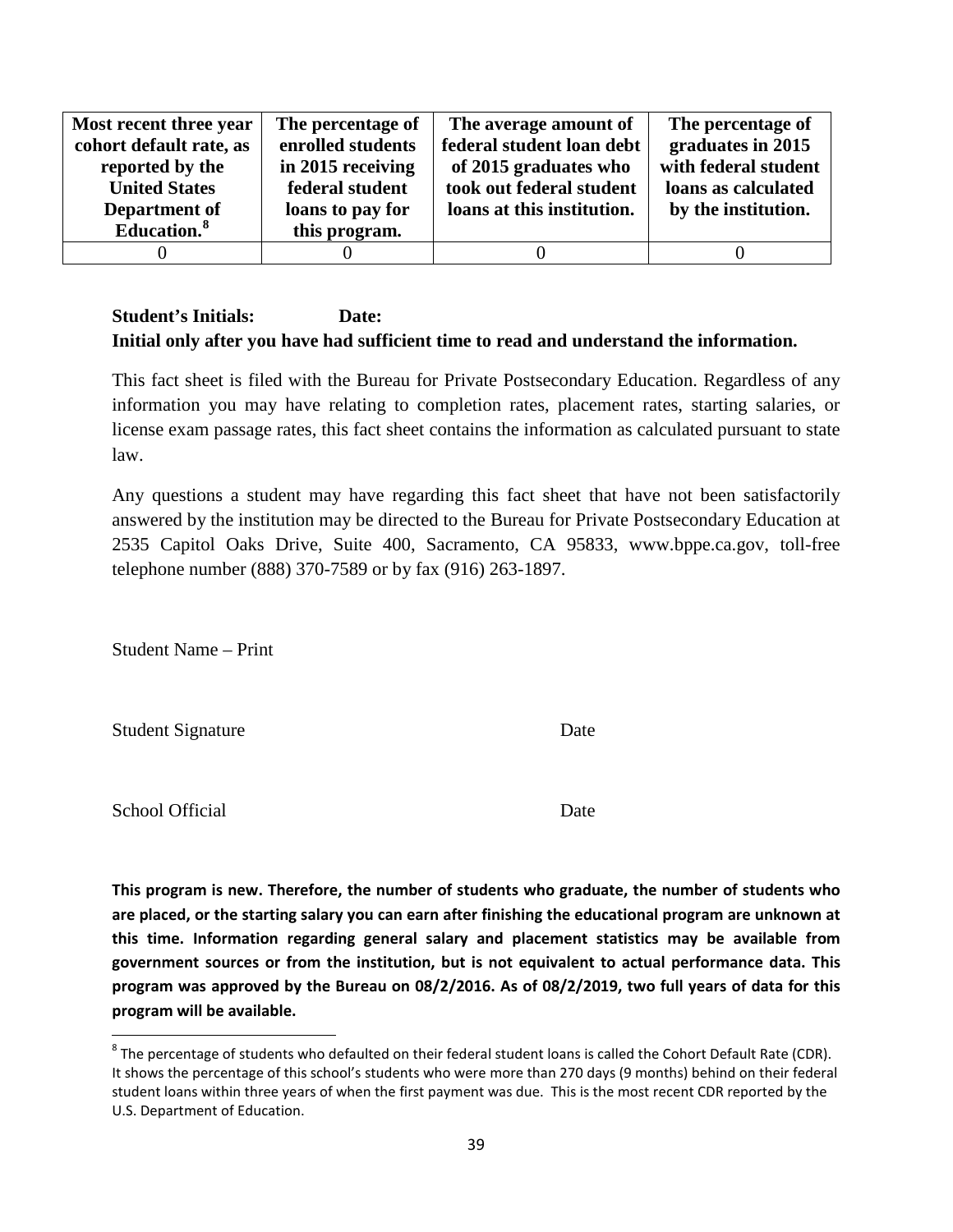| Most recent three year  | The percentage of | The average amount of      | The percentage of    |
|-------------------------|-------------------|----------------------------|----------------------|
| cohort default rate, as | enrolled students | federal student loan debt  | graduates in 2015    |
| reported by the         | in 2015 receiving | of 2015 graduates who      | with federal student |
| <b>United States</b>    | federal student   | took out federal student   | loans as calculated  |
| Department of           | loans to pay for  | loans at this institution. | by the institution.  |
| Education. <sup>8</sup> | this program.     |                            |                      |
|                         |                   |                            |                      |

This fact sheet is filed with the Bureau for Private Postsecondary Education. Regardless of any information you may have relating to completion rates, placement rates, starting salaries, or license exam passage rates, this fact sheet contains the information as calculated pursuant to state law.

Any questions a student may have regarding this fact sheet that have not been satisfactorily answered by the institution may be directed to the Bureau for Private Postsecondary Education at 2535 Capitol Oaks Drive, Suite 400, Sacramento, CA 95833, www.bppe.ca.gov, toll-free telephone number (888) 370-7589 or by fax (916) 263-1897.

Student Name – Print

Student Signature Date

School Official Date

**This program is new. Therefore, the number of students who graduate, the number of students who are placed, or the starting salary you can earn after finishing the educational program are unknown at this time. Information regarding general salary and placement statistics may be available from government sources or from the institution, but is not equivalent to actual performance data. This program was approved by the Bureau on 08/2/2016. As of 08/2/2019, two full years of data for this program will be available.** 

<span id="page-38-0"></span> $8$  The percentage of students who defaulted on their federal student loans is called the Cohort Default Rate (CDR). It shows the percentage of this school's students who were more than 270 days (9 months) behind on their federal student loans within three years of when the first payment was due. This is the most recent CDR reported by the U.S. Department of Education.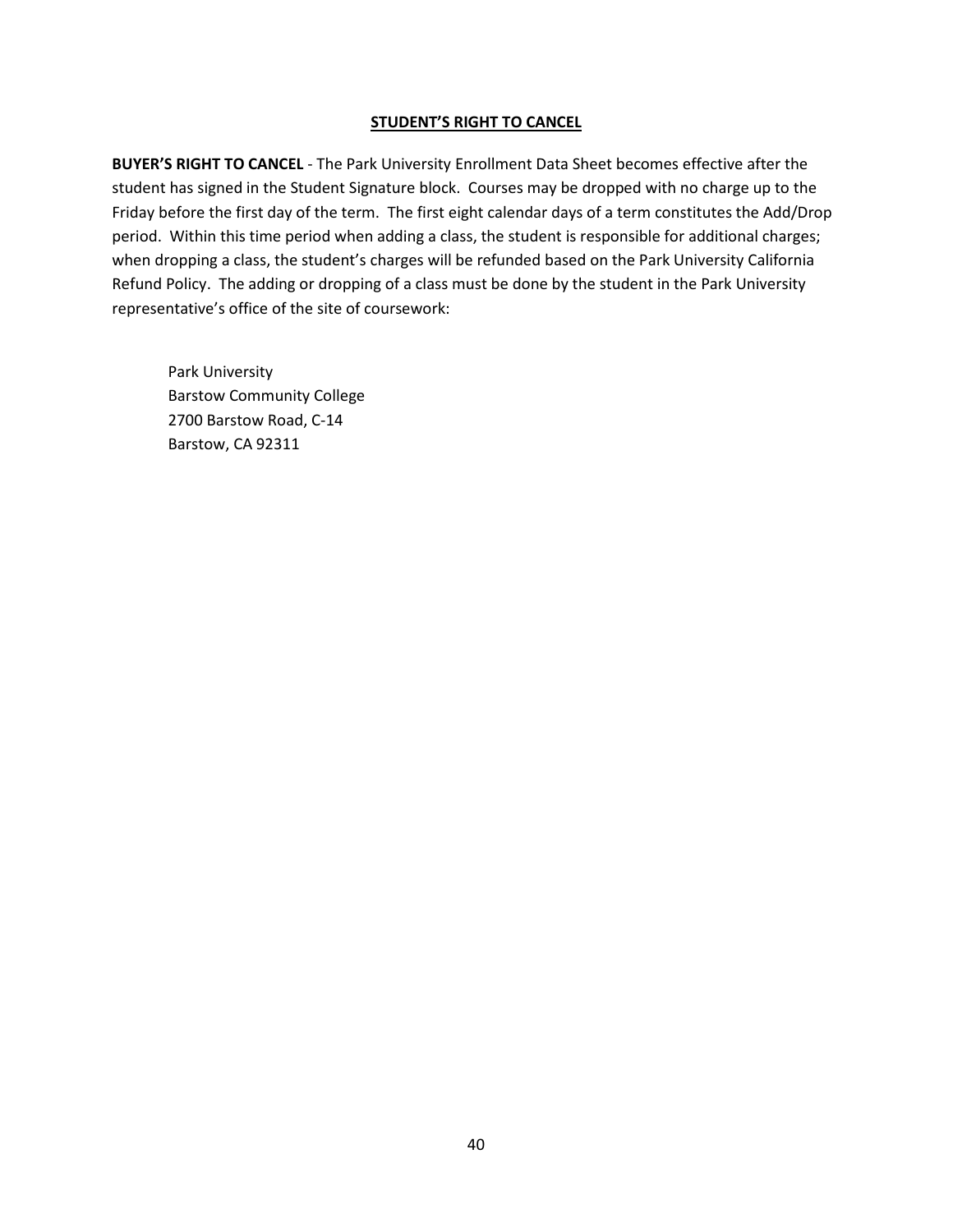#### **STUDENT'S RIGHT TO CANCEL**

**BUYER'S RIGHT TO CANCEL** - The Park University Enrollment Data Sheet becomes effective after the student has signed in the Student Signature block. Courses may be dropped with no charge up to the Friday before the first day of the term. The first eight calendar days of a term constitutes the Add/Drop period. Within this time period when adding a class, the student is responsible for additional charges; when dropping a class, the student's charges will be refunded based on the Park University California Refund Policy. The adding or dropping of a class must be done by the student in the Park University representative's office of the site of coursework:

Park University Barstow Community College 2700 Barstow Road, C-14 Barstow, CA 92311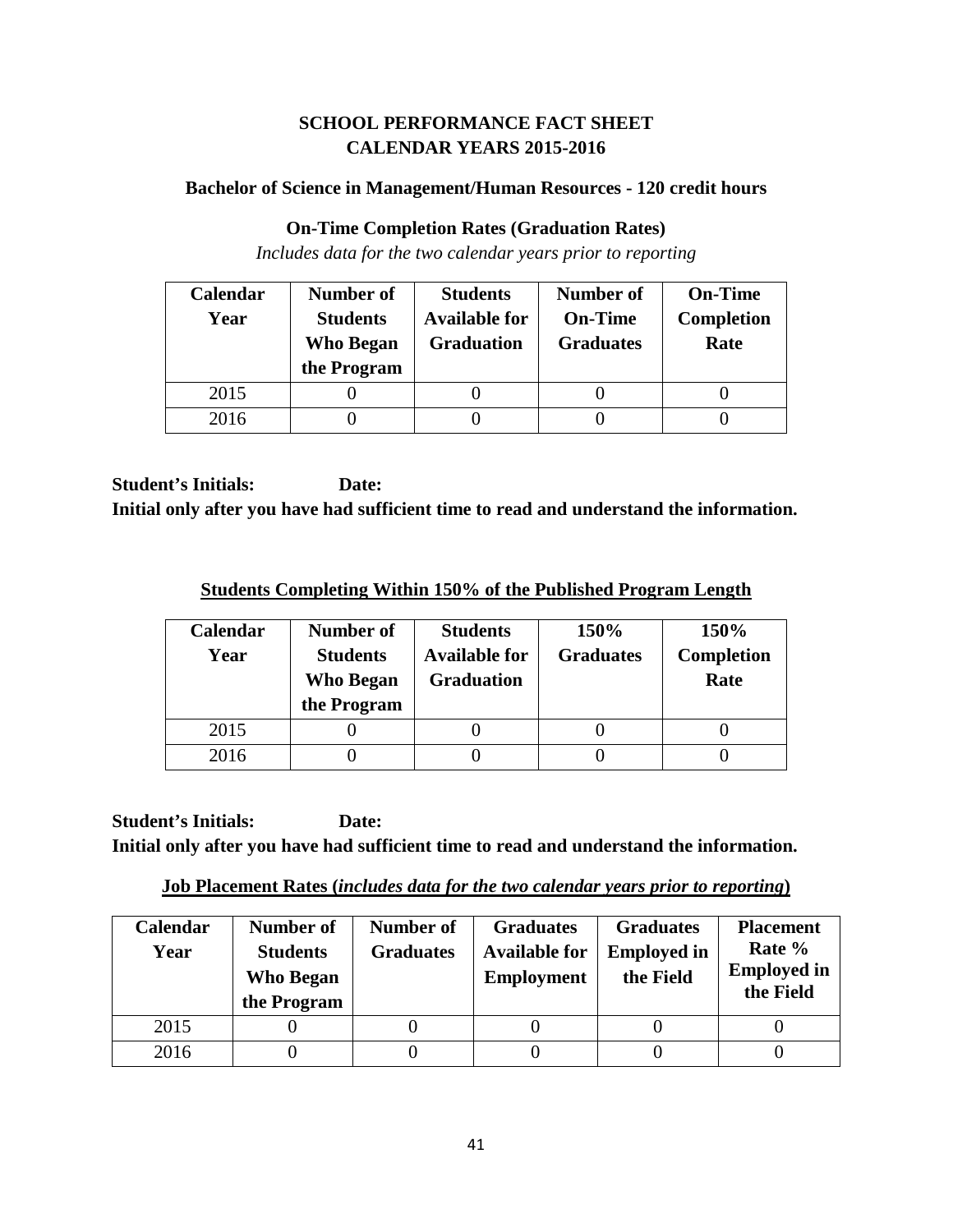# **SCHOOL PERFORMANCE FACT SHEET CALENDAR YEARS 2015-2016**

#### **Bachelor of Science in Management/Human Resources - 120 credit hours**

#### **On-Time Completion Rates (Graduation Rates)**

*Includes data for the two calendar years prior to reporting*

| Calendar | Number of                           | <b>Students</b>                           | <b>Number of</b>                   | <b>On-Time</b>            |
|----------|-------------------------------------|-------------------------------------------|------------------------------------|---------------------------|
| Year     | <b>Students</b><br><b>Who Began</b> | <b>Available for</b><br><b>Graduation</b> | <b>On-Time</b><br><b>Graduates</b> | <b>Completion</b><br>Rate |
|          | the Program                         |                                           |                                    |                           |
| 2015     |                                     |                                           |                                    |                           |
| 2016     |                                     |                                           |                                    |                           |

**Student's Initials: Date: Initial only after you have had sufficient time to read and understand the information.**

**Students Completing Within 150% of the Published Program Length**

| <b>Calendar</b><br>Year | Number of<br><b>Students</b><br>Who Began<br>the Program | <b>Students</b><br><b>Available for</b><br><b>Graduation</b> | 150%<br><b>Graduates</b> | 150%<br>Completion<br>Rate |
|-------------------------|----------------------------------------------------------|--------------------------------------------------------------|--------------------------|----------------------------|
| 2015                    |                                                          |                                                              |                          |                            |
| 2016                    |                                                          |                                                              |                          |                            |

**Student's Initials: Date: Initial only after you have had sufficient time to read and understand the information.**

**Job Placement Rates (***includes data for the two calendar years prior to reporting***)**

| Calendar<br>Year | Number of<br><b>Students</b><br><b>Who Began</b><br>the Program | Number of<br><b>Graduates</b> | <b>Graduates</b><br><b>Available for</b><br><b>Employment</b> | <b>Graduates</b><br><b>Employed in</b><br>the Field | <b>Placement</b><br>Rate %<br><b>Employed in</b><br>the Field |
|------------------|-----------------------------------------------------------------|-------------------------------|---------------------------------------------------------------|-----------------------------------------------------|---------------------------------------------------------------|
| 2015             |                                                                 |                               |                                                               |                                                     |                                                               |
| 2016             |                                                                 |                               |                                                               |                                                     |                                                               |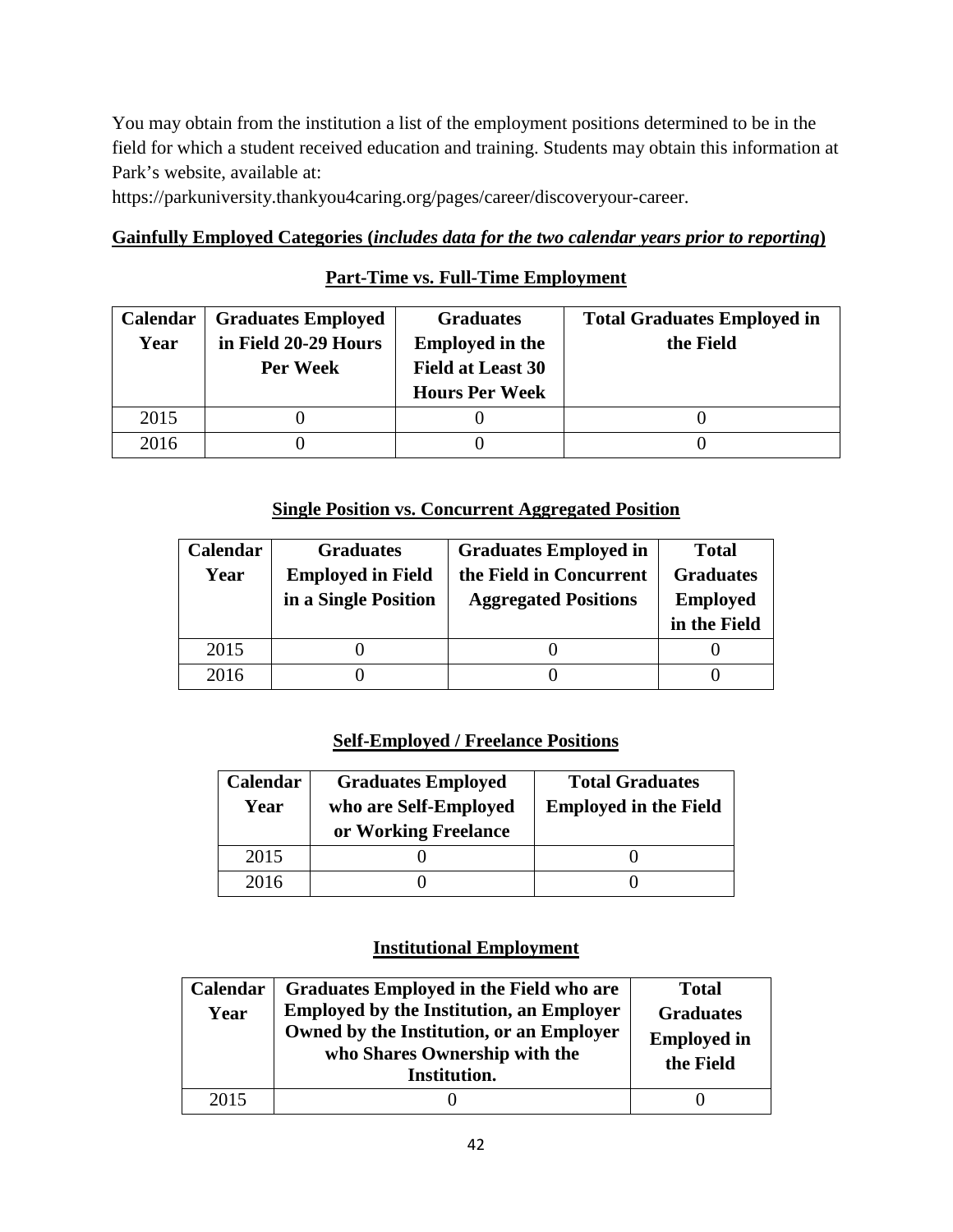You may obtain from the institution a list of the employment positions determined to be in the field for which a student received education and training. Students may obtain this information at Park's website, available at:

https://parkuniversity.thankyou4caring.org/pages/career/discoveryour-career.

# **Gainfully Employed Categories (***includes data for the two calendar years prior to reporting***)**

# **Part-Time vs. Full-Time Employment**

| <b>Calendar</b> | <b>Graduates Employed</b> | <b>Graduates</b>         | <b>Total Graduates Employed in</b> |
|-----------------|---------------------------|--------------------------|------------------------------------|
| Year            | in Field 20-29 Hours      | <b>Employed in the</b>   | the Field                          |
|                 | Per Week                  | <b>Field at Least 30</b> |                                    |
|                 |                           | <b>Hours Per Week</b>    |                                    |
| 2015            |                           |                          |                                    |
| 2016            |                           |                          |                                    |

## **Single Position vs. Concurrent Aggregated Position**

| Calendar | <b>Graduates</b>         | <b>Graduates Employed in</b> | <b>Total</b>     |
|----------|--------------------------|------------------------------|------------------|
| Year     | <b>Employed in Field</b> | the Field in Concurrent      | <b>Graduates</b> |
|          | in a Single Position     | <b>Aggregated Positions</b>  | <b>Employed</b>  |
|          |                          |                              | in the Field     |
| 2015     |                          |                              |                  |
| 2016     |                          |                              |                  |

# **Self-Employed / Freelance Positions**

| Calendar<br>Year | <b>Graduates Employed</b><br>who are Self-Employed<br>or Working Freelance | <b>Total Graduates</b><br><b>Employed in the Field</b> |
|------------------|----------------------------------------------------------------------------|--------------------------------------------------------|
| 2015             |                                                                            |                                                        |
| 2016             |                                                                            |                                                        |

| Calendar<br>Year | Graduates Employed in the Field who are<br><b>Employed by the Institution, an Employer</b><br>Owned by the Institution, or an Employer<br>who Shares Ownership with the<br>Institution. | <b>Total</b><br><b>Graduates</b><br><b>Employed in</b><br>the Field |
|------------------|-----------------------------------------------------------------------------------------------------------------------------------------------------------------------------------------|---------------------------------------------------------------------|
| 2015             |                                                                                                                                                                                         |                                                                     |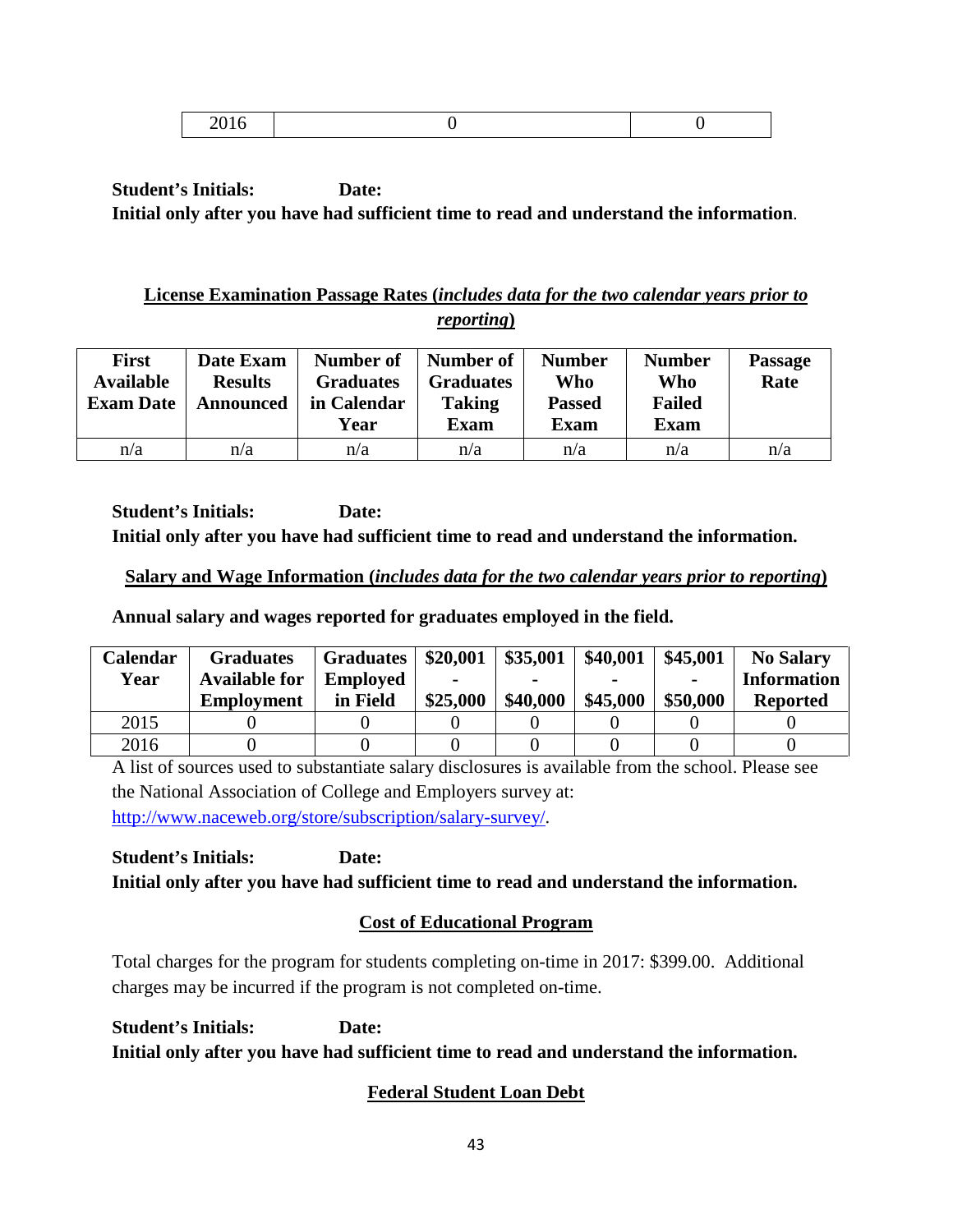|--|

# **License Examination Passage Rates (***includes data for the two calendar years prior to reporting***)**

| <b>First</b><br><b>Available</b><br><b>Exam Date</b> | Date Exam<br><b>Results</b><br><b>Announced</b> | Number of<br><b>Graduates</b><br>in Calendar<br>Year | Number of<br><b>Graduates</b><br><b>Taking</b><br>Exam | <b>Number</b><br>Who<br><b>Passed</b><br><b>Exam</b> | <b>Number</b><br>Who<br><b>Failed</b><br><b>Exam</b> | <b>Passage</b><br>Rate |
|------------------------------------------------------|-------------------------------------------------|------------------------------------------------------|--------------------------------------------------------|------------------------------------------------------|------------------------------------------------------|------------------------|
| n/a                                                  | n/a                                             | n/a                                                  | n/a                                                    | n/a                                                  | n/a                                                  | n/a                    |

**Student's Initials: Date: Initial only after you have had sufficient time to read and understand the information.**

# **Salary and Wage Information (***includes data for the two calendar years prior to reporting***)**

**Annual salary and wages reported for graduates employed in the field.**

| Calendar | <b>Graduates</b>     | <b>Graduates</b> | \$20,001 | \$35,001 | \$40,001 | \$45,001       | <b>No Salary</b>   |
|----------|----------------------|------------------|----------|----------|----------|----------------|--------------------|
| Year     | <b>Available for</b> | <b>Employed</b>  |          |          |          | $\blacksquare$ | <b>Information</b> |
|          | <b>Employment</b>    | in Field         | \$25,000 | \$40,000 | \$45,000 | \$50,000       | <b>Reported</b>    |
| 2015     |                      |                  |          |          |          |                |                    |
| 2016     |                      |                  |          |          |          |                |                    |

A list of sources used to substantiate salary disclosures is available from the school. Please see the National Association of College and Employers survey at: [http://www.naceweb.org/store/subscription/salary-survey/.](http://www.naceweb.org/store/subscription/salary-survey/)

**Student's Initials: Date: Initial only after you have had sufficient time to read and understand the information.**

# **Cost of Educational Program**

Total charges for the program for students completing on-time in 2017: \$399.00. Additional charges may be incurred if the program is not completed on-time.

**Student's Initials: Date: Initial only after you have had sufficient time to read and understand the information.**

# **Federal Student Loan Debt**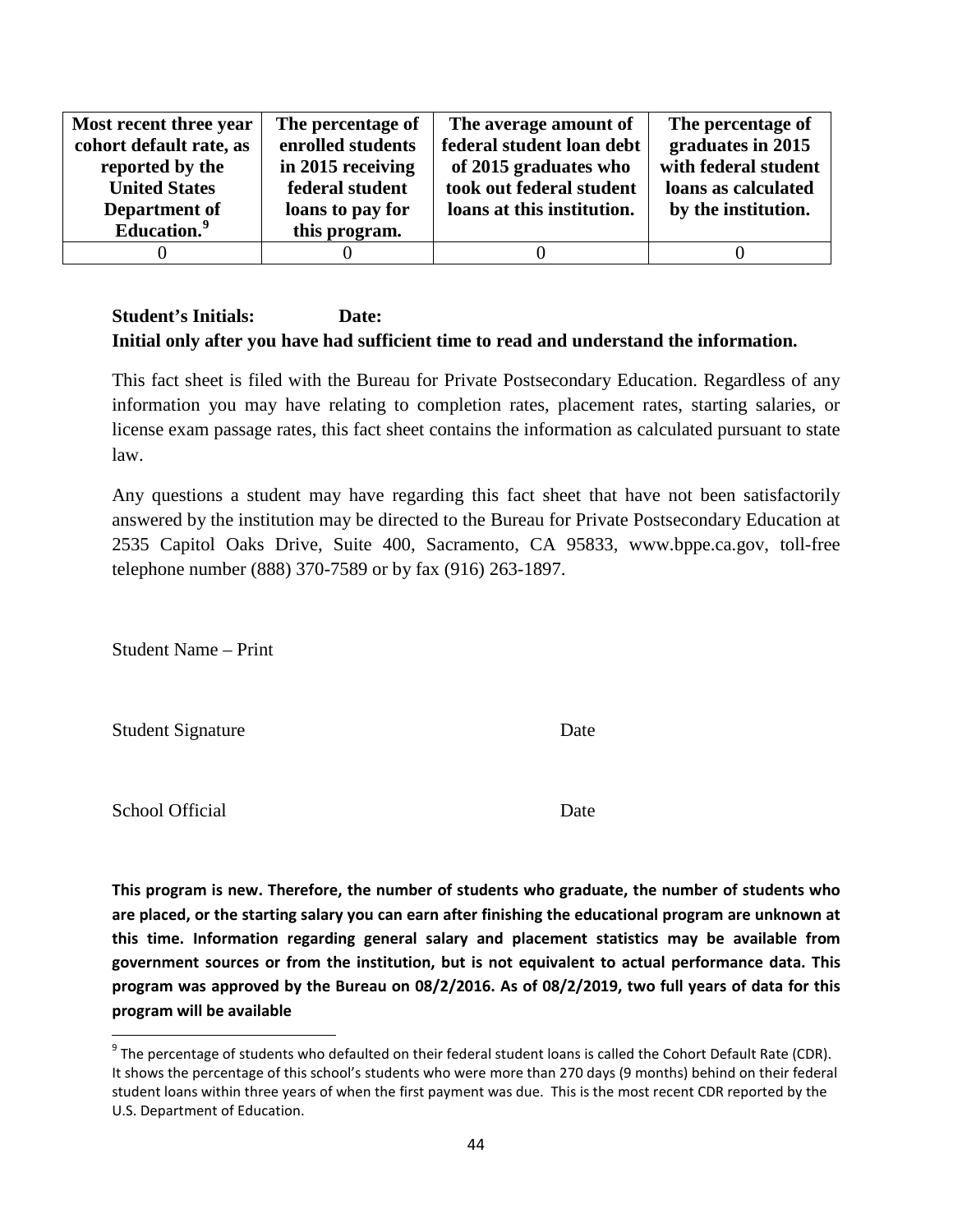| Most recent three year  | The percentage of | The average amount of      | The percentage of    |
|-------------------------|-------------------|----------------------------|----------------------|
| cohort default rate, as | enrolled students | federal student loan debt  | graduates in 2015    |
| reported by the         | in 2015 receiving | of 2015 graduates who      | with federal student |
| <b>United States</b>    | federal student   | took out federal student   | loans as calculated  |
| Department of           | loans to pay for  | loans at this institution. | by the institution.  |
| Education. <sup>9</sup> | this program.     |                            |                      |
|                         |                   |                            |                      |

This fact sheet is filed with the Bureau for Private Postsecondary Education. Regardless of any information you may have relating to completion rates, placement rates, starting salaries, or license exam passage rates, this fact sheet contains the information as calculated pursuant to state law.

Any questions a student may have regarding this fact sheet that have not been satisfactorily answered by the institution may be directed to the Bureau for Private Postsecondary Education at 2535 Capitol Oaks Drive, Suite 400, Sacramento, CA 95833, www.bppe.ca.gov, toll-free telephone number (888) 370-7589 or by fax (916) 263-1897.

Student Name – Print

Student Signature Date

School Official Date

**This program is new. Therefore, the number of students who graduate, the number of students who are placed, or the starting salary you can earn after finishing the educational program are unknown at this time. Information regarding general salary and placement statistics may be available from government sources or from the institution, but is not equivalent to actual performance data. This program was approved by the Bureau on 08/2/2016. As of 08/2/2019, two full years of data for this program will be available**

<span id="page-43-0"></span> $9$  The percentage of students who defaulted on their federal student loans is called the Cohort Default Rate (CDR). It shows the percentage of this school's students who were more than 270 days (9 months) behind on their federal student loans within three years of when the first payment was due. This is the most recent CDR reported by the U.S. Department of Education.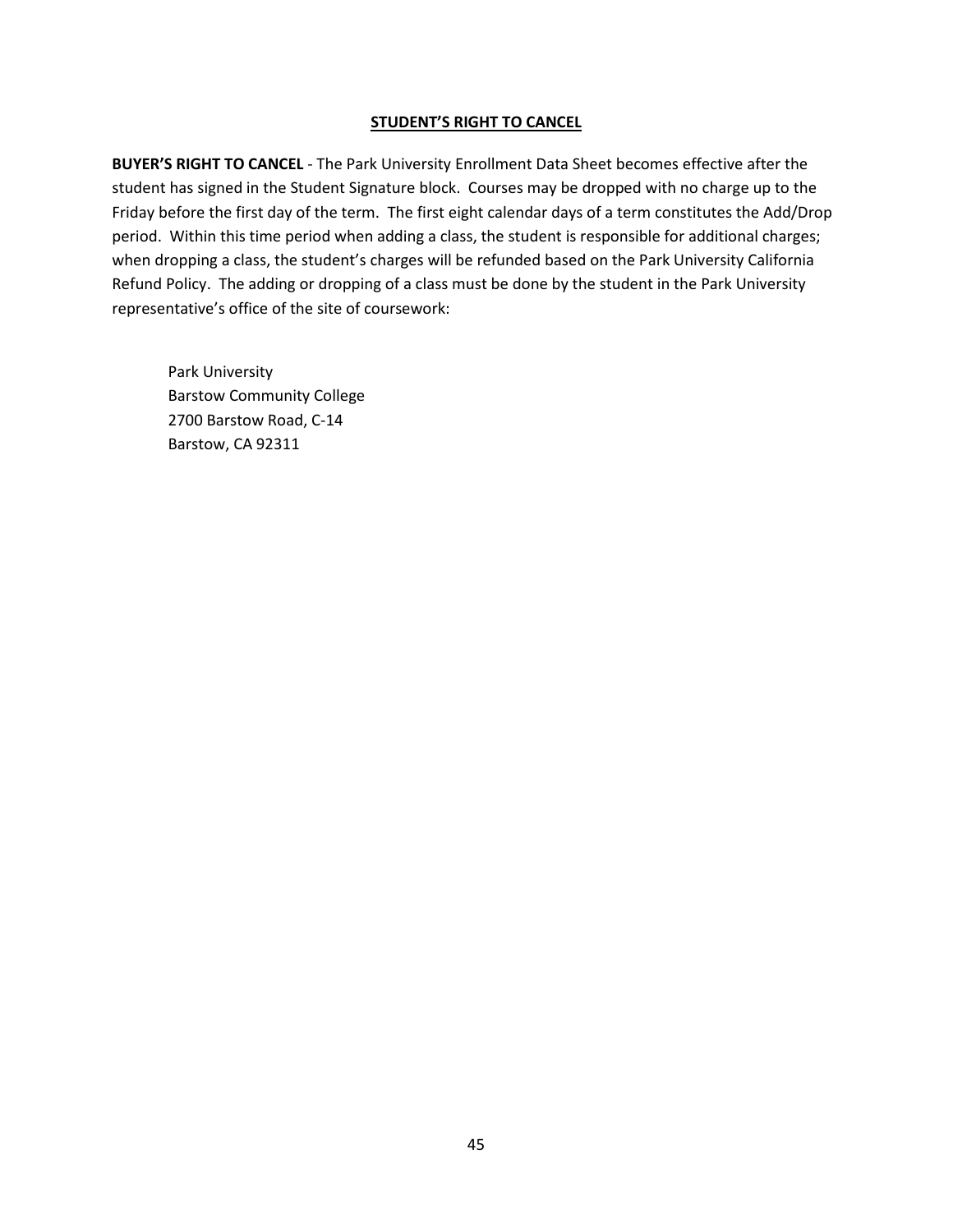#### **STUDENT'S RIGHT TO CANCEL**

**BUYER'S RIGHT TO CANCEL** - The Park University Enrollment Data Sheet becomes effective after the student has signed in the Student Signature block. Courses may be dropped with no charge up to the Friday before the first day of the term. The first eight calendar days of a term constitutes the Add/Drop period. Within this time period when adding a class, the student is responsible for additional charges; when dropping a class, the student's charges will be refunded based on the Park University California Refund Policy. The adding or dropping of a class must be done by the student in the Park University representative's office of the site of coursework:

Park University Barstow Community College 2700 Barstow Road, C-14 Barstow, CA 92311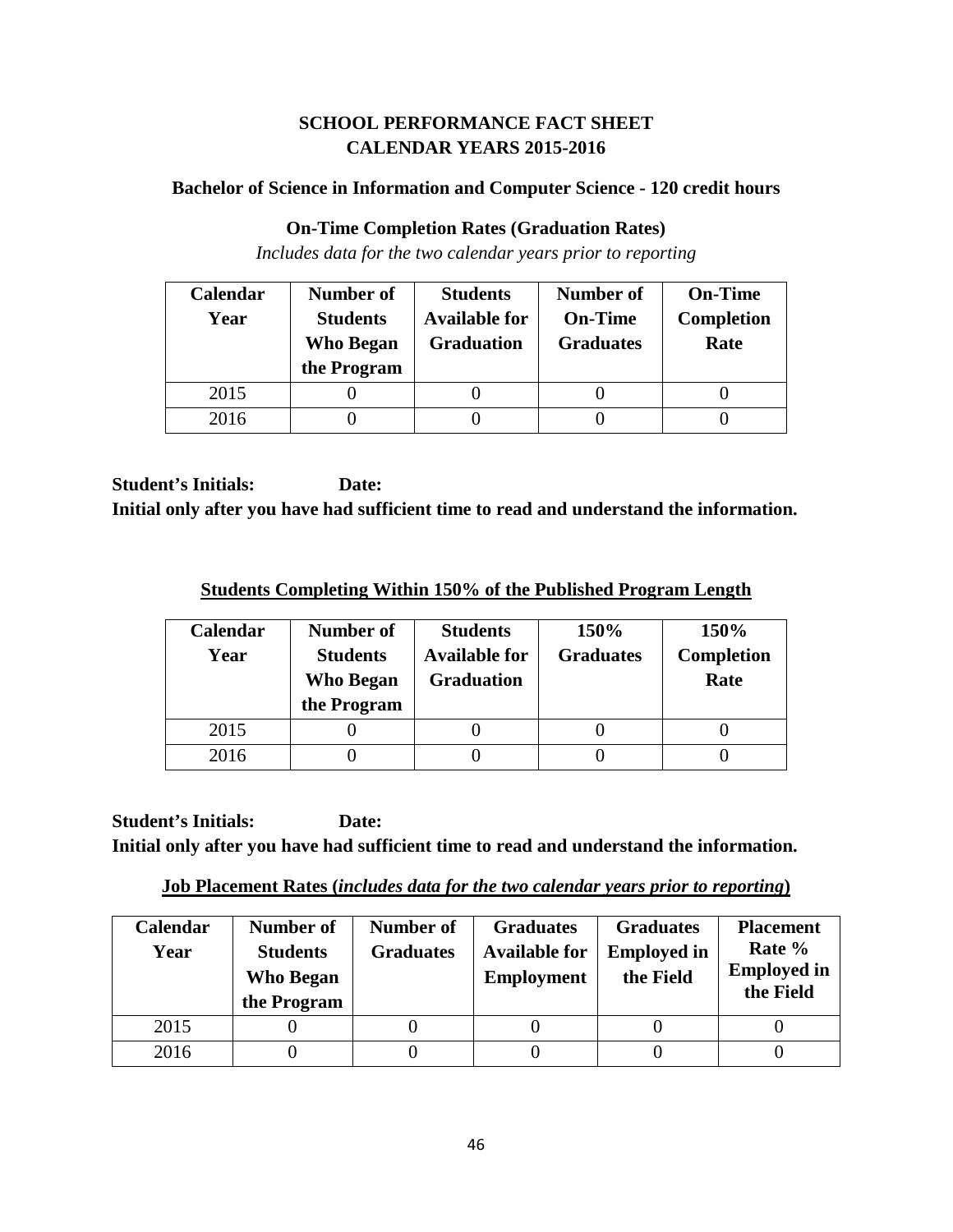# **SCHOOL PERFORMANCE FACT SHEET CALENDAR YEARS 2015-2016**

#### **Bachelor of Science in Information and Computer Science - 120 credit hours**

#### **On-Time Completion Rates (Graduation Rates)**

*Includes data for the two calendar years prior to reporting*

| Calendar | Number of        | <b>Students</b>      | <b>Number of</b> | <b>On-Time</b>    |
|----------|------------------|----------------------|------------------|-------------------|
| Year     | <b>Students</b>  | <b>Available for</b> | <b>On-Time</b>   | <b>Completion</b> |
|          | <b>Who Began</b> | <b>Graduation</b>    | <b>Graduates</b> | Rate              |
|          | the Program      |                      |                  |                   |
| 2015     |                  |                      |                  |                   |
| 2016     |                  |                      |                  |                   |

**Student's Initials: Date: Initial only after you have had sufficient time to read and understand the information.**

**Students Completing Within 150% of the Published Program Length**

| <b>Calendar</b><br>Year | Number of<br><b>Students</b><br>Who Began<br>the Program | <b>Students</b><br><b>Available for</b><br><b>Graduation</b> | 150%<br><b>Graduates</b> | 150%<br>Completion<br>Rate |
|-------------------------|----------------------------------------------------------|--------------------------------------------------------------|--------------------------|----------------------------|
| 2015                    |                                                          |                                                              |                          |                            |
| 2016                    |                                                          |                                                              |                          |                            |

**Student's Initials: Date: Initial only after you have had sufficient time to read and understand the information.**

**Job Placement Rates (***includes data for the two calendar years prior to reporting***)**

| Calendar<br>Year | Number of<br><b>Students</b><br><b>Who Began</b><br>the Program | Number of<br><b>Graduates</b> | <b>Graduates</b><br><b>Available for</b><br><b>Employment</b> | <b>Graduates</b><br><b>Employed in</b><br>the Field | <b>Placement</b><br>Rate %<br><b>Employed in</b><br>the Field |
|------------------|-----------------------------------------------------------------|-------------------------------|---------------------------------------------------------------|-----------------------------------------------------|---------------------------------------------------------------|
| 2015             |                                                                 |                               |                                                               |                                                     |                                                               |
| 2016             |                                                                 |                               |                                                               |                                                     |                                                               |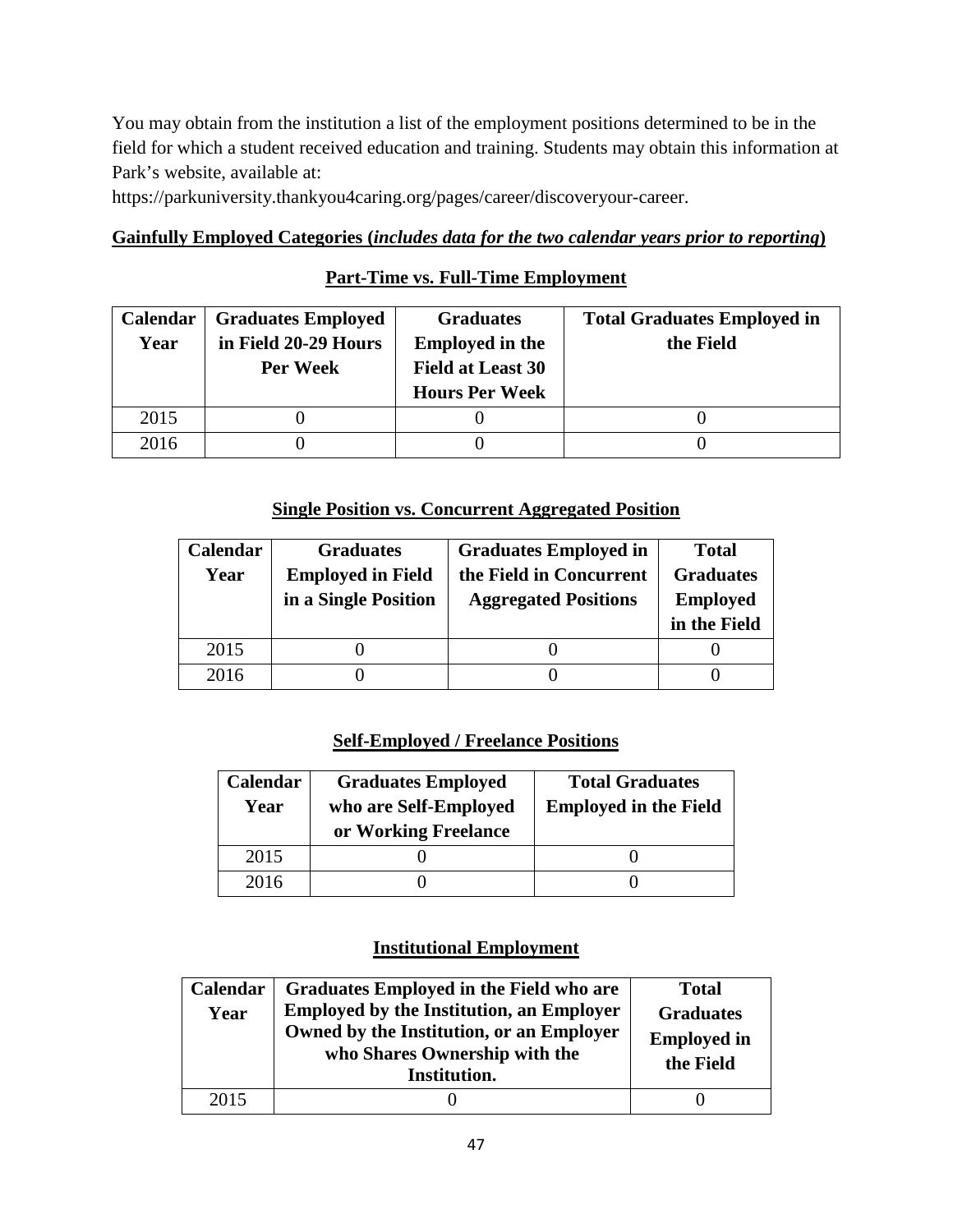You may obtain from the institution a list of the employment positions determined to be in the field for which a student received education and training. Students may obtain this information at Park's website, available at:

https://parkuniversity.thankyou4caring.org/pages/career/discoveryour-career.

# **Gainfully Employed Categories (***includes data for the two calendar years prior to reporting***)**

# **Part-Time vs. Full-Time Employment**

| <b>Calendar</b> | <b>Graduates Employed</b> | <b>Graduates</b>         | <b>Total Graduates Employed in</b> |
|-----------------|---------------------------|--------------------------|------------------------------------|
| Year            | in Field 20-29 Hours      | <b>Employed in the</b>   | the Field                          |
|                 | Per Week                  | <b>Field at Least 30</b> |                                    |
|                 |                           | <b>Hours Per Week</b>    |                                    |
| 2015            |                           |                          |                                    |
| 2016            |                           |                          |                                    |

## **Single Position vs. Concurrent Aggregated Position**

| Calendar | <b>Graduates</b>         | <b>Graduates Employed in</b> | <b>Total</b>     |
|----------|--------------------------|------------------------------|------------------|
| Year     | <b>Employed in Field</b> | the Field in Concurrent      | <b>Graduates</b> |
|          | in a Single Position     | <b>Aggregated Positions</b>  | <b>Employed</b>  |
|          |                          |                              | in the Field     |
|          |                          |                              |                  |
| 2015     |                          |                              |                  |

# **Self-Employed / Freelance Positions**

| Calendar<br>Year | <b>Graduates Employed</b><br>who are Self-Employed<br>or Working Freelance | <b>Total Graduates</b><br><b>Employed in the Field</b> |
|------------------|----------------------------------------------------------------------------|--------------------------------------------------------|
| 2015             |                                                                            |                                                        |
| 2016             |                                                                            |                                                        |

| Calendar<br>Year | <b>Graduates Employed in the Field who are</b><br><b>Employed by the Institution, an Employer</b><br>Owned by the Institution, or an Employer<br>who Shares Ownership with the<br>Institution. | <b>Total</b><br><b>Graduates</b><br><b>Employed in</b><br>the Field |
|------------------|------------------------------------------------------------------------------------------------------------------------------------------------------------------------------------------------|---------------------------------------------------------------------|
| 2015             |                                                                                                                                                                                                |                                                                     |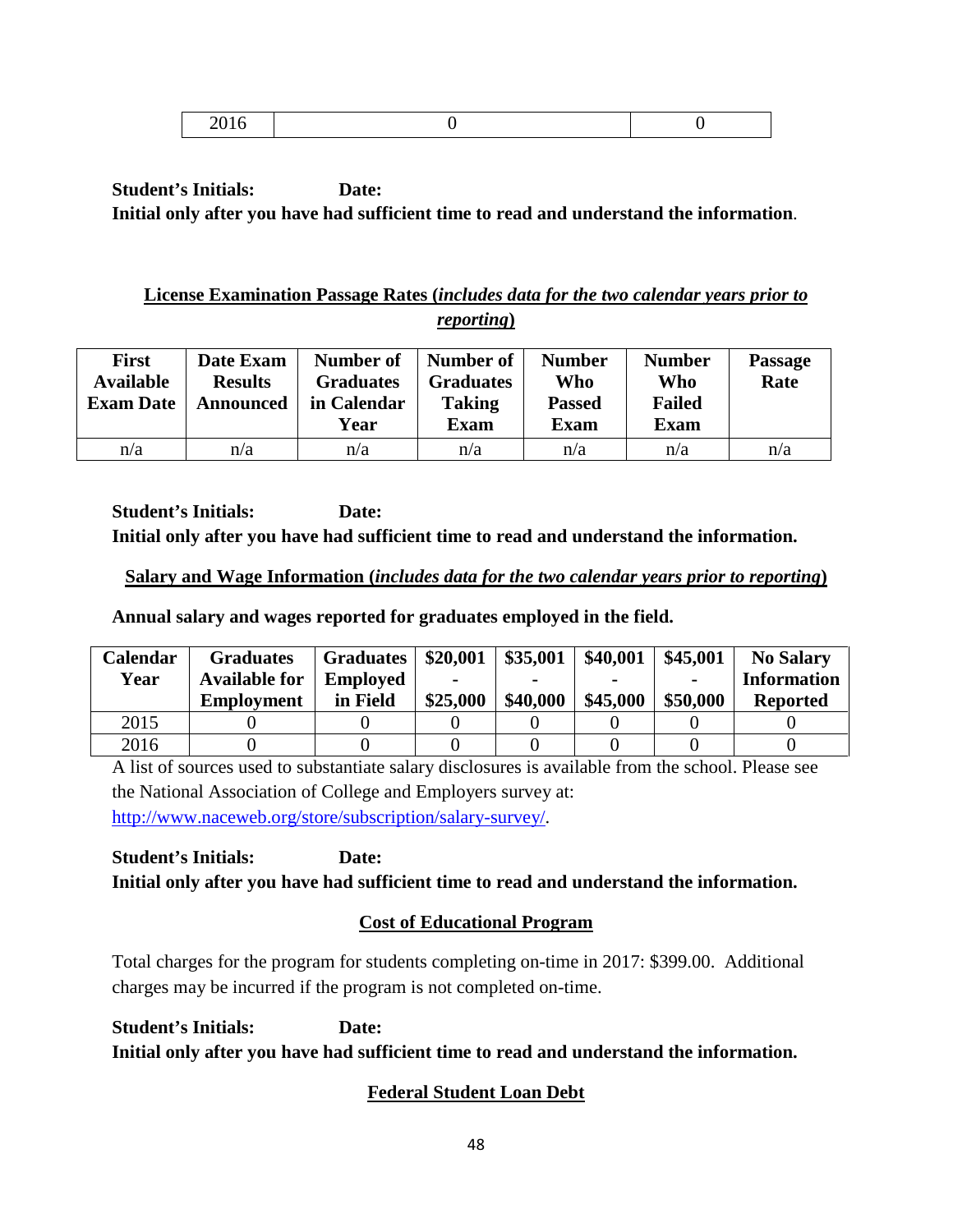|--|

# **License Examination Passage Rates (***includes data for the two calendar years prior to reporting***)**

| <b>First</b><br><b>Available</b><br><b>Exam Date</b> | Date Exam<br><b>Results</b><br><b>Announced</b> | Number of<br><b>Graduates</b><br>in Calendar<br>Year | Number of<br><b>Graduates</b><br><b>Taking</b><br><b>Exam</b> | <b>Number</b><br>Who<br><b>Passed</b><br>Exam | <b>Number</b><br>Who<br><b>Failed</b><br><b>Exam</b> | <b>Passage</b><br>Rate |
|------------------------------------------------------|-------------------------------------------------|------------------------------------------------------|---------------------------------------------------------------|-----------------------------------------------|------------------------------------------------------|------------------------|
| n/a                                                  | n/a                                             | n/a                                                  | n/a                                                           | n/a                                           | n/a                                                  | n/a                    |

**Student's Initials: Date: Initial only after you have had sufficient time to read and understand the information.**

## **Salary and Wage Information (***includes data for the two calendar years prior to reporting***)**

**Annual salary and wages reported for graduates employed in the field.**

| Calendar | <b>Graduates</b>     | <b>Graduates</b> | \$20,001 | \$35,001 | \$40,001 | \$45,001       | <b>No Salary</b>   |
|----------|----------------------|------------------|----------|----------|----------|----------------|--------------------|
| Year     | <b>Available for</b> | <b>Employed</b>  |          |          |          | $\blacksquare$ | <b>Information</b> |
|          | <b>Employment</b>    | in Field         | \$25,000 | \$40,000 | \$45,000 | \$50,000       | <b>Reported</b>    |
| 2015     |                      |                  |          |          |          |                |                    |
| 2016     |                      |                  |          |          |          |                |                    |

A list of sources used to substantiate salary disclosures is available from the school. Please see the National Association of College and Employers survey at: [http://www.naceweb.org/store/subscription/salary-survey/.](http://www.naceweb.org/store/subscription/salary-survey/)

**Student's Initials: Date: Initial only after you have had sufficient time to read and understand the information.**

# **Cost of Educational Program**

Total charges for the program for students completing on-time in 2017: \$399.00. Additional charges may be incurred if the program is not completed on-time.

**Student's Initials: Date: Initial only after you have had sufficient time to read and understand the information.**

# **Federal Student Loan Debt**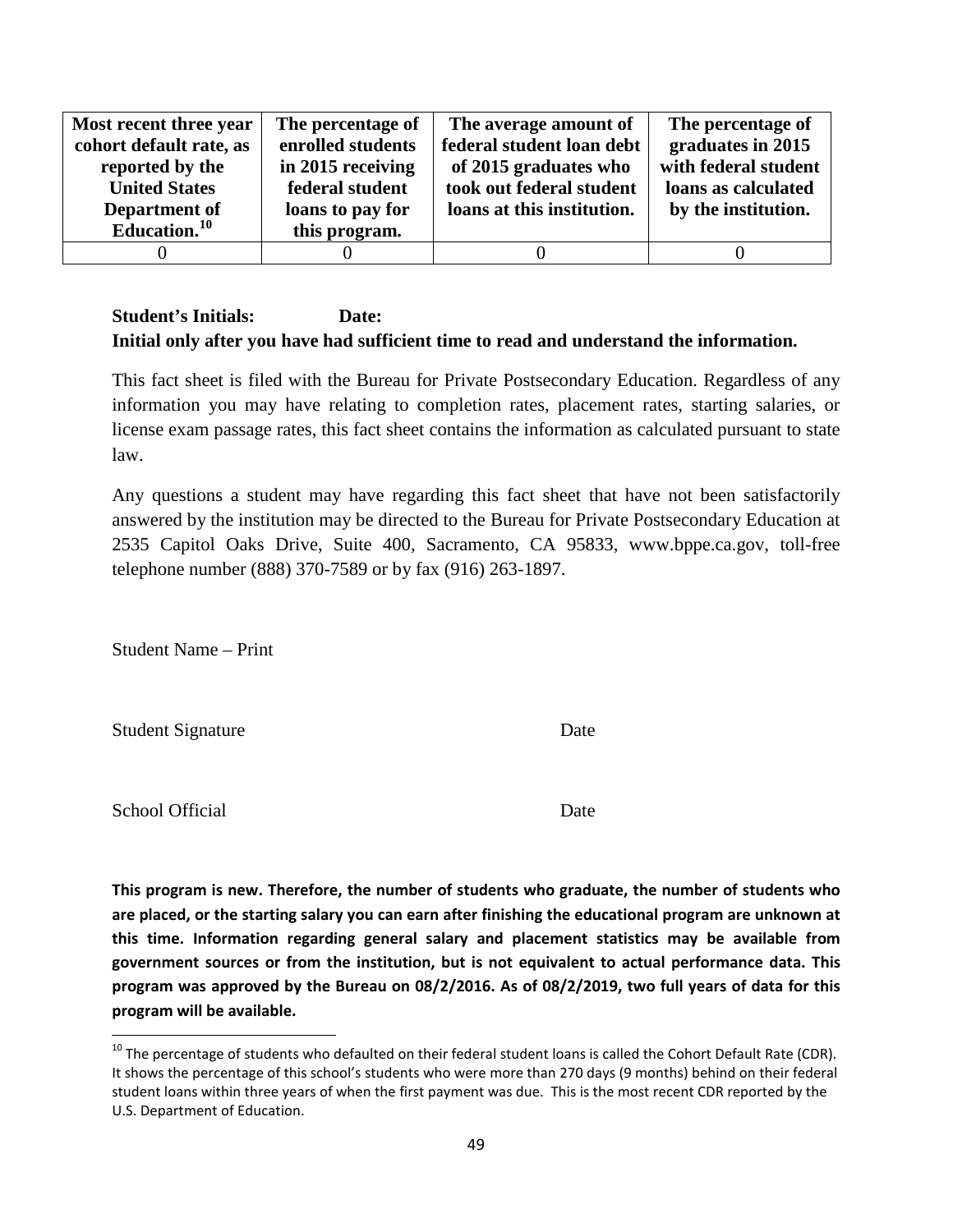| Most recent three year  | The percentage of | The average amount of      | The percentage of    |
|-------------------------|-------------------|----------------------------|----------------------|
| cohort default rate, as | enrolled students | federal student loan debt  | graduates in 2015    |
| reported by the         | in 2015 receiving | of 2015 graduates who      | with federal student |
| <b>United States</b>    | federal student   | took out federal student   | loans as calculated  |
| Department of           | loans to pay for  | loans at this institution. | by the institution.  |
| Education. $10$         | this program.     |                            |                      |
|                         |                   |                            |                      |

This fact sheet is filed with the Bureau for Private Postsecondary Education. Regardless of any information you may have relating to completion rates, placement rates, starting salaries, or license exam passage rates, this fact sheet contains the information as calculated pursuant to state law.

Any questions a student may have regarding this fact sheet that have not been satisfactorily answered by the institution may be directed to the Bureau for Private Postsecondary Education at 2535 Capitol Oaks Drive, Suite 400, Sacramento, CA 95833, www.bppe.ca.gov, toll-free telephone number (888) 370-7589 or by fax (916) 263-1897.

Student Name – Print

Student Signature Date

School Official Date

**This program is new. Therefore, the number of students who graduate, the number of students who are placed, or the starting salary you can earn after finishing the educational program are unknown at this time. Information regarding general salary and placement statistics may be available from government sources or from the institution, but is not equivalent to actual performance data. This program was approved by the Bureau on 08/2/2016. As of 08/2/2019, two full years of data for this program will be available.**

<span id="page-48-0"></span> $10$  The percentage of students who defaulted on their federal student loans is called the Cohort Default Rate (CDR). It shows the percentage of this school's students who were more than 270 days (9 months) behind on their federal student loans within three years of when the first payment was due. This is the most recent CDR reported by the U.S. Department of Education.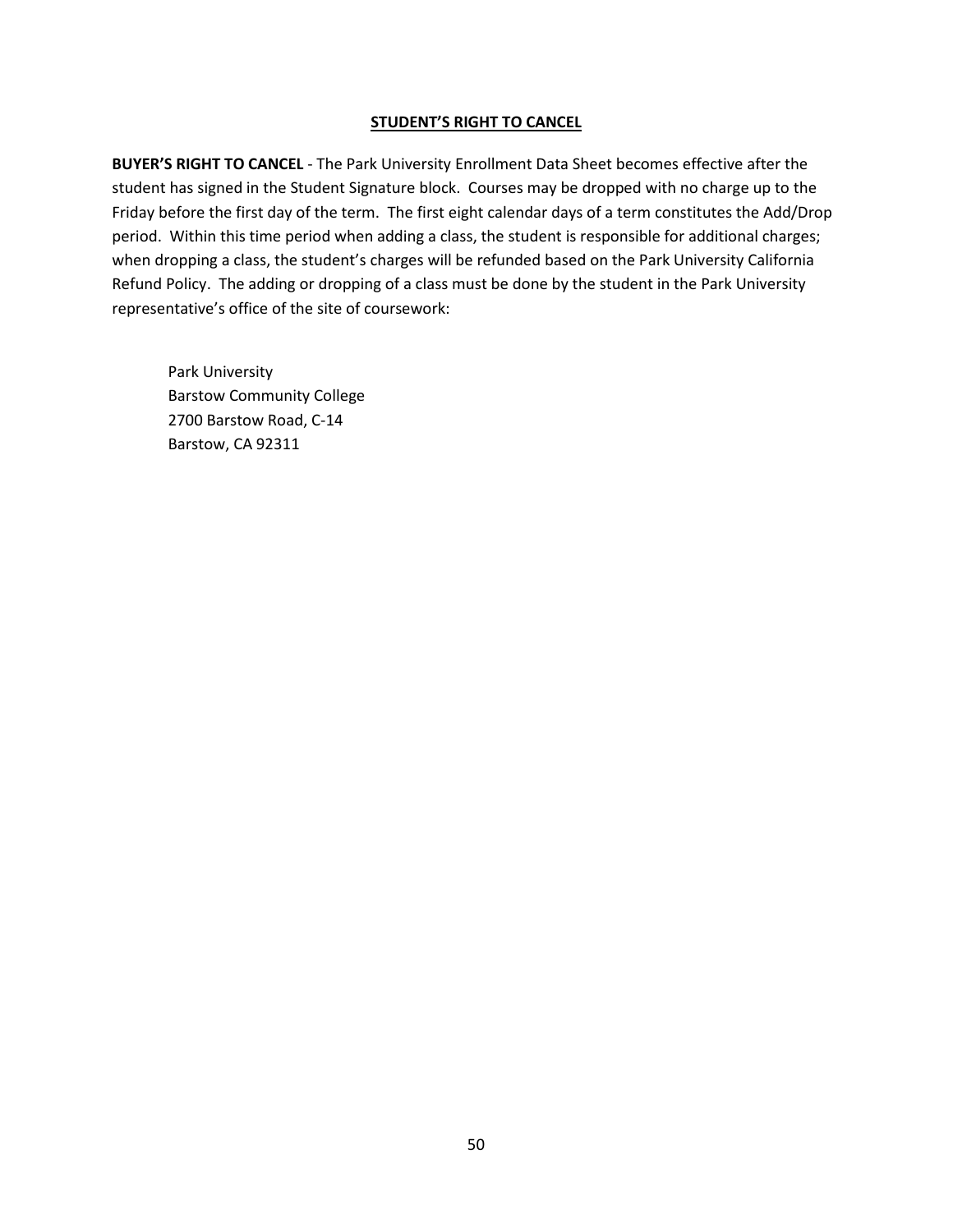#### **STUDENT'S RIGHT TO CANCEL**

**BUYER'S RIGHT TO CANCEL** - The Park University Enrollment Data Sheet becomes effective after the student has signed in the Student Signature block. Courses may be dropped with no charge up to the Friday before the first day of the term. The first eight calendar days of a term constitutes the Add/Drop period. Within this time period when adding a class, the student is responsible for additional charges; when dropping a class, the student's charges will be refunded based on the Park University California Refund Policy. The adding or dropping of a class must be done by the student in the Park University representative's office of the site of coursework:

Park University Barstow Community College 2700 Barstow Road, C-14 Barstow, CA 92311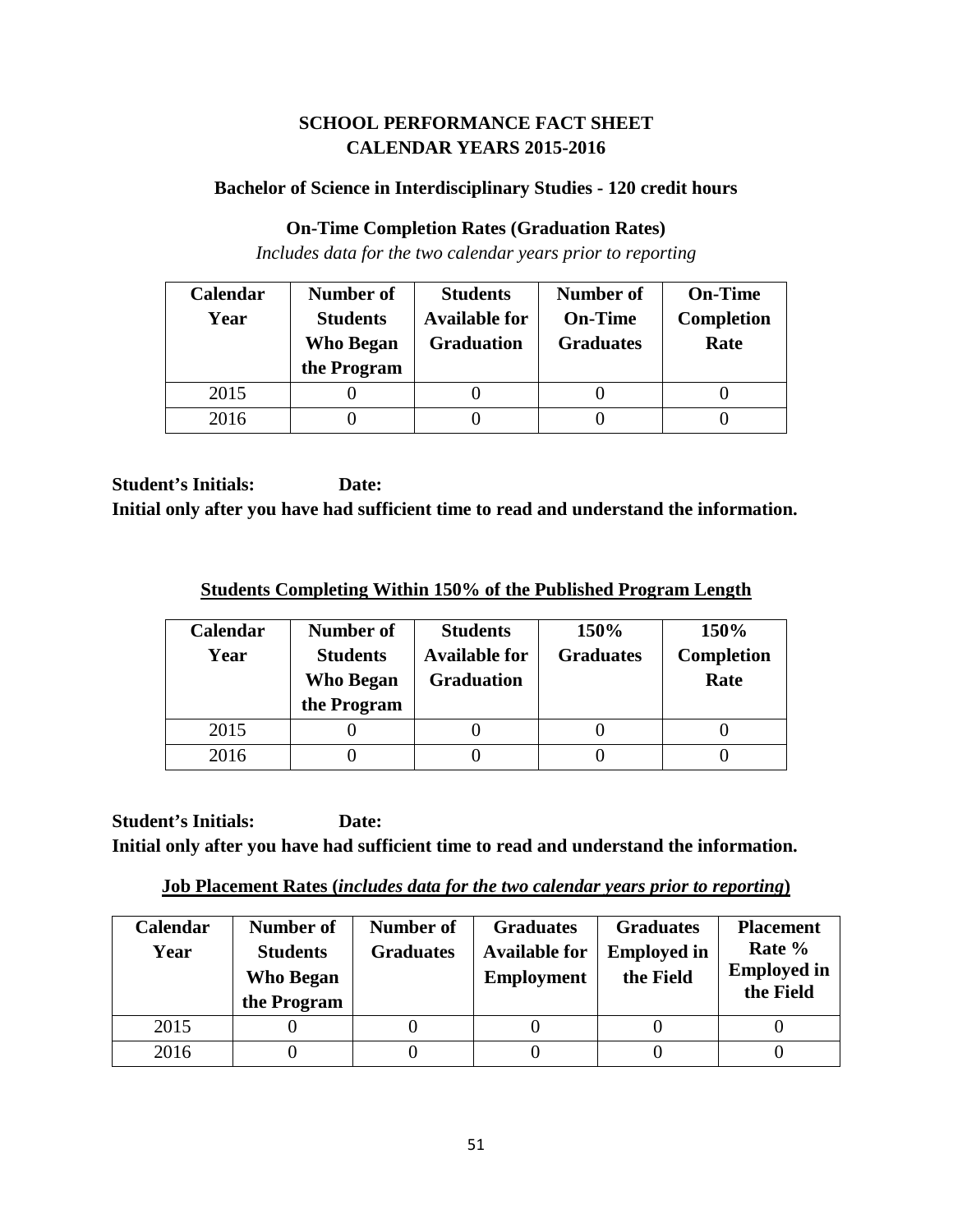# **SCHOOL PERFORMANCE FACT SHEET CALENDAR YEARS 2015-2016**

## **Bachelor of Science in Interdisciplinary Studies - 120 credit hours**

# **On-Time Completion Rates (Graduation Rates)**

*Includes data for the two calendar years prior to reporting*

| Calendar | Number of                           | <b>Students</b>                           | <b>Number of</b>                   | <b>On-Time</b>            |
|----------|-------------------------------------|-------------------------------------------|------------------------------------|---------------------------|
| Year     | <b>Students</b><br><b>Who Began</b> | <b>Available for</b><br><b>Graduation</b> | <b>On-Time</b><br><b>Graduates</b> | <b>Completion</b><br>Rate |
|          | the Program                         |                                           |                                    |                           |
| 2015     |                                     |                                           |                                    |                           |
| 2016     |                                     |                                           |                                    |                           |

**Student's Initials: Date: Initial only after you have had sufficient time to read and understand the information.**

**Students Completing Within 150% of the Published Program Length**

| <b>Calendar</b><br>Year | Number of<br><b>Students</b><br>Who Began<br>the Program | <b>Students</b><br><b>Available for</b><br><b>Graduation</b> | 150%<br><b>Graduates</b> | 150%<br><b>Completion</b><br>Rate |
|-------------------------|----------------------------------------------------------|--------------------------------------------------------------|--------------------------|-----------------------------------|
| 2015                    |                                                          |                                                              |                          |                                   |
| 2016                    |                                                          |                                                              |                          |                                   |

**Student's Initials: Date: Initial only after you have had sufficient time to read and understand the information.**

**Job Placement Rates (***includes data for the two calendar years prior to reporting***)**

| <b>Calendar</b><br>Year | Number of<br><b>Students</b><br><b>Who Began</b><br>the Program | Number of<br><b>Graduates</b> | <b>Graduates</b><br><b>Available for</b><br><b>Employment</b> | <b>Graduates</b><br><b>Employed in</b><br>the Field | <b>Placement</b><br>Rate %<br><b>Employed in</b><br>the Field |
|-------------------------|-----------------------------------------------------------------|-------------------------------|---------------------------------------------------------------|-----------------------------------------------------|---------------------------------------------------------------|
| 2015                    |                                                                 |                               |                                                               |                                                     |                                                               |
| 2016                    |                                                                 |                               |                                                               |                                                     |                                                               |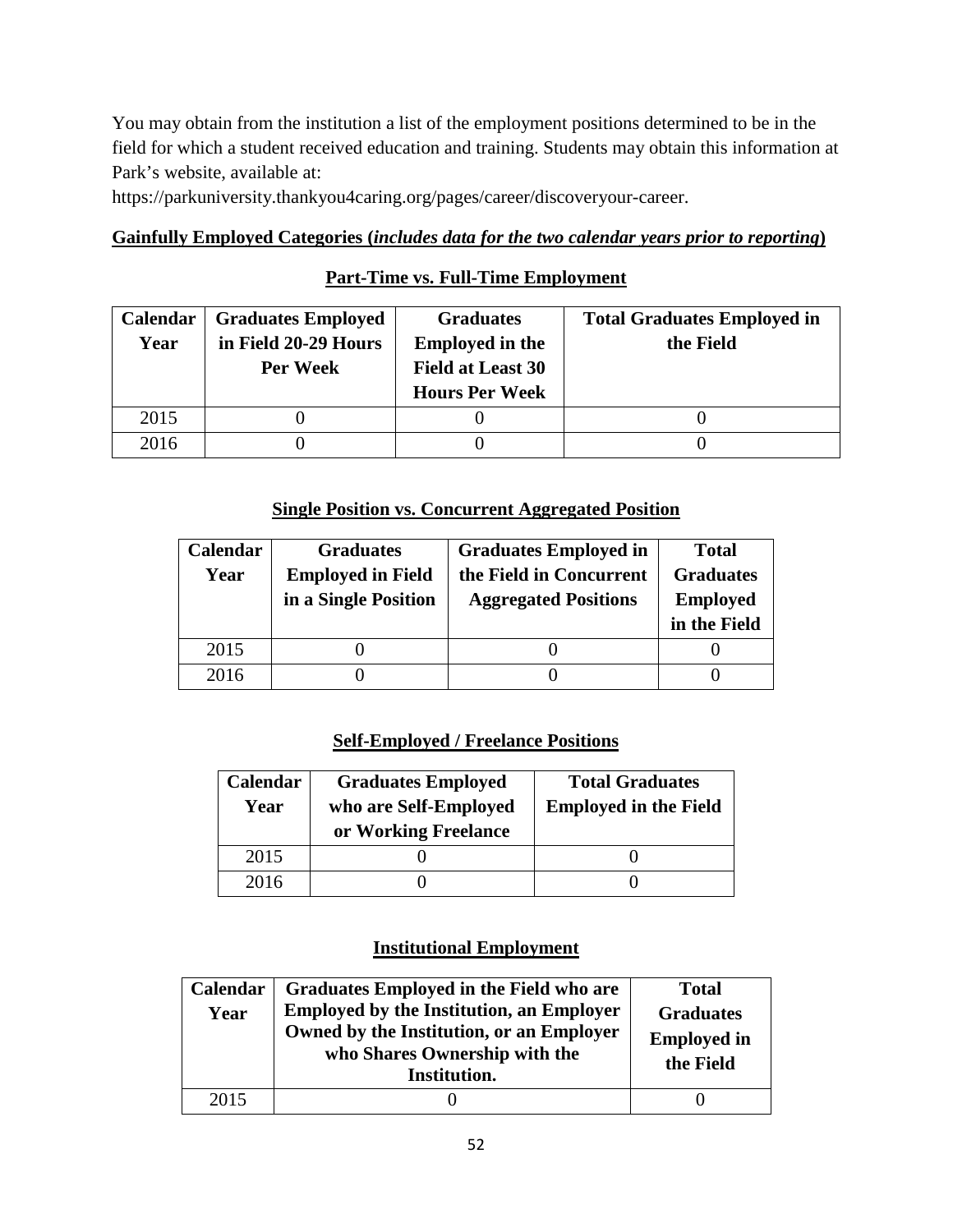You may obtain from the institution a list of the employment positions determined to be in the field for which a student received education and training. Students may obtain this information at Park's website, available at:

https://parkuniversity.thankyou4caring.org/pages/career/discoveryour-career.

# **Gainfully Employed Categories (***includes data for the two calendar years prior to reporting***)**

# **Part-Time vs. Full-Time Employment**

| <b>Calendar</b> | <b>Graduates Employed</b> | <b>Graduates</b>         | <b>Total Graduates Employed in</b> |
|-----------------|---------------------------|--------------------------|------------------------------------|
| Year            | in Field 20-29 Hours      | <b>Employed in the</b>   | the Field                          |
|                 | Per Week                  | <b>Field at Least 30</b> |                                    |
|                 |                           | <b>Hours Per Week</b>    |                                    |
| 2015            |                           |                          |                                    |
| 2016            |                           |                          |                                    |

## **Single Position vs. Concurrent Aggregated Position**

| Calendar | <b>Graduates</b>         | <b>Graduates Employed in</b> | <b>Total</b>     |
|----------|--------------------------|------------------------------|------------------|
| Year     | <b>Employed in Field</b> | the Field in Concurrent      | <b>Graduates</b> |
|          | in a Single Position     | <b>Aggregated Positions</b>  | <b>Employed</b>  |
|          |                          |                              | in the Field     |
| 2015     |                          |                              |                  |
| 2016     |                          |                              |                  |

# **Self-Employed / Freelance Positions**

| Calendar<br>Year | <b>Graduates Employed</b><br>who are Self-Employed<br>or Working Freelance | <b>Total Graduates</b><br><b>Employed in the Field</b> |
|------------------|----------------------------------------------------------------------------|--------------------------------------------------------|
| 2015             |                                                                            |                                                        |
| 2016             |                                                                            |                                                        |

| Calendar<br>Year | Graduates Employed in the Field who are<br><b>Employed by the Institution, an Employer</b><br>Owned by the Institution, or an Employer<br>who Shares Ownership with the<br>Institution. | <b>Total</b><br><b>Graduates</b><br><b>Employed in</b><br>the Field |
|------------------|-----------------------------------------------------------------------------------------------------------------------------------------------------------------------------------------|---------------------------------------------------------------------|
| 2015             |                                                                                                                                                                                         |                                                                     |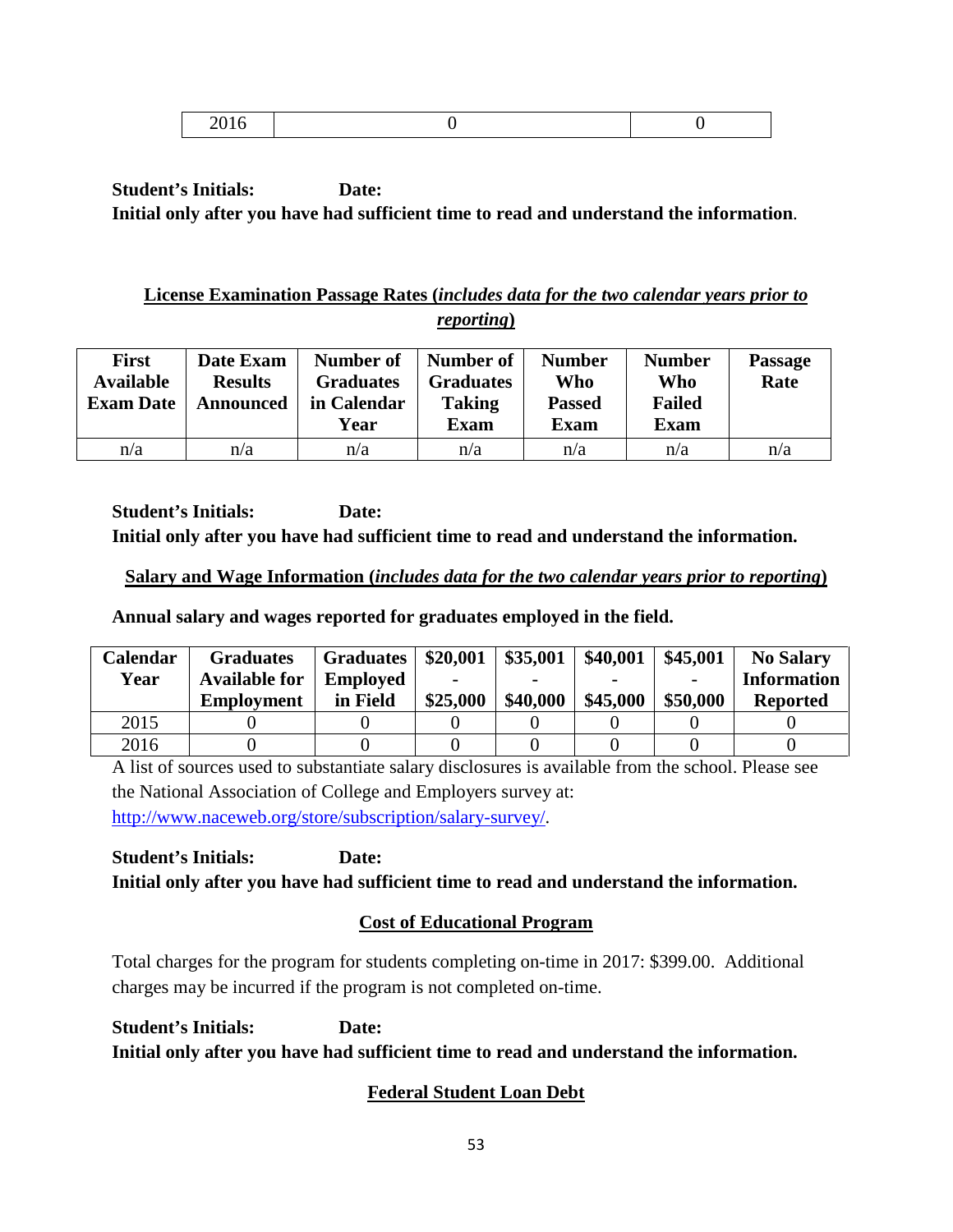|--|--|

# **License Examination Passage Rates (***includes data for the two calendar years prior to reporting***)**

| <b>First</b><br><b>Available</b><br><b>Exam Date</b> | Date Exam<br><b>Results</b><br>Announced | Number of<br><b>Graduates</b><br>in Calendar<br>Year | Number of<br><b>Graduates</b><br><b>Taking</b><br><b>Exam</b> | <b>Number</b><br>Who<br><b>Passed</b><br><b>Exam</b> | <b>Number</b><br>Who<br><b>Failed</b><br><b>Exam</b> | <b>Passage</b><br>Rate |
|------------------------------------------------------|------------------------------------------|------------------------------------------------------|---------------------------------------------------------------|------------------------------------------------------|------------------------------------------------------|------------------------|
| n/a                                                  | n/a                                      | n/a                                                  | n/a                                                           | n/a                                                  | n/a                                                  | n/a                    |

**Student's Initials: Date: Initial only after you have had sufficient time to read and understand the information.**

## **Salary and Wage Information (***includes data for the two calendar years prior to reporting***)**

**Annual salary and wages reported for graduates employed in the field.**

| Calendar | <b>Graduates</b>     | <b>Graduates</b> | \$20,001 | \$35,001 | \$40,001 | \$45,001       | <b>No Salary</b>   |
|----------|----------------------|------------------|----------|----------|----------|----------------|--------------------|
| Year     | <b>Available for</b> | <b>Employed</b>  |          |          |          | $\blacksquare$ | <b>Information</b> |
|          | <b>Employment</b>    | in Field         | \$25,000 | \$40,000 | \$45,000 | \$50,000       | <b>Reported</b>    |
| 2015     |                      |                  |          |          |          |                |                    |
| 2016     |                      |                  |          |          |          |                |                    |

A list of sources used to substantiate salary disclosures is available from the school. Please see the National Association of College and Employers survey at: [http://www.naceweb.org/store/subscription/salary-survey/.](http://www.naceweb.org/store/subscription/salary-survey/)

**Student's Initials: Date: Initial only after you have had sufficient time to read and understand the information.**

# **Cost of Educational Program**

Total charges for the program for students completing on-time in 2017: \$399.00. Additional charges may be incurred if the program is not completed on-time.

**Student's Initials: Date: Initial only after you have had sufficient time to read and understand the information.**

# **Federal Student Loan Debt**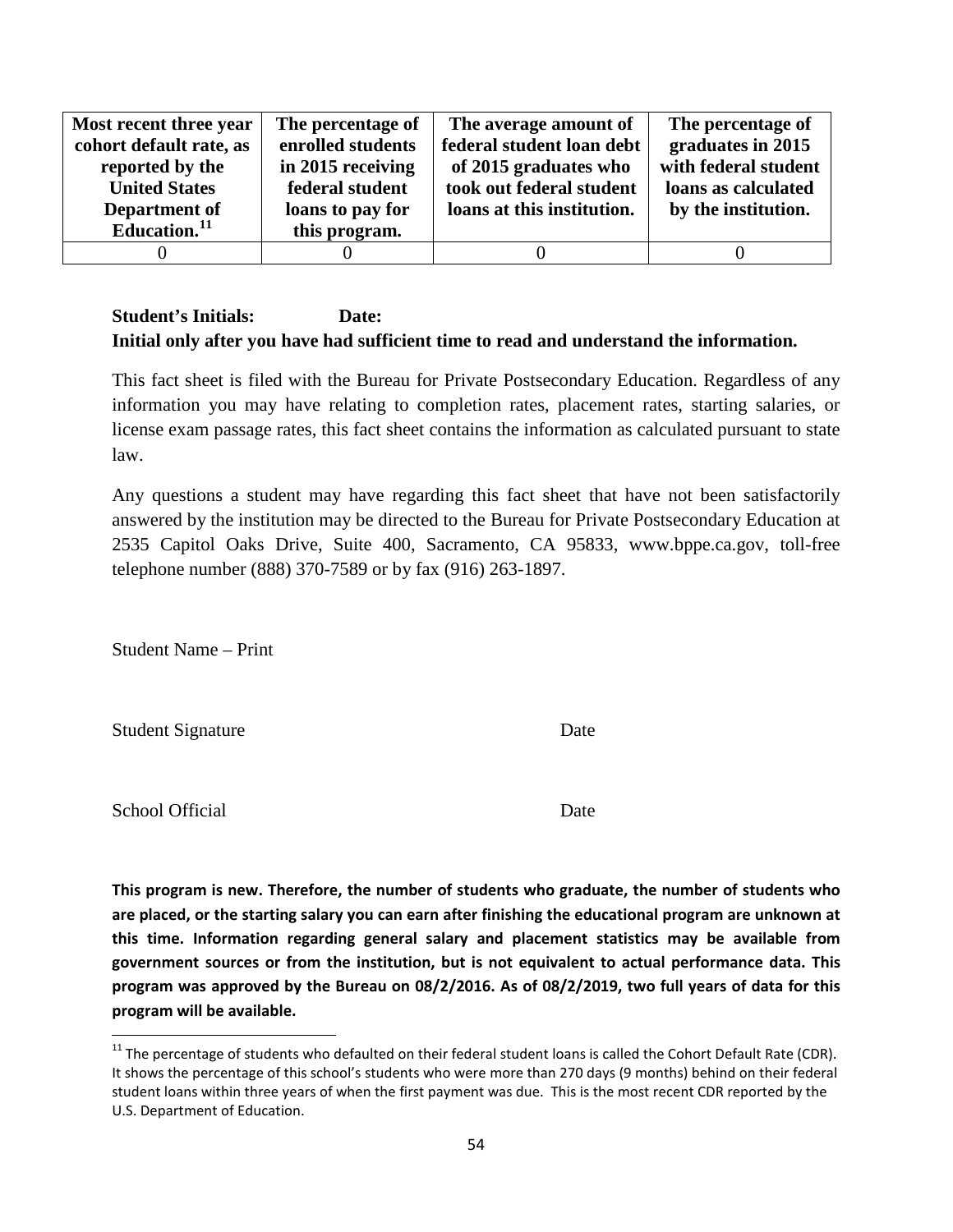| Most recent three year   | The percentage of | The average amount of      | The percentage of    |
|--------------------------|-------------------|----------------------------|----------------------|
| cohort default rate, as  | enrolled students | federal student loan debt  | graduates in 2015    |
| reported by the          | in 2015 receiving | of 2015 graduates who      | with federal student |
| <b>United States</b>     | federal student   | took out federal student   | loans as calculated  |
| Department of            | loans to pay for  | loans at this institution. | by the institution.  |
| Education. <sup>11</sup> | this program.     |                            |                      |
|                          |                   |                            |                      |

This fact sheet is filed with the Bureau for Private Postsecondary Education. Regardless of any information you may have relating to completion rates, placement rates, starting salaries, or license exam passage rates, this fact sheet contains the information as calculated pursuant to state law.

Any questions a student may have regarding this fact sheet that have not been satisfactorily answered by the institution may be directed to the Bureau for Private Postsecondary Education at 2535 Capitol Oaks Drive, Suite 400, Sacramento, CA 95833, www.bppe.ca.gov, toll-free telephone number (888) 370-7589 or by fax (916) 263-1897.

Student Name – Print

Student Signature Date

School Official Date

**This program is new. Therefore, the number of students who graduate, the number of students who are placed, or the starting salary you can earn after finishing the educational program are unknown at this time. Information regarding general salary and placement statistics may be available from government sources or from the institution, but is not equivalent to actual performance data. This program was approved by the Bureau on 08/2/2016. As of 08/2/2019, two full years of data for this program will be available.**

<span id="page-53-0"></span> $11$  The percentage of students who defaulted on their federal student loans is called the Cohort Default Rate (CDR). It shows the percentage of this school's students who were more than 270 days (9 months) behind on their federal student loans within three years of when the first payment was due. This is the most recent CDR reported by the U.S. Department of Education.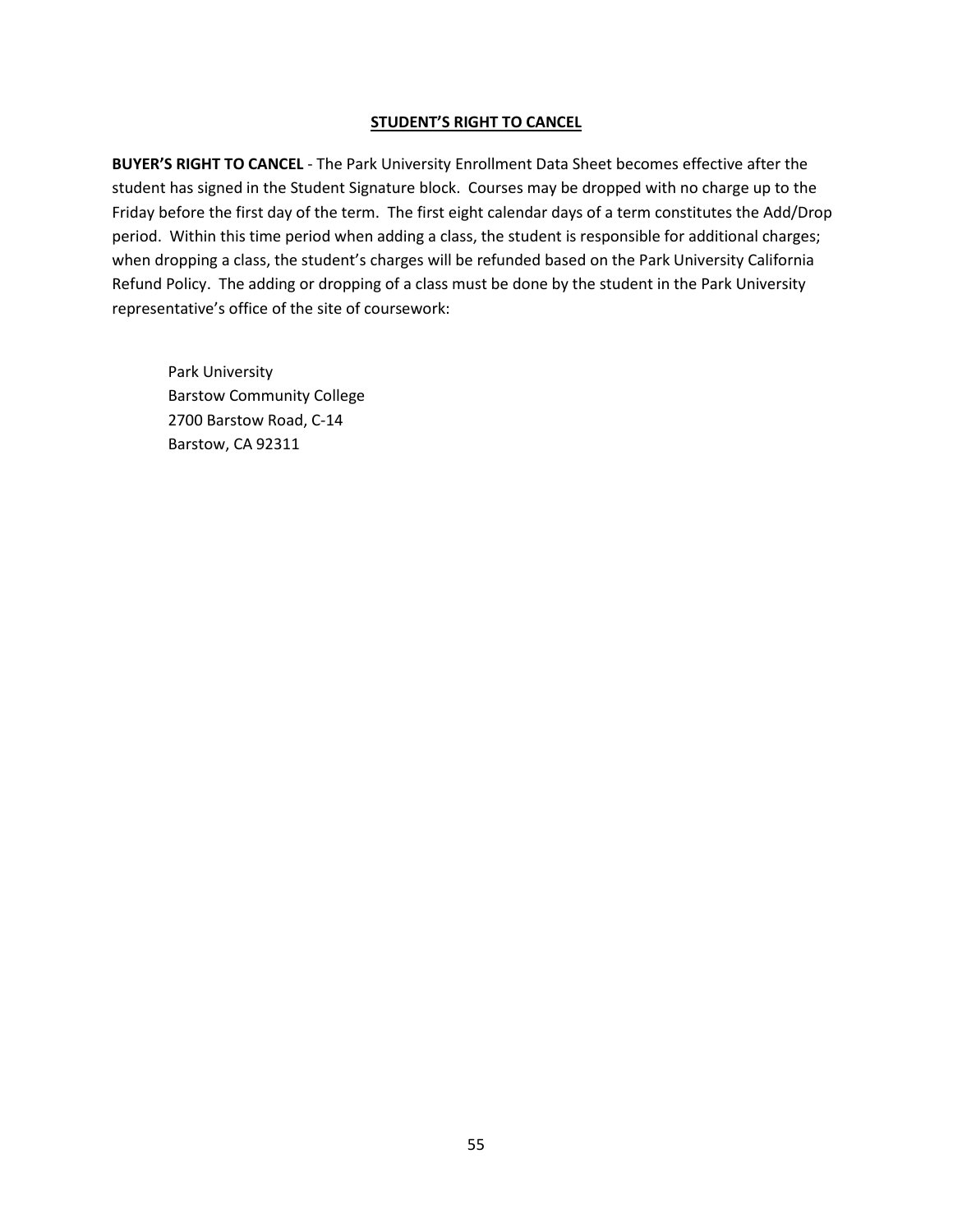#### **STUDENT'S RIGHT TO CANCEL**

**BUYER'S RIGHT TO CANCEL** - The Park University Enrollment Data Sheet becomes effective after the student has signed in the Student Signature block. Courses may be dropped with no charge up to the Friday before the first day of the term. The first eight calendar days of a term constitutes the Add/Drop period. Within this time period when adding a class, the student is responsible for additional charges; when dropping a class, the student's charges will be refunded based on the Park University California Refund Policy. The adding or dropping of a class must be done by the student in the Park University representative's office of the site of coursework:

Park University Barstow Community College 2700 Barstow Road, C-14 Barstow, CA 92311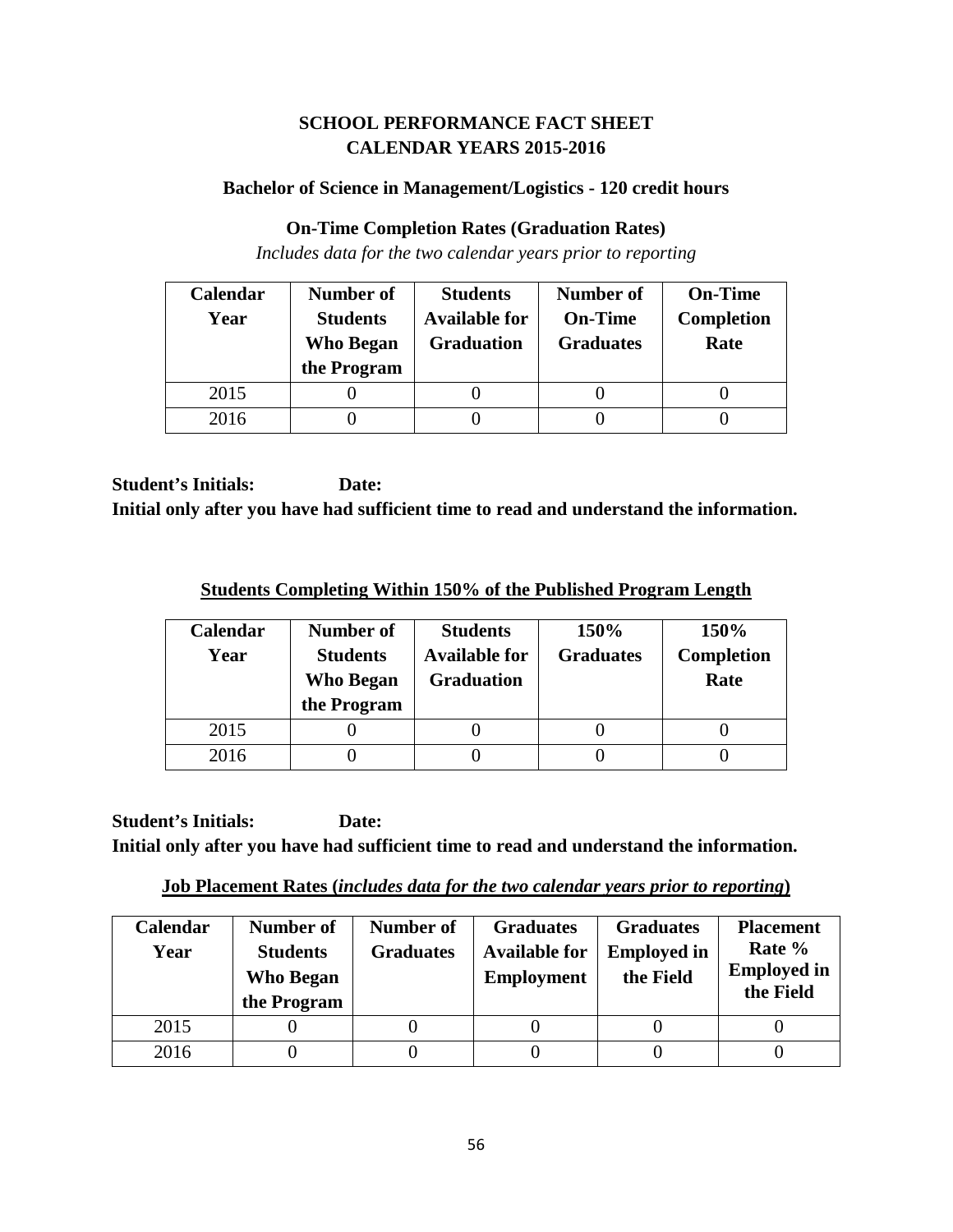# **SCHOOL PERFORMANCE FACT SHEET CALENDAR YEARS 2015-2016**

## **Bachelor of Science in Management/Logistics - 120 credit hours**

#### **On-Time Completion Rates (Graduation Rates)**

*Includes data for the two calendar years prior to reporting*

| Calendar | Number of                           | <b>Students</b>                           | <b>Number of</b>                   | <b>On-Time</b>            |
|----------|-------------------------------------|-------------------------------------------|------------------------------------|---------------------------|
| Year     | <b>Students</b><br><b>Who Began</b> | <b>Available for</b><br><b>Graduation</b> | <b>On-Time</b><br><b>Graduates</b> | <b>Completion</b><br>Rate |
|          | the Program                         |                                           |                                    |                           |
| 2015     |                                     |                                           |                                    |                           |
| 2016     |                                     |                                           |                                    |                           |

**Student's Initials: Date: Initial only after you have had sufficient time to read and understand the information.**

**Students Completing Within 150% of the Published Program Length**

| Calendar<br>Year | Number of<br><b>Students</b><br><b>Who Began</b><br>the Program | <b>Students</b><br><b>Available for</b><br><b>Graduation</b> | 150%<br><b>Graduates</b> | 150%<br><b>Completion</b><br>Rate |
|------------------|-----------------------------------------------------------------|--------------------------------------------------------------|--------------------------|-----------------------------------|
| 2015             |                                                                 |                                                              |                          |                                   |
| 2016             |                                                                 |                                                              |                          |                                   |

**Student's Initials: Date: Initial only after you have had sufficient time to read and understand the information.**

**Job Placement Rates (***includes data for the two calendar years prior to reporting***)**

| <b>Calendar</b><br>Year | Number of<br><b>Students</b><br><b>Who Began</b><br>the Program | Number of<br><b>Graduates</b> | <b>Graduates</b><br><b>Available for</b><br><b>Employment</b> | <b>Graduates</b><br><b>Employed in</b><br>the Field | <b>Placement</b><br>Rate %<br><b>Employed in</b><br>the Field |
|-------------------------|-----------------------------------------------------------------|-------------------------------|---------------------------------------------------------------|-----------------------------------------------------|---------------------------------------------------------------|
| 2015                    |                                                                 |                               |                                                               |                                                     |                                                               |
| 2016                    |                                                                 |                               |                                                               |                                                     |                                                               |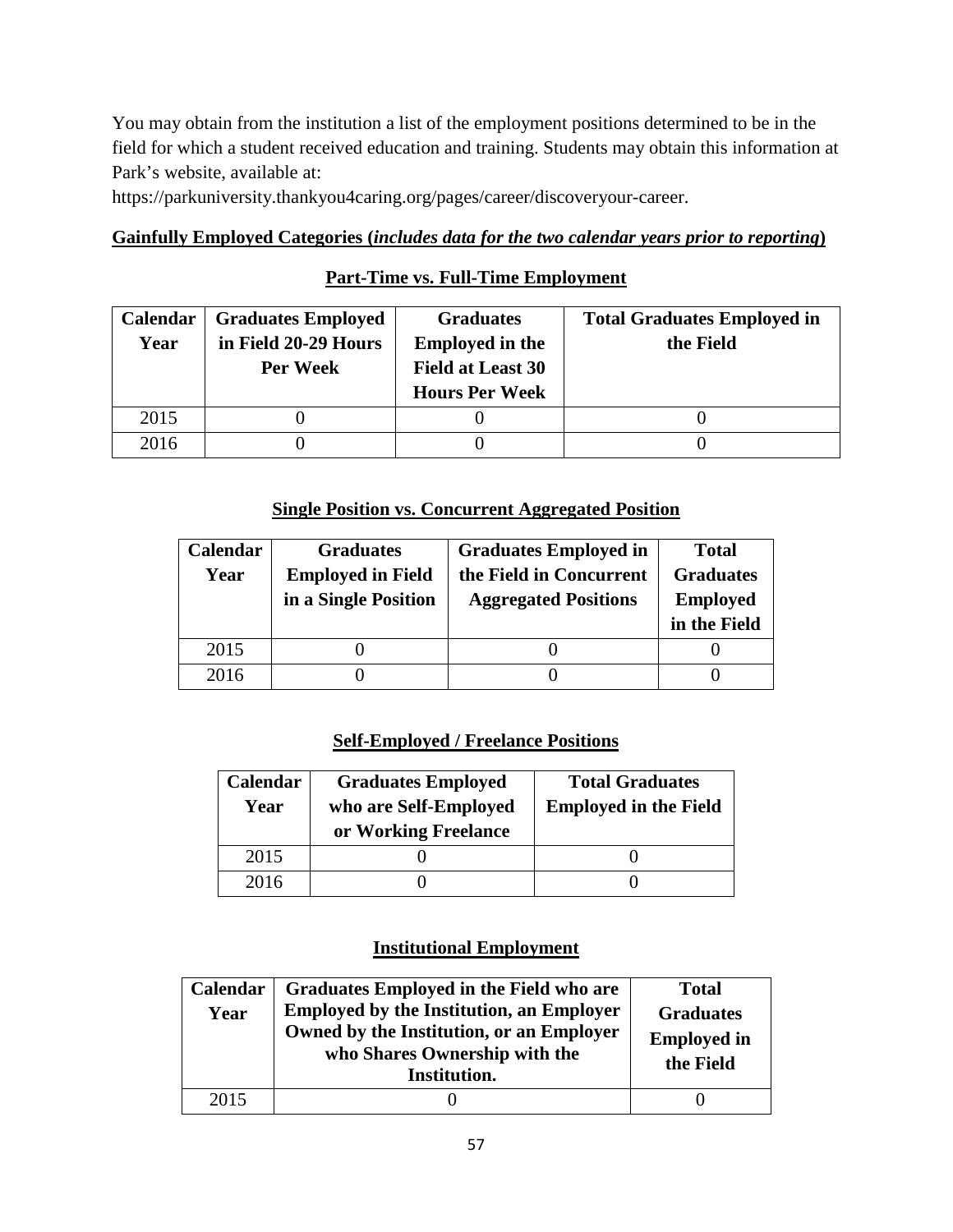You may obtain from the institution a list of the employment positions determined to be in the field for which a student received education and training. Students may obtain this information at Park's website, available at:

https://parkuniversity.thankyou4caring.org/pages/career/discoveryour-career.

# **Gainfully Employed Categories (***includes data for the two calendar years prior to reporting***)**

# **Part-Time vs. Full-Time Employment**

| <b>Calendar</b> | <b>Graduates Employed</b> | <b>Graduates</b>         | <b>Total Graduates Employed in</b> |
|-----------------|---------------------------|--------------------------|------------------------------------|
| Year            | in Field 20-29 Hours      | <b>Employed in the</b>   | the Field                          |
|                 | Per Week                  | <b>Field at Least 30</b> |                                    |
|                 |                           | <b>Hours Per Week</b>    |                                    |
| 2015            |                           |                          |                                    |
| 2016            |                           |                          |                                    |

## **Single Position vs. Concurrent Aggregated Position**

| Calendar | <b>Graduates</b>         | <b>Graduates Employed in</b> | <b>Total</b>     |
|----------|--------------------------|------------------------------|------------------|
| Year     | <b>Employed in Field</b> | the Field in Concurrent      | <b>Graduates</b> |
|          | in a Single Position     | <b>Aggregated Positions</b>  | <b>Employed</b>  |
|          |                          |                              | in the Field     |
| 2015     |                          |                              |                  |
| 2016     |                          |                              |                  |

# **Self-Employed / Freelance Positions**

| Calendar<br>Year | <b>Graduates Employed</b><br>who are Self-Employed<br>or Working Freelance | <b>Total Graduates</b><br><b>Employed in the Field</b> |
|------------------|----------------------------------------------------------------------------|--------------------------------------------------------|
| 2015             |                                                                            |                                                        |
| 2016             |                                                                            |                                                        |

| Calendar<br>Year | Graduates Employed in the Field who are<br><b>Employed by the Institution, an Employer</b><br>Owned by the Institution, or an Employer<br>who Shares Ownership with the<br>Institution. | <b>Total</b><br><b>Graduates</b><br><b>Employed in</b><br>the Field |
|------------------|-----------------------------------------------------------------------------------------------------------------------------------------------------------------------------------------|---------------------------------------------------------------------|
| 2015             |                                                                                                                                                                                         |                                                                     |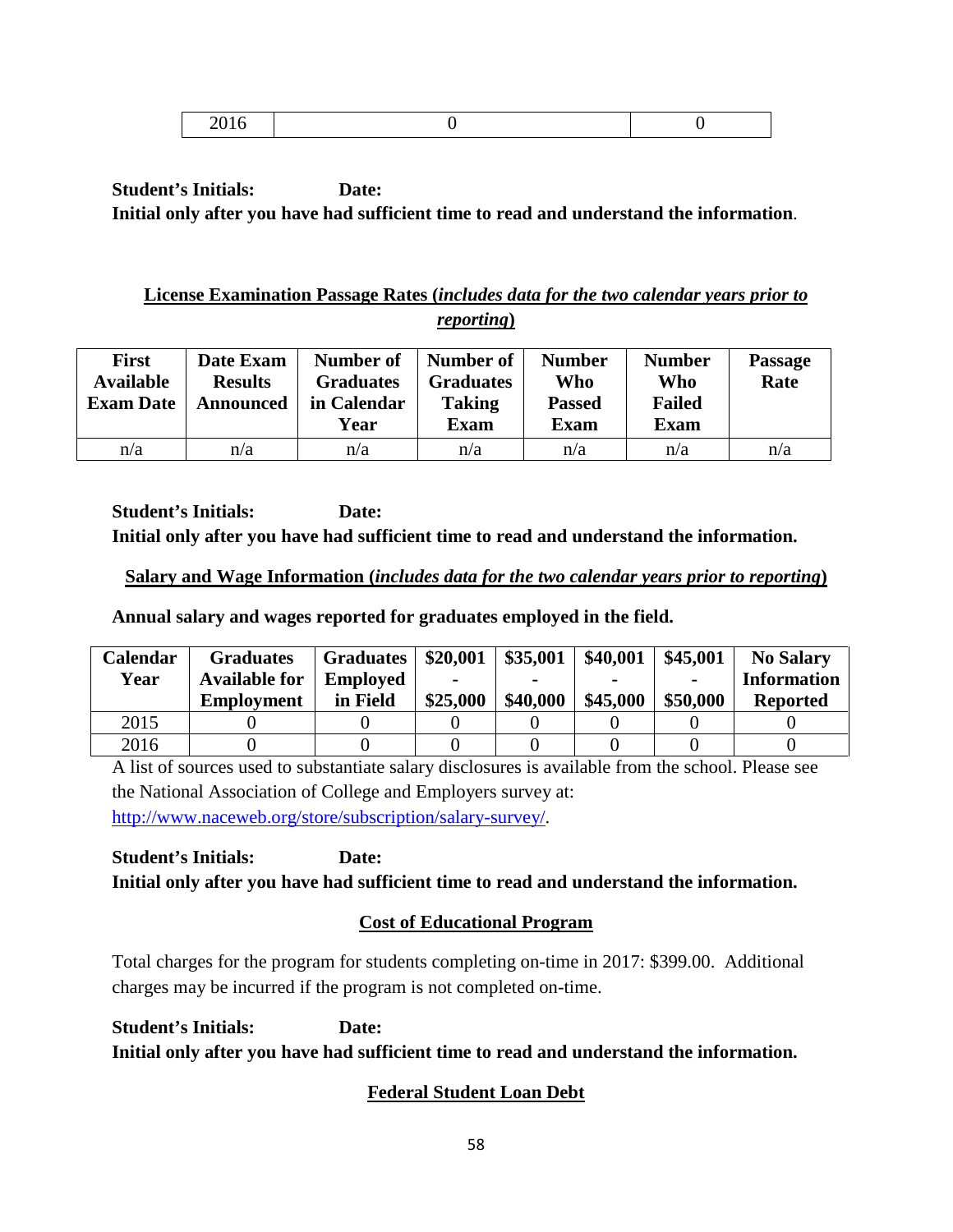|--|

# **License Examination Passage Rates (***includes data for the two calendar years prior to reporting***)**

| <b>First</b><br><b>Available</b><br><b>Exam Date</b> | Date Exam<br><b>Results</b><br><b>Announced</b> | Number of<br><b>Graduates</b><br>in Calendar<br>Year | Number of<br><b>Graduates</b><br><b>Taking</b><br><b>Exam</b> | <b>Number</b><br>Who<br><b>Passed</b><br>Exam | <b>Number</b><br>Who<br><b>Failed</b><br><b>Exam</b> | <b>Passage</b><br>Rate |
|------------------------------------------------------|-------------------------------------------------|------------------------------------------------------|---------------------------------------------------------------|-----------------------------------------------|------------------------------------------------------|------------------------|
| n/a                                                  | n/a                                             | n/a                                                  | n/a                                                           | n/a                                           | n/a                                                  | n/a                    |

**Student's Initials: Date: Initial only after you have had sufficient time to read and understand the information.**

# **Salary and Wage Information (***includes data for the two calendar years prior to reporting***)**

**Annual salary and wages reported for graduates employed in the field.**

| <b>Calendar</b> | <b>Graduates</b>     | <b>Graduates</b> | \$20,001 | \$35,001 | \$40,001 | \$45,001 | <b>No Salary</b>   |
|-----------------|----------------------|------------------|----------|----------|----------|----------|--------------------|
| Year            | <b>Available for</b> | <b>Employed</b>  | -        |          |          |          | <b>Information</b> |
|                 | <b>Employment</b>    | in Field         | \$25,000 | \$40,000 | \$45,000 | \$50,000 | <b>Reported</b>    |
| 2015            |                      |                  |          |          |          |          |                    |
| 2016            |                      |                  |          |          |          |          |                    |

A list of sources used to substantiate salary disclosures is available from the school. Please see the National Association of College and Employers survey at: [http://www.naceweb.org/store/subscription/salary-survey/.](http://www.naceweb.org/store/subscription/salary-survey/)

**Student's Initials: Date: Initial only after you have had sufficient time to read and understand the information.**

# **Cost of Educational Program**

Total charges for the program for students completing on-time in 2017: \$399.00. Additional charges may be incurred if the program is not completed on-time.

**Student's Initials: Date: Initial only after you have had sufficient time to read and understand the information.**

# **Federal Student Loan Debt**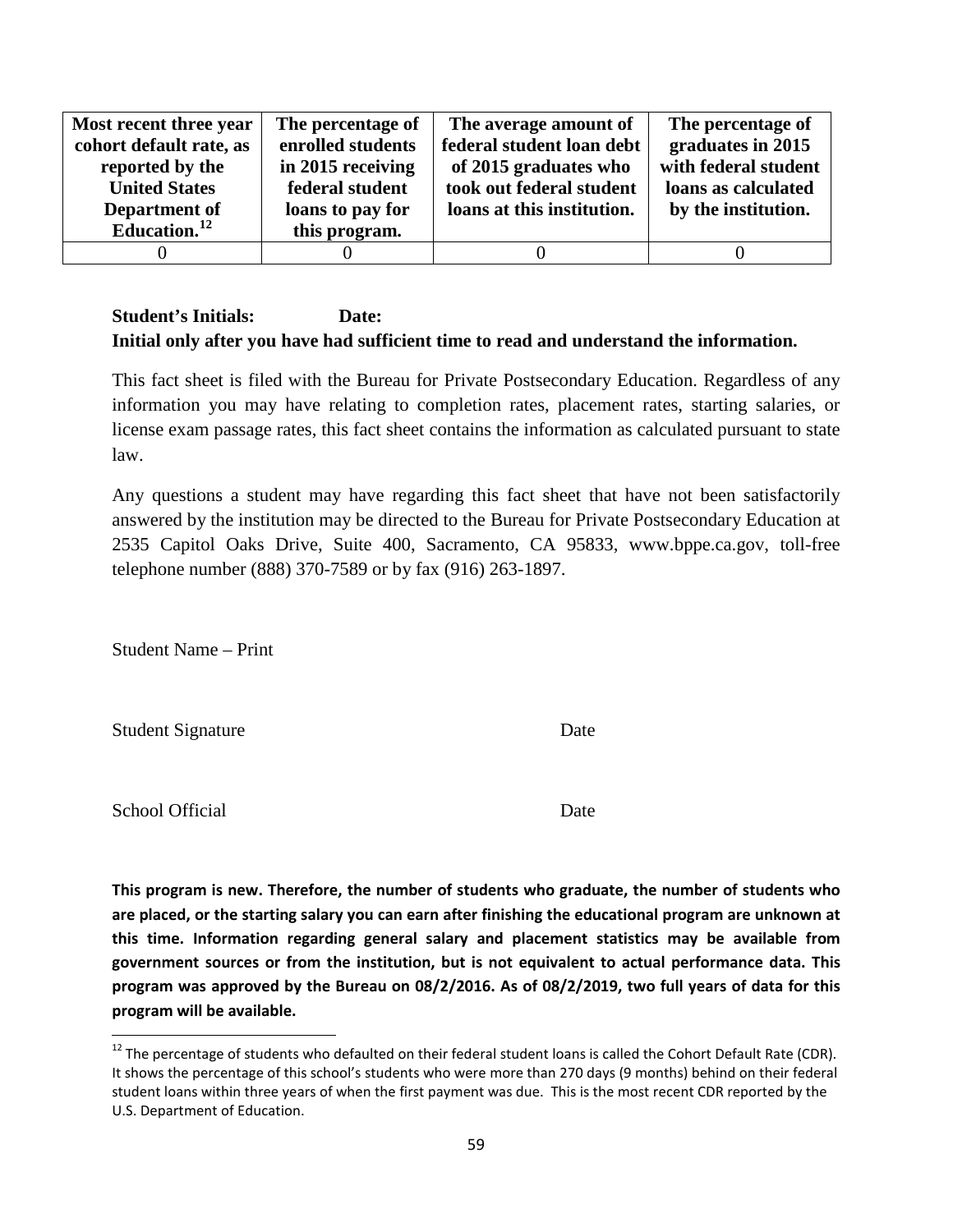| Most recent three year  | The percentage of | The average amount of      | The percentage of    |
|-------------------------|-------------------|----------------------------|----------------------|
| cohort default rate, as | enrolled students | federal student loan debt  | graduates in 2015    |
| reported by the         | in 2015 receiving | of 2015 graduates who      | with federal student |
| <b>United States</b>    | federal student   | took out federal student   | loans as calculated  |
| Department of           | loans to pay for  | loans at this institution. | by the institution.  |
| Education. $^{12}$      | this program.     |                            |                      |
|                         |                   |                            |                      |

This fact sheet is filed with the Bureau for Private Postsecondary Education. Regardless of any information you may have relating to completion rates, placement rates, starting salaries, or license exam passage rates, this fact sheet contains the information as calculated pursuant to state law.

Any questions a student may have regarding this fact sheet that have not been satisfactorily answered by the institution may be directed to the Bureau for Private Postsecondary Education at 2535 Capitol Oaks Drive, Suite 400, Sacramento, CA 95833, www.bppe.ca.gov, toll-free telephone number (888) 370-7589 or by fax (916) 263-1897.

Student Name – Print

Student Signature Date

School Official Date

**This program is new. Therefore, the number of students who graduate, the number of students who are placed, or the starting salary you can earn after finishing the educational program are unknown at this time. Information regarding general salary and placement statistics may be available from government sources or from the institution, but is not equivalent to actual performance data. This program was approved by the Bureau on 08/2/2016. As of 08/2/2019, two full years of data for this program will be available.**

<span id="page-58-0"></span> $12$  The percentage of students who defaulted on their federal student loans is called the Cohort Default Rate (CDR). It shows the percentage of this school's students who were more than 270 days (9 months) behind on their federal student loans within three years of when the first payment was due. This is the most recent CDR reported by the U.S. Department of Education.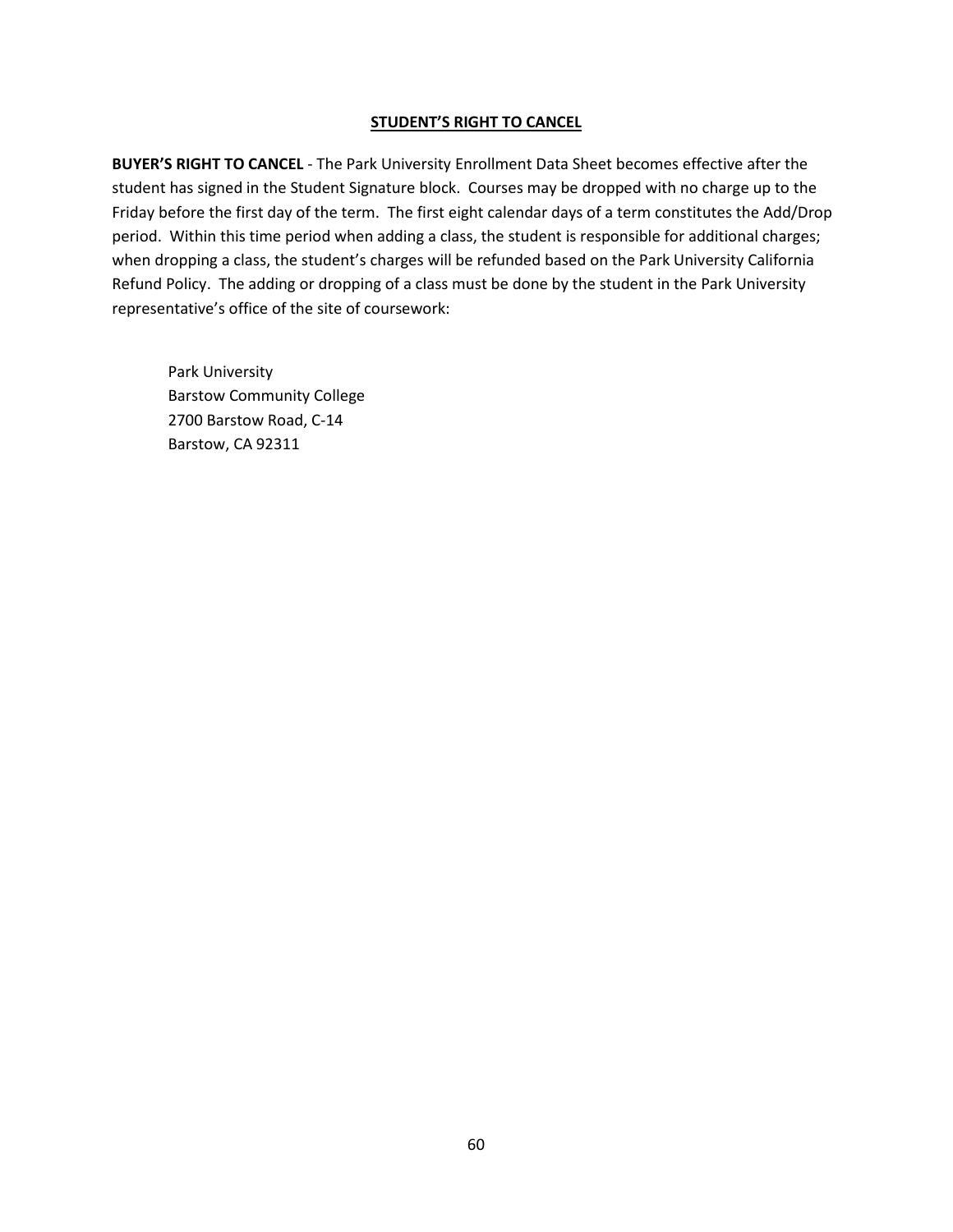#### **STUDENT'S RIGHT TO CANCEL**

**BUYER'S RIGHT TO CANCEL** - The Park University Enrollment Data Sheet becomes effective after the student has signed in the Student Signature block. Courses may be dropped with no charge up to the Friday before the first day of the term. The first eight calendar days of a term constitutes the Add/Drop period. Within this time period when adding a class, the student is responsible for additional charges; when dropping a class, the student's charges will be refunded based on the Park University California Refund Policy. The adding or dropping of a class must be done by the student in the Park University representative's office of the site of coursework:

Park University Barstow Community College 2700 Barstow Road, C-14 Barstow, CA 92311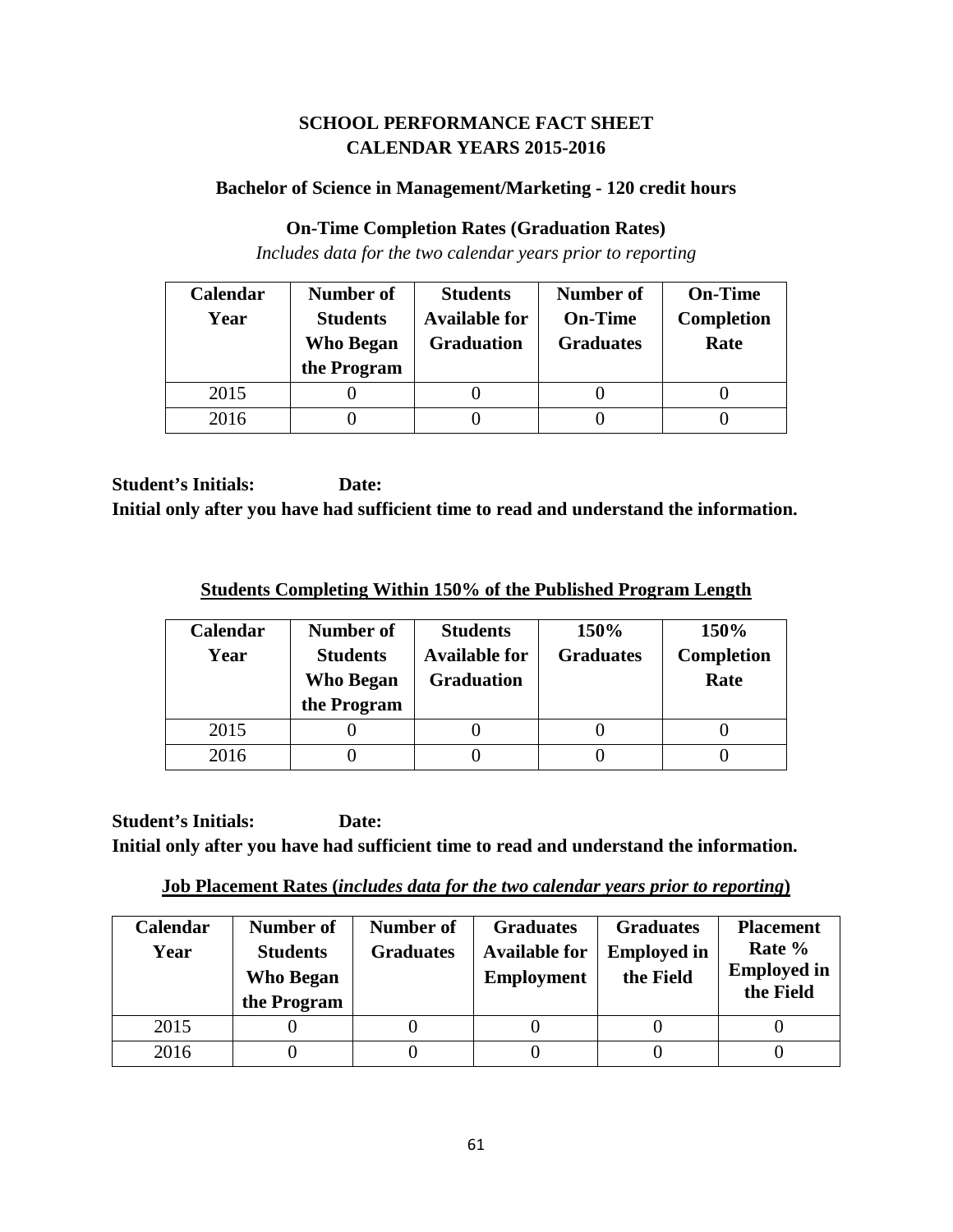# **SCHOOL PERFORMANCE FACT SHEET CALENDAR YEARS 2015-2016**

## **Bachelor of Science in Management/Marketing - 120 credit hours**

#### **On-Time Completion Rates (Graduation Rates)**

*Includes data for the two calendar years prior to reporting*

| Calendar | Number of                           | <b>Students</b>                           | <b>Number of</b>                   | <b>On-Time</b>            |
|----------|-------------------------------------|-------------------------------------------|------------------------------------|---------------------------|
| Year     | <b>Students</b><br><b>Who Began</b> | <b>Available for</b><br><b>Graduation</b> | <b>On-Time</b><br><b>Graduates</b> | <b>Completion</b><br>Rate |
|          | the Program                         |                                           |                                    |                           |
| 2015     |                                     |                                           |                                    |                           |
| 2016     |                                     |                                           |                                    |                           |

**Student's Initials: Date: Initial only after you have had sufficient time to read and understand the information.**

**Students Completing Within 150% of the Published Program Length**

| Calendar<br>Year | Number of<br><b>Students</b><br><b>Who Began</b><br>the Program | <b>Students</b><br><b>Available for</b><br><b>Graduation</b> | 150%<br><b>Graduates</b> | 150%<br><b>Completion</b><br>Rate |
|------------------|-----------------------------------------------------------------|--------------------------------------------------------------|--------------------------|-----------------------------------|
| 2015             |                                                                 |                                                              |                          |                                   |
| 2016             |                                                                 |                                                              |                          |                                   |

**Student's Initials: Date: Initial only after you have had sufficient time to read and understand the information.**

**Job Placement Rates (***includes data for the two calendar years prior to reporting***)**

| <b>Calendar</b><br>Year | Number of<br><b>Students</b><br><b>Who Began</b><br>the Program | Number of<br><b>Graduates</b> | <b>Graduates</b><br><b>Available for</b><br><b>Employment</b> | <b>Graduates</b><br><b>Employed in</b><br>the Field | <b>Placement</b><br>Rate %<br><b>Employed in</b><br>the Field |
|-------------------------|-----------------------------------------------------------------|-------------------------------|---------------------------------------------------------------|-----------------------------------------------------|---------------------------------------------------------------|
| 2015                    |                                                                 |                               |                                                               |                                                     |                                                               |
| 2016                    |                                                                 |                               |                                                               |                                                     |                                                               |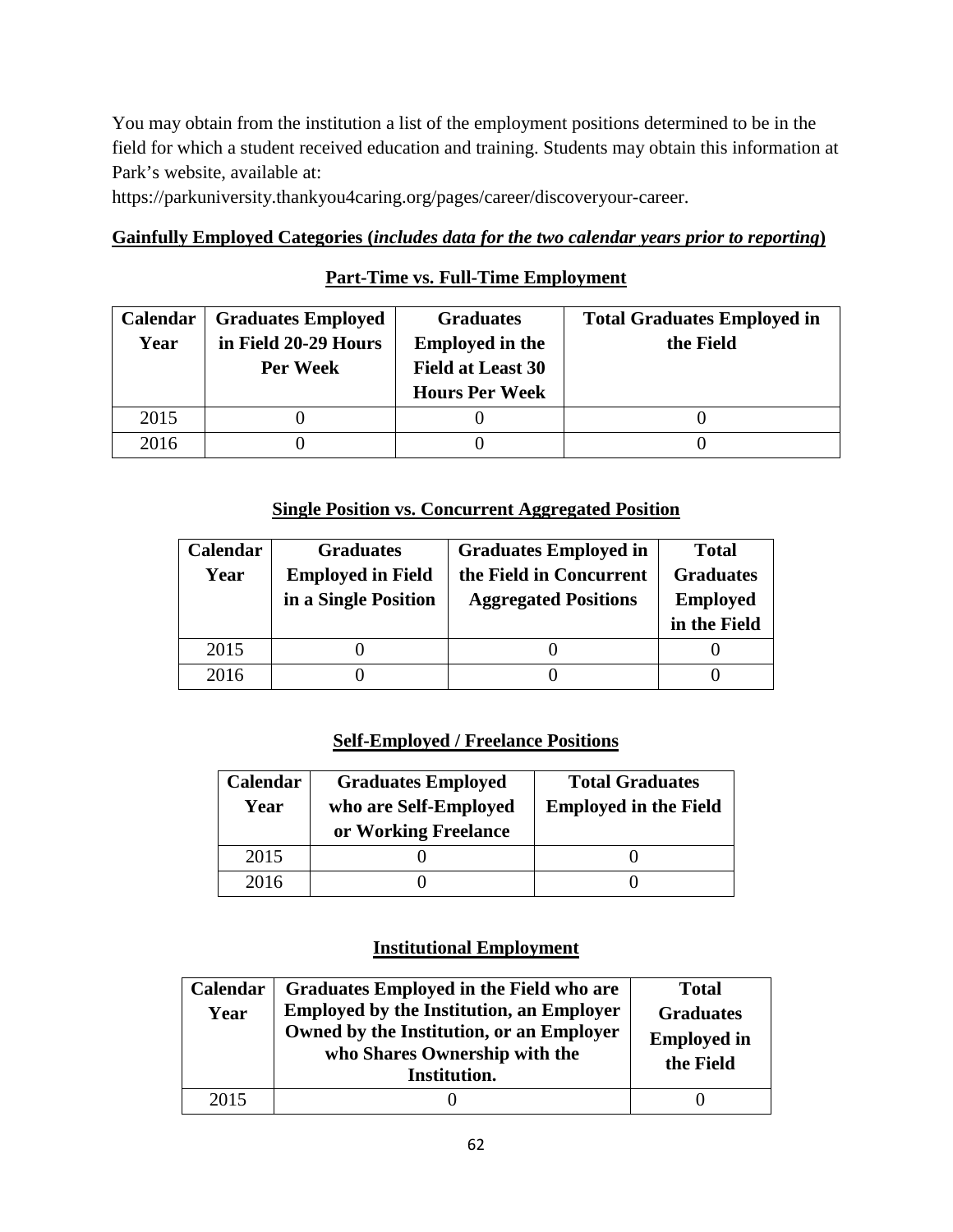You may obtain from the institution a list of the employment positions determined to be in the field for which a student received education and training. Students may obtain this information at Park's website, available at:

https://parkuniversity.thankyou4caring.org/pages/career/discoveryour-career.

### **Gainfully Employed Categories (***includes data for the two calendar years prior to reporting***)**

# **Part-Time vs. Full-Time Employment**

| <b>Calendar</b> | <b>Graduates Employed</b> | <b>Graduates</b>         | <b>Total Graduates Employed in</b> |
|-----------------|---------------------------|--------------------------|------------------------------------|
| Year            | in Field 20-29 Hours      | <b>Employed in the</b>   | the Field                          |
|                 | Per Week                  | <b>Field at Least 30</b> |                                    |
|                 |                           | <b>Hours Per Week</b>    |                                    |
| 2015            |                           |                          |                                    |
| 2016            |                           |                          |                                    |

## **Single Position vs. Concurrent Aggregated Position**

| Calendar | <b>Graduates</b>         | <b>Graduates Employed in</b> | <b>Total</b>     |
|----------|--------------------------|------------------------------|------------------|
| Year     | <b>Employed in Field</b> | the Field in Concurrent      | <b>Graduates</b> |
|          | in a Single Position     | <b>Aggregated Positions</b>  | <b>Employed</b>  |
|          |                          |                              | in the Field     |
| 2015     |                          |                              |                  |
| 2016     |                          |                              |                  |

# **Self-Employed / Freelance Positions**

| Calendar<br>Year | <b>Graduates Employed</b><br>who are Self-Employed<br>or Working Freelance | <b>Total Graduates</b><br><b>Employed in the Field</b> |
|------------------|----------------------------------------------------------------------------|--------------------------------------------------------|
| 2015             |                                                                            |                                                        |
| 2016             |                                                                            |                                                        |

| Calendar<br>Year | Graduates Employed in the Field who are<br><b>Employed by the Institution, an Employer</b><br>Owned by the Institution, or an Employer<br>who Shares Ownership with the<br>Institution. | <b>Total</b><br><b>Graduates</b><br><b>Employed in</b><br>the Field |
|------------------|-----------------------------------------------------------------------------------------------------------------------------------------------------------------------------------------|---------------------------------------------------------------------|
| 2015             |                                                                                                                                                                                         |                                                                     |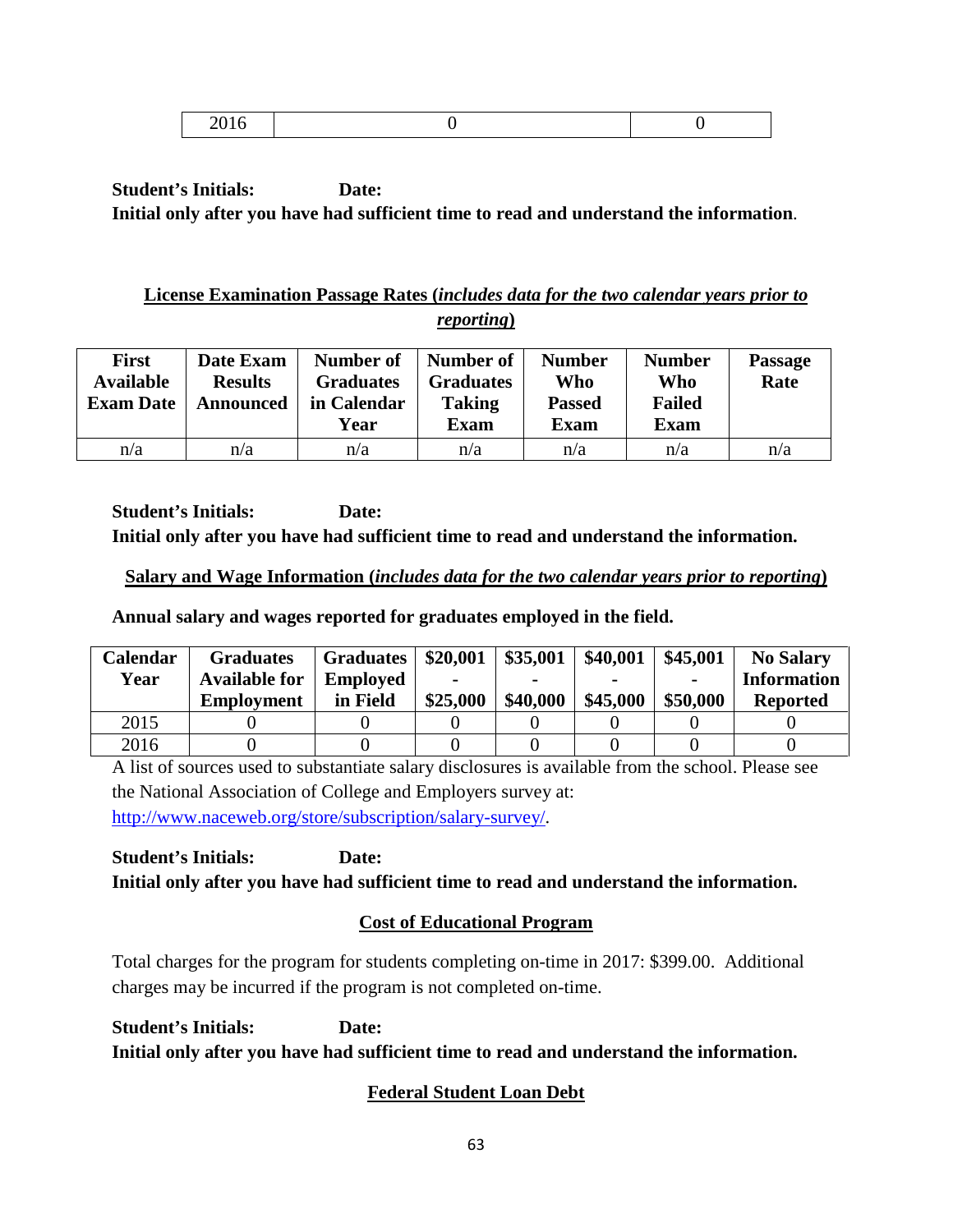|--|

# **License Examination Passage Rates (***includes data for the two calendar years prior to reporting***)**

| <b>First</b><br><b>Available</b><br><b>Exam Date</b> | Date Exam<br><b>Results</b><br>Announced | Number of<br><b>Graduates</b><br>in Calendar<br>Year | Number of<br><b>Graduates</b><br><b>Taking</b><br><b>Exam</b> | <b>Number</b><br>Who<br><b>Passed</b><br><b>Exam</b> | <b>Number</b><br>Who<br><b>Failed</b><br><b>Exam</b> | <b>Passage</b><br>Rate |
|------------------------------------------------------|------------------------------------------|------------------------------------------------------|---------------------------------------------------------------|------------------------------------------------------|------------------------------------------------------|------------------------|
| n/a                                                  | n/a                                      | n/a                                                  | n/a                                                           | n/a                                                  | n/a                                                  | n/a                    |

**Student's Initials: Date: Initial only after you have had sufficient time to read and understand the information.**

# **Salary and Wage Information (***includes data for the two calendar years prior to reporting***)**

**Annual salary and wages reported for graduates employed in the field.**

| <b>Calendar</b> | <b>Graduates</b>     | <b>Graduates</b> | \$20,001 | \$35,001 | \$40,001 | \$45,001 | <b>No Salary</b>   |
|-----------------|----------------------|------------------|----------|----------|----------|----------|--------------------|
| Year            | <b>Available for</b> | <b>Employed</b>  | -        |          |          |          | <b>Information</b> |
|                 | <b>Employment</b>    | in Field         | \$25,000 | \$40,000 | \$45,000 | \$50,000 | <b>Reported</b>    |
| 2015            |                      |                  |          |          |          |          |                    |
| 2016            |                      |                  |          |          |          |          |                    |

A list of sources used to substantiate salary disclosures is available from the school. Please see the National Association of College and Employers survey at: [http://www.naceweb.org/store/subscription/salary-survey/.](http://www.naceweb.org/store/subscription/salary-survey/)

**Student's Initials: Date: Initial only after you have had sufficient time to read and understand the information.**

# **Cost of Educational Program**

Total charges for the program for students completing on-time in 2017: \$399.00. Additional charges may be incurred if the program is not completed on-time.

**Student's Initials: Date: Initial only after you have had sufficient time to read and understand the information.**

# **Federal Student Loan Debt**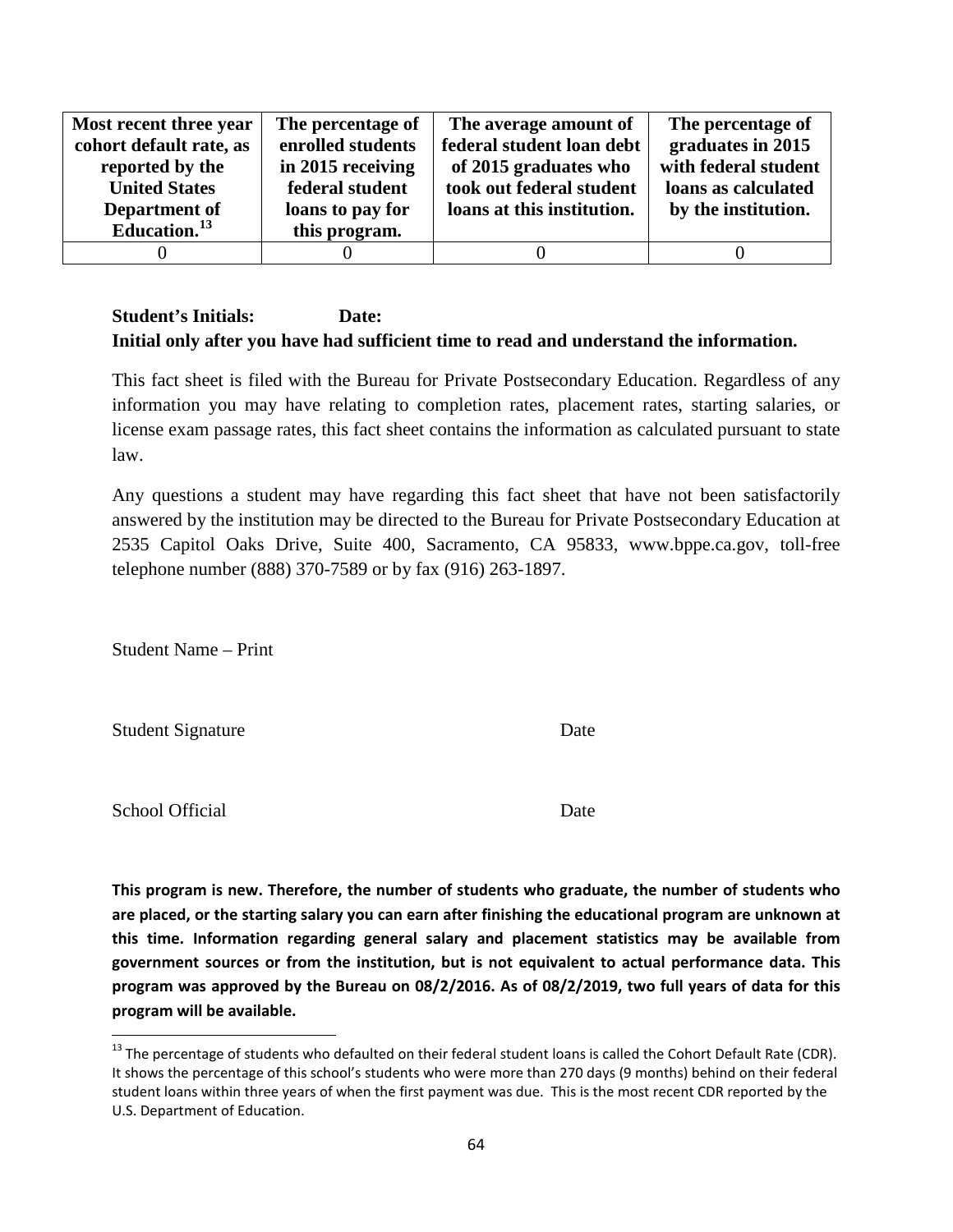| Most recent three year   | The percentage of | The average amount of      | The percentage of    |
|--------------------------|-------------------|----------------------------|----------------------|
| cohort default rate, as  | enrolled students | federal student loan debt  | graduates in 2015    |
| reported by the          | in 2015 receiving | of 2015 graduates who      | with federal student |
| <b>United States</b>     | federal student   | took out federal student   | loans as calculated  |
| Department of            | loans to pay for  | loans at this institution. | by the institution.  |
| Education. <sup>13</sup> | this program.     |                            |                      |
|                          |                   |                            |                      |

This fact sheet is filed with the Bureau for Private Postsecondary Education. Regardless of any information you may have relating to completion rates, placement rates, starting salaries, or license exam passage rates, this fact sheet contains the information as calculated pursuant to state law.

Any questions a student may have regarding this fact sheet that have not been satisfactorily answered by the institution may be directed to the Bureau for Private Postsecondary Education at 2535 Capitol Oaks Drive, Suite 400, Sacramento, CA 95833, www.bppe.ca.gov, toll-free telephone number (888) 370-7589 or by fax (916) 263-1897.

Student Name – Print

Student Signature Date

School Official Date

**This program is new. Therefore, the number of students who graduate, the number of students who are placed, or the starting salary you can earn after finishing the educational program are unknown at this time. Information regarding general salary and placement statistics may be available from government sources or from the institution, but is not equivalent to actual performance data. This program was approved by the Bureau on 08/2/2016. As of 08/2/2019, two full years of data for this program will be available.**

<span id="page-63-0"></span> $13$  The percentage of students who defaulted on their federal student loans is called the Cohort Default Rate (CDR). It shows the percentage of this school's students who were more than 270 days (9 months) behind on their federal student loans within three years of when the first payment was due. This is the most recent CDR reported by the U.S. Department of Education.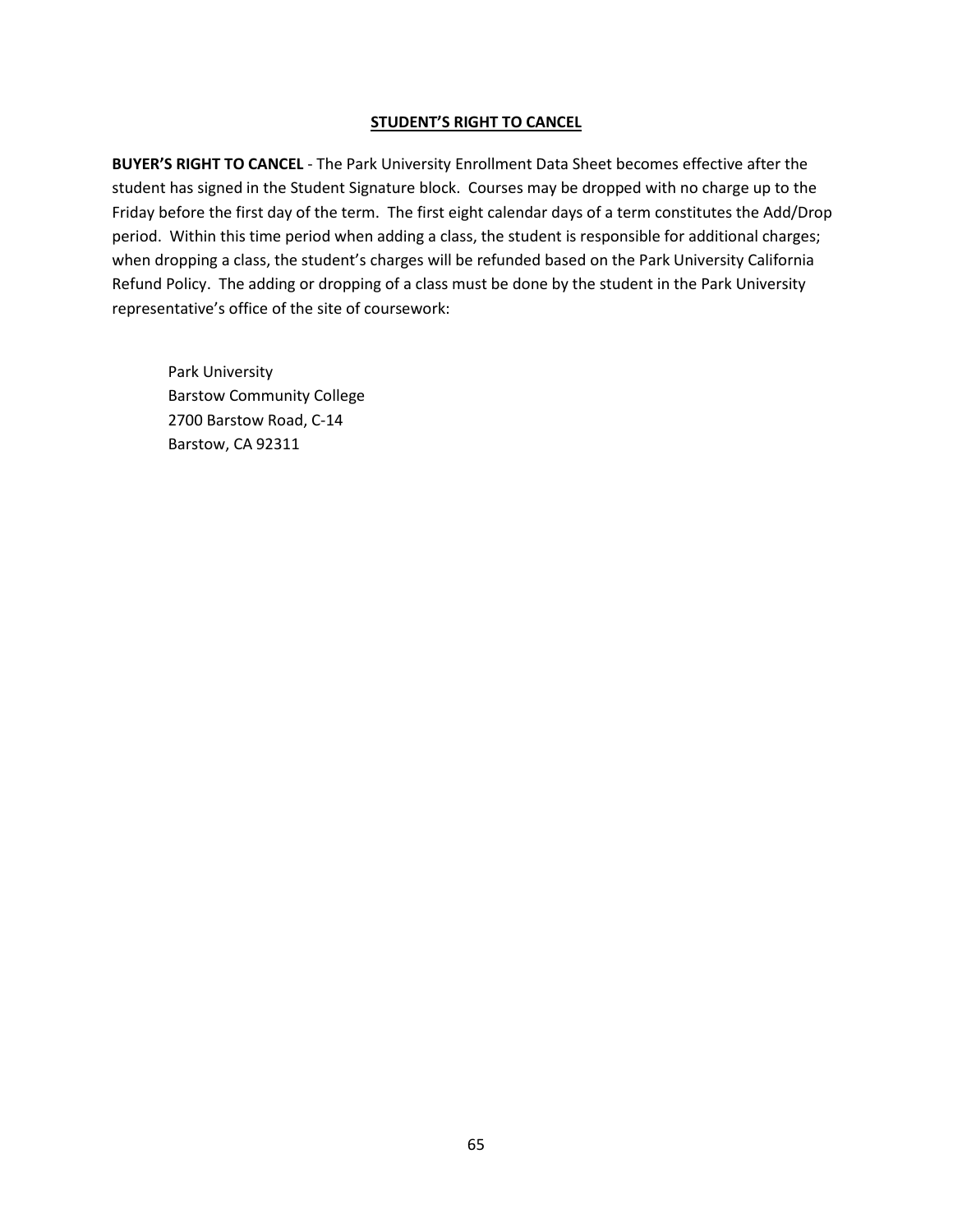#### **STUDENT'S RIGHT TO CANCEL**

**BUYER'S RIGHT TO CANCEL** - The Park University Enrollment Data Sheet becomes effective after the student has signed in the Student Signature block. Courses may be dropped with no charge up to the Friday before the first day of the term. The first eight calendar days of a term constitutes the Add/Drop period. Within this time period when adding a class, the student is responsible for additional charges; when dropping a class, the student's charges will be refunded based on the Park University California Refund Policy. The adding or dropping of a class must be done by the student in the Park University representative's office of the site of coursework:

Park University Barstow Community College 2700 Barstow Road, C-14 Barstow, CA 92311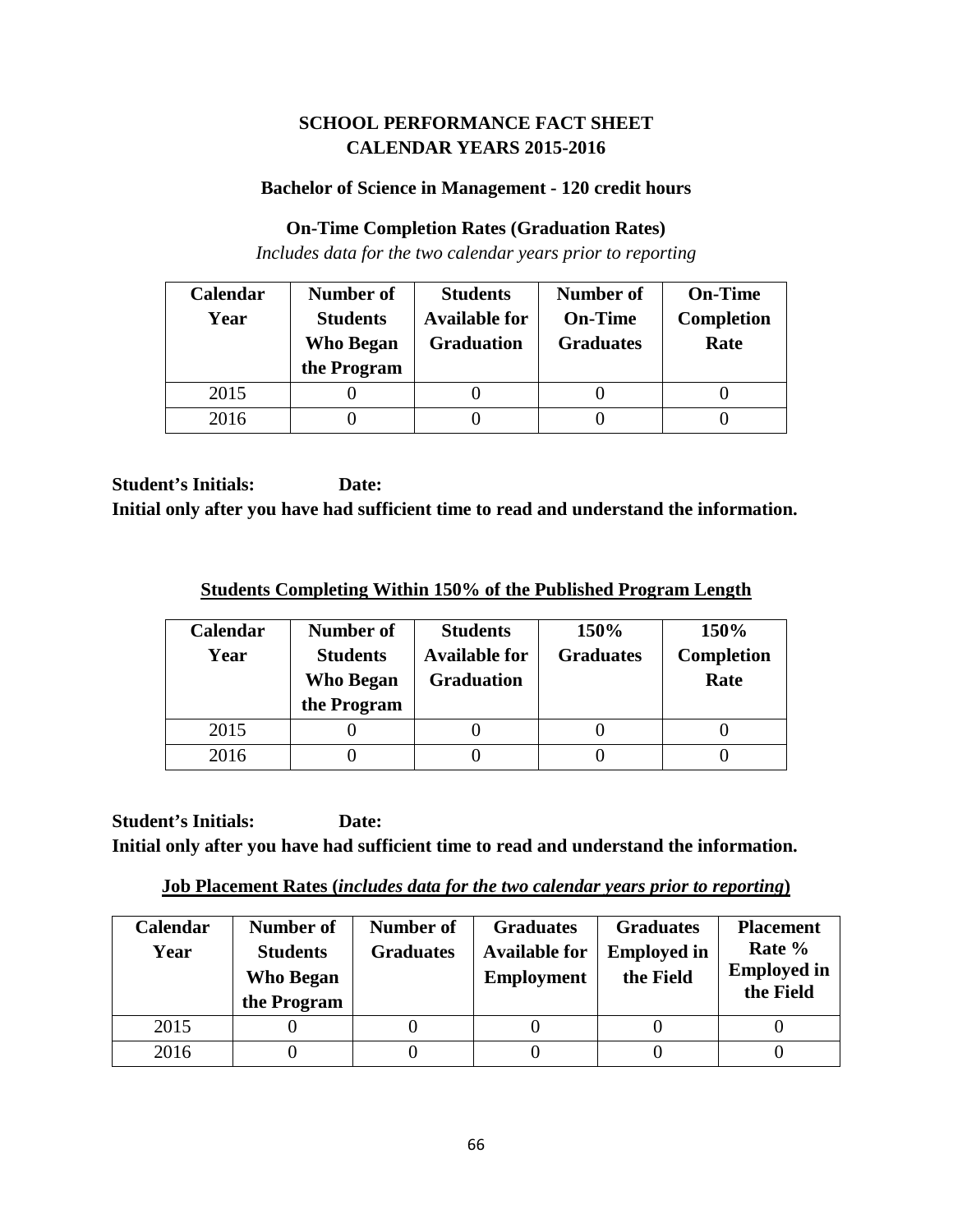# **SCHOOL PERFORMANCE FACT SHEET CALENDAR YEARS 2015-2016**

#### **Bachelor of Science in Management - 120 credit hours**

#### **On-Time Completion Rates (Graduation Rates)**

*Includes data for the two calendar years prior to reporting*

| Calendar | Number of                           | <b>Students</b>                           | <b>Number of</b>                   | <b>On-Time</b>            |
|----------|-------------------------------------|-------------------------------------------|------------------------------------|---------------------------|
| Year     | <b>Students</b><br><b>Who Began</b> | <b>Available for</b><br><b>Graduation</b> | <b>On-Time</b><br><b>Graduates</b> | <b>Completion</b><br>Rate |
|          | the Program                         |                                           |                                    |                           |
| 2015     |                                     |                                           |                                    |                           |
| 2016     |                                     |                                           |                                    |                           |

**Student's Initials: Date: Initial only after you have had sufficient time to read and understand the information.**

**Students Completing Within 150% of the Published Program Length**

| Calendar<br>Year | Number of<br><b>Students</b><br><b>Who Began</b><br>the Program | <b>Students</b><br><b>Available for</b><br><b>Graduation</b> | 150%<br><b>Graduates</b> | 150%<br><b>Completion</b><br>Rate |
|------------------|-----------------------------------------------------------------|--------------------------------------------------------------|--------------------------|-----------------------------------|
| 2015             |                                                                 |                                                              |                          |                                   |
| 2016             |                                                                 |                                                              |                          |                                   |

**Student's Initials: Date: Initial only after you have had sufficient time to read and understand the information.**

**Job Placement Rates (***includes data for the two calendar years prior to reporting***)**

| Calendar<br>Year | Number of<br><b>Students</b><br><b>Who Began</b><br>the Program | Number of<br><b>Graduates</b> | <b>Graduates</b><br><b>Available for</b><br><b>Employment</b> | <b>Graduates</b><br><b>Employed in</b><br>the Field | <b>Placement</b><br>Rate %<br><b>Employed in</b><br>the Field |
|------------------|-----------------------------------------------------------------|-------------------------------|---------------------------------------------------------------|-----------------------------------------------------|---------------------------------------------------------------|
| 2015             |                                                                 |                               |                                                               |                                                     |                                                               |
| 2016             |                                                                 |                               |                                                               |                                                     |                                                               |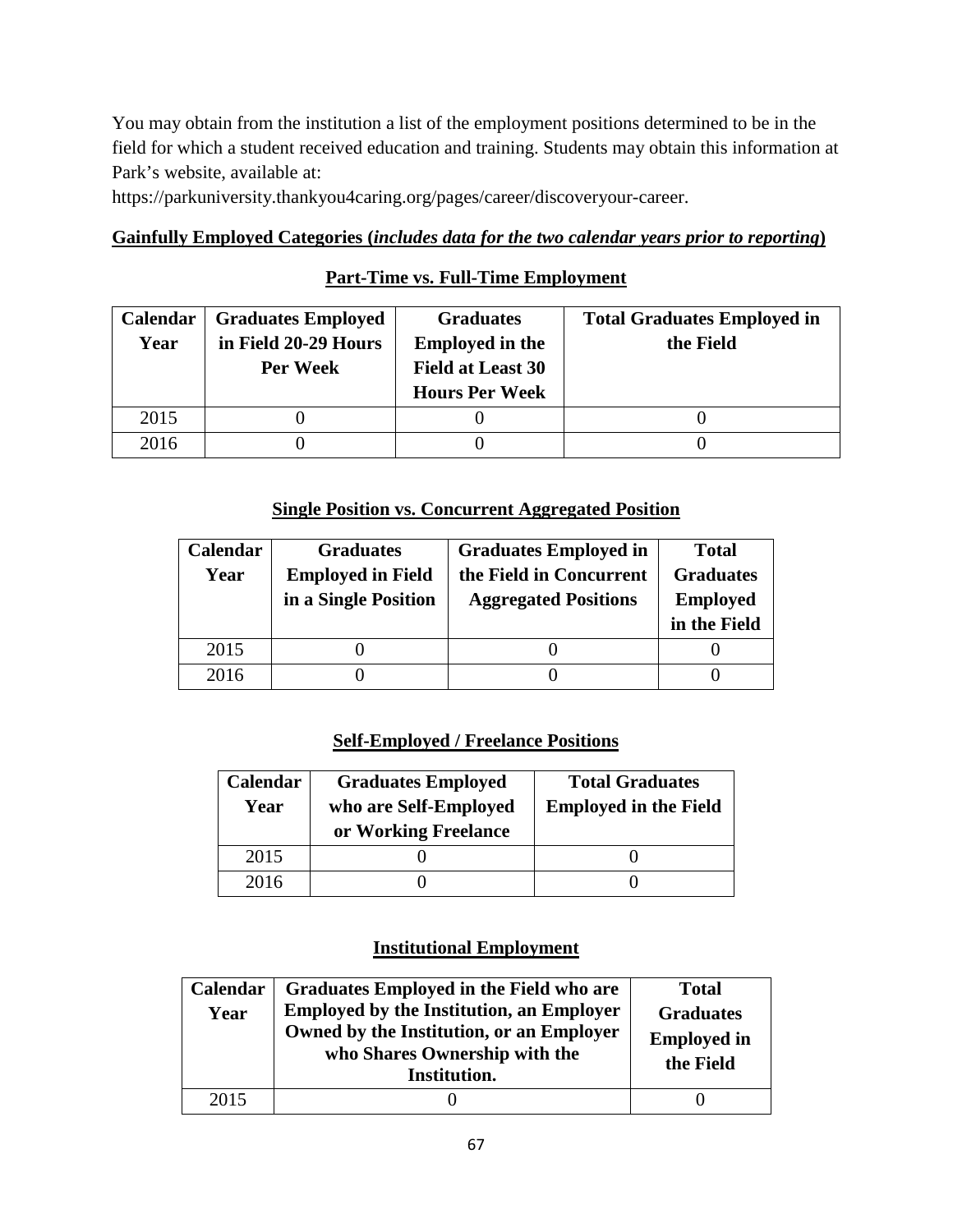You may obtain from the institution a list of the employment positions determined to be in the field for which a student received education and training. Students may obtain this information at Park's website, available at:

https://parkuniversity.thankyou4caring.org/pages/career/discoveryour-career.

# **Gainfully Employed Categories (***includes data for the two calendar years prior to reporting***)**

# **Part-Time vs. Full-Time Employment**

| <b>Calendar</b> | <b>Graduates Employed</b> | <b>Graduates</b>         | <b>Total Graduates Employed in</b> |
|-----------------|---------------------------|--------------------------|------------------------------------|
| Year            | in Field 20-29 Hours      | <b>Employed in the</b>   | the Field                          |
|                 | Per Week                  | <b>Field at Least 30</b> |                                    |
|                 |                           | <b>Hours Per Week</b>    |                                    |
| 2015            |                           |                          |                                    |
| 2016            |                           |                          |                                    |

## **Single Position vs. Concurrent Aggregated Position**

| Calendar | <b>Graduates</b>         | <b>Graduates Employed in</b> | <b>Total</b>     |
|----------|--------------------------|------------------------------|------------------|
| Year     | <b>Employed in Field</b> | the Field in Concurrent      | <b>Graduates</b> |
|          | in a Single Position     | <b>Aggregated Positions</b>  | <b>Employed</b>  |
|          |                          |                              | in the Field     |
| 2015     |                          |                              |                  |
| 2016     |                          |                              |                  |

# **Self-Employed / Freelance Positions**

| Calendar<br>Year | <b>Graduates Employed</b><br>who are Self-Employed<br>or Working Freelance | <b>Total Graduates</b><br><b>Employed in the Field</b> |  |
|------------------|----------------------------------------------------------------------------|--------------------------------------------------------|--|
| 2015             |                                                                            |                                                        |  |
| 2016             |                                                                            |                                                        |  |

| Calendar<br>Year | Graduates Employed in the Field who are<br><b>Employed by the Institution, an Employer</b><br>Owned by the Institution, or an Employer<br>who Shares Ownership with the<br>Institution. | <b>Total</b><br><b>Graduates</b><br><b>Employed in</b><br>the Field |
|------------------|-----------------------------------------------------------------------------------------------------------------------------------------------------------------------------------------|---------------------------------------------------------------------|
| 2015             |                                                                                                                                                                                         |                                                                     |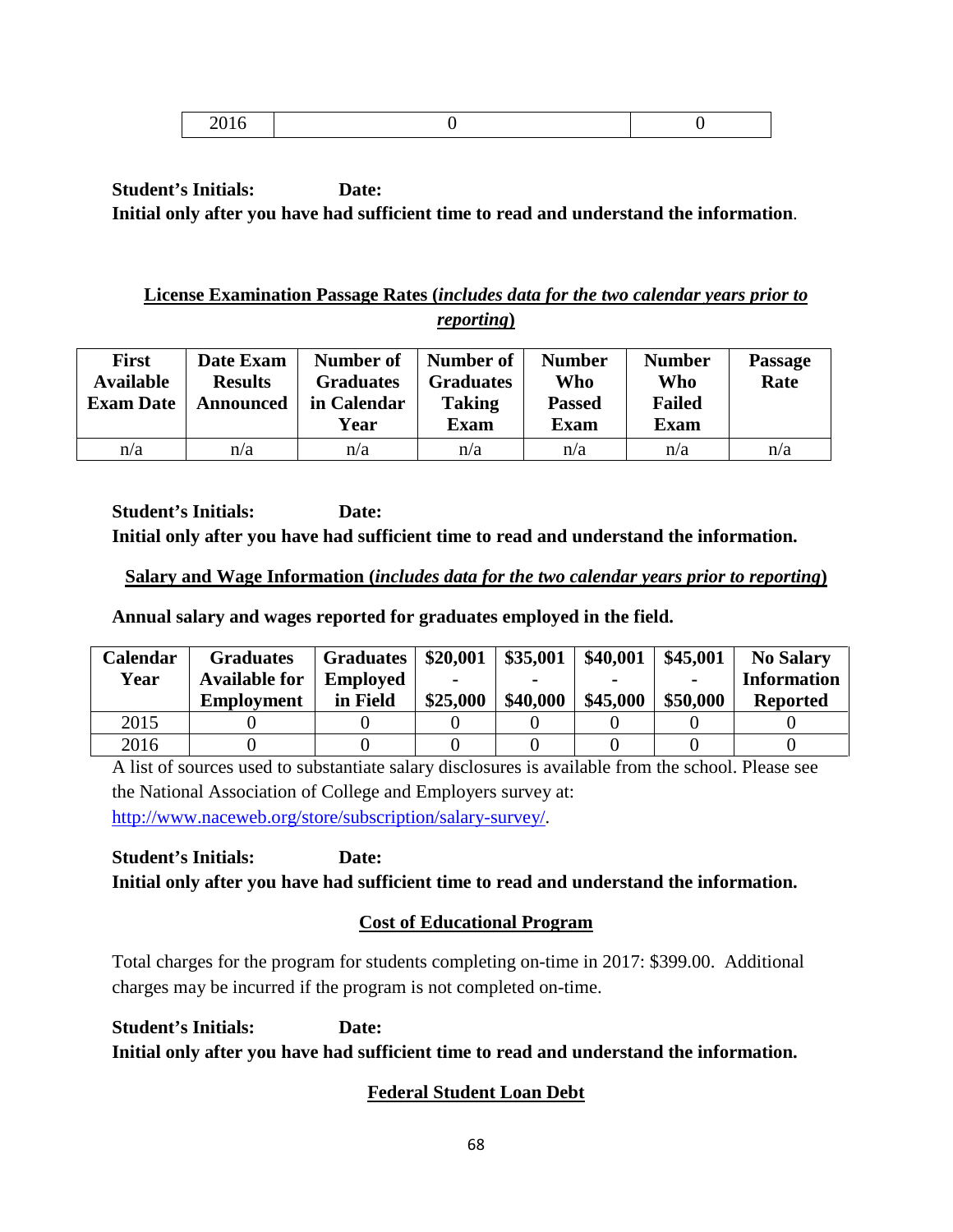|--|--|

# **License Examination Passage Rates (***includes data for the two calendar years prior to reporting***)**

| <b>First</b><br><b>Available</b><br><b>Exam Date</b> | Date Exam<br><b>Results</b><br>Announced | Number of<br><b>Graduates</b><br>in Calendar<br>Year | Number of<br><b>Graduates</b><br><b>Taking</b><br><b>Exam</b> | <b>Number</b><br>Who<br><b>Passed</b><br><b>Exam</b> | <b>Number</b><br>Who<br><b>Failed</b><br><b>Exam</b> | <b>Passage</b><br>Rate |
|------------------------------------------------------|------------------------------------------|------------------------------------------------------|---------------------------------------------------------------|------------------------------------------------------|------------------------------------------------------|------------------------|
| n/a                                                  | n/a                                      | n/a                                                  | n/a                                                           | n/a                                                  | n/a                                                  | n/a                    |

**Student's Initials: Date: Initial only after you have had sufficient time to read and understand the information.**

## **Salary and Wage Information (***includes data for the two calendar years prior to reporting***)**

**Annual salary and wages reported for graduates employed in the field.**

| Calendar | <b>Graduates</b>     | <b>Graduates</b> | \$20,001 | \$35,001 | \$40,001 | \$45,001       | <b>No Salary</b>   |
|----------|----------------------|------------------|----------|----------|----------|----------------|--------------------|
| Year     | <b>Available for</b> | <b>Employed</b>  |          |          |          | $\blacksquare$ | <b>Information</b> |
|          | <b>Employment</b>    | in Field         | \$25,000 | \$40,000 | \$45,000 | \$50,000       | <b>Reported</b>    |
| 2015     |                      |                  |          |          |          |                |                    |
| 2016     |                      |                  |          |          |          |                |                    |

A list of sources used to substantiate salary disclosures is available from the school. Please see the National Association of College and Employers survey at: [http://www.naceweb.org/store/subscription/salary-survey/.](http://www.naceweb.org/store/subscription/salary-survey/)

**Student's Initials: Date: Initial only after you have had sufficient time to read and understand the information.**

# **Cost of Educational Program**

Total charges for the program for students completing on-time in 2017: \$399.00. Additional charges may be incurred if the program is not completed on-time.

**Student's Initials: Date: Initial only after you have had sufficient time to read and understand the information.**

# **Federal Student Loan Debt**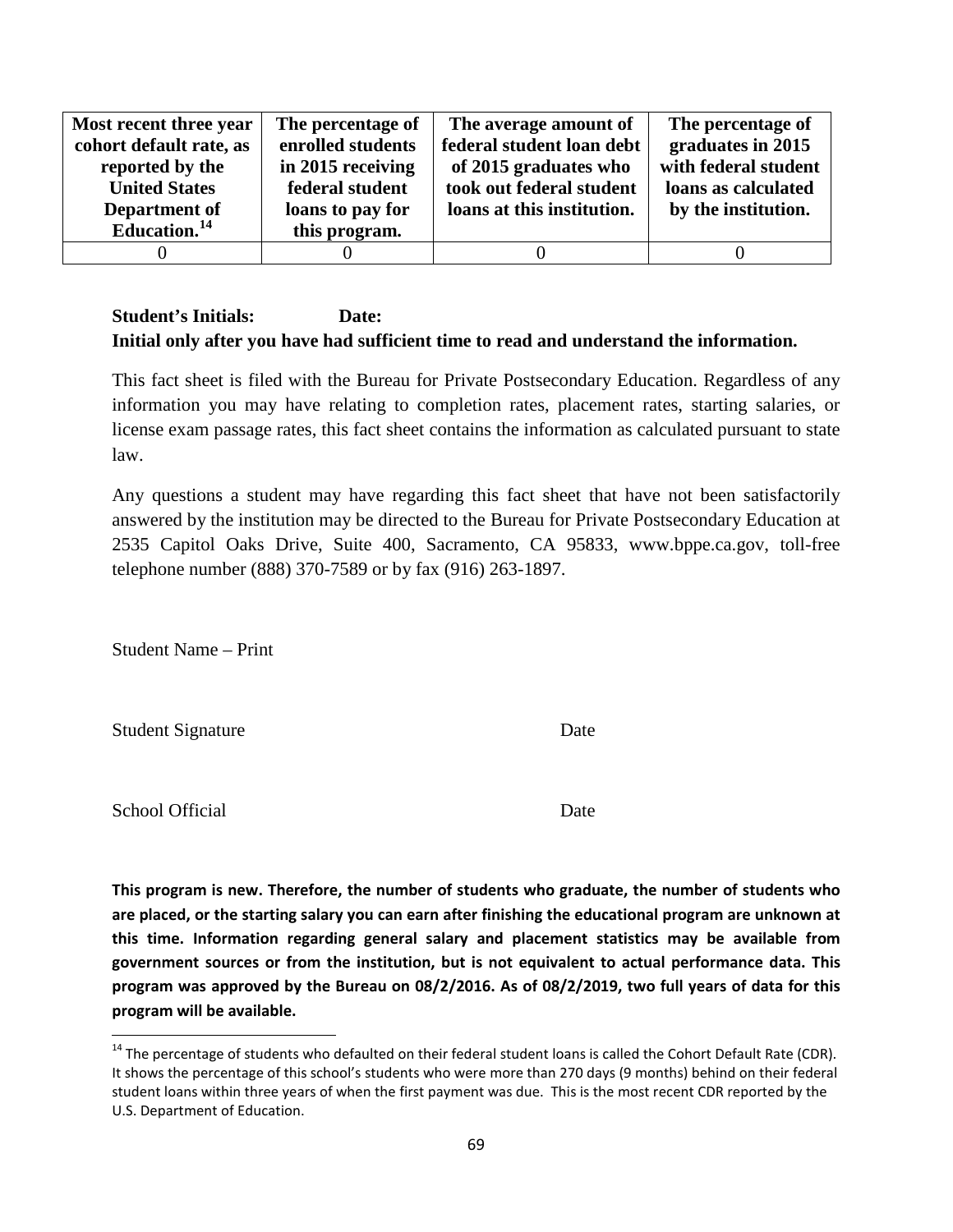| Most recent three year   | The percentage of | The average amount of      | The percentage of    |
|--------------------------|-------------------|----------------------------|----------------------|
| cohort default rate, as  | enrolled students | federal student loan debt  | graduates in 2015    |
| reported by the          | in 2015 receiving | of 2015 graduates who      | with federal student |
| <b>United States</b>     | federal student   | took out federal student   | loans as calculated  |
| Department of            | loans to pay for  | loans at this institution. | by the institution.  |
| Education. <sup>14</sup> | this program.     |                            |                      |
|                          |                   |                            |                      |

This fact sheet is filed with the Bureau for Private Postsecondary Education. Regardless of any information you may have relating to completion rates, placement rates, starting salaries, or license exam passage rates, this fact sheet contains the information as calculated pursuant to state law.

Any questions a student may have regarding this fact sheet that have not been satisfactorily answered by the institution may be directed to the Bureau for Private Postsecondary Education at 2535 Capitol Oaks Drive, Suite 400, Sacramento, CA 95833, www.bppe.ca.gov, toll-free telephone number (888) 370-7589 or by fax (916) 263-1897.

Student Name – Print

Student Signature Date

School Official Date

**This program is new. Therefore, the number of students who graduate, the number of students who are placed, or the starting salary you can earn after finishing the educational program are unknown at this time. Information regarding general salary and placement statistics may be available from government sources or from the institution, but is not equivalent to actual performance data. This program was approved by the Bureau on 08/2/2016. As of 08/2/2019, two full years of data for this program will be available.**

 $14$  The percentage of students who defaulted on their federal student loans is called the Cohort Default Rate (CDR). It shows the percentage of this school's students who were more than 270 days (9 months) behind on their federal student loans within three years of when the first payment was due. This is the most recent CDR reported by the U.S. Department of Education.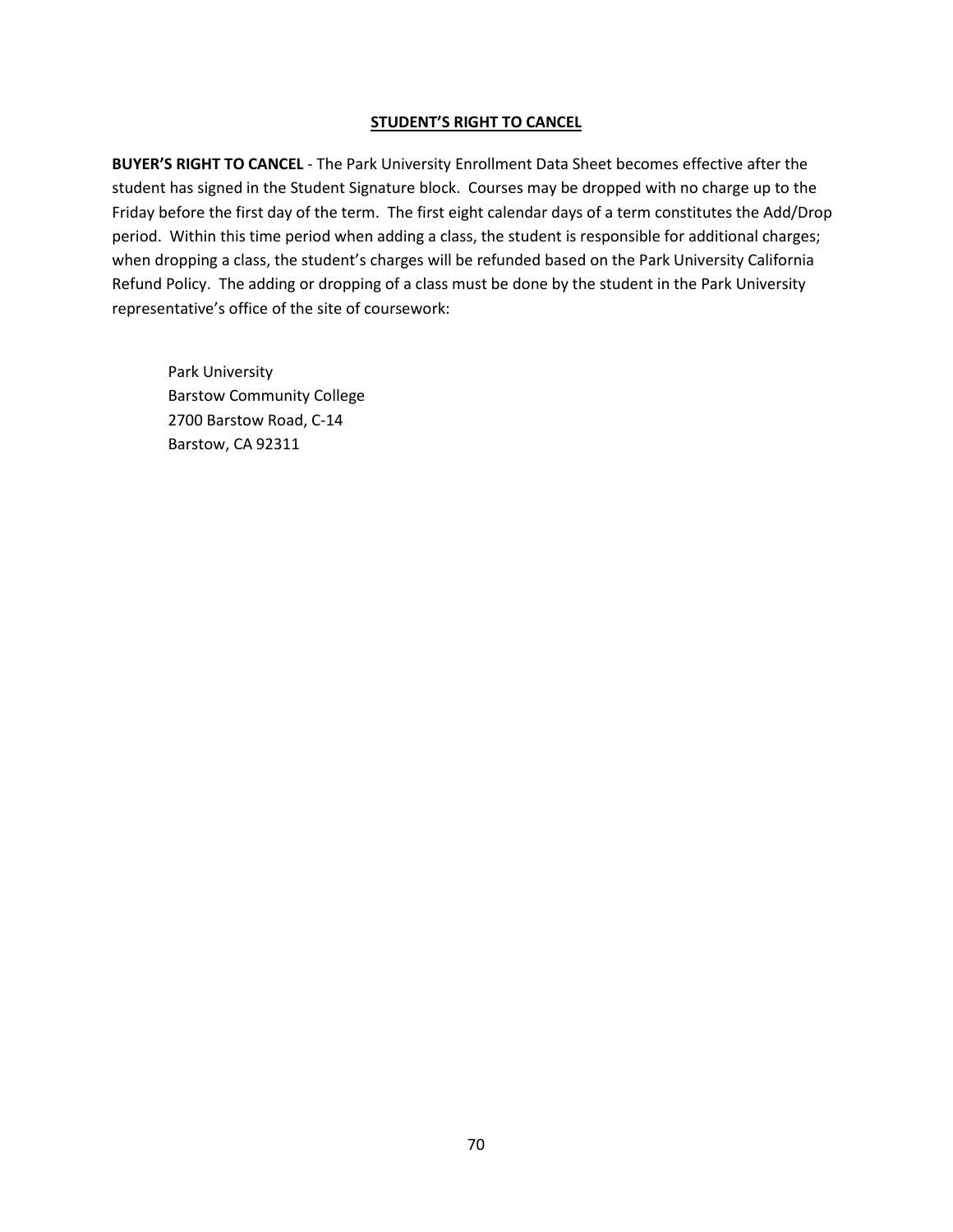#### **STUDENT'S RIGHT TO CANCEL**

**BUYER'S RIGHT TO CANCEL** - The Park University Enrollment Data Sheet becomes effective after the student has signed in the Student Signature block. Courses may be dropped with no charge up to the Friday before the first day of the term. The first eight calendar days of a term constitutes the Add/Drop period. Within this time period when adding a class, the student is responsible for additional charges; when dropping a class, the student's charges will be refunded based on the Park University California Refund Policy. The adding or dropping of a class must be done by the student in the Park University representative's office of the site of coursework:

Park University Barstow Community College 2700 Barstow Road, C-14 Barstow, CA 92311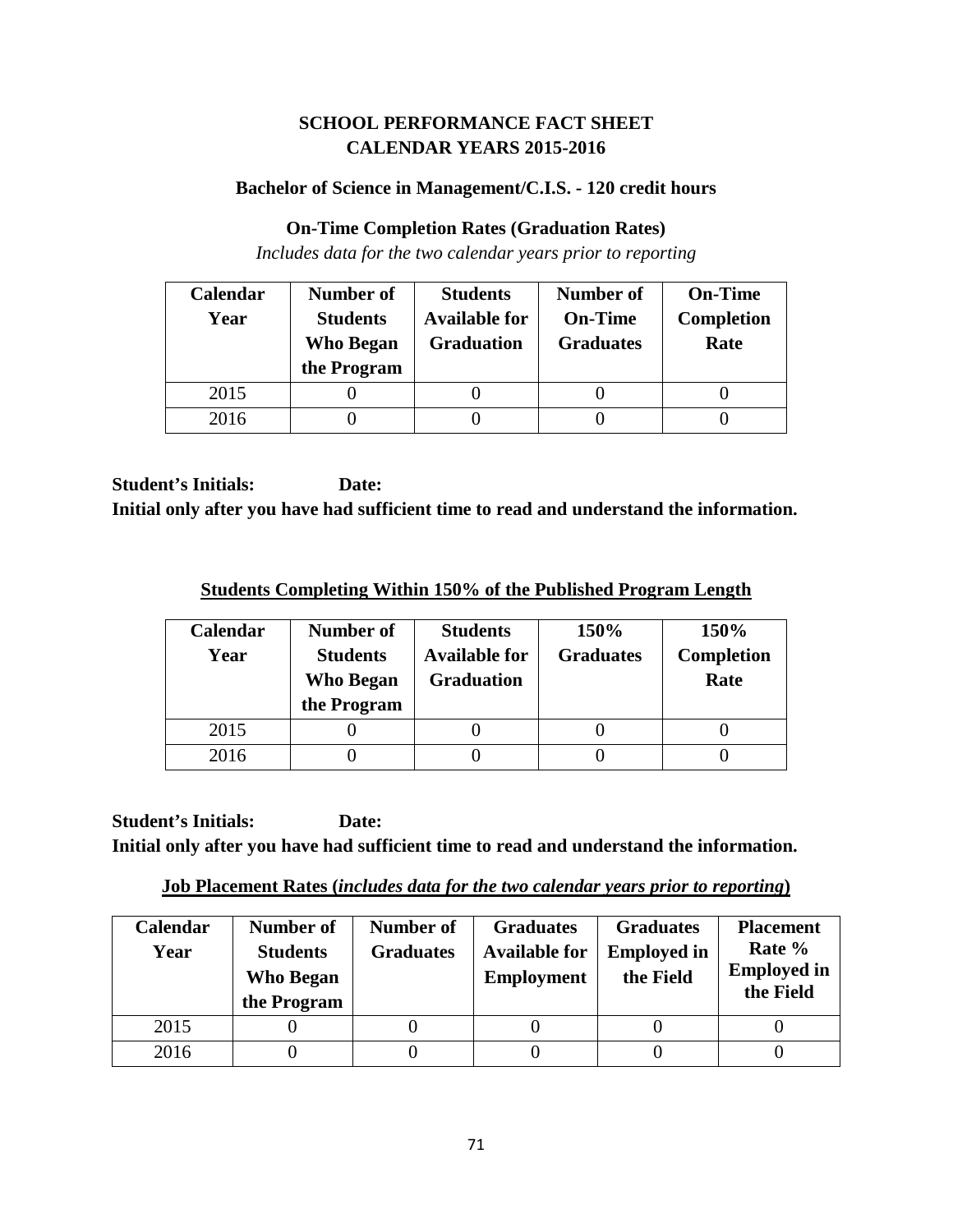# **SCHOOL PERFORMANCE FACT SHEET CALENDAR YEARS 2015-2016**

## **Bachelor of Science in Management/C.I.S. - 120 credit hours**

#### **On-Time Completion Rates (Graduation Rates)**

*Includes data for the two calendar years prior to reporting*

| Calendar | Number of                           | <b>Students</b>                           | <b>Number of</b>                   | <b>On-Time</b>            |
|----------|-------------------------------------|-------------------------------------------|------------------------------------|---------------------------|
| Year     | <b>Students</b><br><b>Who Began</b> | <b>Available for</b><br><b>Graduation</b> | <b>On-Time</b><br><b>Graduates</b> | <b>Completion</b><br>Rate |
|          | the Program                         |                                           |                                    |                           |
| 2015     |                                     |                                           |                                    |                           |
| 2016     |                                     |                                           |                                    |                           |

**Student's Initials: Date: Initial only after you have had sufficient time to read and understand the information.**

**Students Completing Within 150% of the Published Program Length**

| Calendar<br>Year | Number of<br><b>Students</b><br><b>Who Began</b><br>the Program | <b>Students</b><br><b>Available for</b><br><b>Graduation</b> | 150%<br><b>Graduates</b> | 150%<br><b>Completion</b><br>Rate |
|------------------|-----------------------------------------------------------------|--------------------------------------------------------------|--------------------------|-----------------------------------|
| 2015             |                                                                 |                                                              |                          |                                   |
| 2016             |                                                                 |                                                              |                          |                                   |

**Student's Initials: Date: Initial only after you have had sufficient time to read and understand the information.**

**Job Placement Rates (***includes data for the two calendar years prior to reporting***)**

| <b>Calendar</b><br>Year | Number of<br><b>Students</b><br><b>Who Began</b><br>the Program | Number of<br><b>Graduates</b> | <b>Graduates</b><br><b>Available for</b><br><b>Employment</b> | <b>Graduates</b><br><b>Employed in</b><br>the Field | <b>Placement</b><br>Rate %<br><b>Employed in</b><br>the Field |
|-------------------------|-----------------------------------------------------------------|-------------------------------|---------------------------------------------------------------|-----------------------------------------------------|---------------------------------------------------------------|
| 2015                    |                                                                 |                               |                                                               |                                                     |                                                               |
| 2016                    |                                                                 |                               |                                                               |                                                     |                                                               |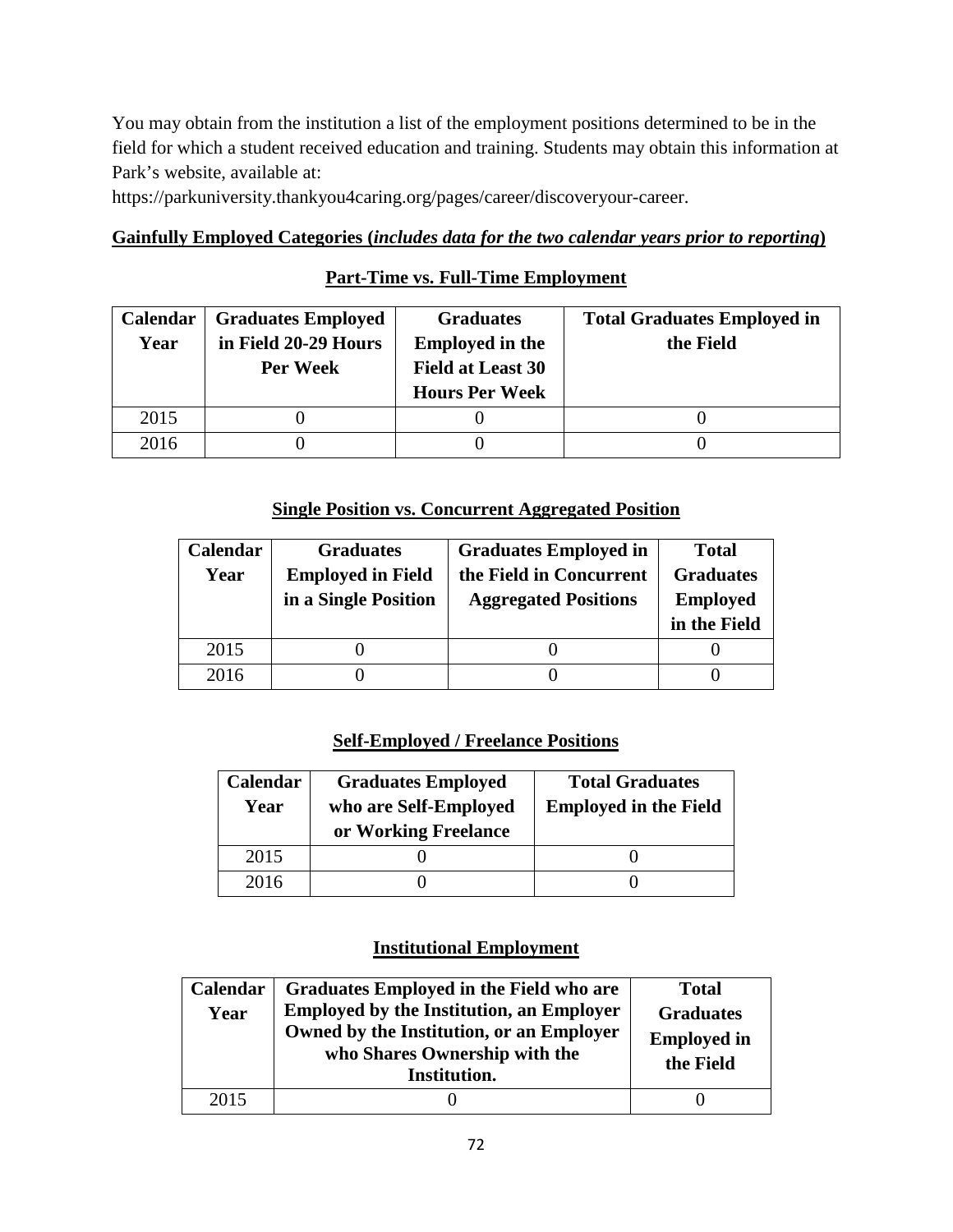You may obtain from the institution a list of the employment positions determined to be in the field for which a student received education and training. Students may obtain this information at Park's website, available at:

https://parkuniversity.thankyou4caring.org/pages/career/discoveryour-career.

### **Gainfully Employed Categories (***includes data for the two calendar years prior to reporting***)**

# **Part-Time vs. Full-Time Employment**

| <b>Calendar</b> | <b>Graduates Employed</b> | <b>Graduates</b>         | <b>Total Graduates Employed in</b> |
|-----------------|---------------------------|--------------------------|------------------------------------|
| Year            | in Field 20-29 Hours      | <b>Employed in the</b>   | the Field                          |
|                 | Per Week                  | <b>Field at Least 30</b> |                                    |
|                 |                           | <b>Hours Per Week</b>    |                                    |
| 2015            |                           |                          |                                    |
| 2016            |                           |                          |                                    |

## **Single Position vs. Concurrent Aggregated Position**

| Calendar | <b>Graduates</b>         | <b>Graduates Employed in</b> | <b>Total</b>     |
|----------|--------------------------|------------------------------|------------------|
| Year     | <b>Employed in Field</b> | the Field in Concurrent      | <b>Graduates</b> |
|          | in a Single Position     | <b>Aggregated Positions</b>  | <b>Employed</b>  |
|          |                          |                              | in the Field     |
|          |                          |                              |                  |
| 2015     |                          |                              |                  |

# **Self-Employed / Freelance Positions**

| Calendar<br>Year | <b>Graduates Employed</b><br>who are Self-Employed<br>or Working Freelance | <b>Total Graduates</b><br><b>Employed in the Field</b> |
|------------------|----------------------------------------------------------------------------|--------------------------------------------------------|
| 2015             |                                                                            |                                                        |
| 2016             |                                                                            |                                                        |

| Calendar<br>Year | Graduates Employed in the Field who are<br><b>Employed by the Institution, an Employer</b><br>Owned by the Institution, or an Employer<br>who Shares Ownership with the<br>Institution. | <b>Total</b><br><b>Graduates</b><br><b>Employed in</b><br>the Field |
|------------------|-----------------------------------------------------------------------------------------------------------------------------------------------------------------------------------------|---------------------------------------------------------------------|
| 2015             |                                                                                                                                                                                         |                                                                     |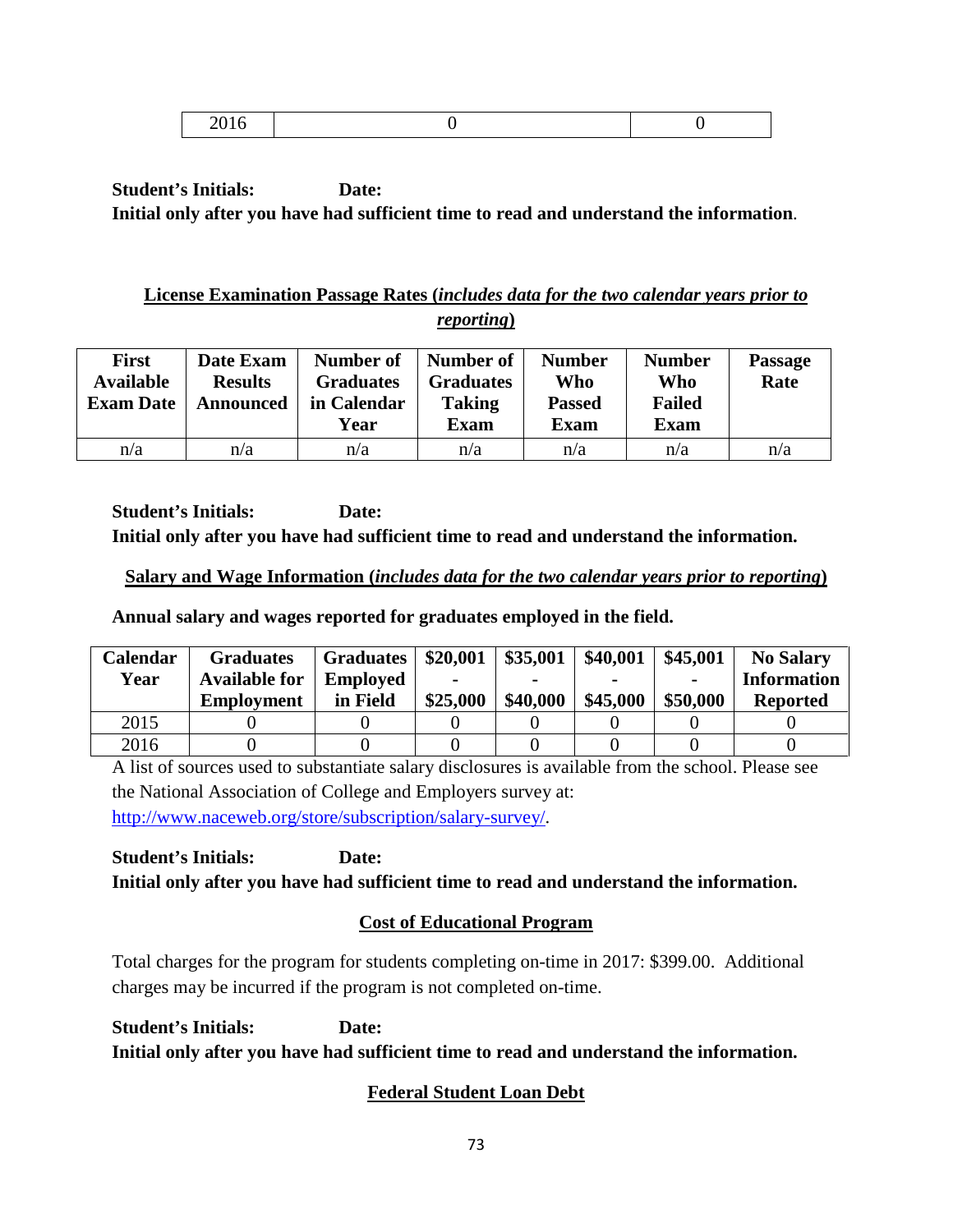|--|--|

## **License Examination Passage Rates (***includes data for the two calendar years prior to reporting***)**

| <b>First</b><br><b>Available</b><br><b>Exam Date</b> | Date Exam<br><b>Results</b><br>Announced | Number of<br><b>Graduates</b><br>in Calendar<br>Year | Number of<br><b>Graduates</b><br><b>Taking</b><br><b>Exam</b> | <b>Number</b><br>Who<br><b>Passed</b><br><b>Exam</b> | <b>Number</b><br>Who<br><b>Failed</b><br><b>Exam</b> | <b>Passage</b><br>Rate |
|------------------------------------------------------|------------------------------------------|------------------------------------------------------|---------------------------------------------------------------|------------------------------------------------------|------------------------------------------------------|------------------------|
| n/a                                                  | n/a                                      | n/a                                                  | n/a                                                           | n/a                                                  | n/a                                                  | n/a                    |

**Student's Initials: Date: Initial only after you have had sufficient time to read and understand the information.**

### **Salary and Wage Information (***includes data for the two calendar years prior to reporting***)**

**Annual salary and wages reported for graduates employed in the field.**

| Calendar | <b>Graduates</b>     | <b>Graduates</b> | \$20,001 | \$35,001 | \$40,001 | \$45,001       | <b>No Salary</b>   |
|----------|----------------------|------------------|----------|----------|----------|----------------|--------------------|
| Year     | <b>Available for</b> | <b>Employed</b>  |          |          |          | $\blacksquare$ | <b>Information</b> |
|          | <b>Employment</b>    | in Field         | \$25,000 | \$40,000 | \$45,000 | \$50,000       | <b>Reported</b>    |
| 2015     |                      |                  |          |          |          |                |                    |
| 2016     |                      |                  |          |          |          |                |                    |

A list of sources used to substantiate salary disclosures is available from the school. Please see the National Association of College and Employers survey at: [http://www.naceweb.org/store/subscription/salary-survey/.](http://www.naceweb.org/store/subscription/salary-survey/)

**Student's Initials: Date: Initial only after you have had sufficient time to read and understand the information.**

# **Cost of Educational Program**

Total charges for the program for students completing on-time in 2017: \$399.00. Additional charges may be incurred if the program is not completed on-time.

**Student's Initials: Date: Initial only after you have had sufficient time to read and understand the information.**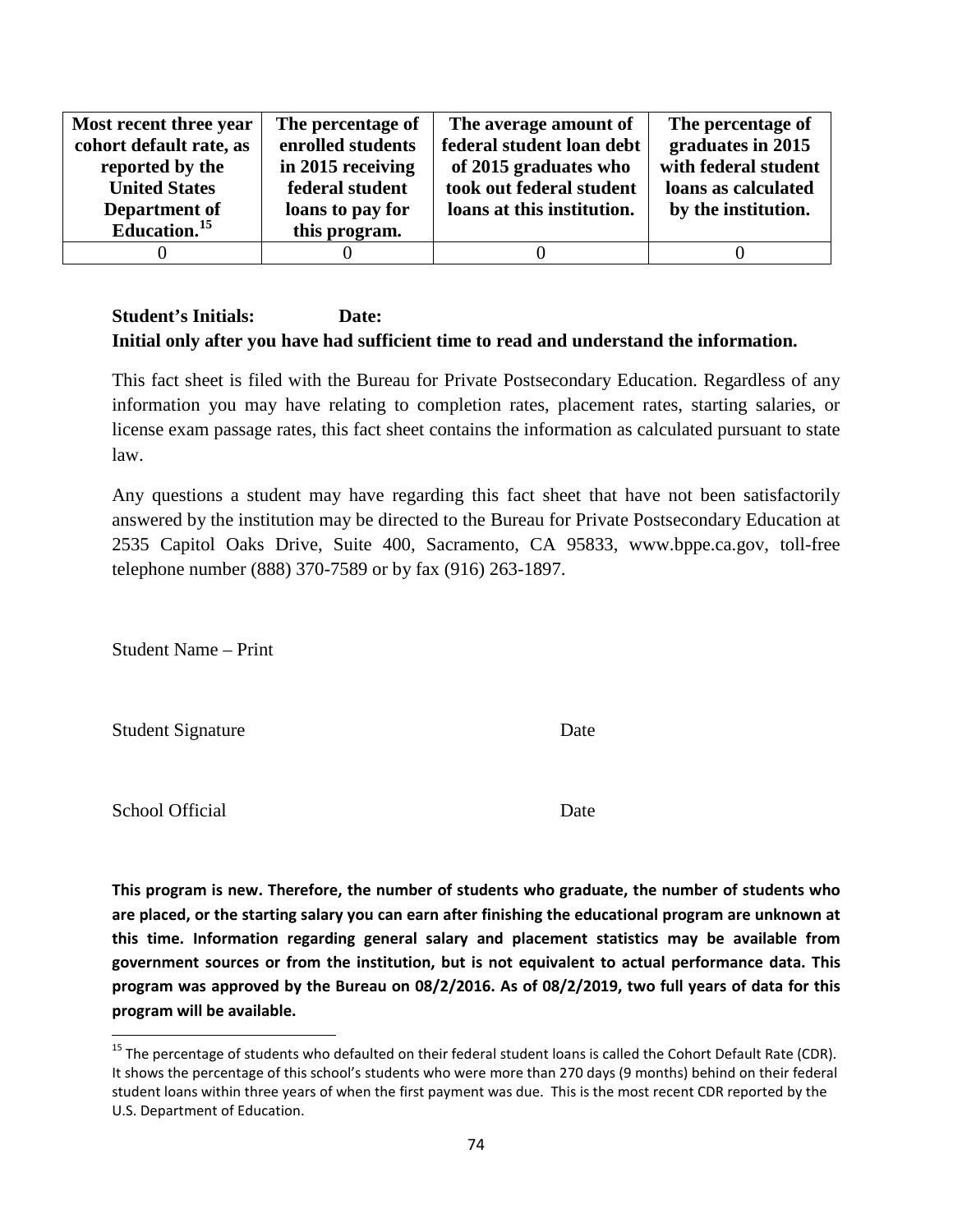| Most recent three year   | The percentage of | The average amount of      | The percentage of    |
|--------------------------|-------------------|----------------------------|----------------------|
| cohort default rate, as  | enrolled students | federal student loan debt  | graduates in 2015    |
| reported by the          | in 2015 receiving | of 2015 graduates who      | with federal student |
| <b>United States</b>     | federal student   | took out federal student   | loans as calculated  |
| Department of            | loans to pay for  | loans at this institution. | by the institution.  |
| Education. <sup>15</sup> | this program.     |                            |                      |
|                          |                   |                            |                      |

This fact sheet is filed with the Bureau for Private Postsecondary Education. Regardless of any information you may have relating to completion rates, placement rates, starting salaries, or license exam passage rates, this fact sheet contains the information as calculated pursuant to state law.

Any questions a student may have regarding this fact sheet that have not been satisfactorily answered by the institution may be directed to the Bureau for Private Postsecondary Education at 2535 Capitol Oaks Drive, Suite 400, Sacramento, CA 95833, www.bppe.ca.gov, toll-free telephone number (888) 370-7589 or by fax (916) 263-1897.

Student Name – Print

Student Signature Date

School Official Date

<span id="page-73-0"></span> $15$  The percentage of students who defaulted on their federal student loans is called the Cohort Default Rate (CDR). It shows the percentage of this school's students who were more than 270 days (9 months) behind on their federal student loans within three years of when the first payment was due. This is the most recent CDR reported by the U.S. Department of Education.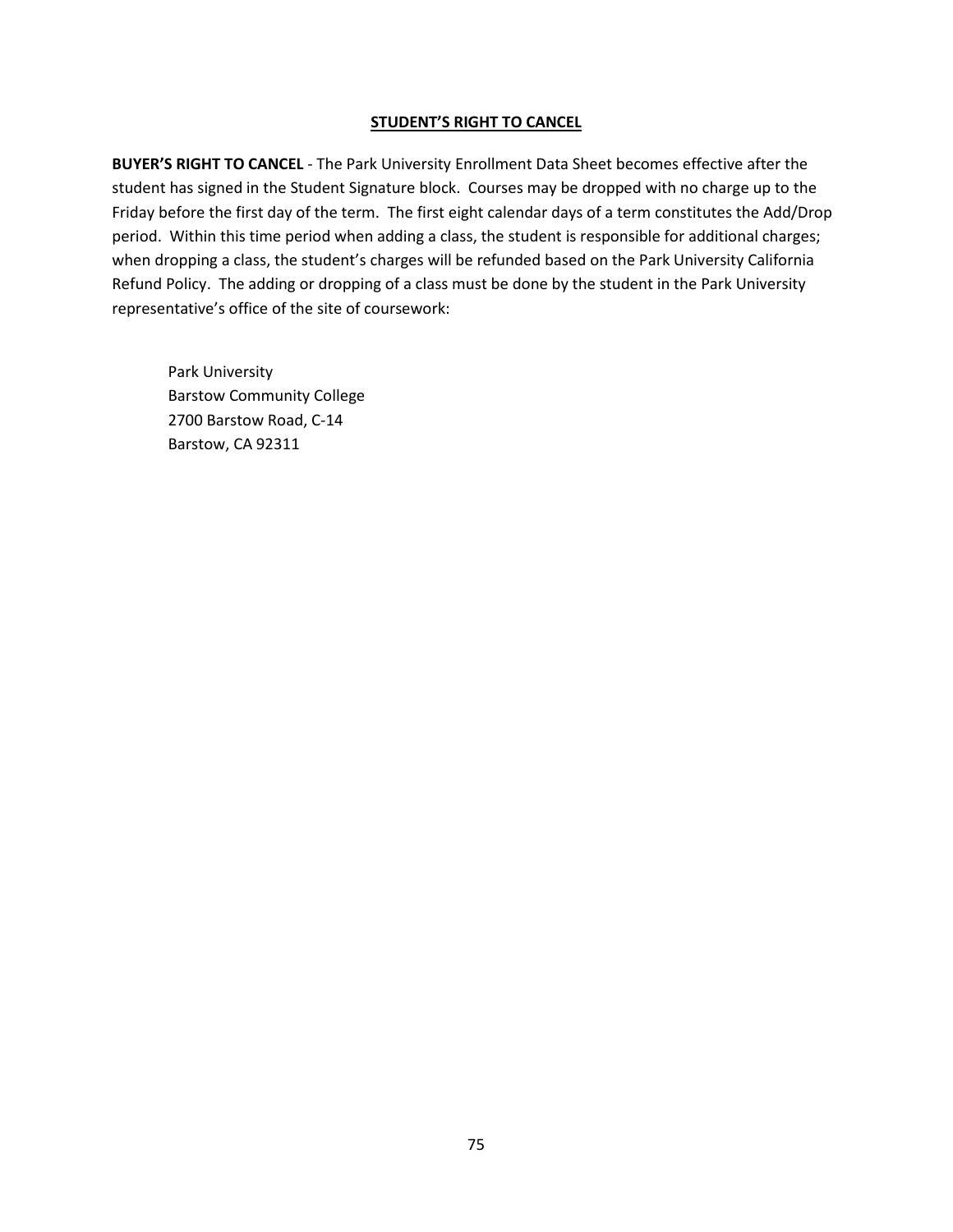**BUYER'S RIGHT TO CANCEL** - The Park University Enrollment Data Sheet becomes effective after the student has signed in the Student Signature block. Courses may be dropped with no charge up to the Friday before the first day of the term. The first eight calendar days of a term constitutes the Add/Drop period. Within this time period when adding a class, the student is responsible for additional charges; when dropping a class, the student's charges will be refunded based on the Park University California Refund Policy. The adding or dropping of a class must be done by the student in the Park University representative's office of the site of coursework: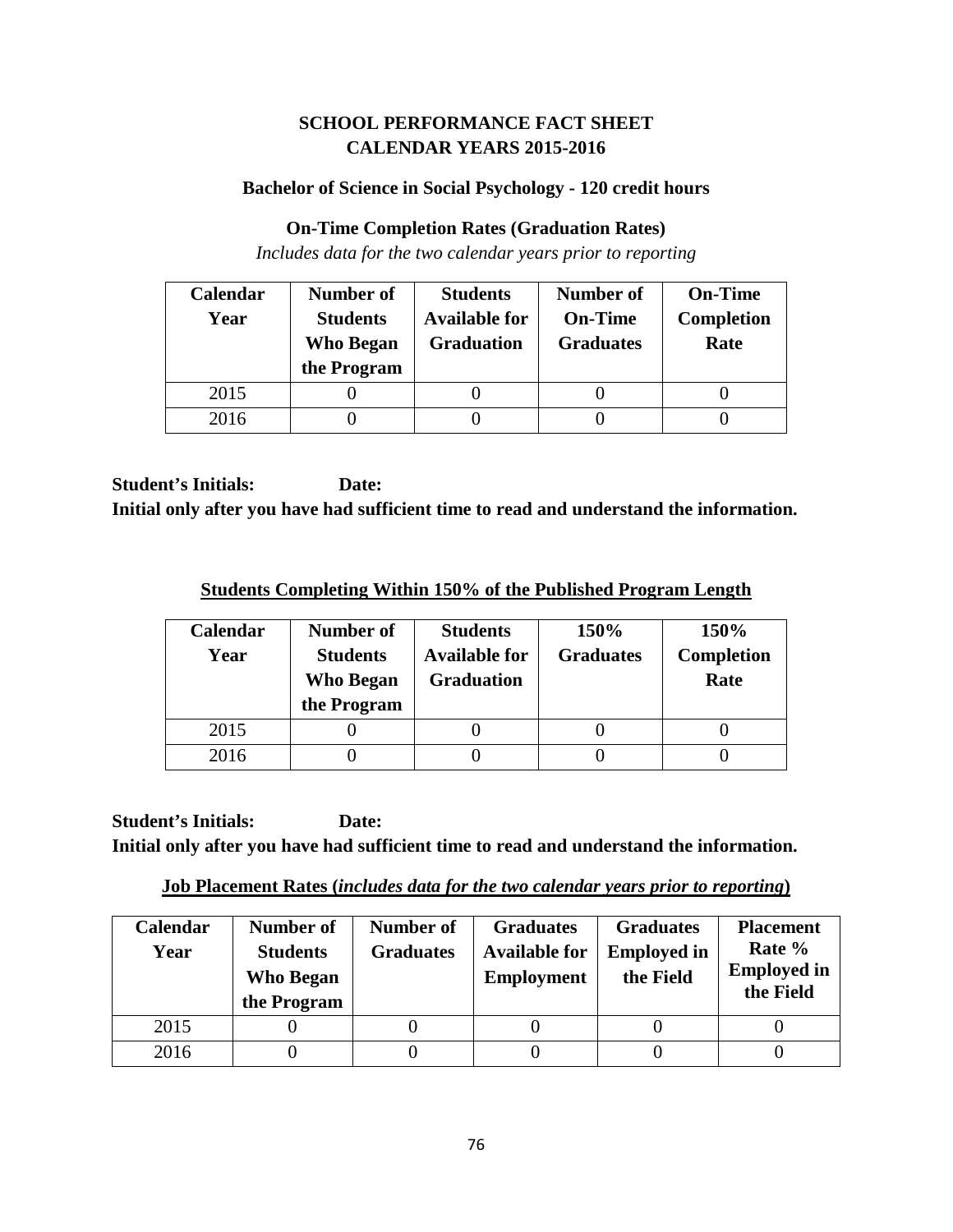## **SCHOOL PERFORMANCE FACT SHEET CALENDAR YEARS 2015-2016**

### **Bachelor of Science in Social Psychology - 120 credit hours**

### **On-Time Completion Rates (Graduation Rates)**

*Includes data for the two calendar years prior to reporting*

| Calendar | Number of        | <b>Students</b>      | <b>Number of</b> | <b>On-Time</b>    |
|----------|------------------|----------------------|------------------|-------------------|
| Year     | <b>Students</b>  | <b>Available for</b> | <b>On-Time</b>   | <b>Completion</b> |
|          | <b>Who Began</b> | <b>Graduation</b>    | <b>Graduates</b> | Rate              |
|          | the Program      |                      |                  |                   |
| 2015     |                  |                      |                  |                   |
| 2016     |                  |                      |                  |                   |

**Student's Initials: Date: Initial only after you have had sufficient time to read and understand the information.**

**Students Completing Within 150% of the Published Program Length**

| <b>Calendar</b><br>Year | Number of<br><b>Students</b><br>Who Began<br>the Program | <b>Students</b><br><b>Available for</b><br><b>Graduation</b> | 150%<br><b>Graduates</b> | 150%<br><b>Completion</b><br>Rate |
|-------------------------|----------------------------------------------------------|--------------------------------------------------------------|--------------------------|-----------------------------------|
| 2015                    |                                                          |                                                              |                          |                                   |
| 2016                    |                                                          |                                                              |                          |                                   |

**Student's Initials: Date: Initial only after you have had sufficient time to read and understand the information.**

**Job Placement Rates (***includes data for the two calendar years prior to reporting***)**

| <b>Calendar</b><br>Year | Number of<br><b>Students</b><br><b>Who Began</b><br>the Program | Number of<br><b>Graduates</b> | <b>Graduates</b><br><b>Available for</b><br><b>Employment</b> | <b>Graduates</b><br><b>Employed in</b><br>the Field | <b>Placement</b><br>Rate %<br><b>Employed in</b><br>the Field |
|-------------------------|-----------------------------------------------------------------|-------------------------------|---------------------------------------------------------------|-----------------------------------------------------|---------------------------------------------------------------|
| 2015                    |                                                                 |                               |                                                               |                                                     |                                                               |
| 2016                    |                                                                 |                               |                                                               |                                                     |                                                               |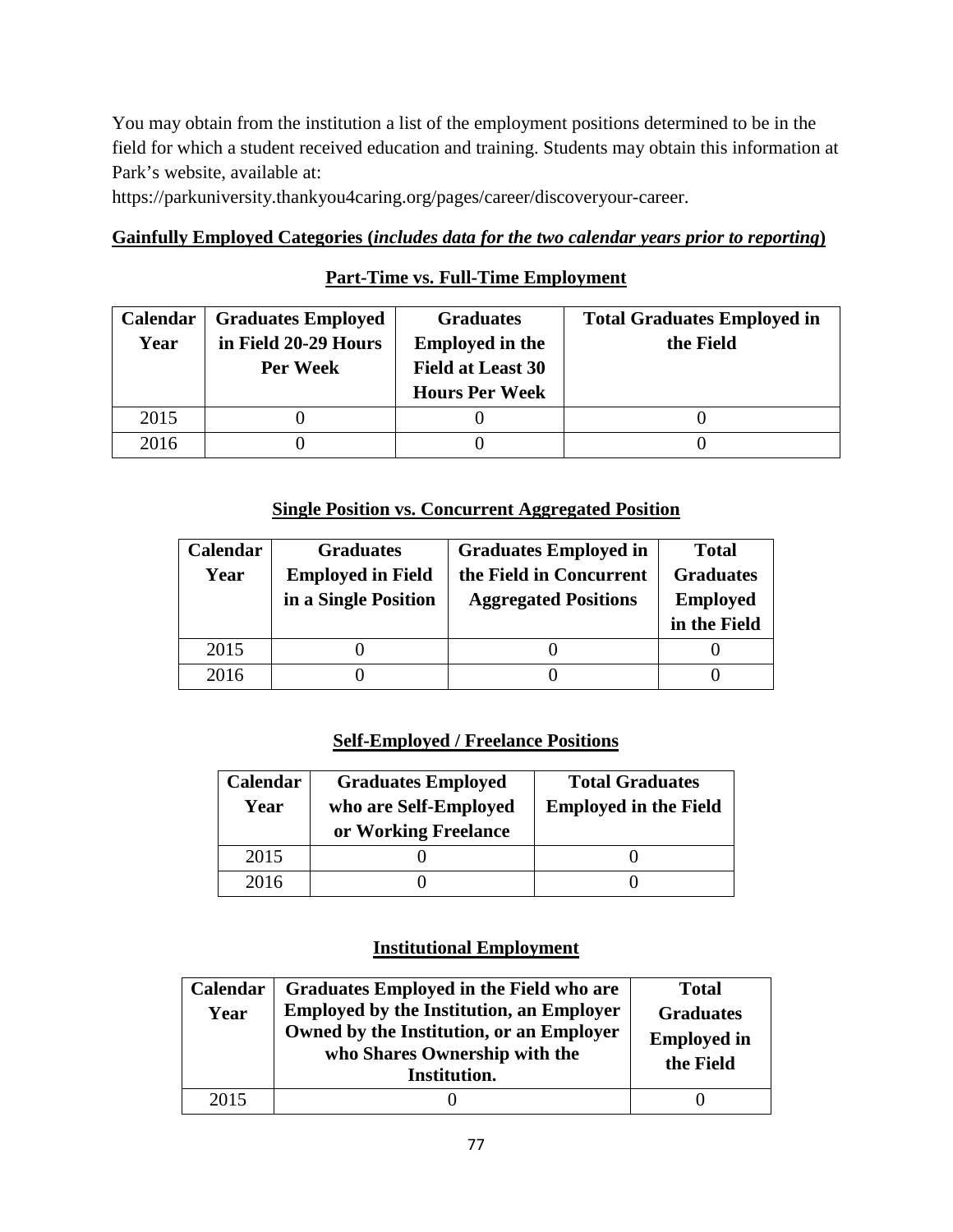You may obtain from the institution a list of the employment positions determined to be in the field for which a student received education and training. Students may obtain this information at Park's website, available at:

https://parkuniversity.thankyou4caring.org/pages/career/discoveryour-career.

#### **Gainfully Employed Categories (***includes data for the two calendar years prior to reporting***)**

## **Part-Time vs. Full-Time Employment**

| Calendar | <b>Graduates Employed</b> | <b>Graduates</b>         | <b>Total Graduates Employed in</b> |
|----------|---------------------------|--------------------------|------------------------------------|
| Year     | in Field 20-29 Hours      | <b>Employed in the</b>   | the Field                          |
|          | Per Week                  | <b>Field at Least 30</b> |                                    |
|          |                           | <b>Hours Per Week</b>    |                                    |
| 2015     |                           |                          |                                    |
| 2016     |                           |                          |                                    |

### **Single Position vs. Concurrent Aggregated Position**

| Calendar | <b>Graduates</b>         | <b>Graduates Employed in</b> | <b>Total</b>     |
|----------|--------------------------|------------------------------|------------------|
| Year     | <b>Employed in Field</b> | the Field in Concurrent      | <b>Graduates</b> |
|          | in a Single Position     | <b>Aggregated Positions</b>  | <b>Employed</b>  |
|          |                          |                              | in the Field     |
|          |                          |                              |                  |
| 2015     |                          |                              |                  |

## **Self-Employed / Freelance Positions**

| Calendar<br>Year | <b>Graduates Employed</b><br>who are Self-Employed<br>or Working Freelance | <b>Total Graduates</b><br><b>Employed in the Field</b> |
|------------------|----------------------------------------------------------------------------|--------------------------------------------------------|
| 2015             |                                                                            |                                                        |
| 2016             |                                                                            |                                                        |

#### **Institutional Employment**

| Calendar<br>Year | Graduates Employed in the Field who are<br><b>Employed by the Institution, an Employer</b><br>Owned by the Institution, or an Employer<br>who Shares Ownership with the<br>Institution. | <b>Total</b><br><b>Graduates</b><br><b>Employed in</b><br>the Field |
|------------------|-----------------------------------------------------------------------------------------------------------------------------------------------------------------------------------------|---------------------------------------------------------------------|
| 2015             |                                                                                                                                                                                         |                                                                     |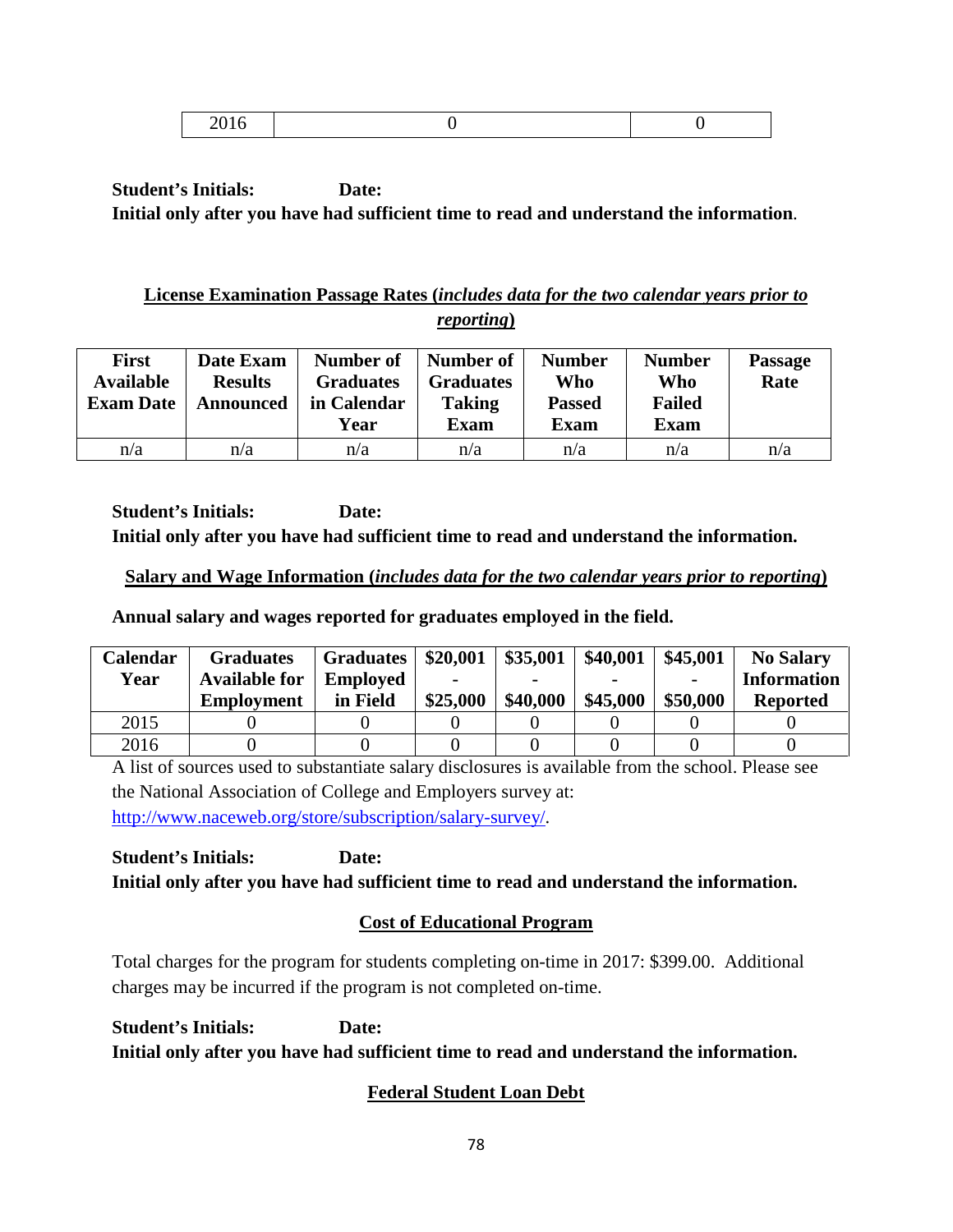|--|

## **License Examination Passage Rates (***includes data for the two calendar years prior to reporting***)**

| <b>First</b><br><b>Available</b><br><b>Exam Date</b> | Date Exam<br><b>Results</b><br><b>Announced</b> | Number of<br><b>Graduates</b><br>in Calendar<br>Year | Number of<br><b>Graduates</b><br><b>Taking</b><br><b>Exam</b> | <b>Number</b><br>Who<br><b>Passed</b><br>Exam | <b>Number</b><br>Who<br><b>Failed</b><br><b>Exam</b> | <b>Passage</b><br>Rate |
|------------------------------------------------------|-------------------------------------------------|------------------------------------------------------|---------------------------------------------------------------|-----------------------------------------------|------------------------------------------------------|------------------------|
| n/a                                                  | n/a                                             | n/a                                                  | n/a                                                           | n/a                                           | n/a                                                  | n/a                    |

**Student's Initials: Date: Initial only after you have had sufficient time to read and understand the information.**

## **Salary and Wage Information (***includes data for the two calendar years prior to reporting***)**

**Annual salary and wages reported for graduates employed in the field.**

| Calendar | <b>Graduates</b>     | <b>Graduates</b> | \$20,001 | \$35,001 | \$40,001 | \$45,001       | <b>No Salary</b>   |
|----------|----------------------|------------------|----------|----------|----------|----------------|--------------------|
| Year     | <b>Available for</b> | <b>Employed</b>  |          |          |          | $\blacksquare$ | <b>Information</b> |
|          | <b>Employment</b>    | in Field         | \$25,000 | \$40,000 | \$45,000 | \$50,000       | <b>Reported</b>    |
| 2015     |                      |                  |          |          |          |                |                    |
| 2016     |                      |                  |          |          |          |                |                    |

A list of sources used to substantiate salary disclosures is available from the school. Please see the National Association of College and Employers survey at: [http://www.naceweb.org/store/subscription/salary-survey/.](http://www.naceweb.org/store/subscription/salary-survey/)

**Student's Initials: Date: Initial only after you have had sufficient time to read and understand the information.**

# **Cost of Educational Program**

Total charges for the program for students completing on-time in 2017: \$399.00. Additional charges may be incurred if the program is not completed on-time.

**Student's Initials: Date: Initial only after you have had sufficient time to read and understand the information.**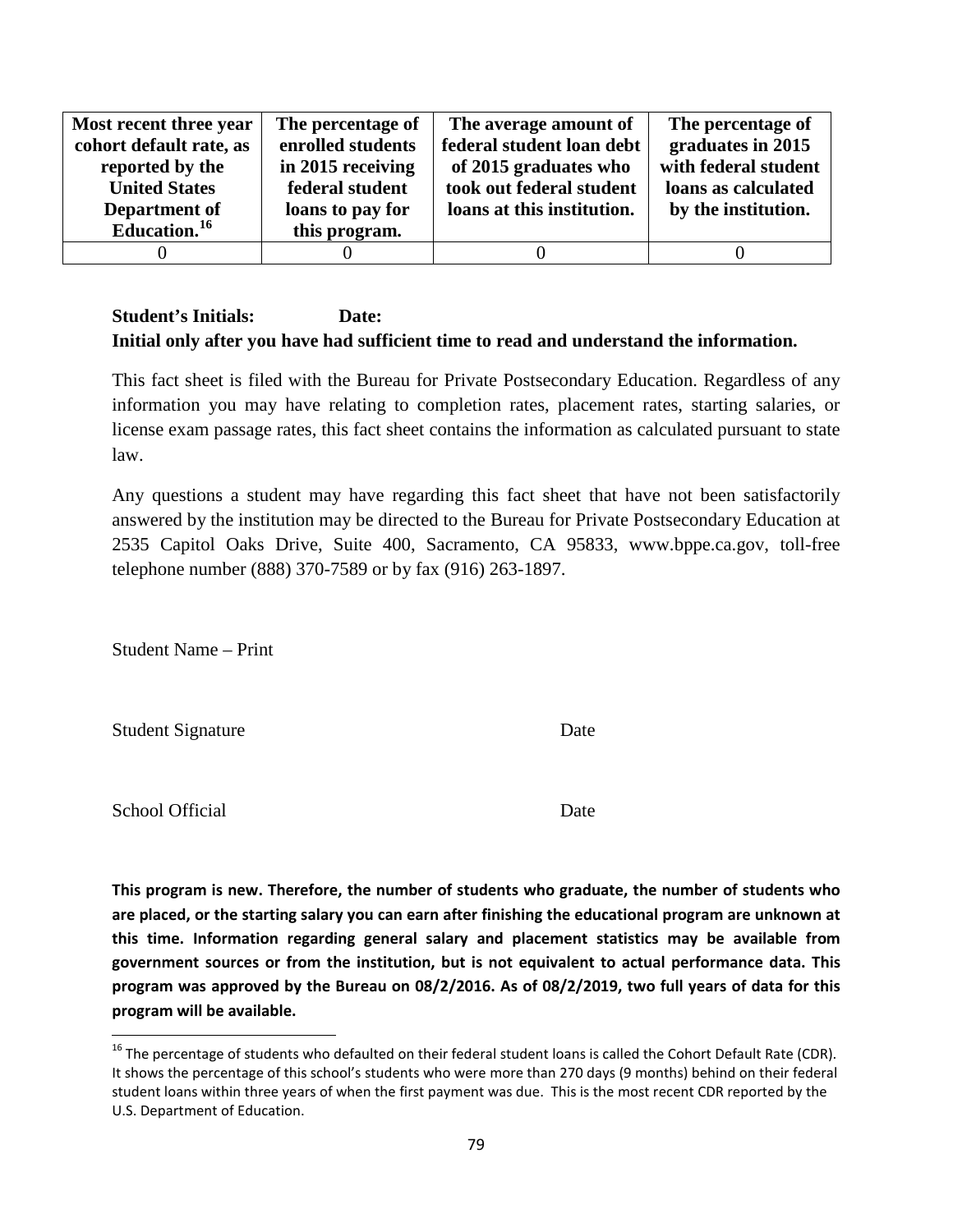| Most recent three year   | The percentage of | The average amount of      | The percentage of    |
|--------------------------|-------------------|----------------------------|----------------------|
| cohort default rate, as  | enrolled students | federal student loan debt  | graduates in 2015    |
| reported by the          | in 2015 receiving | of 2015 graduates who      | with federal student |
| <b>United States</b>     | federal student   | took out federal student   | loans as calculated  |
| Department of            | loans to pay for  | loans at this institution. | by the institution.  |
| Education. <sup>16</sup> | this program.     |                            |                      |
|                          |                   |                            |                      |

This fact sheet is filed with the Bureau for Private Postsecondary Education. Regardless of any information you may have relating to completion rates, placement rates, starting salaries, or license exam passage rates, this fact sheet contains the information as calculated pursuant to state law.

Any questions a student may have regarding this fact sheet that have not been satisfactorily answered by the institution may be directed to the Bureau for Private Postsecondary Education at 2535 Capitol Oaks Drive, Suite 400, Sacramento, CA 95833, www.bppe.ca.gov, toll-free telephone number (888) 370-7589 or by fax (916) 263-1897.

Student Name – Print

Student Signature Date

School Official Date

<span id="page-78-0"></span> $16$  The percentage of students who defaulted on their federal student loans is called the Cohort Default Rate (CDR). It shows the percentage of this school's students who were more than 270 days (9 months) behind on their federal student loans within three years of when the first payment was due. This is the most recent CDR reported by the U.S. Department of Education.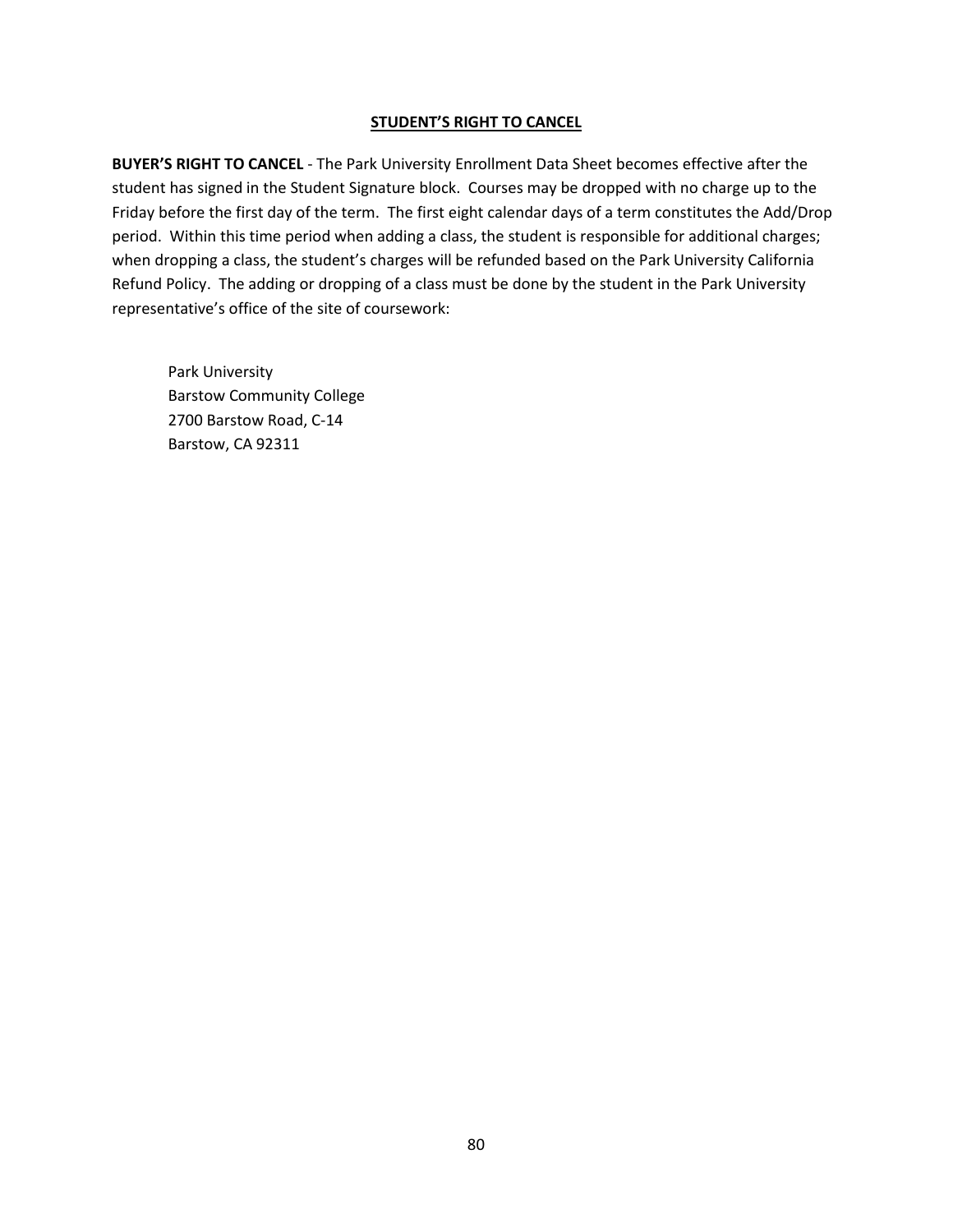**BUYER'S RIGHT TO CANCEL** - The Park University Enrollment Data Sheet becomes effective after the student has signed in the Student Signature block. Courses may be dropped with no charge up to the Friday before the first day of the term. The first eight calendar days of a term constitutes the Add/Drop period. Within this time period when adding a class, the student is responsible for additional charges; when dropping a class, the student's charges will be refunded based on the Park University California Refund Policy. The adding or dropping of a class must be done by the student in the Park University representative's office of the site of coursework: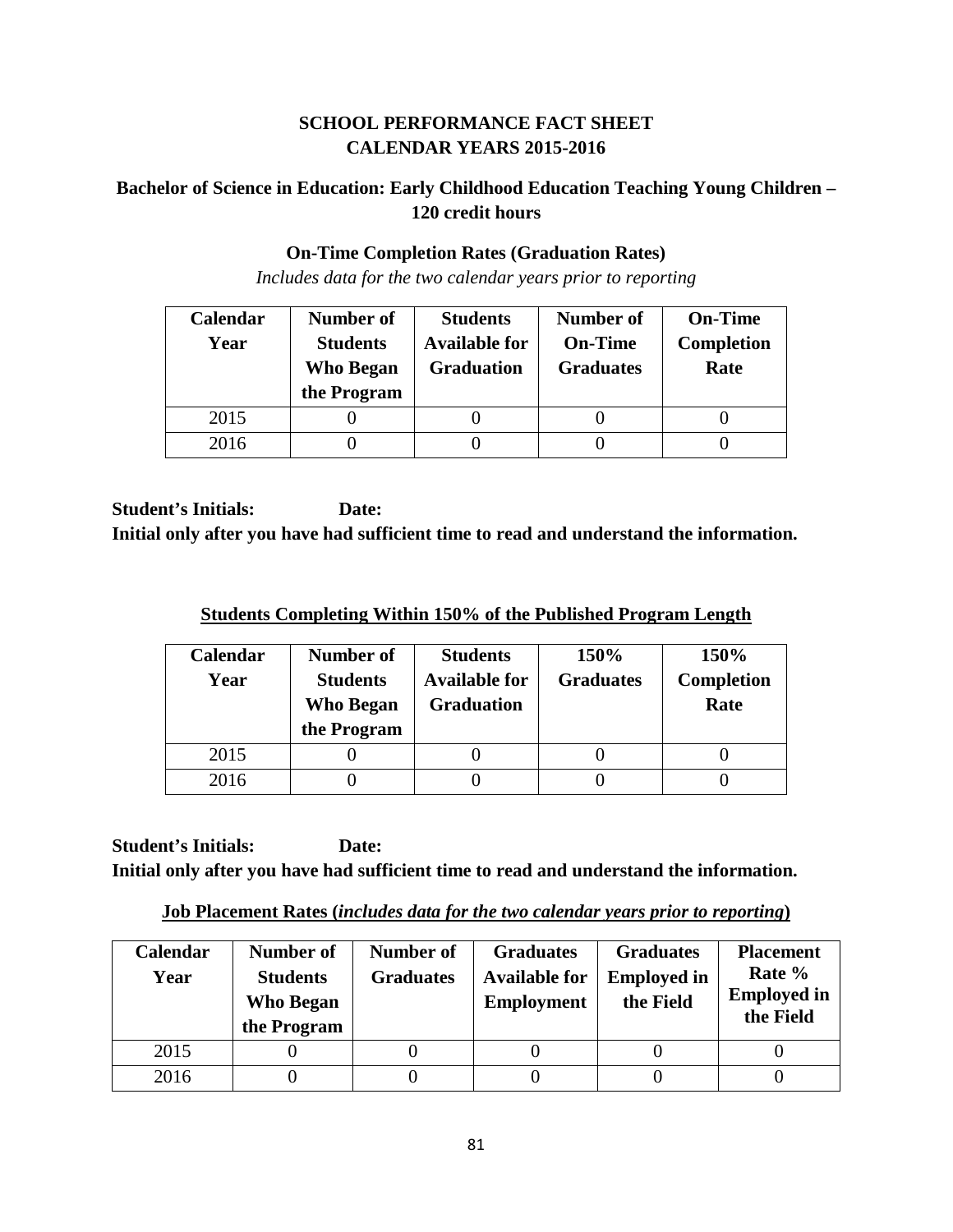## **SCHOOL PERFORMANCE FACT SHEET CALENDAR YEARS 2015-2016**

# **Bachelor of Science in Education: Early Childhood Education Teaching Young Children – 120 credit hours**

### **On-Time Completion Rates (Graduation Rates)**

*Includes data for the two calendar years prior to reporting*

| <b>Calendar</b> | Number of        | <b>Students</b>      | Number of        | <b>On-Time</b>    |
|-----------------|------------------|----------------------|------------------|-------------------|
| Year            | <b>Students</b>  | <b>Available for</b> | <b>On-Time</b>   | <b>Completion</b> |
|                 | <b>Who Began</b> | <b>Graduation</b>    | <b>Graduates</b> | Rate              |
|                 | the Program      |                      |                  |                   |
| 2015            |                  |                      |                  |                   |
| 2016            |                  |                      |                  |                   |

**Student's Initials: Date: Initial only after you have had sufficient time to read and understand the information.**

| <b>Students Completing Within 150% of the Published Program Length</b> |  |  |  |
|------------------------------------------------------------------------|--|--|--|
|                                                                        |  |  |  |

| Calendar<br>Year | Number of<br><b>Students</b><br><b>Who Began</b> | <b>Students</b><br><b>Available for</b><br><b>Graduation</b> | 150%<br><b>Graduates</b> | 150%<br>Completion<br>Rate |
|------------------|--------------------------------------------------|--------------------------------------------------------------|--------------------------|----------------------------|
| 2015             | the Program                                      |                                                              |                          |                            |
| 2016             |                                                  |                                                              |                          |                            |

**Student's Initials: Date: Initial only after you have had sufficient time to read and understand the information.**

**Job Placement Rates (***includes data for the two calendar years prior to reporting***)**

| <b>Calendar</b><br>Year | Number of<br><b>Students</b><br><b>Who Began</b><br>the Program | Number of<br><b>Graduates</b> | <b>Graduates</b><br><b>Available for</b><br><b>Employment</b> | <b>Graduates</b><br><b>Employed in</b><br>the Field | <b>Placement</b><br>Rate %<br><b>Employed in</b><br>the Field |
|-------------------------|-----------------------------------------------------------------|-------------------------------|---------------------------------------------------------------|-----------------------------------------------------|---------------------------------------------------------------|
| 2015                    |                                                                 |                               |                                                               |                                                     |                                                               |
| 2016                    |                                                                 |                               |                                                               |                                                     |                                                               |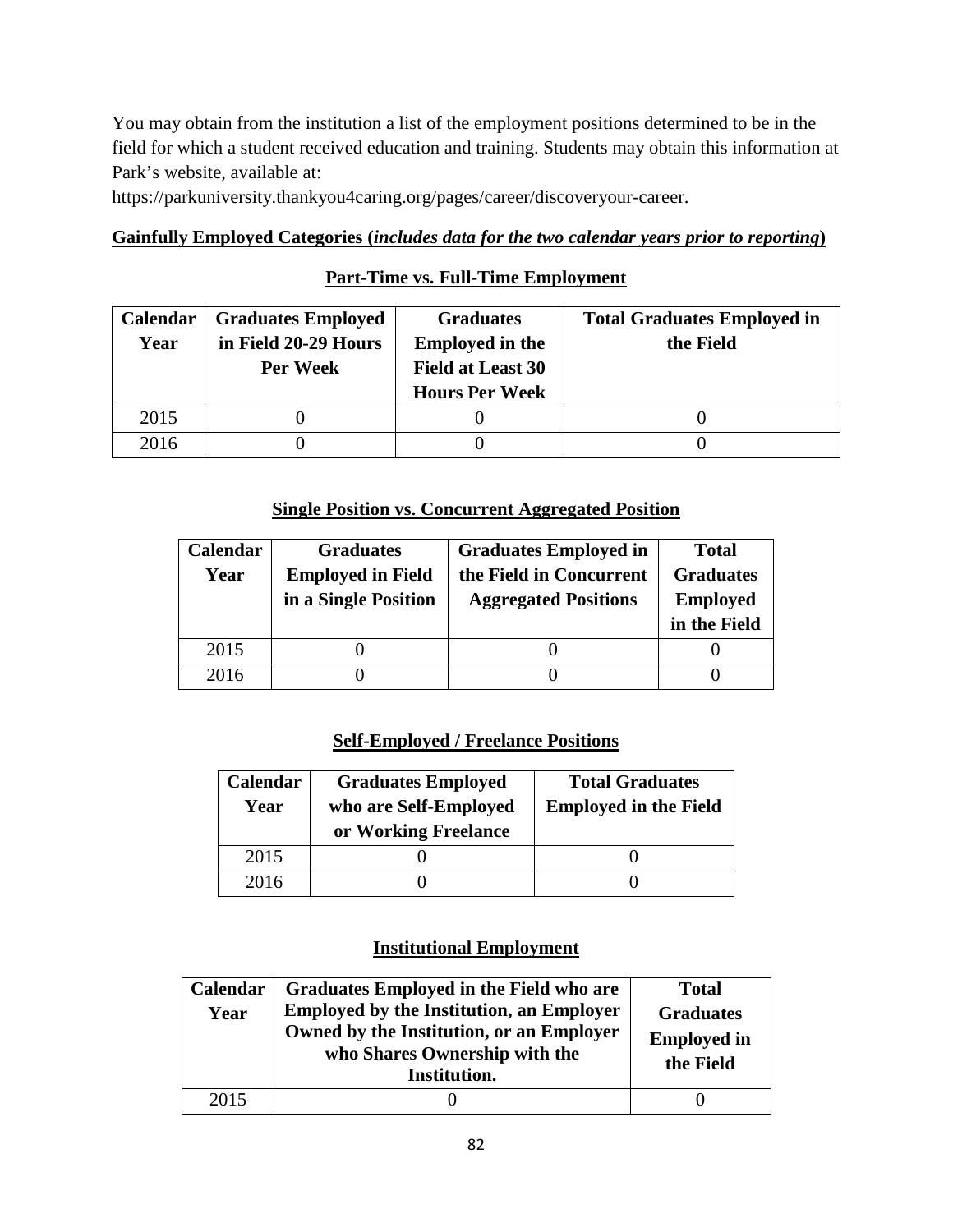You may obtain from the institution a list of the employment positions determined to be in the field for which a student received education and training. Students may obtain this information at Park's website, available at:

https://parkuniversity.thankyou4caring.org/pages/career/discoveryour-career.

## **Gainfully Employed Categories (***includes data for the two calendar years prior to reporting***)**

## **Part-Time vs. Full-Time Employment**

| Calendar | <b>Graduates Employed</b> | <b>Graduates</b>         | <b>Total Graduates Employed in</b> |
|----------|---------------------------|--------------------------|------------------------------------|
| Year     | in Field 20-29 Hours      | <b>Employed in the</b>   | the Field                          |
|          | Per Week                  | <b>Field at Least 30</b> |                                    |
|          |                           | <b>Hours Per Week</b>    |                                    |
| 2015     |                           |                          |                                    |
| 2016     |                           |                          |                                    |

### **Single Position vs. Concurrent Aggregated Position**

| Calendar | <b>Graduates</b>         | <b>Graduates Employed in</b> | <b>Total</b>     |
|----------|--------------------------|------------------------------|------------------|
| Year     | <b>Employed in Field</b> | the Field in Concurrent      | <b>Graduates</b> |
|          | in a Single Position     | <b>Aggregated Positions</b>  | <b>Employed</b>  |
|          |                          |                              | in the Field     |
| 2015     |                          |                              |                  |
| 2016     |                          |                              |                  |

## **Self-Employed / Freelance Positions**

| Calendar<br>Year | <b>Graduates Employed</b><br>who are Self-Employed<br>or Working Freelance | <b>Total Graduates</b><br><b>Employed in the Field</b> |
|------------------|----------------------------------------------------------------------------|--------------------------------------------------------|
| 2015             |                                                                            |                                                        |
| 2016             |                                                                            |                                                        |

## **Institutional Employment**

| Calendar<br>Year | Graduates Employed in the Field who are<br><b>Employed by the Institution, an Employer</b><br>Owned by the Institution, or an Employer<br>who Shares Ownership with the<br>Institution. | <b>Total</b><br><b>Graduates</b><br><b>Employed in</b><br>the Field |
|------------------|-----------------------------------------------------------------------------------------------------------------------------------------------------------------------------------------|---------------------------------------------------------------------|
| 2015             |                                                                                                                                                                                         |                                                                     |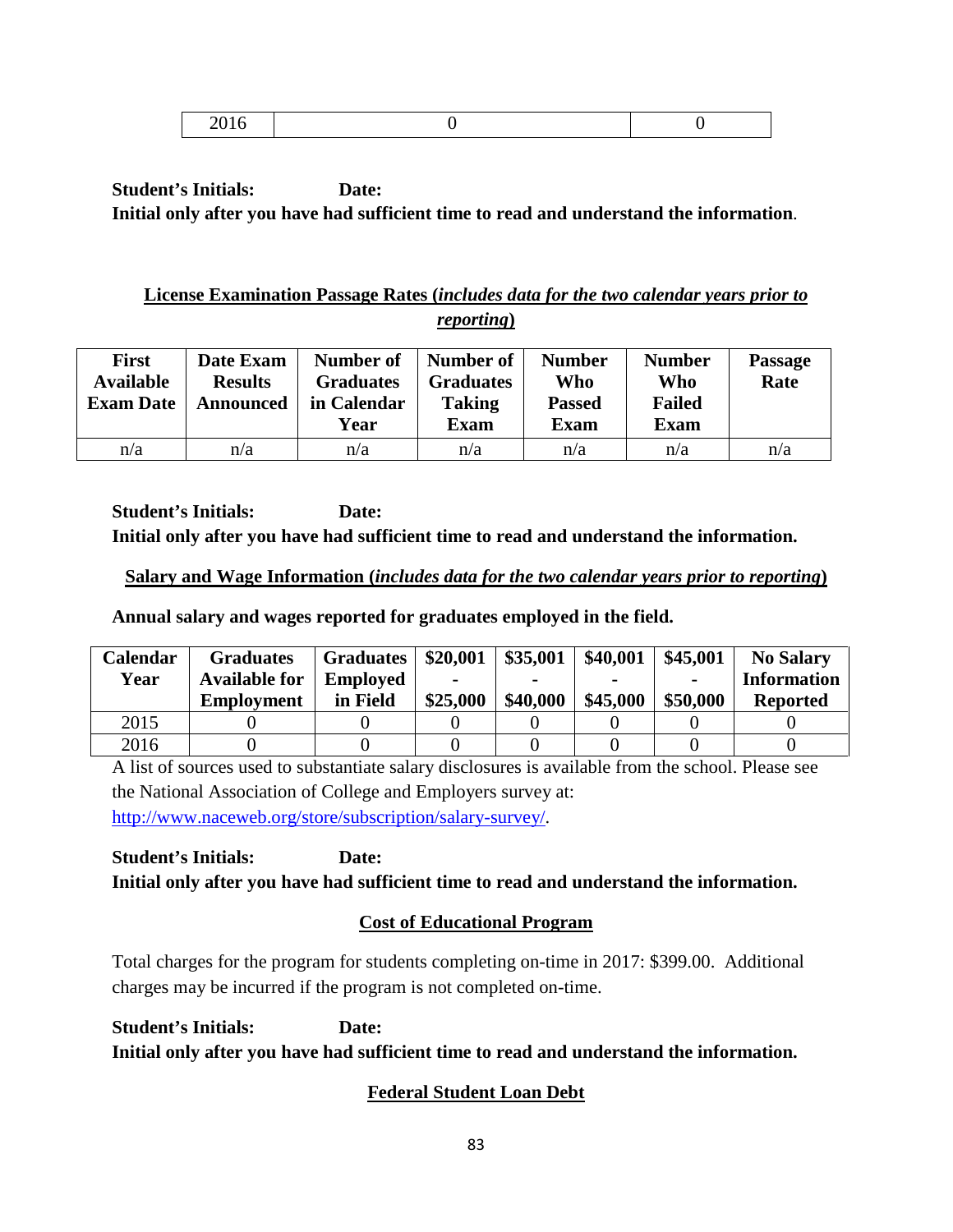|--|

## **License Examination Passage Rates (***includes data for the two calendar years prior to reporting***)**

| <b>First</b><br><b>Available</b><br><b>Exam Date</b> | Date Exam<br><b>Results</b><br><b>Announced</b> | Number of<br><b>Graduates</b><br>in Calendar<br>Year | Number of<br><b>Graduates</b><br><b>Taking</b><br><b>Exam</b> | <b>Number</b><br>Who<br><b>Passed</b><br>Exam | <b>Number</b><br>Who<br><b>Failed</b><br><b>Exam</b> | <b>Passage</b><br>Rate |
|------------------------------------------------------|-------------------------------------------------|------------------------------------------------------|---------------------------------------------------------------|-----------------------------------------------|------------------------------------------------------|------------------------|
| n/a                                                  | n/a                                             | n/a                                                  | n/a                                                           | n/a                                           | n/a                                                  | n/a                    |

**Student's Initials: Date: Initial only after you have had sufficient time to read and understand the information.**

## **Salary and Wage Information (***includes data for the two calendar years prior to reporting***)**

**Annual salary and wages reported for graduates employed in the field.**

| Calendar | <b>Graduates</b>     | <b>Graduates</b> | \$20,001 | \$35,001 | \$40,001 | \$45,001       | <b>No Salary</b>   |
|----------|----------------------|------------------|----------|----------|----------|----------------|--------------------|
| Year     | <b>Available for</b> | <b>Employed</b>  |          |          |          | $\blacksquare$ | <b>Information</b> |
|          | <b>Employment</b>    | in Field         | \$25,000 | \$40,000 | \$45,000 | \$50,000       | <b>Reported</b>    |
| 2015     |                      |                  |          |          |          |                |                    |
| 2016     |                      |                  |          |          |          |                |                    |

A list of sources used to substantiate salary disclosures is available from the school. Please see the National Association of College and Employers survey at: [http://www.naceweb.org/store/subscription/salary-survey/.](http://www.naceweb.org/store/subscription/salary-survey/)

**Student's Initials: Date: Initial only after you have had sufficient time to read and understand the information.**

# **Cost of Educational Program**

Total charges for the program for students completing on-time in 2017: \$399.00. Additional charges may be incurred if the program is not completed on-time.

**Student's Initials: Date: Initial only after you have had sufficient time to read and understand the information.**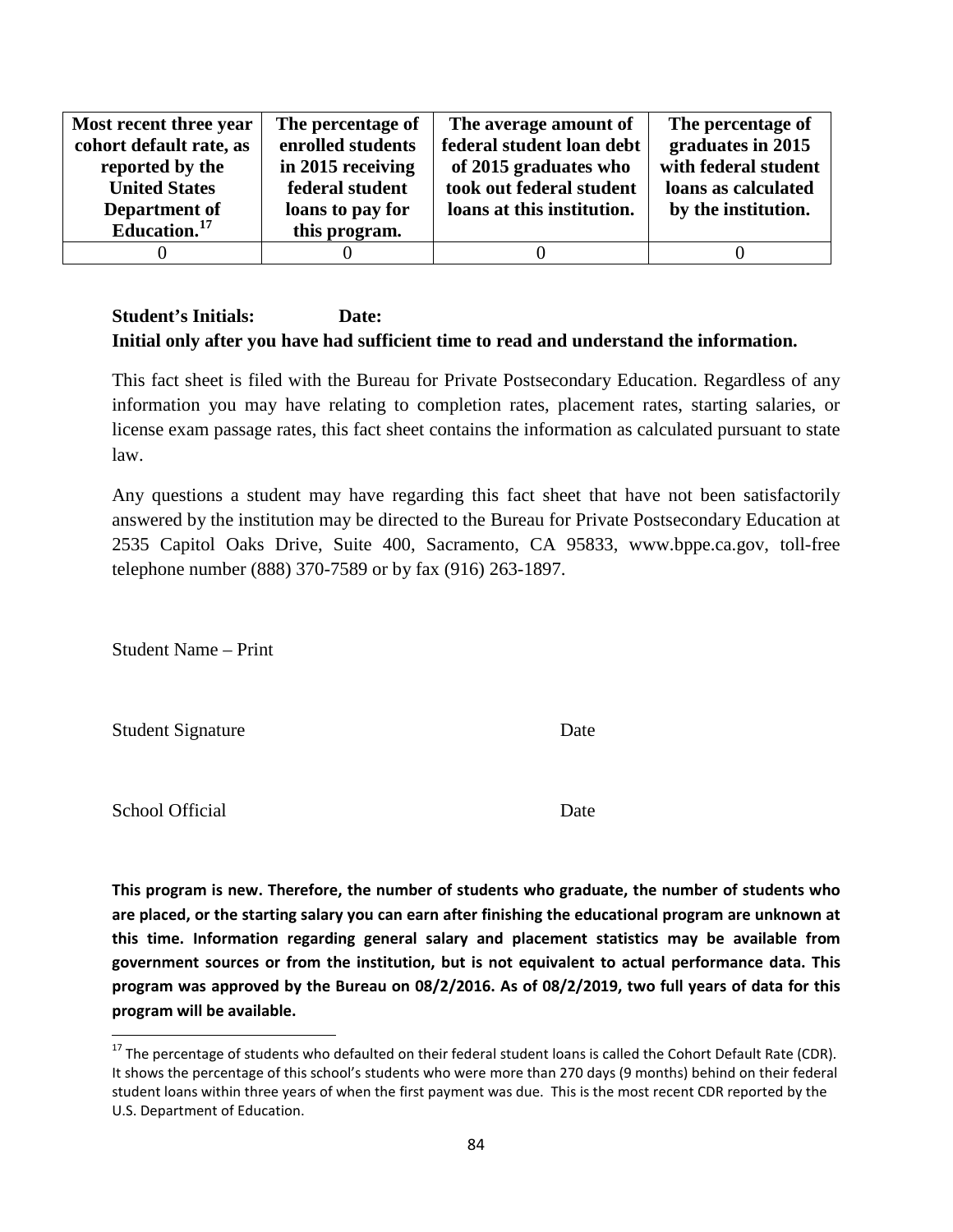| Most recent three year   | The percentage of | The average amount of      | The percentage of    |
|--------------------------|-------------------|----------------------------|----------------------|
| cohort default rate, as  | enrolled students | federal student loan debt  | graduates in 2015    |
| reported by the          | in 2015 receiving | of 2015 graduates who      | with federal student |
| <b>United States</b>     | federal student   | took out federal student   | loans as calculated  |
| Department of            | loans to pay for  | loans at this institution. | by the institution.  |
| Education. <sup>17</sup> | this program.     |                            |                      |
|                          |                   |                            |                      |

This fact sheet is filed with the Bureau for Private Postsecondary Education. Regardless of any information you may have relating to completion rates, placement rates, starting salaries, or license exam passage rates, this fact sheet contains the information as calculated pursuant to state law.

Any questions a student may have regarding this fact sheet that have not been satisfactorily answered by the institution may be directed to the Bureau for Private Postsecondary Education at 2535 Capitol Oaks Drive, Suite 400, Sacramento, CA 95833, www.bppe.ca.gov, toll-free telephone number (888) 370-7589 or by fax (916) 263-1897.

Student Name – Print

Student Signature Date

School Official Date

<span id="page-83-0"></span> $17$  The percentage of students who defaulted on their federal student loans is called the Cohort Default Rate (CDR). It shows the percentage of this school's students who were more than 270 days (9 months) behind on their federal student loans within three years of when the first payment was due. This is the most recent CDR reported by the U.S. Department of Education.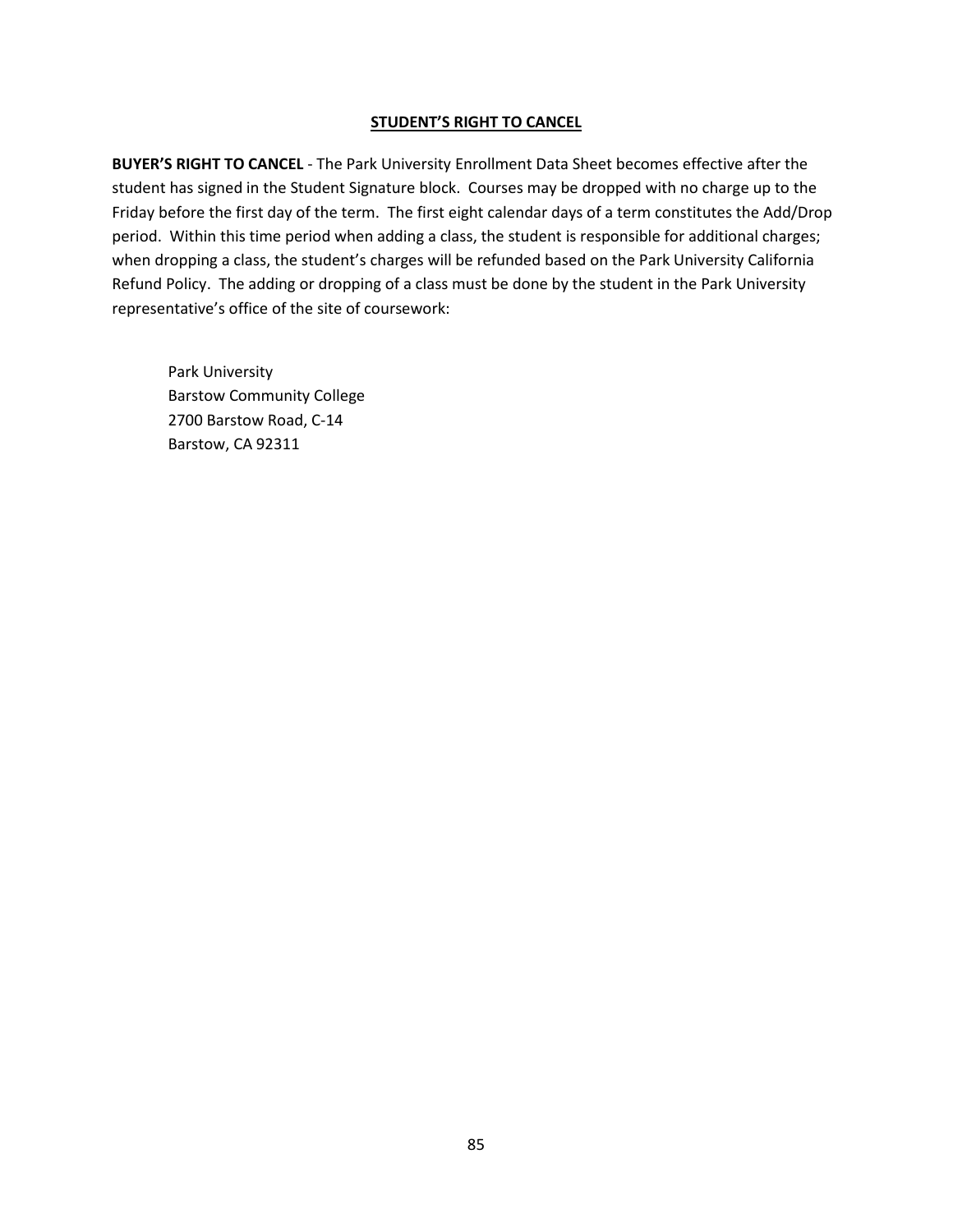**BUYER'S RIGHT TO CANCEL** - The Park University Enrollment Data Sheet becomes effective after the student has signed in the Student Signature block. Courses may be dropped with no charge up to the Friday before the first day of the term. The first eight calendar days of a term constitutes the Add/Drop period. Within this time period when adding a class, the student is responsible for additional charges; when dropping a class, the student's charges will be refunded based on the Park University California Refund Policy. The adding or dropping of a class must be done by the student in the Park University representative's office of the site of coursework: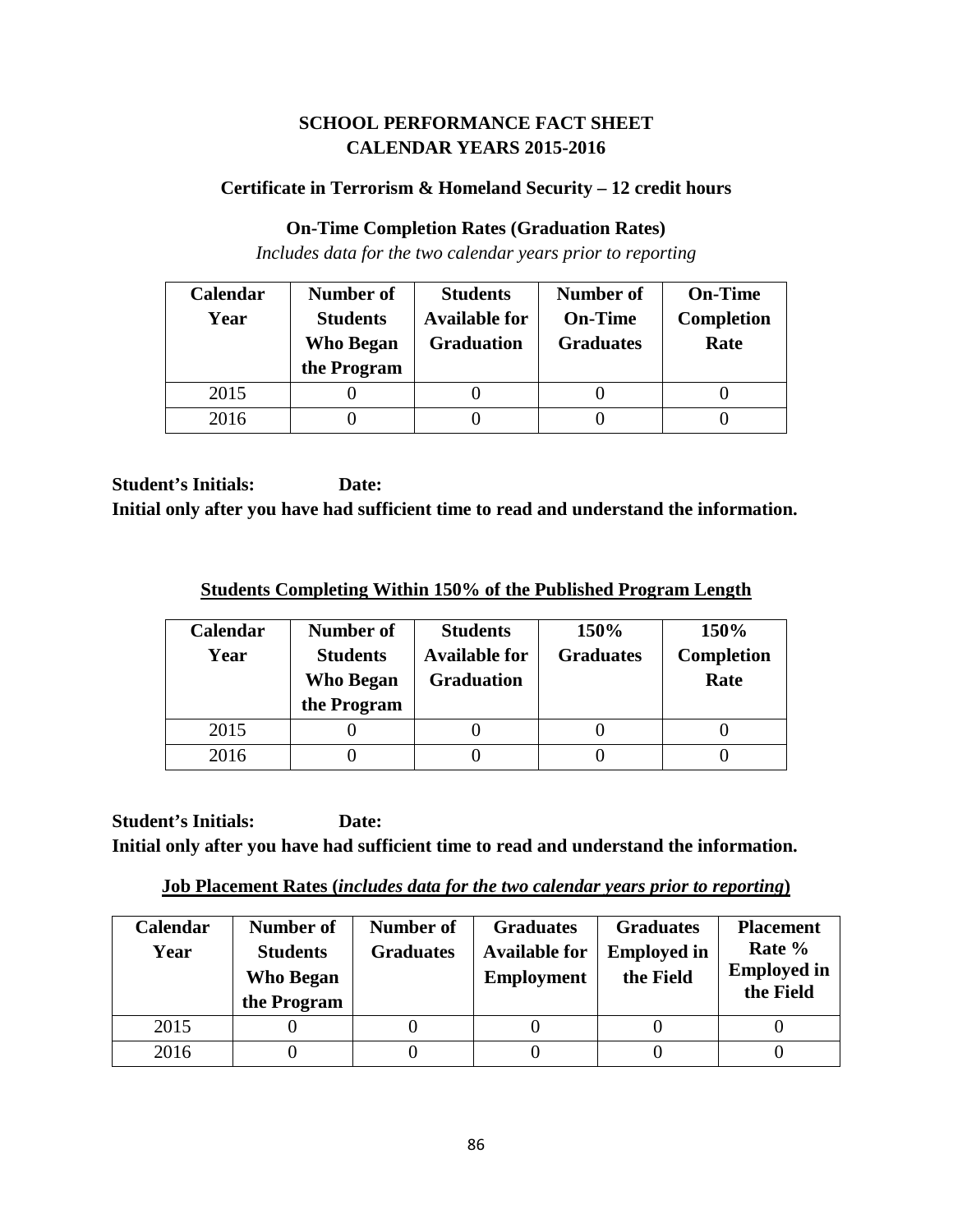## **SCHOOL PERFORMANCE FACT SHEET CALENDAR YEARS 2015-2016**

## **Certificate in Terrorism & Homeland Security – 12 credit hours**

### **On-Time Completion Rates (Graduation Rates)**

*Includes data for the two calendar years prior to reporting*

| Calendar | Number of        | <b>Students</b>      | <b>Number of</b> | <b>On-Time</b>    |
|----------|------------------|----------------------|------------------|-------------------|
| Year     | <b>Students</b>  | <b>Available for</b> | <b>On-Time</b>   | <b>Completion</b> |
|          | <b>Who Began</b> | <b>Graduation</b>    | <b>Graduates</b> | Rate              |
|          | the Program      |                      |                  |                   |
| 2015     |                  |                      |                  |                   |
| 2016     |                  |                      |                  |                   |

**Student's Initials: Date: Initial only after you have had sufficient time to read and understand the information.**

**Students Completing Within 150% of the Published Program Length**

| Calendar<br>Year | Number of<br><b>Students</b><br>Who Began<br>the Program | <b>Students</b><br><b>Available for</b><br><b>Graduation</b> | 150%<br><b>Graduates</b> | 150%<br><b>Completion</b><br>Rate |
|------------------|----------------------------------------------------------|--------------------------------------------------------------|--------------------------|-----------------------------------|
| 2015             |                                                          |                                                              |                          |                                   |
| 2016             |                                                          |                                                              |                          |                                   |

**Student's Initials: Date: Initial only after you have had sufficient time to read and understand the information.**

**Job Placement Rates (***includes data for the two calendar years prior to reporting***)**

| <b>Calendar</b><br>Year | Number of<br><b>Students</b><br><b>Who Began</b><br>the Program | Number of<br><b>Graduates</b> | <b>Graduates</b><br><b>Available for</b><br><b>Employment</b> | <b>Graduates</b><br><b>Employed in</b><br>the Field | <b>Placement</b><br>Rate %<br><b>Employed in</b><br>the Field |
|-------------------------|-----------------------------------------------------------------|-------------------------------|---------------------------------------------------------------|-----------------------------------------------------|---------------------------------------------------------------|
| 2015                    |                                                                 |                               |                                                               |                                                     |                                                               |
| 2016                    |                                                                 |                               |                                                               |                                                     |                                                               |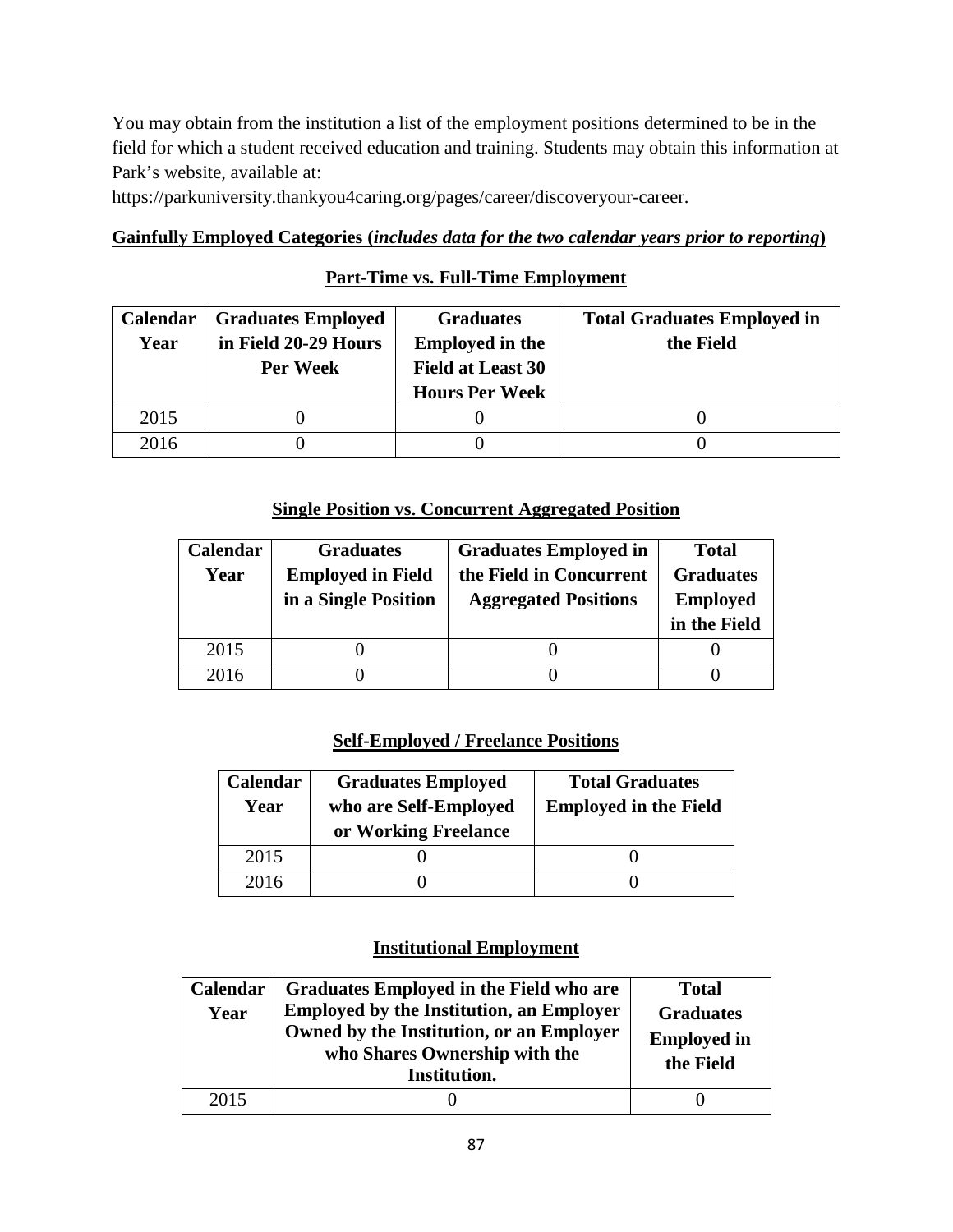You may obtain from the institution a list of the employment positions determined to be in the field for which a student received education and training. Students may obtain this information at Park's website, available at:

https://parkuniversity.thankyou4caring.org/pages/career/discoveryour-career.

## **Gainfully Employed Categories (***includes data for the two calendar years prior to reporting***)**

## **Part-Time vs. Full-Time Employment**

| Calendar | <b>Graduates Employed</b> | <b>Graduates</b>         | <b>Total Graduates Employed in</b> |
|----------|---------------------------|--------------------------|------------------------------------|
| Year     | in Field 20-29 Hours      | <b>Employed in the</b>   | the Field                          |
|          | Per Week                  | <b>Field at Least 30</b> |                                    |
|          |                           | <b>Hours Per Week</b>    |                                    |
| 2015     |                           |                          |                                    |
| 2016     |                           |                          |                                    |

### **Single Position vs. Concurrent Aggregated Position**

| Calendar | <b>Graduates</b>         | <b>Graduates Employed in</b> | <b>Total</b>     |
|----------|--------------------------|------------------------------|------------------|
| Year     | <b>Employed in Field</b> | the Field in Concurrent      | <b>Graduates</b> |
|          | in a Single Position     | <b>Aggregated Positions</b>  | <b>Employed</b>  |
|          |                          |                              | in the Field     |
| 2015     |                          |                              |                  |
| 2016     |                          |                              |                  |

## **Self-Employed / Freelance Positions**

| Calendar<br>Year | <b>Graduates Employed</b><br>who are Self-Employed<br>or Working Freelance | <b>Total Graduates</b><br><b>Employed in the Field</b> |  |
|------------------|----------------------------------------------------------------------------|--------------------------------------------------------|--|
| 2015             |                                                                            |                                                        |  |
| 2016             |                                                                            |                                                        |  |

## **Institutional Employment**

| Calendar<br>Year | Graduates Employed in the Field who are<br><b>Employed by the Institution, an Employer</b><br>Owned by the Institution, or an Employer<br>who Shares Ownership with the<br>Institution. | <b>Total</b><br><b>Graduates</b><br><b>Employed in</b><br>the Field |
|------------------|-----------------------------------------------------------------------------------------------------------------------------------------------------------------------------------------|---------------------------------------------------------------------|
| 2015             |                                                                                                                                                                                         |                                                                     |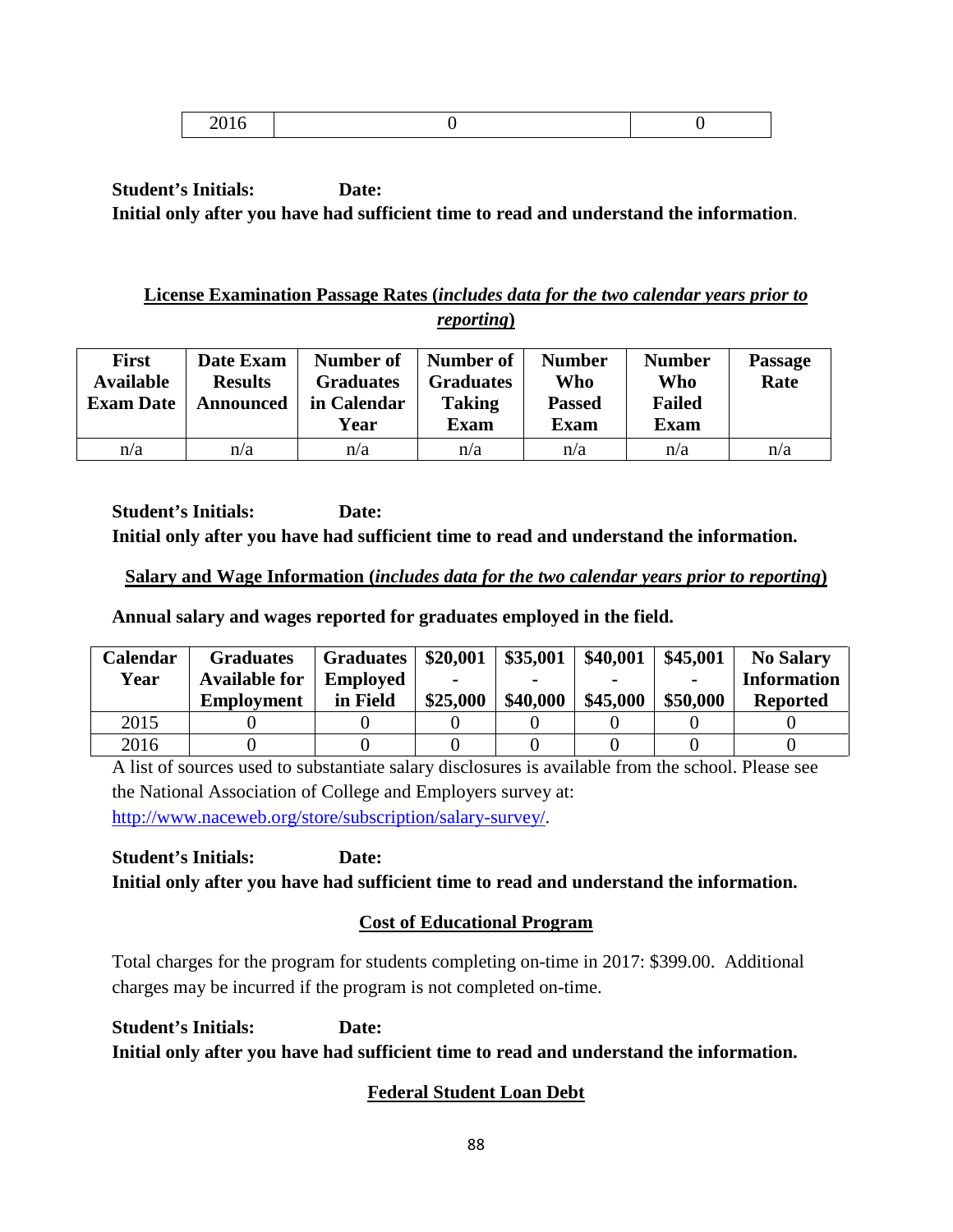|--|

## **License Examination Passage Rates (***includes data for the two calendar years prior to reporting***)**

| <b>First</b><br><b>Available</b><br><b>Exam Date</b> | Date Exam<br><b>Results</b><br><b>Announced</b> | Number of<br><b>Graduates</b><br>in Calendar<br>Year | Number of<br><b>Graduates</b><br><b>Taking</b><br><b>Exam</b> | <b>Number</b><br>Who<br><b>Passed</b><br>Exam | <b>Number</b><br>Who<br><b>Failed</b><br><b>Exam</b> | <b>Passage</b><br>Rate |
|------------------------------------------------------|-------------------------------------------------|------------------------------------------------------|---------------------------------------------------------------|-----------------------------------------------|------------------------------------------------------|------------------------|
| n/a                                                  | n/a                                             | n/a                                                  | n/a                                                           | n/a                                           | n/a                                                  | n/a                    |

**Student's Initials: Date: Initial only after you have had sufficient time to read and understand the information.**

## **Salary and Wage Information (***includes data for the two calendar years prior to reporting***)**

**Annual salary and wages reported for graduates employed in the field.**

| <b>Calendar</b> | <b>Graduates</b>     | <b>Graduates</b> | \$20,001 | \$35,001 | \$40,001 | \$45,001 | <b>No Salary</b>   |
|-----------------|----------------------|------------------|----------|----------|----------|----------|--------------------|
| Year            | <b>Available for</b> | <b>Employed</b>  | -        |          |          |          | <b>Information</b> |
|                 | <b>Employment</b>    | in Field         | \$25,000 | \$40,000 | \$45,000 | \$50,000 | <b>Reported</b>    |
| 2015            |                      |                  |          |          |          |          |                    |
| 2016            |                      |                  |          |          |          |          |                    |

A list of sources used to substantiate salary disclosures is available from the school. Please see the National Association of College and Employers survey at: [http://www.naceweb.org/store/subscription/salary-survey/.](http://www.naceweb.org/store/subscription/salary-survey/)

**Student's Initials: Date: Initial only after you have had sufficient time to read and understand the information.**

# **Cost of Educational Program**

Total charges for the program for students completing on-time in 2017: \$399.00. Additional charges may be incurred if the program is not completed on-time.

**Student's Initials: Date: Initial only after you have had sufficient time to read and understand the information.**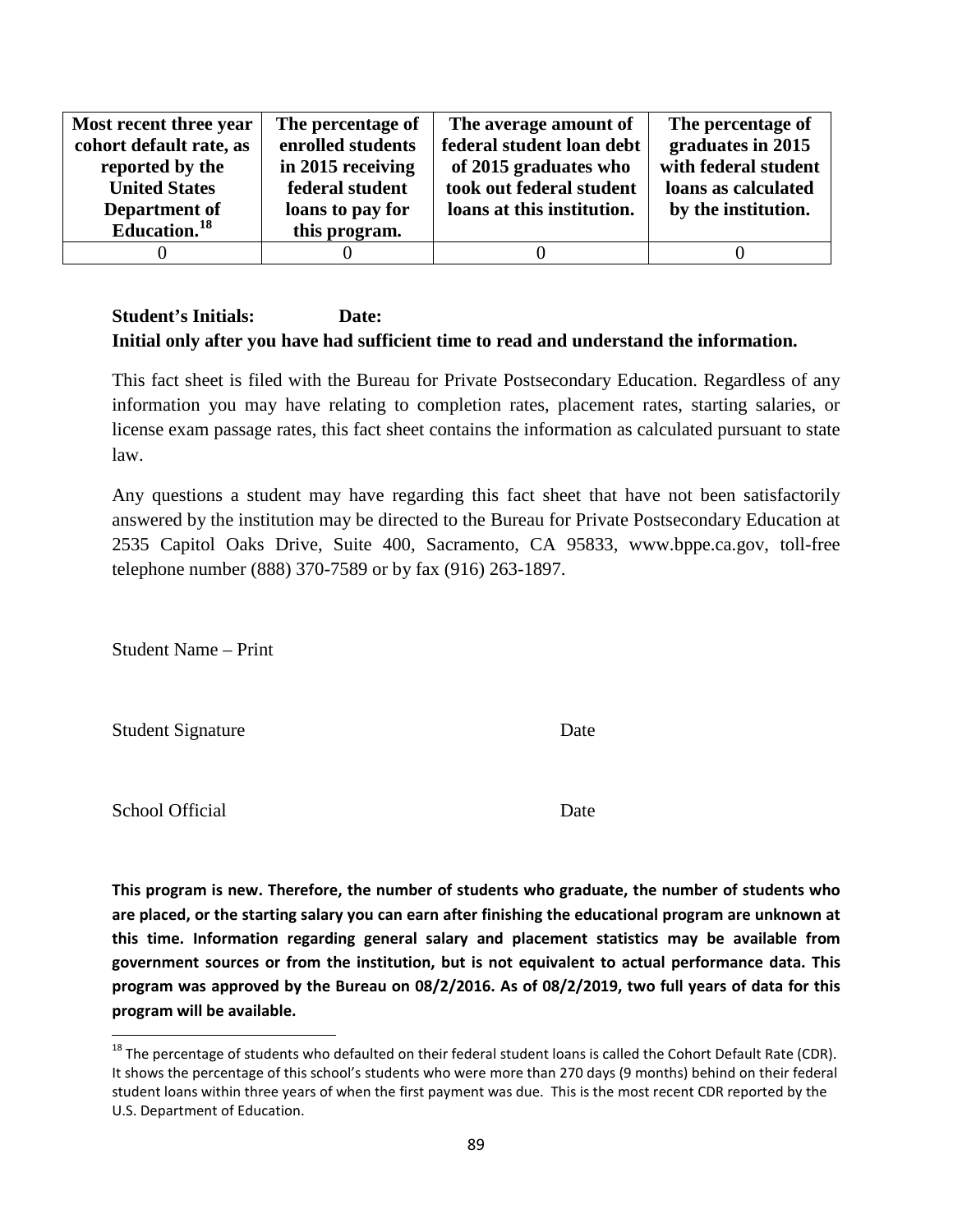| Most recent three year   | The percentage of | The average amount of      | The percentage of    |
|--------------------------|-------------------|----------------------------|----------------------|
| cohort default rate, as  | enrolled students | federal student loan debt  | graduates in 2015    |
| reported by the          | in 2015 receiving | of 2015 graduates who      | with federal student |
| <b>United States</b>     | federal student   | took out federal student   | loans as calculated  |
| Department of            | loans to pay for  | loans at this institution. | by the institution.  |
| Education. <sup>18</sup> | this program.     |                            |                      |
|                          |                   |                            |                      |

This fact sheet is filed with the Bureau for Private Postsecondary Education. Regardless of any information you may have relating to completion rates, placement rates, starting salaries, or license exam passage rates, this fact sheet contains the information as calculated pursuant to state law.

Any questions a student may have regarding this fact sheet that have not been satisfactorily answered by the institution may be directed to the Bureau for Private Postsecondary Education at 2535 Capitol Oaks Drive, Suite 400, Sacramento, CA 95833, www.bppe.ca.gov, toll-free telephone number (888) 370-7589 or by fax (916) 263-1897.

Student Name – Print

Student Signature Date

School Official Date

<span id="page-88-0"></span> $18$  The percentage of students who defaulted on their federal student loans is called the Cohort Default Rate (CDR). It shows the percentage of this school's students who were more than 270 days (9 months) behind on their federal student loans within three years of when the first payment was due. This is the most recent CDR reported by the U.S. Department of Education.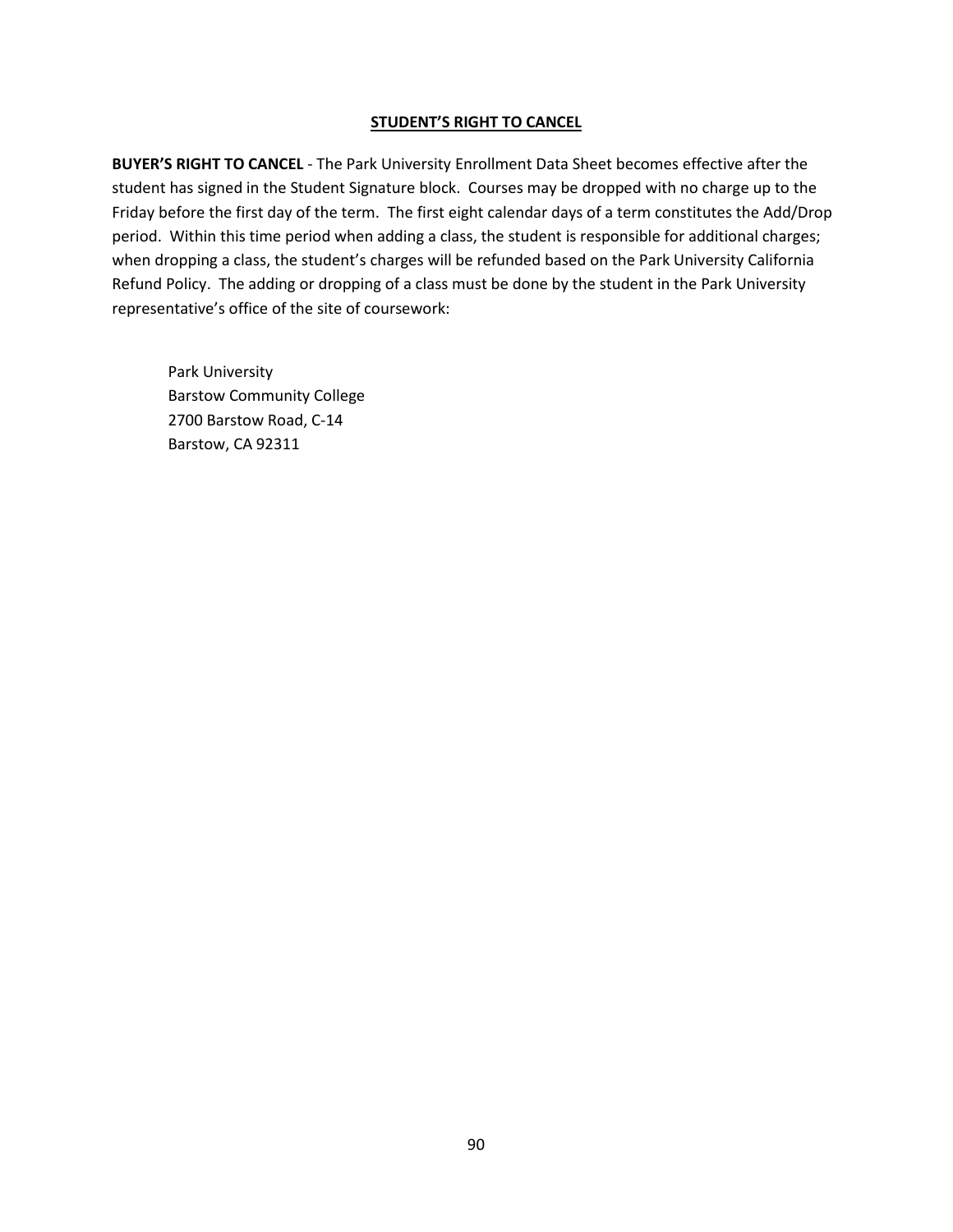**BUYER'S RIGHT TO CANCEL** - The Park University Enrollment Data Sheet becomes effective after the student has signed in the Student Signature block. Courses may be dropped with no charge up to the Friday before the first day of the term. The first eight calendar days of a term constitutes the Add/Drop period. Within this time period when adding a class, the student is responsible for additional charges; when dropping a class, the student's charges will be refunded based on the Park University California Refund Policy. The adding or dropping of a class must be done by the student in the Park University representative's office of the site of coursework: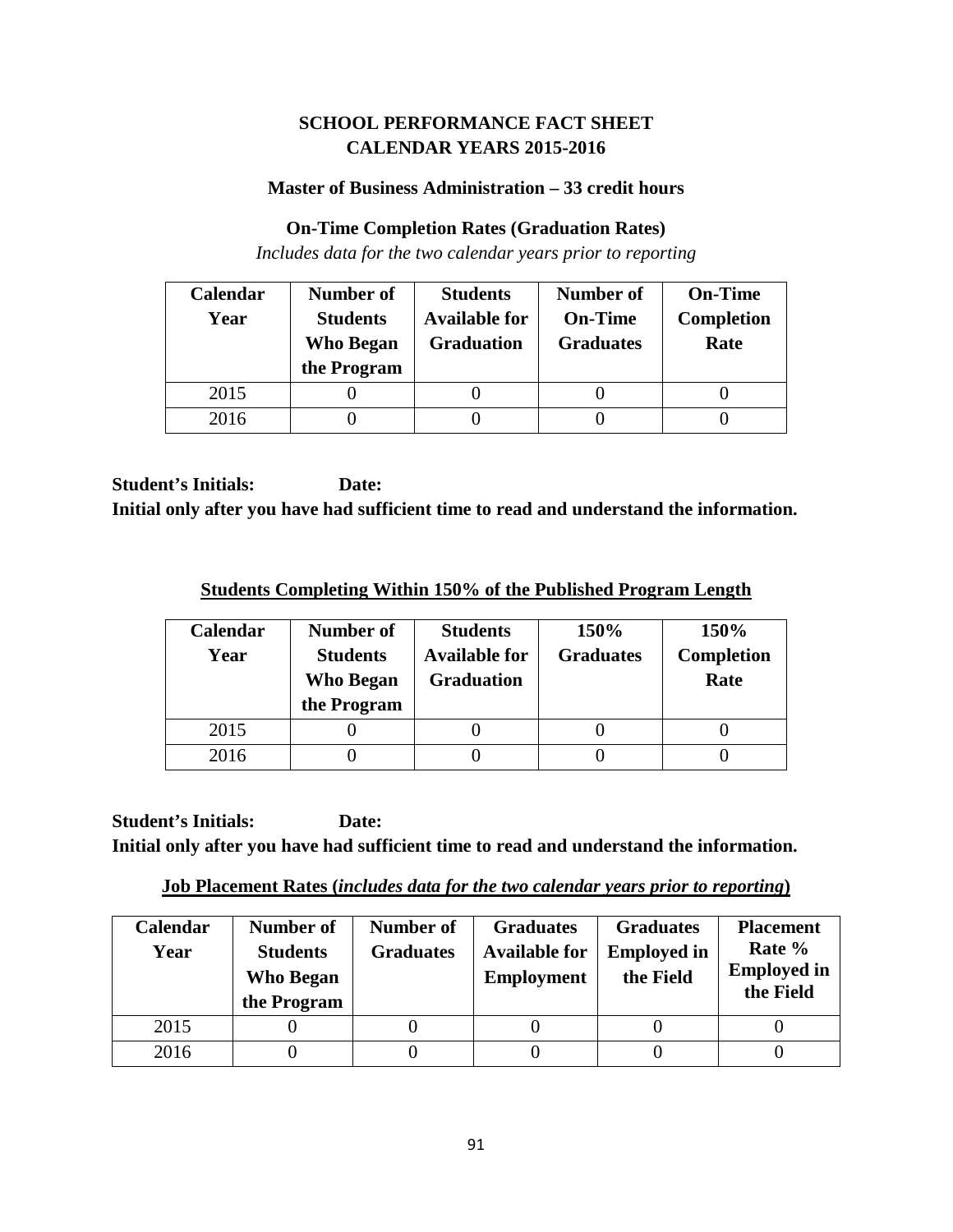## **SCHOOL PERFORMANCE FACT SHEET CALENDAR YEARS 2015-2016**

#### **Master of Business Administration – 33 credit hours**

#### **On-Time Completion Rates (Graduation Rates)**

*Includes data for the two calendar years prior to reporting*

| Calendar | Number of        | <b>Students</b>      | <b>Number of</b> | <b>On-Time</b>    |
|----------|------------------|----------------------|------------------|-------------------|
| Year     | <b>Students</b>  | <b>Available for</b> | <b>On-Time</b>   | <b>Completion</b> |
|          | <b>Who Began</b> | <b>Graduation</b>    | <b>Graduates</b> | Rate              |
|          | the Program      |                      |                  |                   |
| 2015     |                  |                      |                  |                   |
| 2016     |                  |                      |                  |                   |

**Student's Initials: Date: Initial only after you have had sufficient time to read and understand the information.**

**Students Completing Within 150% of the Published Program Length**

| Calendar<br>Year | Number of<br><b>Students</b><br><b>Who Began</b><br>the Program | <b>Students</b><br><b>Available for</b><br><b>Graduation</b> | 150%<br><b>Graduates</b> | 150%<br><b>Completion</b><br>Rate |
|------------------|-----------------------------------------------------------------|--------------------------------------------------------------|--------------------------|-----------------------------------|
| 2015             |                                                                 |                                                              |                          |                                   |
| 2016             |                                                                 |                                                              |                          |                                   |

**Student's Initials: Date: Initial only after you have had sufficient time to read and understand the information.**

**Job Placement Rates (***includes data for the two calendar years prior to reporting***)**

| Calendar<br>Year | Number of<br><b>Students</b><br><b>Who Began</b><br>the Program | Number of<br><b>Graduates</b> | <b>Graduates</b><br><b>Available for</b><br><b>Employment</b> | <b>Graduates</b><br><b>Employed in</b><br>the Field | <b>Placement</b><br>Rate %<br><b>Employed in</b><br>the Field |
|------------------|-----------------------------------------------------------------|-------------------------------|---------------------------------------------------------------|-----------------------------------------------------|---------------------------------------------------------------|
| 2015             |                                                                 |                               |                                                               |                                                     |                                                               |
| 2016             |                                                                 |                               |                                                               |                                                     |                                                               |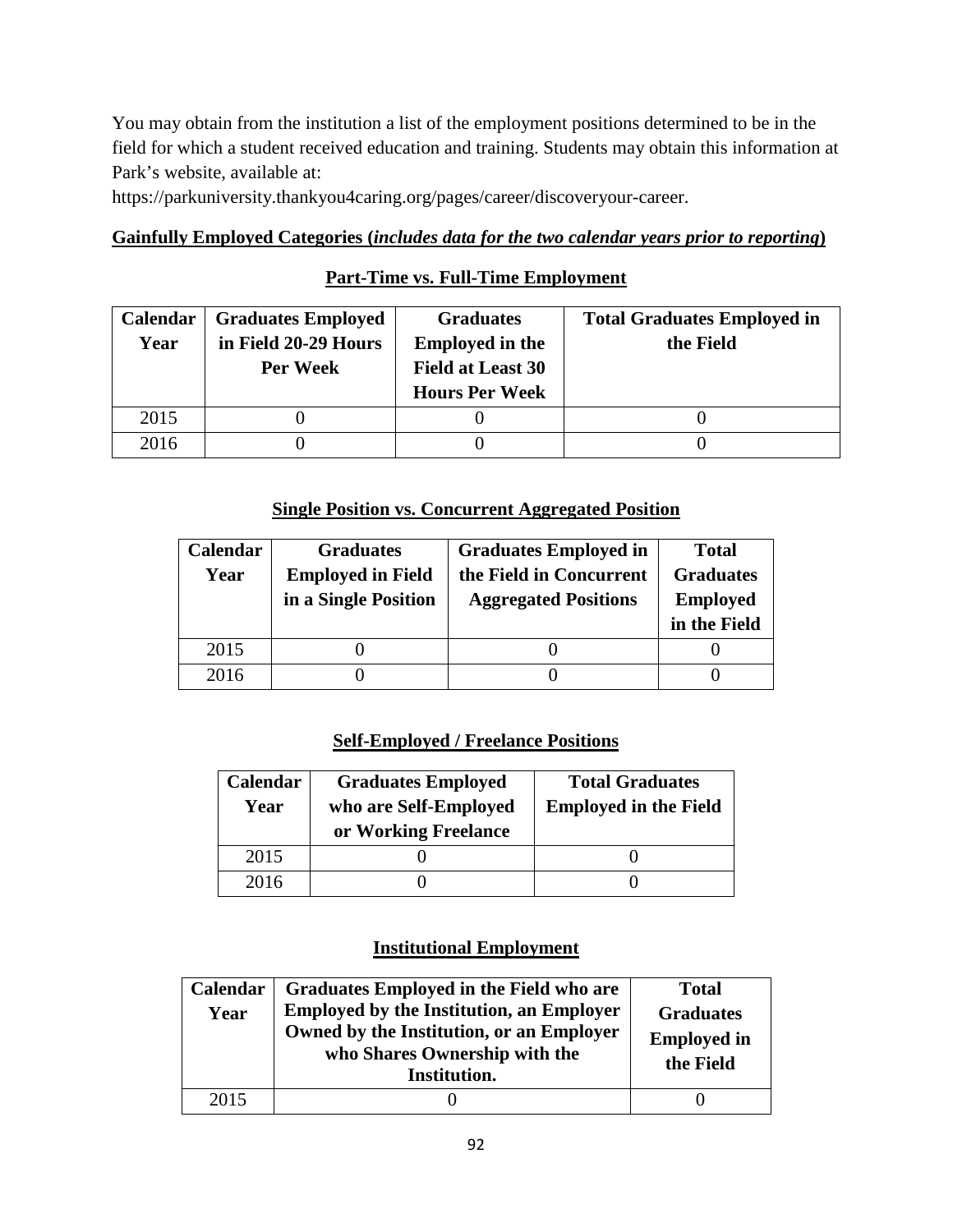You may obtain from the institution a list of the employment positions determined to be in the field for which a student received education and training. Students may obtain this information at Park's website, available at:

https://parkuniversity.thankyou4caring.org/pages/career/discoveryour-career.

## **Gainfully Employed Categories (***includes data for the two calendar years prior to reporting***)**

## **Part-Time vs. Full-Time Employment**

| Calendar | <b>Graduates Employed</b> | <b>Graduates</b>         | <b>Total Graduates Employed in</b> |
|----------|---------------------------|--------------------------|------------------------------------|
| Year     | in Field 20-29 Hours      | <b>Employed in the</b>   | the Field                          |
|          | Per Week                  | <b>Field at Least 30</b> |                                    |
|          |                           | <b>Hours Per Week</b>    |                                    |
| 2015     |                           |                          |                                    |
| 2016     |                           |                          |                                    |

### **Single Position vs. Concurrent Aggregated Position**

| Calendar | <b>Graduates</b>         | <b>Graduates Employed in</b> | <b>Total</b>     |
|----------|--------------------------|------------------------------|------------------|
| Year     | <b>Employed in Field</b> | the Field in Concurrent      | <b>Graduates</b> |
|          | in a Single Position     | <b>Aggregated Positions</b>  | <b>Employed</b>  |
|          |                          |                              | in the Field     |
| 2015     |                          |                              |                  |
| 2016     |                          |                              |                  |

## **Self-Employed / Freelance Positions**

| Calendar<br>Year | <b>Graduates Employed</b><br>who are Self-Employed<br>or Working Freelance | <b>Total Graduates</b><br><b>Employed in the Field</b> |  |  |
|------------------|----------------------------------------------------------------------------|--------------------------------------------------------|--|--|
| 2015             |                                                                            |                                                        |  |  |
| 2016             |                                                                            |                                                        |  |  |

## **Institutional Employment**

| Calendar<br>Year | Graduates Employed in the Field who are<br><b>Employed by the Institution, an Employer</b><br>Owned by the Institution, or an Employer<br>who Shares Ownership with the<br>Institution. | <b>Total</b><br><b>Graduates</b><br><b>Employed in</b><br>the Field |
|------------------|-----------------------------------------------------------------------------------------------------------------------------------------------------------------------------------------|---------------------------------------------------------------------|
| 2015             |                                                                                                                                                                                         |                                                                     |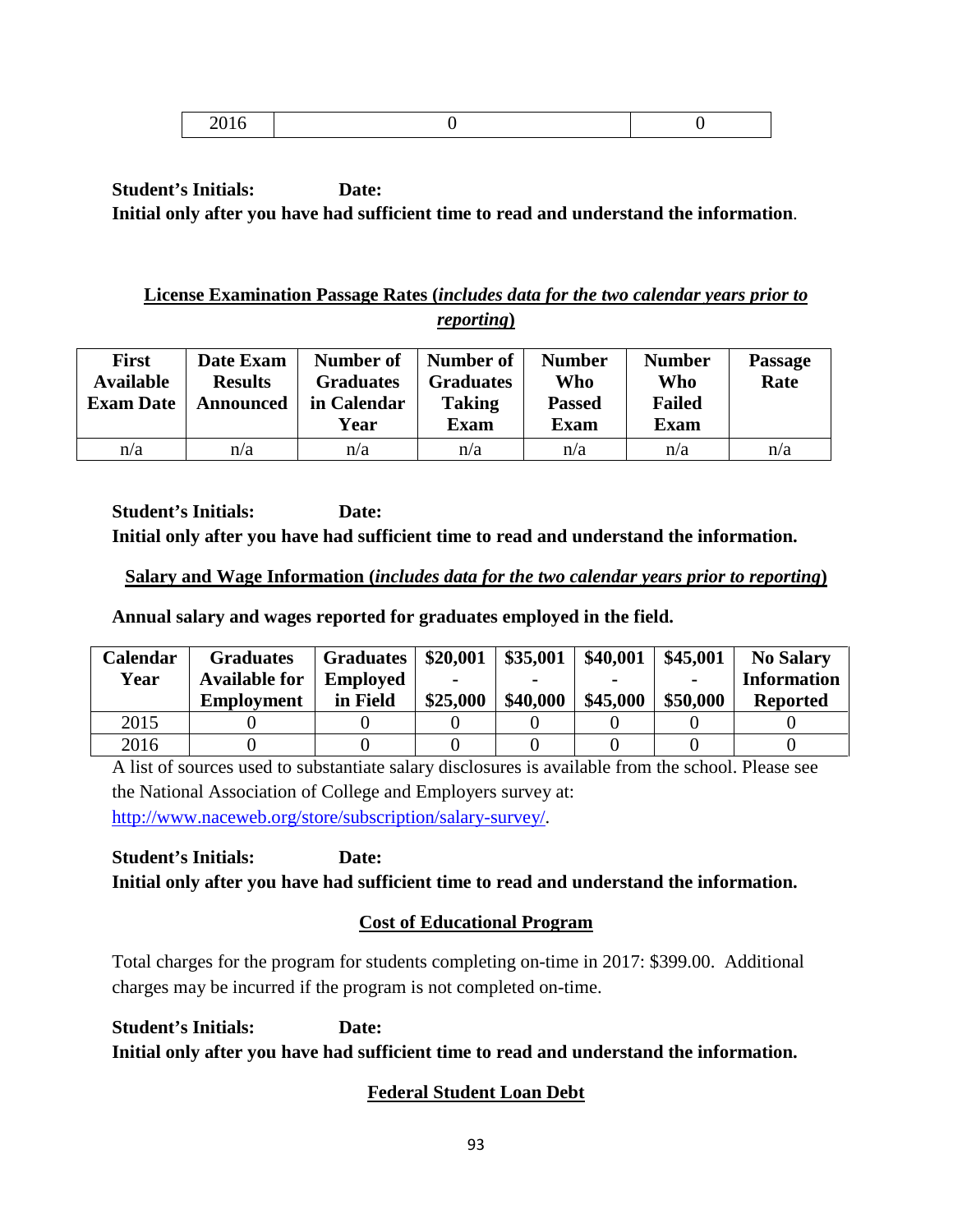|--|

## **License Examination Passage Rates (***includes data for the two calendar years prior to reporting***)**

| <b>First</b><br><b>Available</b><br><b>Exam Date</b> | Date Exam<br><b>Results</b><br><b>Announced</b> | Number of<br><b>Graduates</b><br>in Calendar<br>Year | Number of<br><b>Graduates</b><br><b>Taking</b><br><b>Exam</b> | <b>Number</b><br>Who<br><b>Passed</b><br>Exam | <b>Number</b><br>Who<br><b>Failed</b><br><b>Exam</b> | <b>Passage</b><br>Rate |
|------------------------------------------------------|-------------------------------------------------|------------------------------------------------------|---------------------------------------------------------------|-----------------------------------------------|------------------------------------------------------|------------------------|
| n/a                                                  | n/a                                             | n/a                                                  | n/a                                                           | n/a                                           | n/a                                                  | n/a                    |

**Student's Initials: Date: Initial only after you have had sufficient time to read and understand the information.**

## **Salary and Wage Information (***includes data for the two calendar years prior to reporting***)**

**Annual salary and wages reported for graduates employed in the field.**

| Calendar | <b>Graduates</b>     | <b>Graduates</b> | \$20,001 | \$35,001 | \$40,001 | \$45,001       | <b>No Salary</b>   |
|----------|----------------------|------------------|----------|----------|----------|----------------|--------------------|
| Year     | <b>Available for</b> | <b>Employed</b>  |          |          |          | $\blacksquare$ | <b>Information</b> |
|          | <b>Employment</b>    | in Field         | \$25,000 | \$40,000 | \$45,000 | \$50,000       | <b>Reported</b>    |
| 2015     |                      |                  |          |          |          |                |                    |
| 2016     |                      |                  |          |          |          |                |                    |

A list of sources used to substantiate salary disclosures is available from the school. Please see the National Association of College and Employers survey at: [http://www.naceweb.org/store/subscription/salary-survey/.](http://www.naceweb.org/store/subscription/salary-survey/)

**Student's Initials: Date: Initial only after you have had sufficient time to read and understand the information.**

# **Cost of Educational Program**

Total charges for the program for students completing on-time in 2017: \$399.00. Additional charges may be incurred if the program is not completed on-time.

**Student's Initials: Date: Initial only after you have had sufficient time to read and understand the information.**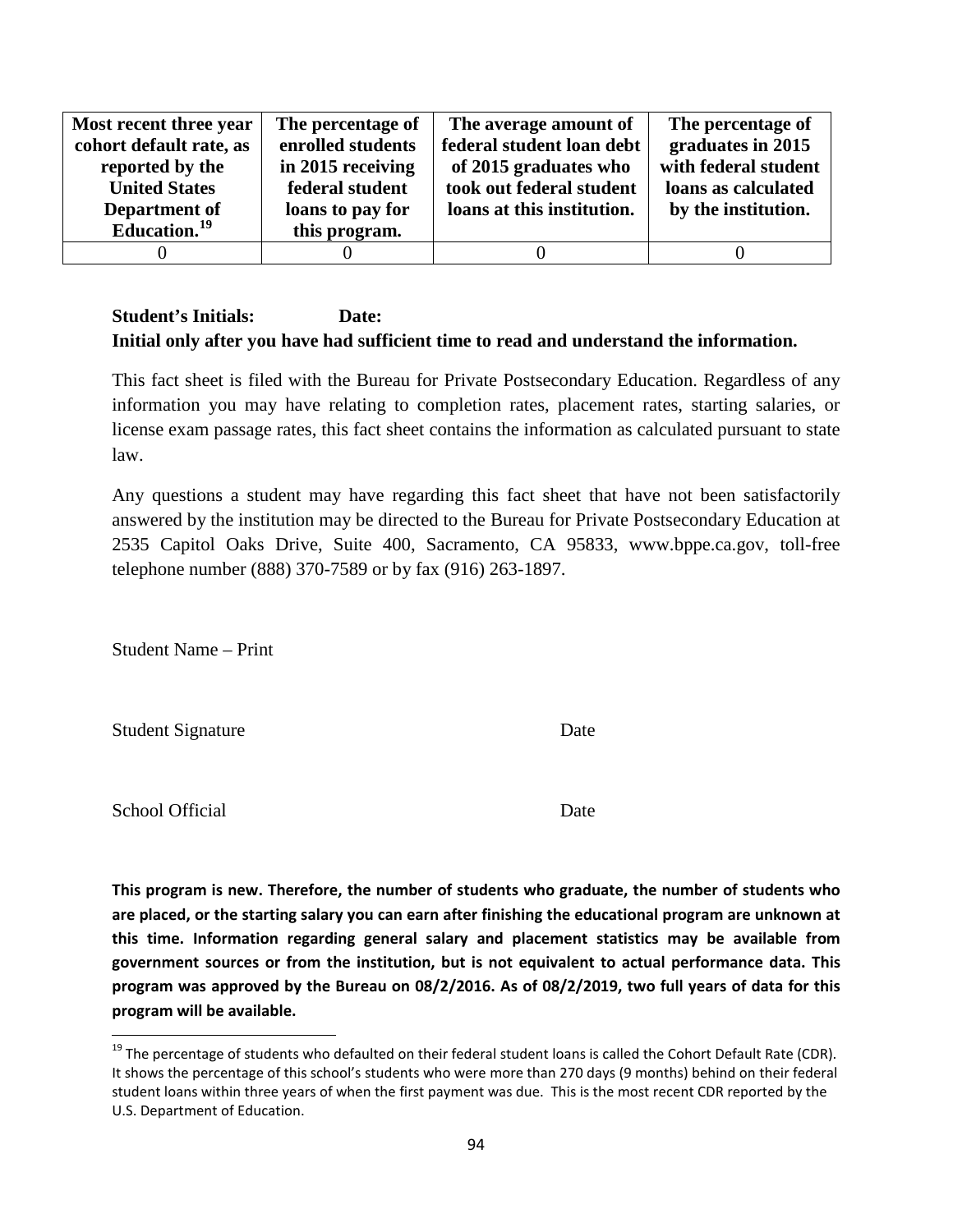| Most recent three year   | The percentage of | The average amount of      | The percentage of    |
|--------------------------|-------------------|----------------------------|----------------------|
| cohort default rate, as  | enrolled students | federal student loan debt  | graduates in 2015    |
| reported by the          | in 2015 receiving | of 2015 graduates who      | with federal student |
| <b>United States</b>     | federal student   | took out federal student   | loans as calculated  |
| Department of            | loans to pay for  | loans at this institution. | by the institution.  |
| Education. <sup>19</sup> | this program.     |                            |                      |
|                          |                   |                            |                      |

This fact sheet is filed with the Bureau for Private Postsecondary Education. Regardless of any information you may have relating to completion rates, placement rates, starting salaries, or license exam passage rates, this fact sheet contains the information as calculated pursuant to state law.

Any questions a student may have regarding this fact sheet that have not been satisfactorily answered by the institution may be directed to the Bureau for Private Postsecondary Education at 2535 Capitol Oaks Drive, Suite 400, Sacramento, CA 95833, www.bppe.ca.gov, toll-free telephone number (888) 370-7589 or by fax (916) 263-1897.

Student Name – Print

Student Signature Date

School Official Date

 $19$  The percentage of students who defaulted on their federal student loans is called the Cohort Default Rate (CDR). It shows the percentage of this school's students who were more than 270 days (9 months) behind on their federal student loans within three years of when the first payment was due. This is the most recent CDR reported by the U.S. Department of Education.